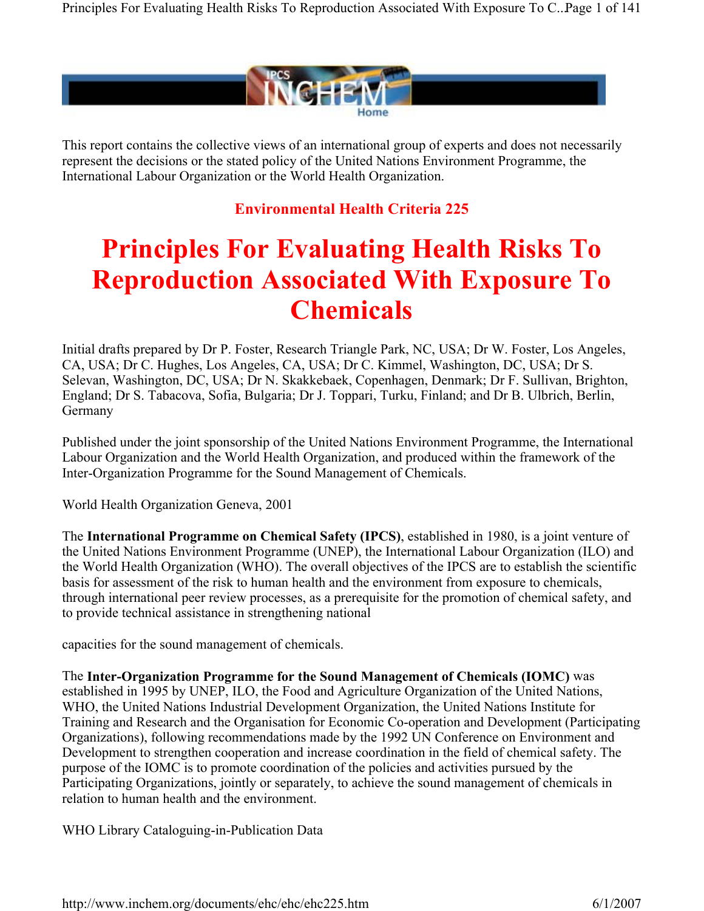

This report contains the collective views of an international group of experts and does not necessarily represent the decisions or the stated policy of the United Nations Environment Programme, the International Labour Organization or the World Health Organization.

## **Environmental Health Criteria 225**

# **Principles For Evaluating Health Risks To Reproduction Associated With Exposure To Chemicals**

Initial drafts prepared by Dr P. Foster, Research Triangle Park, NC, USA; Dr W. Foster, Los Angeles, CA, USA; Dr C. Hughes, Los Angeles, CA, USA; Dr C. Kimmel, Washington, DC, USA; Dr S. Selevan, Washington, DC, USA; Dr N. Skakkebaek, Copenhagen, Denmark; Dr F. Sullivan, Brighton, England; Dr S. Tabacova, Sofia, Bulgaria; Dr J. Toppari, Turku, Finland; and Dr B. Ulbrich, Berlin, Germany

Published under the joint sponsorship of the United Nations Environment Programme, the International Labour Organization and the World Health Organization, and produced within the framework of the Inter-Organization Programme for the Sound Management of Chemicals.

World Health Organization Geneva, 2001

The **International Programme on Chemical Safety (IPCS)**, established in 1980, is a joint venture of the United Nations Environment Programme (UNEP), the International Labour Organization (ILO) and the World Health Organization (WHO). The overall objectives of the IPCS are to establish the scientific basis for assessment of the risk to human health and the environment from exposure to chemicals, through international peer review processes, as a prerequisite for the promotion of chemical safety, and to provide technical assistance in strengthening national

capacities for the sound management of chemicals.

The **Inter-Organization Programme for the Sound Management of Chemicals (IOMC)** was established in 1995 by UNEP, ILO, the Food and Agriculture Organization of the United Nations, WHO, the United Nations Industrial Development Organization, the United Nations Institute for Training and Research and the Organisation for Economic Co-operation and Development (Participating Organizations), following recommendations made by the 1992 UN Conference on Environment and Development to strengthen cooperation and increase coordination in the field of chemical safety. The purpose of the IOMC is to promote coordination of the policies and activities pursued by the Participating Organizations, jointly or separately, to achieve the sound management of chemicals in relation to human health and the environment.

WHO Library Cataloguing-in-Publication Data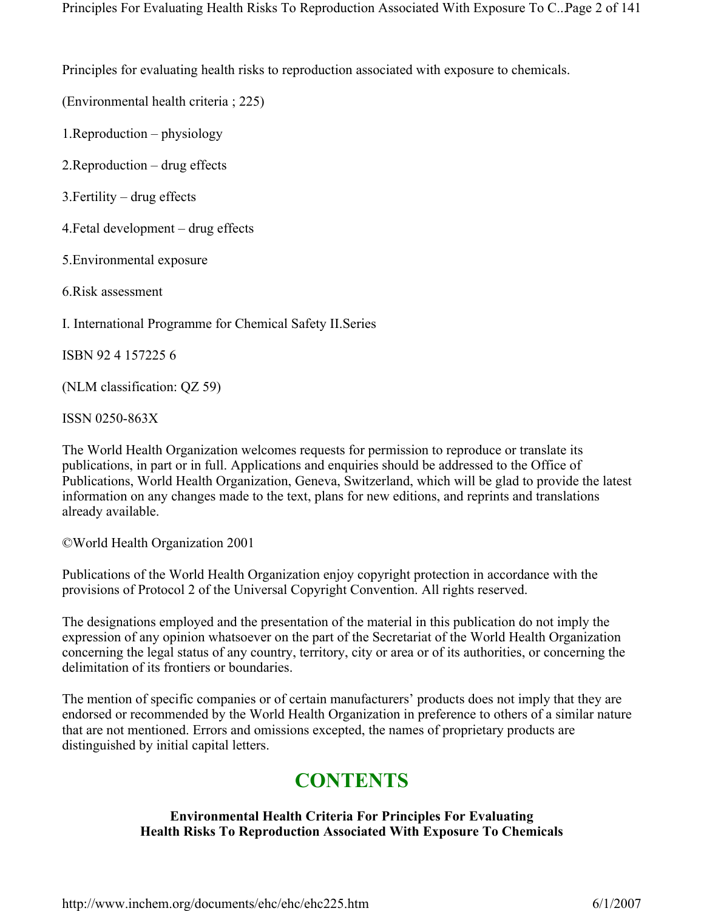Principles for evaluating health risks to reproduction associated with exposure to chemicals.

(Environmental health criteria ; 225)

1.Reproduction – physiology

2.Reproduction – drug effects

3.Fertility – drug effects

4.Fetal development – drug effects

5.Environmental exposure

6.Risk assessment

I. International Programme for Chemical Safety II.Series

ISBN 92 4 157225 6

(NLM classification: QZ 59)

ISSN 0250-863X

The World Health Organization welcomes requests for permission to reproduce or translate its publications, in part or in full. Applications and enquiries should be addressed to the Office of Publications, World Health Organization, Geneva, Switzerland, which will be glad to provide the latest information on any changes made to the text, plans for new editions, and reprints and translations already available.

©World Health Organization 2001

Publications of the World Health Organization enjoy copyright protection in accordance with the provisions of Protocol 2 of the Universal Copyright Convention. All rights reserved.

The designations employed and the presentation of the material in this publication do not imply the expression of any opinion whatsoever on the part of the Secretariat of the World Health Organization concerning the legal status of any country, territory, city or area or of its authorities, or concerning the delimitation of its frontiers or boundaries.

The mention of specific companies or of certain manufacturers' products does not imply that they are endorsed or recommended by the World Health Organization in preference to others of a similar nature that are not mentioned. Errors and omissions excepted, the names of proprietary products are distinguished by initial capital letters.

# **CONTENTS**

### **Environmental Health Criteria For Principles For Evaluating Health Risks To Reproduction Associated With Exposure To Chemicals**

http://www.inchem.org/documents/ehc/ehc/ehc225.htm 6/1/2007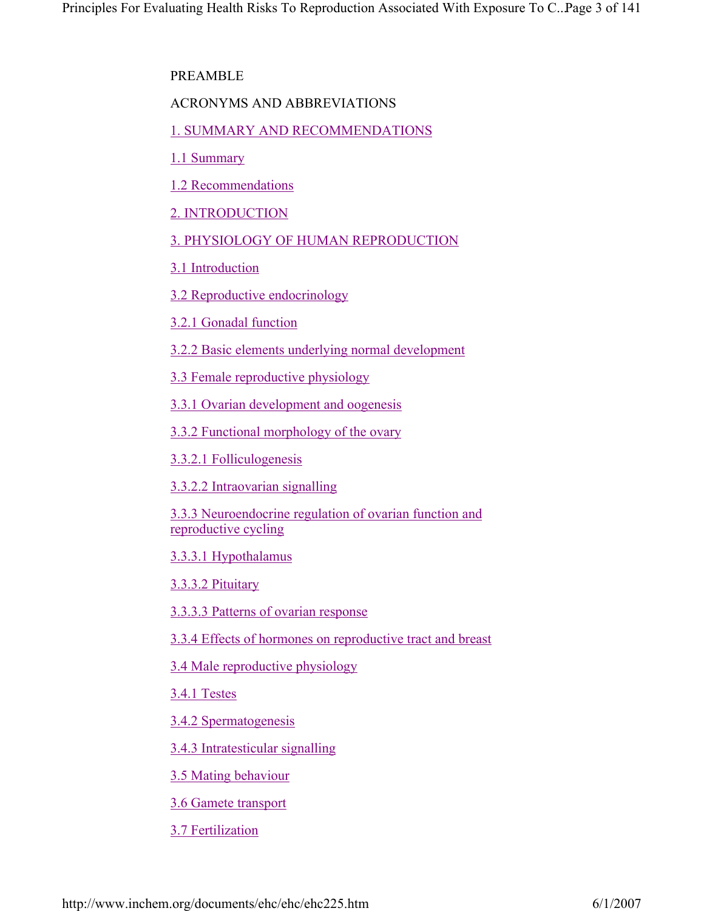PREAMBLE

### ACRONYMS AND ABBREVIATIONS

1. SUMMARY AND RECOMMENDATIONS

1.1 Summary

1.2 Recommendations

2. INTRODUCTION

## 3. PHYSIOLOGY OF HUMAN REPRODUCTION

3.1 Introduction

3.2 Reproductive endocrinology

3.2.1 Gonadal function

3.2.2 Basic elements underlying normal development

3.3 Female reproductive physiology

3.3.1 Ovarian development and oogenesis

3.3.2 Functional morphology of the ovary

3.3.2.1 Folliculogenesis

3.3.2.2 Intraovarian signalling

3.3.3 Neuroendocrine regulation of ovarian function and reproductive cycling

3.3.3.1 Hypothalamus

3.3.3.2 Pituitary

3.3.3.3 Patterns of ovarian response

3.3.4 Effects of hormones on reproductive tract and breast

3.4 Male reproductive physiology

3.4.1 Testes

3.4.2 Spermatogenesis

3.4.3 Intratesticular signalling

3.5 Mating behaviour

3.6 Gamete transport

3.7 Fertilization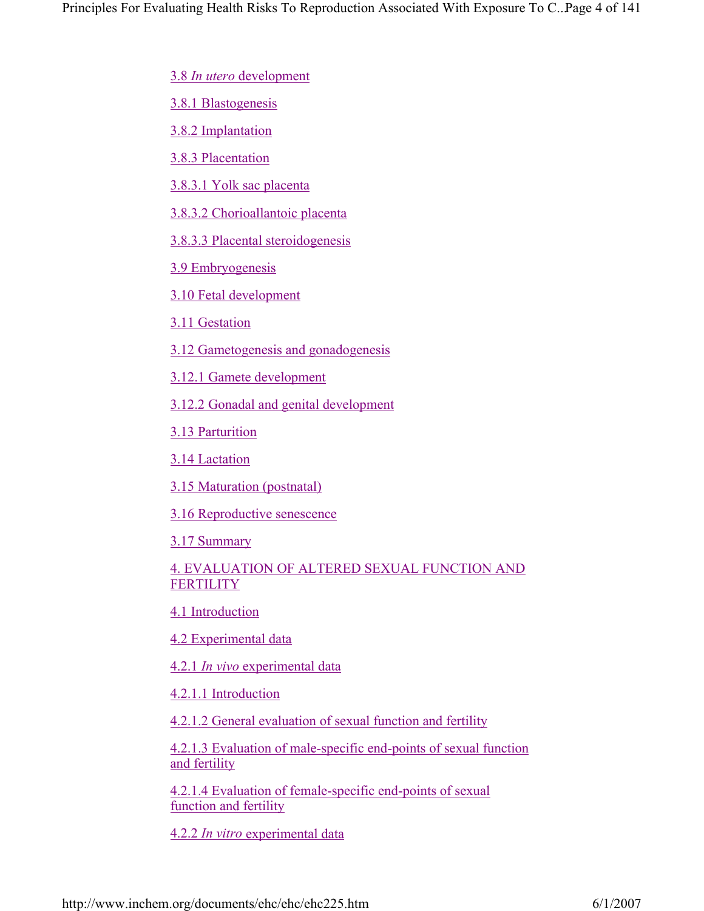- 3.8 *In utero* development
- 3.8.1 Blastogenesis
- 3.8.2 Implantation
- 3.8.3 Placentation
- 3.8.3.1 Yolk sac placenta
- 3.8.3.2 Chorioallantoic placenta
- 3.8.3.3 Placental steroidogenesis
- 3.9 Embryogenesis
- 3.10 Fetal development
- 3.11 Gestation
- 3.12 Gametogenesis and gonadogenesis
- 3.12.1 Gamete development
- 3.12.2 Gonadal and genital development
- 3.13 Parturition
- 3.14 Lactation
- 3.15 Maturation (postnatal)
- 3.16 Reproductive senescence
- 3.17 Summary

4. EVALUATION OF ALTERED SEXUAL FUNCTION AND **FERTILITY** 

4.1 Introduction

4.2 Experimental data

4.2.1 *In vivo* experimental data

4.2.1.1 Introduction

4.2.1.2 General evaluation of sexual function and fertility

4.2.1.3 Evaluation of male-specific end-points of sexual function and fertility

4.2.1.4 Evaluation of female-specific end-points of sexual function and fertility

4.2.2 *In vitro* experimental data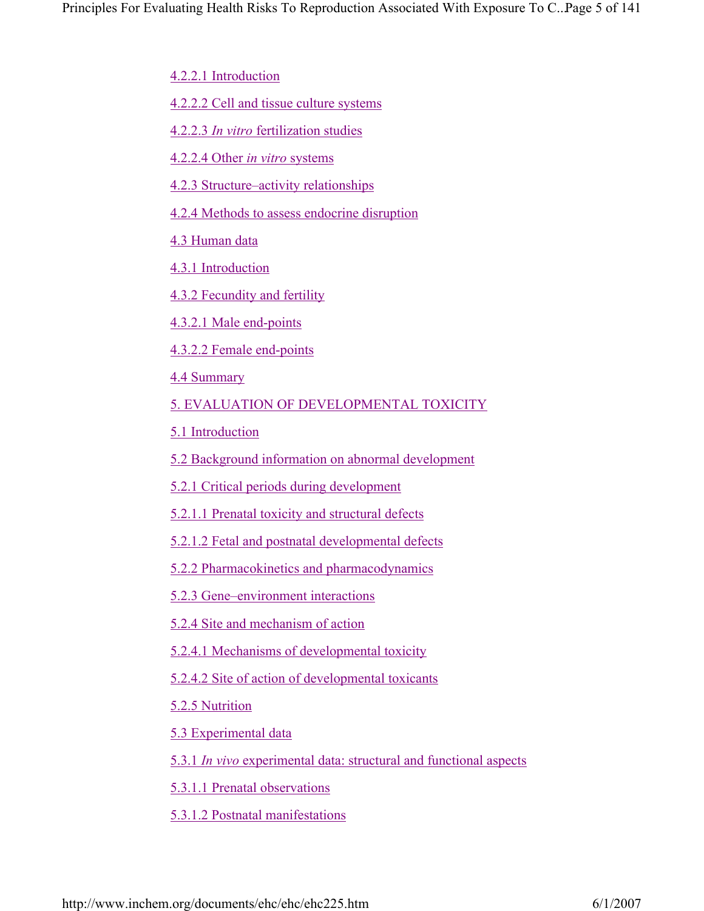4.2.2.1 Introduction

- 4.2.2.2 Cell and tissue culture systems
- 4.2.2.3 *In vitro* fertilization studies
- 4.2.2.4 Other *in vitro* systems
- 4.2.3 Structure–activity relationships
- 4.2.4 Methods to assess endocrine disruption
- 4.3 Human data
- 4.3.1 Introduction
- 4.3.2 Fecundity and fertility
- 4.3.2.1 Male end-points
- 4.3.2.2 Female end-points
- 4.4 Summary
- 5. EVALUATION OF DEVELOPMENTAL TOXICITY
- 5.1 Introduction
- 5.2 Background information on abnormal development
- 5.2.1 Critical periods during development
- 5.2.1.1 Prenatal toxicity and structural defects
- 5.2.1.2 Fetal and postnatal developmental defects
- 5.2.2 Pharmacokinetics and pharmacodynamics
- 5.2.3 Gene–environment interactions
- 5.2.4 Site and mechanism of action
- 5.2.4.1 Mechanisms of developmental toxicity
- 5.2.4.2 Site of action of developmental toxicants
- 5.2.5 Nutrition
- 5.3 Experimental data
- 5.3.1 *In vivo* experimental data: structural and functional aspects
- 5.3.1.1 Prenatal observations
- 5.3.1.2 Postnatal manifestations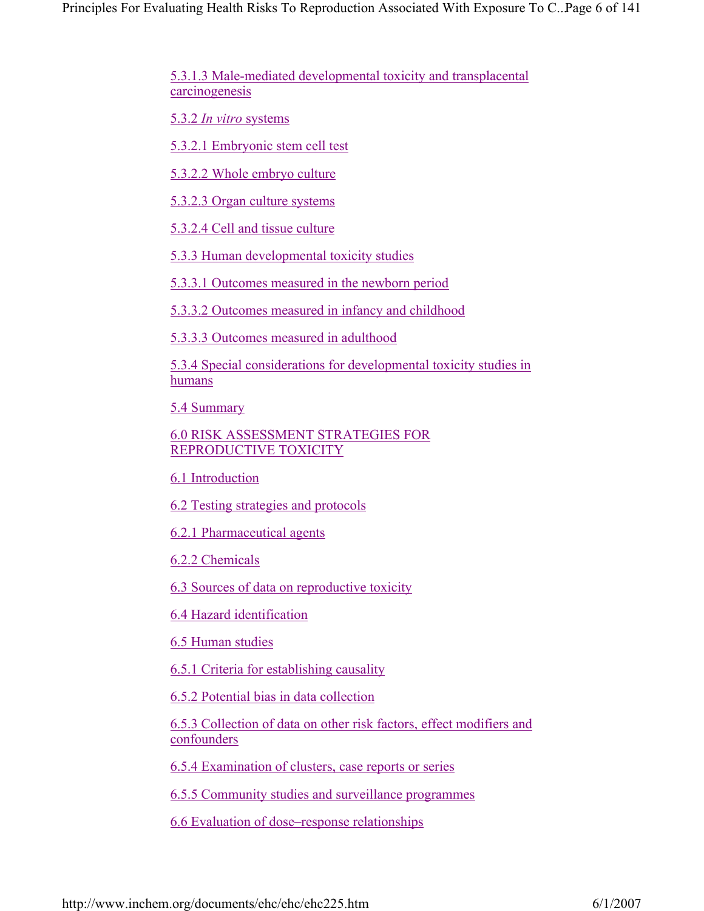5.3.1.3 Male-mediated developmental toxicity and transplacental carcinogenesis

5.3.2 *In vitro* systems

5.3.2.1 Embryonic stem cell test

5.3.2.2 Whole embryo culture

5.3.2.3 Organ culture systems

5.3.2.4 Cell and tissue culture

5.3.3 Human developmental toxicity studies

5.3.3.1 Outcomes measured in the newborn period

5.3.3.2 Outcomes measured in infancy and childhood

5.3.3.3 Outcomes measured in adulthood

5.3.4 Special considerations for developmental toxicity studies in humans

5.4 Summary

6.0 RISK ASSESSMENT STRATEGIES FOR REPRODUCTIVE TOXICITY

6.1 Introduction

6.2 Testing strategies and protocols

6.2.1 Pharmaceutical agents

6.2.2 Chemicals

6.3 Sources of data on reproductive toxicity

6.4 Hazard identification

6.5 Human studies

6.5.1 Criteria for establishing causality

6.5.2 Potential bias in data collection

6.5.3 Collection of data on other risk factors, effect modifiers and confounders

6.5.4 Examination of clusters, case reports or series

6.5.5 Community studies and surveillance programmes

6.6 Evaluation of dose–response relationships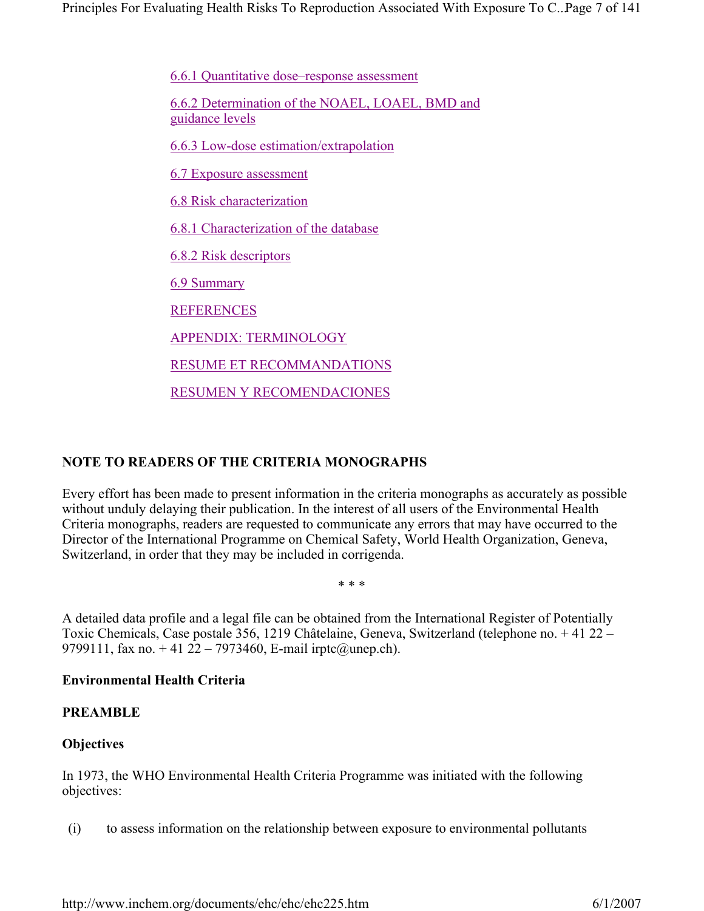6.6.1 Quantitative dose–response assessment 6.6.2 Determination of the NOAEL, LOAEL, BMD and guidance levels 6.6.3 Low-dose estimation/extrapolation 6.7 Exposure assessment 6.8 Risk characterization 6.8.1 Characterization of the database 6.8.2 Risk descriptors 6.9 Summary REFERENCES APPENDIX: TERMINOLOGY RESUME ET RECOMMANDATIONS RESUMEN Y RECOMENDACIONES

## **NOTE TO READERS OF THE CRITERIA MONOGRAPHS**

Every effort has been made to present information in the criteria monographs as accurately as possible without unduly delaying their publication. In the interest of all users of the Environmental Health Criteria monographs, readers are requested to communicate any errors that may have occurred to the Director of the International Programme on Chemical Safety, World Health Organization, Geneva, Switzerland, in order that they may be included in corrigenda.

\* \* \*

A detailed data profile and a legal file can be obtained from the International Register of Potentially Toxic Chemicals, Case postale 356, 1219 Châtelaine, Geneva, Switzerland (telephone no. + 41 22 – 9799111, fax no.  $+4122 - 7973460$ , E-mail irptc@unep.ch).

### **Environmental Health Criteria**

### **PREAMBLE**

### **Objectives**

In 1973, the WHO Environmental Health Criteria Programme was initiated with the following objectives:

(i) to assess information on the relationship between exposure to environmental pollutants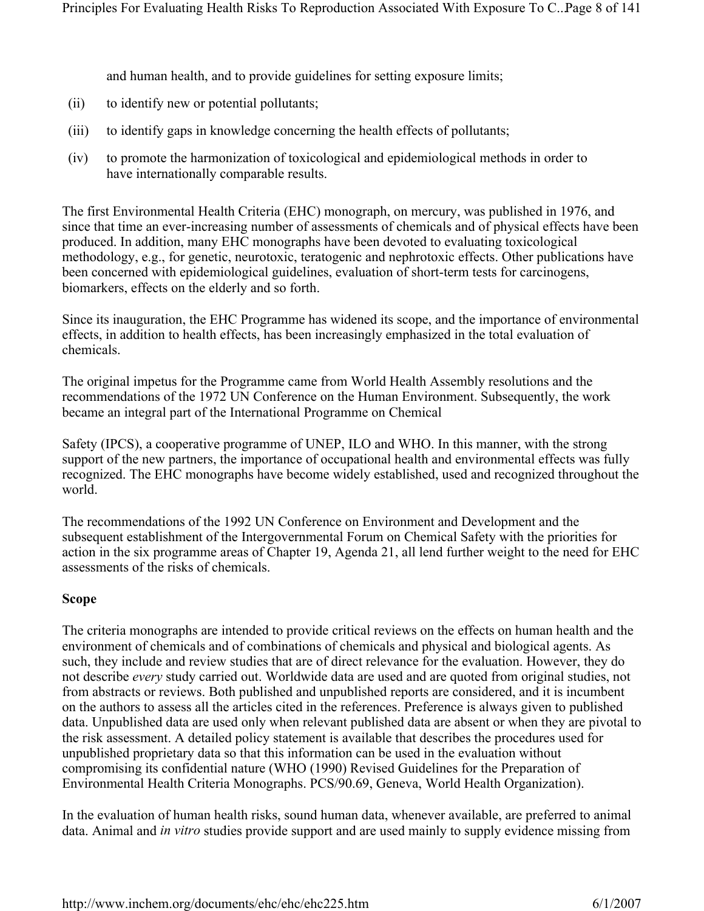and human health, and to provide guidelines for setting exposure limits;

- (ii) to identify new or potential pollutants;
- (iii) to identify gaps in knowledge concerning the health effects of pollutants;
- (iv) to promote the harmonization of toxicological and epidemiological methods in order to have internationally comparable results.

The first Environmental Health Criteria (EHC) monograph, on mercury, was published in 1976, and since that time an ever-increasing number of assessments of chemicals and of physical effects have been produced. In addition, many EHC monographs have been devoted to evaluating toxicological methodology, e.g., for genetic, neurotoxic, teratogenic and nephrotoxic effects. Other publications have been concerned with epidemiological guidelines, evaluation of short-term tests for carcinogens, biomarkers, effects on the elderly and so forth.

Since its inauguration, the EHC Programme has widened its scope, and the importance of environmental effects, in addition to health effects, has been increasingly emphasized in the total evaluation of chemicals.

The original impetus for the Programme came from World Health Assembly resolutions and the recommendations of the 1972 UN Conference on the Human Environment. Subsequently, the work became an integral part of the International Programme on Chemical

Safety (IPCS), a cooperative programme of UNEP, ILO and WHO. In this manner, with the strong support of the new partners, the importance of occupational health and environmental effects was fully recognized. The EHC monographs have become widely established, used and recognized throughout the world.

The recommendations of the 1992 UN Conference on Environment and Development and the subsequent establishment of the Intergovernmental Forum on Chemical Safety with the priorities for action in the six programme areas of Chapter 19, Agenda 21, all lend further weight to the need for EHC assessments of the risks of chemicals.

### **Scope**

The criteria monographs are intended to provide critical reviews on the effects on human health and the environment of chemicals and of combinations of chemicals and physical and biological agents. As such, they include and review studies that are of direct relevance for the evaluation. However, they do not describe *every* study carried out. Worldwide data are used and are quoted from original studies, not from abstracts or reviews. Both published and unpublished reports are considered, and it is incumbent on the authors to assess all the articles cited in the references. Preference is always given to published data. Unpublished data are used only when relevant published data are absent or when they are pivotal to the risk assessment. A detailed policy statement is available that describes the procedures used for unpublished proprietary data so that this information can be used in the evaluation without compromising its confidential nature (WHO (1990) Revised Guidelines for the Preparation of Environmental Health Criteria Monographs. PCS/90.69, Geneva, World Health Organization).

In the evaluation of human health risks, sound human data, whenever available, are preferred to animal data. Animal and *in vitro* studies provide support and are used mainly to supply evidence missing from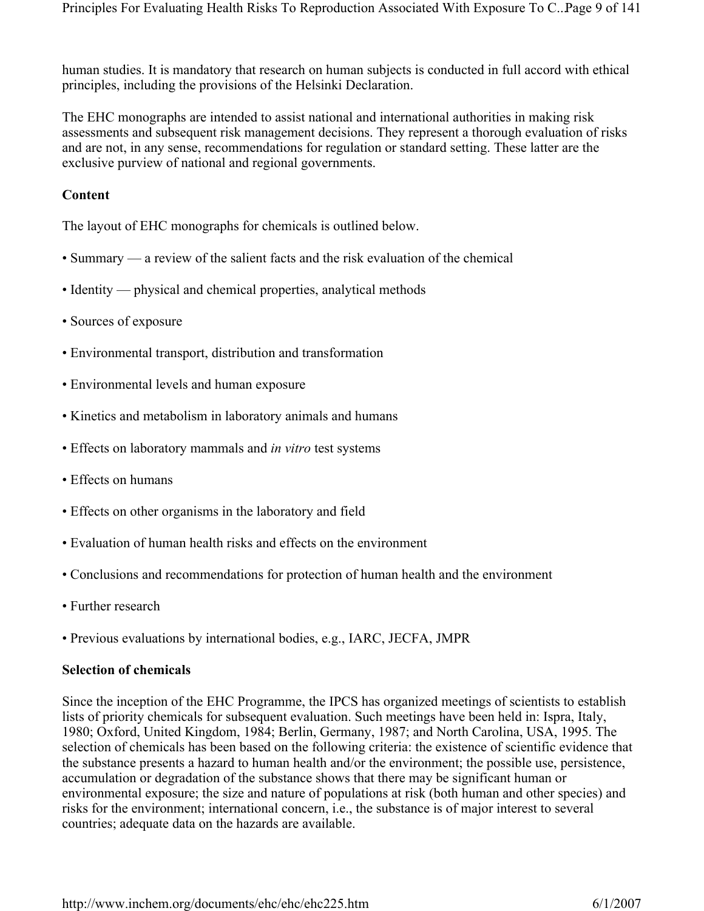human studies. It is mandatory that research on human subjects is conducted in full accord with ethical principles, including the provisions of the Helsinki Declaration.

The EHC monographs are intended to assist national and international authorities in making risk assessments and subsequent risk management decisions. They represent a thorough evaluation of risks and are not, in any sense, recommendations for regulation or standard setting. These latter are the exclusive purview of national and regional governments.

### **Content**

The layout of EHC monographs for chemicals is outlined below.

- Summary a review of the salient facts and the risk evaluation of the chemical
- Identity physical and chemical properties, analytical methods
- Sources of exposure
- Environmental transport, distribution and transformation
- Environmental levels and human exposure
- Kinetics and metabolism in laboratory animals and humans
- Effects on laboratory mammals and *in vitro* test systems
- Effects on humans
- Effects on other organisms in the laboratory and field
- Evaluation of human health risks and effects on the environment
- Conclusions and recommendations for protection of human health and the environment
- Further research
- Previous evaluations by international bodies, e.g., IARC, JECFA, JMPR

### **Selection of chemicals**

Since the inception of the EHC Programme, the IPCS has organized meetings of scientists to establish lists of priority chemicals for subsequent evaluation. Such meetings have been held in: Ispra, Italy, 1980; Oxford, United Kingdom, 1984; Berlin, Germany, 1987; and North Carolina, USA, 1995. The selection of chemicals has been based on the following criteria: the existence of scientific evidence that the substance presents a hazard to human health and/or the environment; the possible use, persistence, accumulation or degradation of the substance shows that there may be significant human or environmental exposure; the size and nature of populations at risk (both human and other species) and risks for the environment; international concern, i.e., the substance is of major interest to several countries; adequate data on the hazards are available.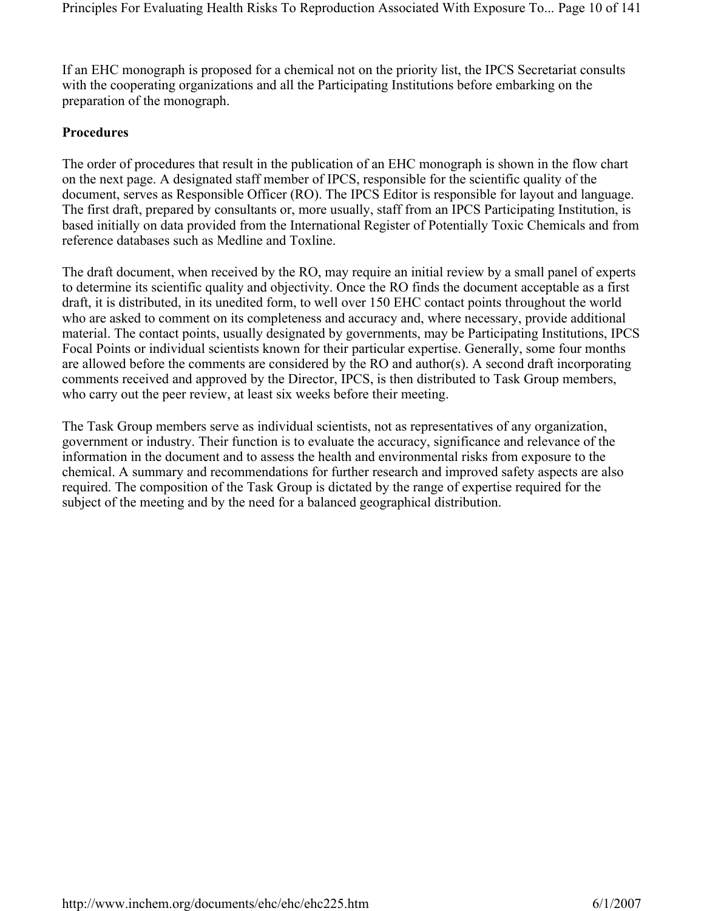If an EHC monograph is proposed for a chemical not on the priority list, the IPCS Secretariat consults with the cooperating organizations and all the Participating Institutions before embarking on the preparation of the monograph.

### **Procedures**

The order of procedures that result in the publication of an EHC monograph is shown in the flow chart on the next page. A designated staff member of IPCS, responsible for the scientific quality of the document, serves as Responsible Officer (RO). The IPCS Editor is responsible for layout and language. The first draft, prepared by consultants or, more usually, staff from an IPCS Participating Institution, is based initially on data provided from the International Register of Potentially Toxic Chemicals and from reference databases such as Medline and Toxline.

The draft document, when received by the RO, may require an initial review by a small panel of experts to determine its scientific quality and objectivity. Once the RO finds the document acceptable as a first draft, it is distributed, in its unedited form, to well over 150 EHC contact points throughout the world who are asked to comment on its completeness and accuracy and, where necessary, provide additional material. The contact points, usually designated by governments, may be Participating Institutions, IPCS Focal Points or individual scientists known for their particular expertise. Generally, some four months are allowed before the comments are considered by the RO and author(s). A second draft incorporating comments received and approved by the Director, IPCS, is then distributed to Task Group members, who carry out the peer review, at least six weeks before their meeting.

The Task Group members serve as individual scientists, not as representatives of any organization, government or industry. Their function is to evaluate the accuracy, significance and relevance of the information in the document and to assess the health and environmental risks from exposure to the chemical. A summary and recommendations for further research and improved safety aspects are also required. The composition of the Task Group is dictated by the range of expertise required for the subject of the meeting and by the need for a balanced geographical distribution.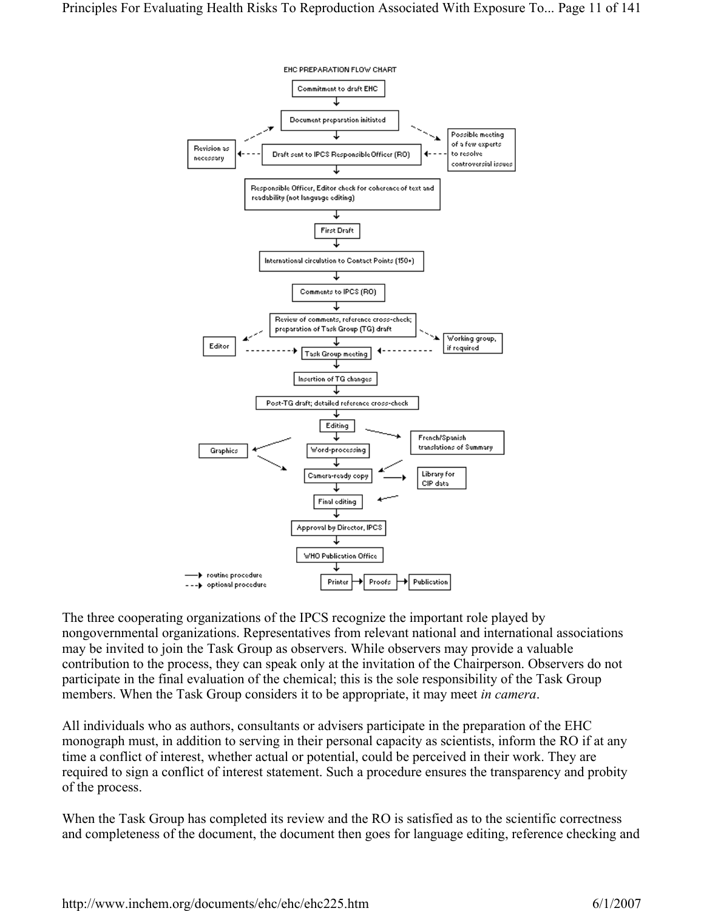

The three cooperating organizations of the IPCS recognize the important role played by nongovernmental organizations. Representatives from relevant national and international associations may be invited to join the Task Group as observers. While observers may provide a valuable contribution to the process, they can speak only at the invitation of the Chairperson. Observers do not participate in the final evaluation of the chemical; this is the sole responsibility of the Task Group members. When the Task Group considers it to be appropriate, it may meet *in camera*.

All individuals who as authors, consultants or advisers participate in the preparation of the EHC monograph must, in addition to serving in their personal capacity as scientists, inform the RO if at any time a conflict of interest, whether actual or potential, could be perceived in their work. They are required to sign a conflict of interest statement. Such a procedure ensures the transparency and probity of the process.

When the Task Group has completed its review and the RO is satisfied as to the scientific correctness and completeness of the document, the document then goes for language editing, reference checking and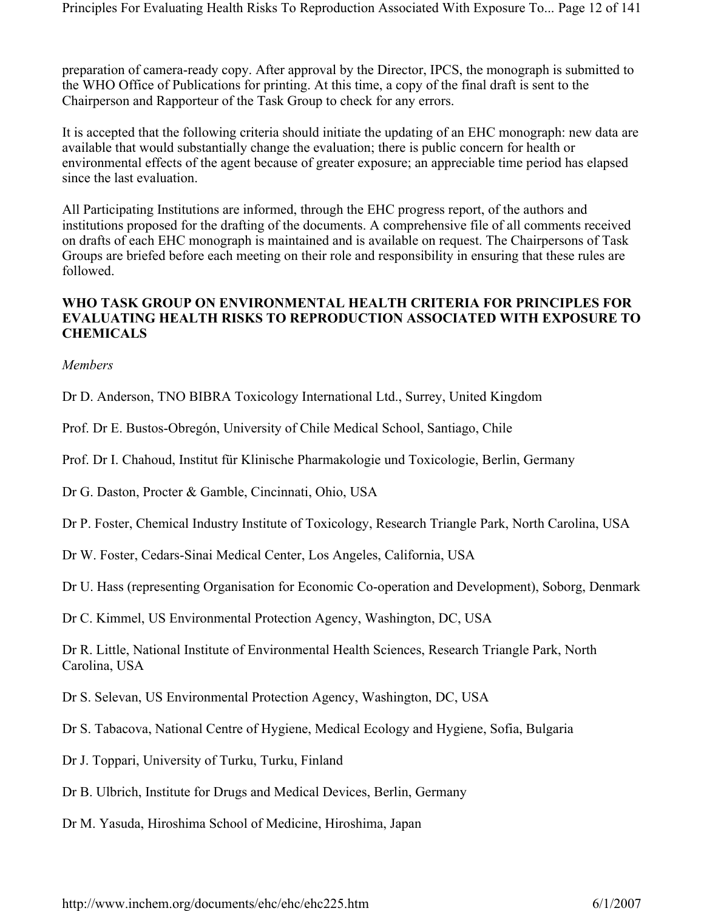preparation of camera-ready copy. After approval by the Director, IPCS, the monograph is submitted to the WHO Office of Publications for printing. At this time, a copy of the final draft is sent to the Chairperson and Rapporteur of the Task Group to check for any errors.

It is accepted that the following criteria should initiate the updating of an EHC monograph: new data are available that would substantially change the evaluation; there is public concern for health or environmental effects of the agent because of greater exposure; an appreciable time period has elapsed since the last evaluation.

All Participating Institutions are informed, through the EHC progress report, of the authors and institutions proposed for the drafting of the documents. A comprehensive file of all comments received on drafts of each EHC monograph is maintained and is available on request. The Chairpersons of Task Groups are briefed before each meeting on their role and responsibility in ensuring that these rules are followed.

### **WHO TASK GROUP ON ENVIRONMENTAL HEALTH CRITERIA FOR PRINCIPLES FOR EVALUATING HEALTH RISKS TO REPRODUCTION ASSOCIATED WITH EXPOSURE TO CHEMICALS**

#### *Members*

Dr D. Anderson, TNO BIBRA Toxicology International Ltd., Surrey, United Kingdom

Prof. Dr E. Bustos-Obregón, University of Chile Medical School, Santiago, Chile

Prof. Dr I. Chahoud, Institut für Klinische Pharmakologie und Toxicologie, Berlin, Germany

Dr G. Daston, Procter & Gamble, Cincinnati, Ohio, USA

Dr P. Foster, Chemical Industry Institute of Toxicology, Research Triangle Park, North Carolina, USA

Dr W. Foster, Cedars-Sinai Medical Center, Los Angeles, California, USA

Dr U. Hass (representing Organisation for Economic Co-operation and Development), Soborg, Denmark

Dr C. Kimmel, US Environmental Protection Agency, Washington, DC, USA

Dr R. Little, National Institute of Environmental Health Sciences, Research Triangle Park, North Carolina, USA

Dr S. Selevan, US Environmental Protection Agency, Washington, DC, USA

Dr S. Tabacova, National Centre of Hygiene, Medical Ecology and Hygiene, Sofia, Bulgaria

Dr J. Toppari, University of Turku, Turku, Finland

Dr B. Ulbrich, Institute for Drugs and Medical Devices, Berlin, Germany

Dr M. Yasuda, Hiroshima School of Medicine, Hiroshima, Japan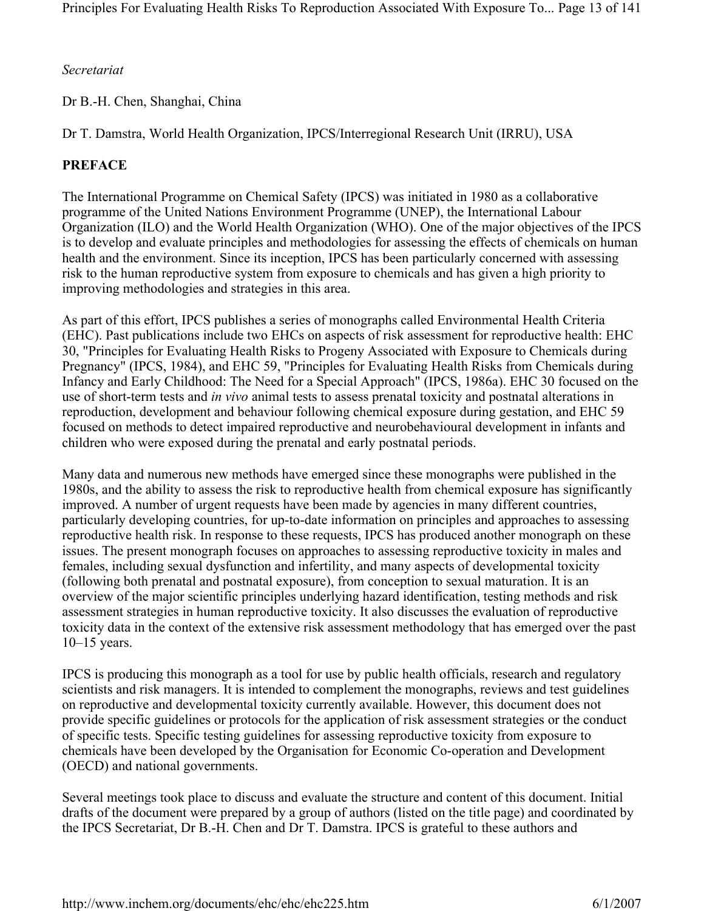### *Secretariat*

Dr B.-H. Chen, Shanghai, China

Dr T. Damstra, World Health Organization, IPCS/Interregional Research Unit (IRRU), USA

## **PREFACE**

The International Programme on Chemical Safety (IPCS) was initiated in 1980 as a collaborative programme of the United Nations Environment Programme (UNEP), the International Labour Organization (ILO) and the World Health Organization (WHO). One of the major objectives of the IPCS is to develop and evaluate principles and methodologies for assessing the effects of chemicals on human health and the environment. Since its inception, IPCS has been particularly concerned with assessing risk to the human reproductive system from exposure to chemicals and has given a high priority to improving methodologies and strategies in this area.

As part of this effort, IPCS publishes a series of monographs called Environmental Health Criteria (EHC). Past publications include two EHCs on aspects of risk assessment for reproductive health: EHC 30, "Principles for Evaluating Health Risks to Progeny Associated with Exposure to Chemicals during Pregnancy" (IPCS, 1984), and EHC 59, "Principles for Evaluating Health Risks from Chemicals during Infancy and Early Childhood: The Need for a Special Approach" (IPCS, 1986a). EHC 30 focused on the use of short-term tests and *in vivo* animal tests to assess prenatal toxicity and postnatal alterations in reproduction, development and behaviour following chemical exposure during gestation, and EHC 59 focused on methods to detect impaired reproductive and neurobehavioural development in infants and children who were exposed during the prenatal and early postnatal periods.

Many data and numerous new methods have emerged since these monographs were published in the 1980s, and the ability to assess the risk to reproductive health from chemical exposure has significantly improved. A number of urgent requests have been made by agencies in many different countries, particularly developing countries, for up-to-date information on principles and approaches to assessing reproductive health risk. In response to these requests, IPCS has produced another monograph on these issues. The present monograph focuses on approaches to assessing reproductive toxicity in males and females, including sexual dysfunction and infertility, and many aspects of developmental toxicity (following both prenatal and postnatal exposure), from conception to sexual maturation. It is an overview of the major scientific principles underlying hazard identification, testing methods and risk assessment strategies in human reproductive toxicity. It also discusses the evaluation of reproductive toxicity data in the context of the extensive risk assessment methodology that has emerged over the past 10–15 years.

IPCS is producing this monograph as a tool for use by public health officials, research and regulatory scientists and risk managers. It is intended to complement the monographs, reviews and test guidelines on reproductive and developmental toxicity currently available. However, this document does not provide specific guidelines or protocols for the application of risk assessment strategies or the conduct of specific tests. Specific testing guidelines for assessing reproductive toxicity from exposure to chemicals have been developed by the Organisation for Economic Co-operation and Development (OECD) and national governments.

Several meetings took place to discuss and evaluate the structure and content of this document. Initial drafts of the document were prepared by a group of authors (listed on the title page) and coordinated by the IPCS Secretariat, Dr B.-H. Chen and Dr T. Damstra. IPCS is grateful to these authors and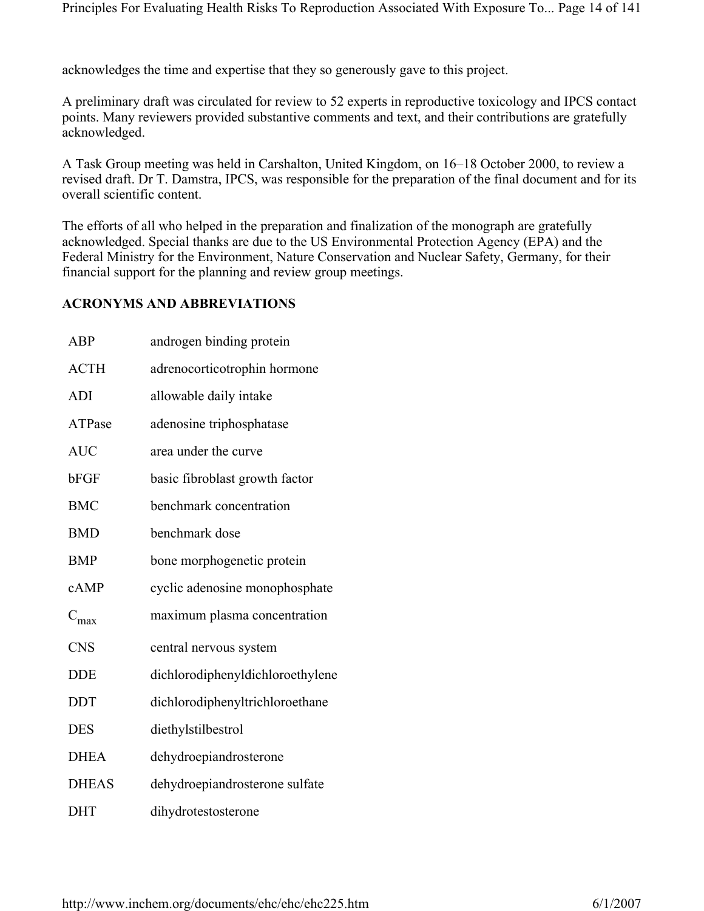acknowledges the time and expertise that they so generously gave to this project.

A preliminary draft was circulated for review to 52 experts in reproductive toxicology and IPCS contact points. Many reviewers provided substantive comments and text, and their contributions are gratefully acknowledged.

A Task Group meeting was held in Carshalton, United Kingdom, on 16–18 October 2000, to review a revised draft. Dr T. Damstra, IPCS, was responsible for the preparation of the final document and for its overall scientific content.

The efforts of all who helped in the preparation and finalization of the monograph are gratefully acknowledged. Special thanks are due to the US Environmental Protection Agency (EPA) and the Federal Ministry for the Environment, Nature Conservation and Nuclear Safety, Germany, for their financial support for the planning and review group meetings.

### **ACRONYMS AND ABBREVIATIONS**

| <b>ABP</b>       | androgen binding protein         |
|------------------|----------------------------------|
| <b>ACTH</b>      | adrenocorticotrophin hormone     |
| <b>ADI</b>       | allowable daily intake           |
| ATPase           | adenosine triphosphatase         |
| <b>AUC</b>       | area under the curve             |
| bFGF             | basic fibroblast growth factor   |
| <b>BMC</b>       | benchmark concentration          |
| <b>BMD</b>       | benchmark dose                   |
| <b>BMP</b>       | bone morphogenetic protein       |
| cAMP             | cyclic adenosine monophosphate   |
| $C_{\text{max}}$ | maximum plasma concentration     |
| <b>CNS</b>       | central nervous system           |
| <b>DDE</b>       | dichlorodiphenyldichloroethylene |
| <b>DDT</b>       | dichlorodiphenyltrichloroethane  |
| <b>DES</b>       | diethylstilbestrol               |
| <b>DHEA</b>      | dehydroepiandrosterone           |
| <b>DHEAS</b>     | dehydroepiandrosterone sulfate   |
| <b>DHT</b>       | dihydrotestosterone              |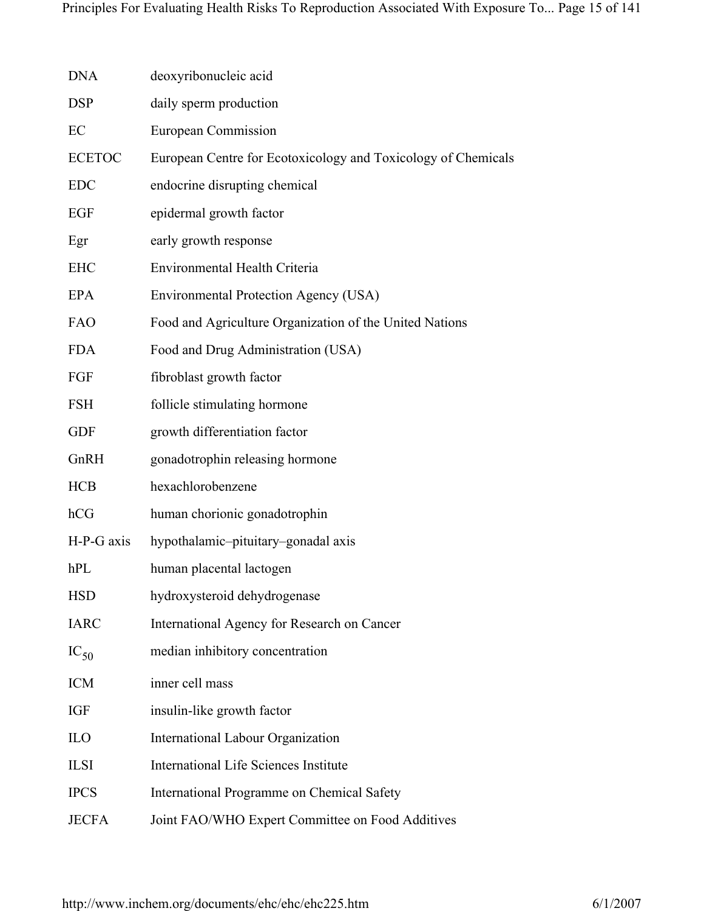| <b>DNA</b>    | deoxyribonucleic acid                                         |
|---------------|---------------------------------------------------------------|
| <b>DSP</b>    | daily sperm production                                        |
| EC            | <b>European Commission</b>                                    |
| <b>ECETOC</b> | European Centre for Ecotoxicology and Toxicology of Chemicals |
| <b>EDC</b>    | endocrine disrupting chemical                                 |
| <b>EGF</b>    | epidermal growth factor                                       |
| Egr           | early growth response                                         |
| <b>EHC</b>    | Environmental Health Criteria                                 |
| <b>EPA</b>    | Environmental Protection Agency (USA)                         |
| FAO           | Food and Agriculture Organization of the United Nations       |
| <b>FDA</b>    | Food and Drug Administration (USA)                            |
| FGF           | fibroblast growth factor                                      |
| <b>FSH</b>    | follicle stimulating hormone                                  |
| <b>GDF</b>    | growth differentiation factor                                 |
| GnRH          | gonadotrophin releasing hormone                               |
| <b>HCB</b>    | hexachlorobenzene                                             |
| hCG           | human chorionic gonadotrophin                                 |
| H-P-G axis    | hypothalamic-pituitary-gonadal axis                           |
| hPL           | human placental lactogen                                      |
| <b>HSD</b>    | hydroxysteroid dehydrogenase                                  |
| <b>IARC</b>   | International Agency for Research on Cancer                   |
| $IC_{50}$     | median inhibitory concentration                               |
| <b>ICM</b>    | inner cell mass                                               |
| <b>IGF</b>    | insulin-like growth factor                                    |
| <b>ILO</b>    | International Labour Organization                             |
| <b>ILSI</b>   | <b>International Life Sciences Institute</b>                  |
| <b>IPCS</b>   | International Programme on Chemical Safety                    |
| <b>JECFA</b>  | Joint FAO/WHO Expert Committee on Food Additives              |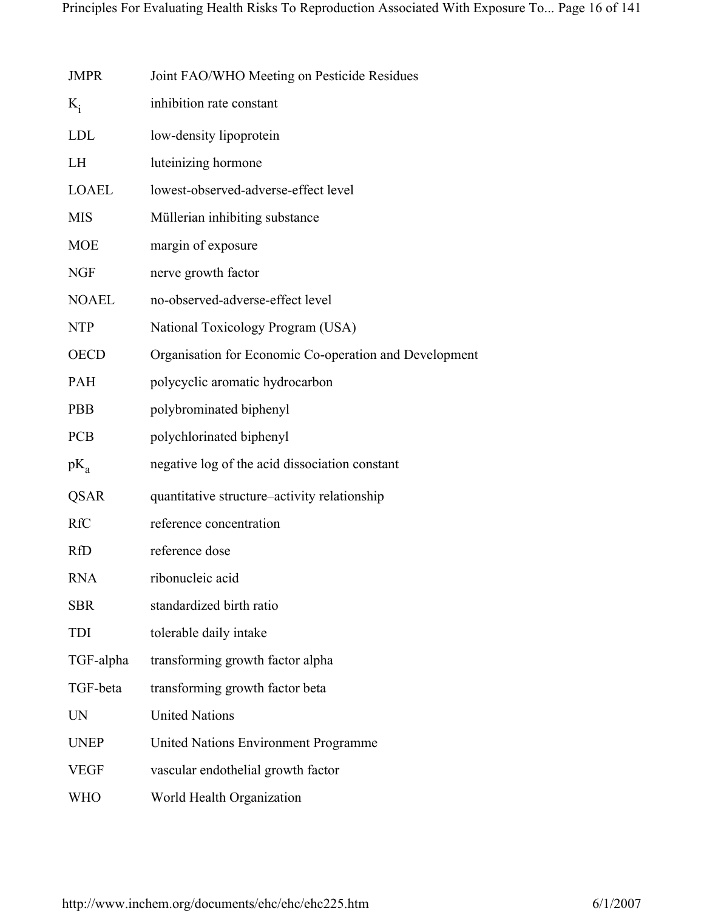| <b>JMPR</b>   | Joint FAO/WHO Meeting on Pesticide Residues            |
|---------------|--------------------------------------------------------|
| $K_i$         | inhibition rate constant                               |
| <b>LDL</b>    | low-density lipoprotein                                |
| LH            | luteinizing hormone                                    |
| <b>LOAEL</b>  | lowest-observed-adverse-effect level                   |
| <b>MIS</b>    | Müllerian inhibiting substance                         |
| <b>MOE</b>    | margin of exposure                                     |
| <b>NGF</b>    | nerve growth factor                                    |
| <b>NOAEL</b>  | no-observed-adverse-effect level                       |
| <b>NTP</b>    | National Toxicology Program (USA)                      |
| <b>OECD</b>   | Organisation for Economic Co-operation and Development |
| <b>PAH</b>    | polycyclic aromatic hydrocarbon                        |
| <b>PBB</b>    | polybrominated biphenyl                                |
| <b>PCB</b>    | polychlorinated biphenyl                               |
| $\rm{pK}_{a}$ | negative log of the acid dissociation constant         |
| <b>QSAR</b>   | quantitative structure-activity relationship           |
| <b>RfC</b>    | reference concentration                                |
| <b>RfD</b>    | reference dose                                         |
| <b>RNA</b>    | ribonucleic acid                                       |
| <b>SBR</b>    | standardized birth ratio                               |
| <b>TDI</b>    | tolerable daily intake                                 |
| TGF-alpha     | transforming growth factor alpha                       |
| TGF-beta      | transforming growth factor beta                        |
| UN            | <b>United Nations</b>                                  |
| <b>UNEP</b>   | United Nations Environment Programme                   |
| <b>VEGF</b>   | vascular endothelial growth factor                     |
| <b>WHO</b>    | World Health Organization                              |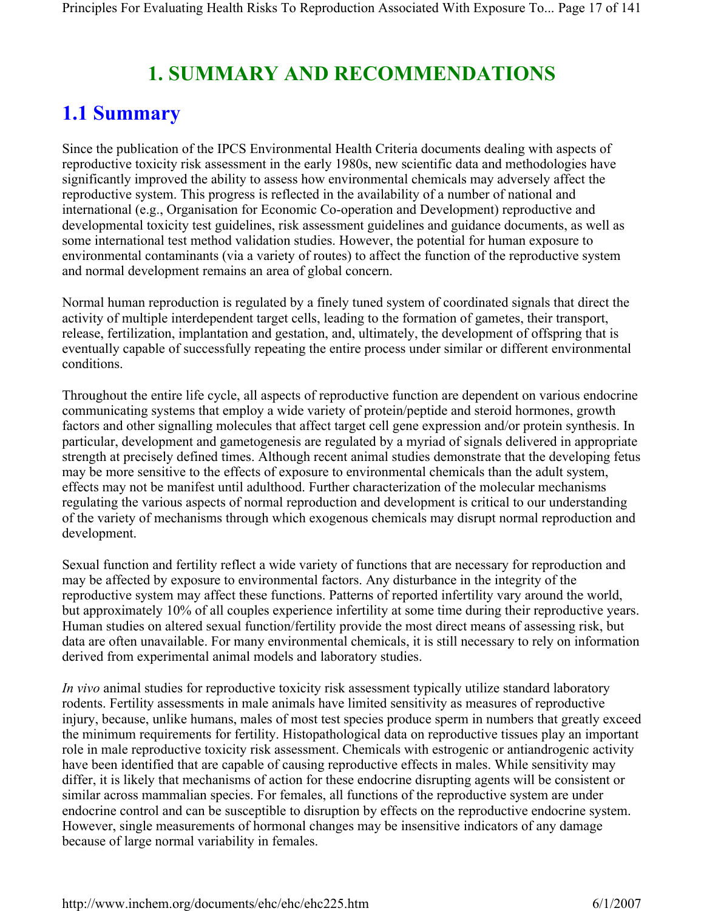# **1. SUMMARY AND RECOMMENDATIONS**

# **1.1 Summary**

Since the publication of the IPCS Environmental Health Criteria documents dealing with aspects of reproductive toxicity risk assessment in the early 1980s, new scientific data and methodologies have significantly improved the ability to assess how environmental chemicals may adversely affect the reproductive system. This progress is reflected in the availability of a number of national and international (e.g., Organisation for Economic Co-operation and Development) reproductive and developmental toxicity test guidelines, risk assessment guidelines and guidance documents, as well as some international test method validation studies. However, the potential for human exposure to environmental contaminants (via a variety of routes) to affect the function of the reproductive system and normal development remains an area of global concern.

Normal human reproduction is regulated by a finely tuned system of coordinated signals that direct the activity of multiple interdependent target cells, leading to the formation of gametes, their transport, release, fertilization, implantation and gestation, and, ultimately, the development of offspring that is eventually capable of successfully repeating the entire process under similar or different environmental conditions.

Throughout the entire life cycle, all aspects of reproductive function are dependent on various endocrine communicating systems that employ a wide variety of protein/peptide and steroid hormones, growth factors and other signalling molecules that affect target cell gene expression and/or protein synthesis. In particular, development and gametogenesis are regulated by a myriad of signals delivered in appropriate strength at precisely defined times. Although recent animal studies demonstrate that the developing fetus may be more sensitive to the effects of exposure to environmental chemicals than the adult system, effects may not be manifest until adulthood. Further characterization of the molecular mechanisms regulating the various aspects of normal reproduction and development is critical to our understanding of the variety of mechanisms through which exogenous chemicals may disrupt normal reproduction and development.

Sexual function and fertility reflect a wide variety of functions that are necessary for reproduction and may be affected by exposure to environmental factors. Any disturbance in the integrity of the reproductive system may affect these functions. Patterns of reported infertility vary around the world, but approximately 10% of all couples experience infertility at some time during their reproductive years. Human studies on altered sexual function/fertility provide the most direct means of assessing risk, but data are often unavailable. For many environmental chemicals, it is still necessary to rely on information derived from experimental animal models and laboratory studies.

*In vivo* animal studies for reproductive toxicity risk assessment typically utilize standard laboratory rodents. Fertility assessments in male animals have limited sensitivity as measures of reproductive injury, because, unlike humans, males of most test species produce sperm in numbers that greatly exceed the minimum requirements for fertility. Histopathological data on reproductive tissues play an important role in male reproductive toxicity risk assessment. Chemicals with estrogenic or antiandrogenic activity have been identified that are capable of causing reproductive effects in males. While sensitivity may differ, it is likely that mechanisms of action for these endocrine disrupting agents will be consistent or similar across mammalian species. For females, all functions of the reproductive system are under endocrine control and can be susceptible to disruption by effects on the reproductive endocrine system. However, single measurements of hormonal changes may be insensitive indicators of any damage because of large normal variability in females.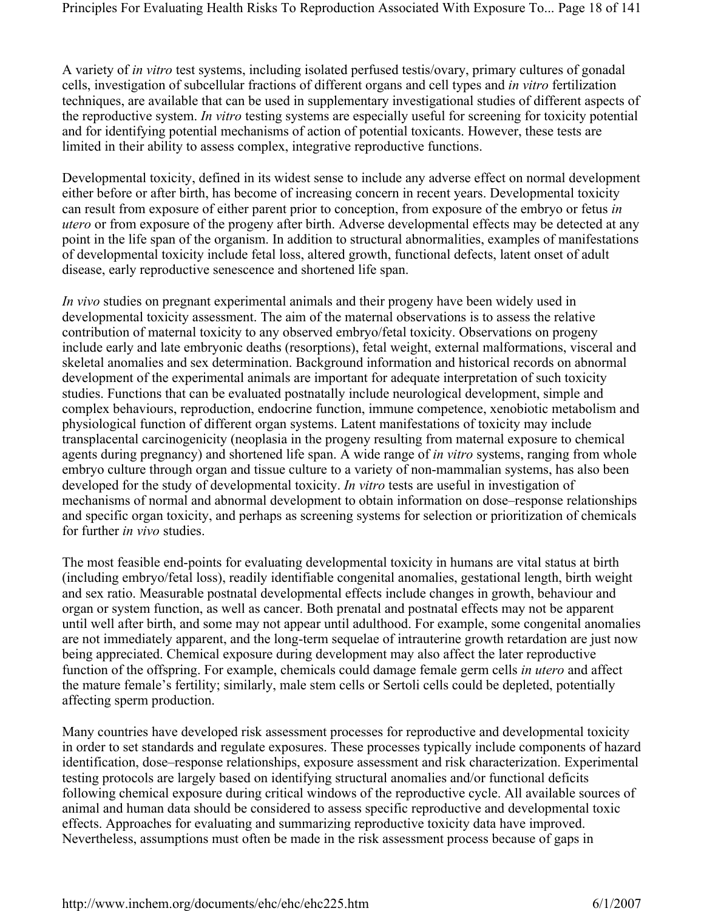A variety of *in vitro* test systems, including isolated perfused testis/ovary, primary cultures of gonadal cells, investigation of subcellular fractions of different organs and cell types and *in vitro* fertilization techniques, are available that can be used in supplementary investigational studies of different aspects of the reproductive system. *In vitro* testing systems are especially useful for screening for toxicity potential and for identifying potential mechanisms of action of potential toxicants. However, these tests are limited in their ability to assess complex, integrative reproductive functions.

Developmental toxicity, defined in its widest sense to include any adverse effect on normal development either before or after birth, has become of increasing concern in recent years. Developmental toxicity can result from exposure of either parent prior to conception, from exposure of the embryo or fetus *in utero* or from exposure of the progeny after birth. Adverse developmental effects may be detected at any point in the life span of the organism. In addition to structural abnormalities, examples of manifestations of developmental toxicity include fetal loss, altered growth, functional defects, latent onset of adult disease, early reproductive senescence and shortened life span.

*In vivo* studies on pregnant experimental animals and their progeny have been widely used in developmental toxicity assessment. The aim of the maternal observations is to assess the relative contribution of maternal toxicity to any observed embryo/fetal toxicity. Observations on progeny include early and late embryonic deaths (resorptions), fetal weight, external malformations, visceral and skeletal anomalies and sex determination. Background information and historical records on abnormal development of the experimental animals are important for adequate interpretation of such toxicity studies. Functions that can be evaluated postnatally include neurological development, simple and complex behaviours, reproduction, endocrine function, immune competence, xenobiotic metabolism and physiological function of different organ systems. Latent manifestations of toxicity may include transplacental carcinogenicity (neoplasia in the progeny resulting from maternal exposure to chemical agents during pregnancy) and shortened life span. A wide range of *in vitro* systems, ranging from whole embryo culture through organ and tissue culture to a variety of non-mammalian systems, has also been developed for the study of developmental toxicity. *In vitro* tests are useful in investigation of mechanisms of normal and abnormal development to obtain information on dose–response relationships and specific organ toxicity, and perhaps as screening systems for selection or prioritization of chemicals for further *in vivo* studies.

The most feasible end-points for evaluating developmental toxicity in humans are vital status at birth (including embryo/fetal loss), readily identifiable congenital anomalies, gestational length, birth weight and sex ratio. Measurable postnatal developmental effects include changes in growth, behaviour and organ or system function, as well as cancer. Both prenatal and postnatal effects may not be apparent until well after birth, and some may not appear until adulthood. For example, some congenital anomalies are not immediately apparent, and the long-term sequelae of intrauterine growth retardation are just now being appreciated. Chemical exposure during development may also affect the later reproductive function of the offspring. For example, chemicals could damage female germ cells *in utero* and affect the mature female's fertility; similarly, male stem cells or Sertoli cells could be depleted, potentially affecting sperm production.

Many countries have developed risk assessment processes for reproductive and developmental toxicity in order to set standards and regulate exposures. These processes typically include components of hazard identification, dose–response relationships, exposure assessment and risk characterization. Experimental testing protocols are largely based on identifying structural anomalies and/or functional deficits following chemical exposure during critical windows of the reproductive cycle. All available sources of animal and human data should be considered to assess specific reproductive and developmental toxic effects. Approaches for evaluating and summarizing reproductive toxicity data have improved. Nevertheless, assumptions must often be made in the risk assessment process because of gaps in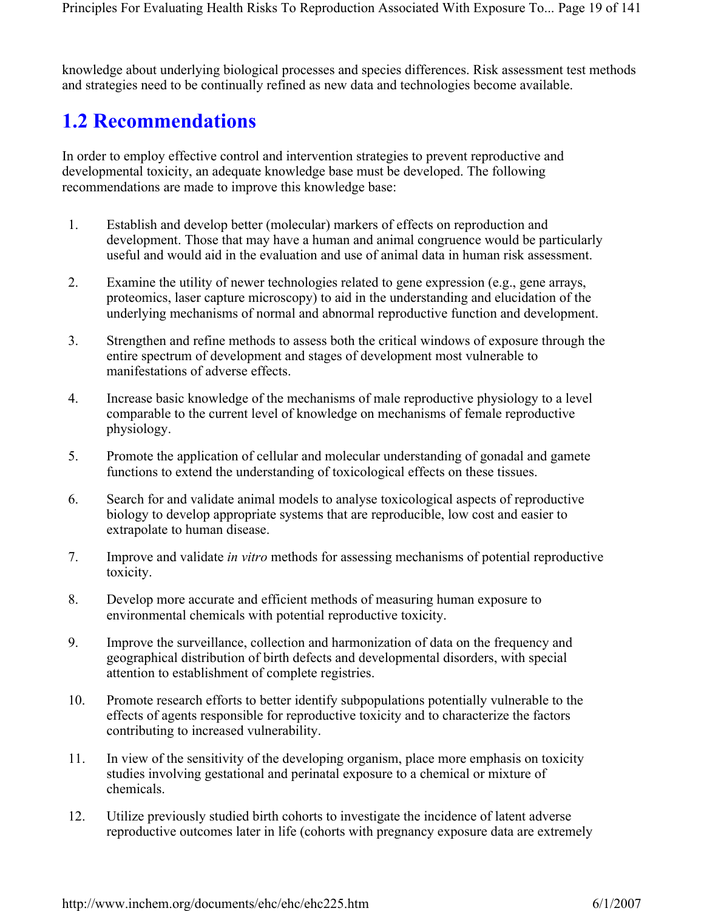knowledge about underlying biological processes and species differences. Risk assessment test methods and strategies need to be continually refined as new data and technologies become available.

# **1.2 Recommendations**

In order to employ effective control and intervention strategies to prevent reproductive and developmental toxicity, an adequate knowledge base must be developed. The following recommendations are made to improve this knowledge base:

- 1. Establish and develop better (molecular) markers of effects on reproduction and development. Those that may have a human and animal congruence would be particularly useful and would aid in the evaluation and use of animal data in human risk assessment.
- 2. Examine the utility of newer technologies related to gene expression (e.g., gene arrays, proteomics, laser capture microscopy) to aid in the understanding and elucidation of the underlying mechanisms of normal and abnormal reproductive function and development.
- 3. Strengthen and refine methods to assess both the critical windows of exposure through the entire spectrum of development and stages of development most vulnerable to manifestations of adverse effects.
- 4. Increase basic knowledge of the mechanisms of male reproductive physiology to a level comparable to the current level of knowledge on mechanisms of female reproductive physiology.
- 5. Promote the application of cellular and molecular understanding of gonadal and gamete functions to extend the understanding of toxicological effects on these tissues.
- 6. Search for and validate animal models to analyse toxicological aspects of reproductive biology to develop appropriate systems that are reproducible, low cost and easier to extrapolate to human disease.
- 7. Improve and validate *in vitro* methods for assessing mechanisms of potential reproductive toxicity.
- 8. Develop more accurate and efficient methods of measuring human exposure to environmental chemicals with potential reproductive toxicity.
- 9. Improve the surveillance, collection and harmonization of data on the frequency and geographical distribution of birth defects and developmental disorders, with special attention to establishment of complete registries.
- 10. Promote research efforts to better identify subpopulations potentially vulnerable to the effects of agents responsible for reproductive toxicity and to characterize the factors contributing to increased vulnerability.
- 11. In view of the sensitivity of the developing organism, place more emphasis on toxicity studies involving gestational and perinatal exposure to a chemical or mixture of chemicals.
- 12. Utilize previously studied birth cohorts to investigate the incidence of latent adverse reproductive outcomes later in life (cohorts with pregnancy exposure data are extremely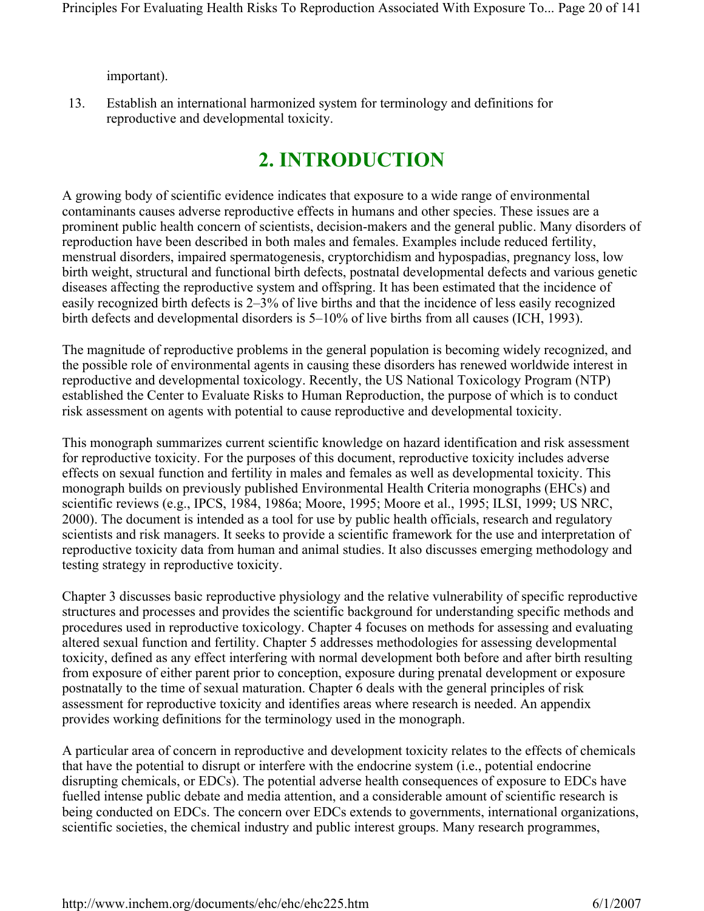important).

13. Establish an international harmonized system for terminology and definitions for reproductive and developmental toxicity.

# **2. INTRODUCTION**

A growing body of scientific evidence indicates that exposure to a wide range of environmental contaminants causes adverse reproductive effects in humans and other species. These issues are a prominent public health concern of scientists, decision-makers and the general public. Many disorders of reproduction have been described in both males and females. Examples include reduced fertility, menstrual disorders, impaired spermatogenesis, cryptorchidism and hypospadias, pregnancy loss, low birth weight, structural and functional birth defects, postnatal developmental defects and various genetic diseases affecting the reproductive system and offspring. It has been estimated that the incidence of easily recognized birth defects is 2–3% of live births and that the incidence of less easily recognized birth defects and developmental disorders is 5–10% of live births from all causes (ICH, 1993).

The magnitude of reproductive problems in the general population is becoming widely recognized, and the possible role of environmental agents in causing these disorders has renewed worldwide interest in reproductive and developmental toxicology. Recently, the US National Toxicology Program (NTP) established the Center to Evaluate Risks to Human Reproduction, the purpose of which is to conduct risk assessment on agents with potential to cause reproductive and developmental toxicity.

This monograph summarizes current scientific knowledge on hazard identification and risk assessment for reproductive toxicity. For the purposes of this document, reproductive toxicity includes adverse effects on sexual function and fertility in males and females as well as developmental toxicity. This monograph builds on previously published Environmental Health Criteria monographs (EHCs) and scientific reviews (e.g., IPCS, 1984, 1986a; Moore, 1995; Moore et al., 1995; ILSI, 1999; US NRC, 2000). The document is intended as a tool for use by public health officials, research and regulatory scientists and risk managers. It seeks to provide a scientific framework for the use and interpretation of reproductive toxicity data from human and animal studies. It also discusses emerging methodology and testing strategy in reproductive toxicity.

Chapter 3 discusses basic reproductive physiology and the relative vulnerability of specific reproductive structures and processes and provides the scientific background for understanding specific methods and procedures used in reproductive toxicology. Chapter 4 focuses on methods for assessing and evaluating altered sexual function and fertility. Chapter 5 addresses methodologies for assessing developmental toxicity, defined as any effect interfering with normal development both before and after birth resulting from exposure of either parent prior to conception, exposure during prenatal development or exposure postnatally to the time of sexual maturation. Chapter 6 deals with the general principles of risk assessment for reproductive toxicity and identifies areas where research is needed. An appendix provides working definitions for the terminology used in the monograph.

A particular area of concern in reproductive and development toxicity relates to the effects of chemicals that have the potential to disrupt or interfere with the endocrine system (i.e., potential endocrine disrupting chemicals, or EDCs). The potential adverse health consequences of exposure to EDCs have fuelled intense public debate and media attention, and a considerable amount of scientific research is being conducted on EDCs. The concern over EDCs extends to governments, international organizations, scientific societies, the chemical industry and public interest groups. Many research programmes,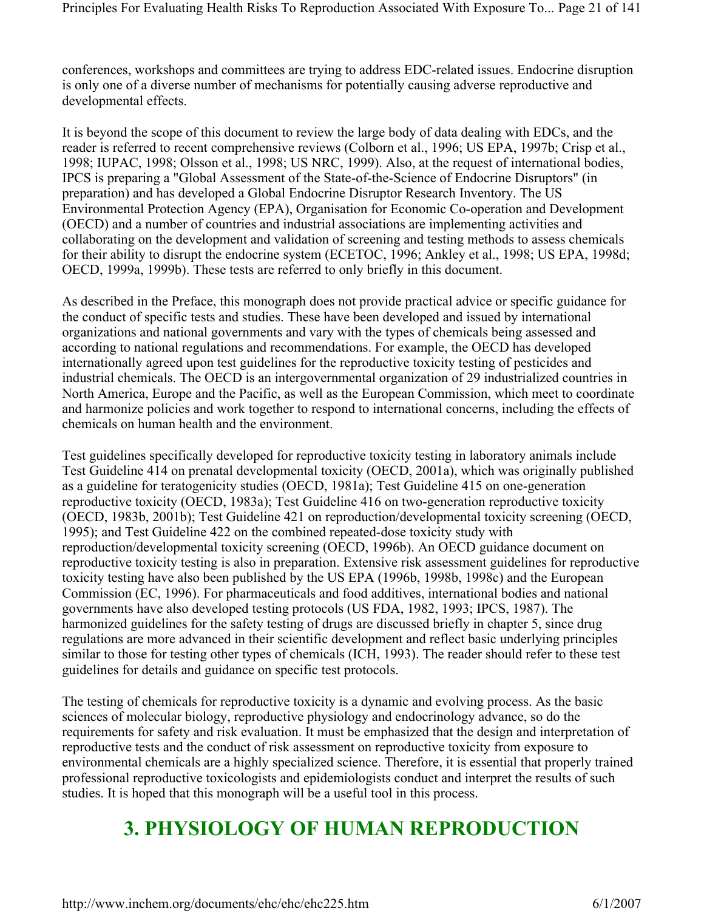conferences, workshops and committees are trying to address EDC-related issues. Endocrine disruption is only one of a diverse number of mechanisms for potentially causing adverse reproductive and developmental effects.

It is beyond the scope of this document to review the large body of data dealing with EDCs, and the reader is referred to recent comprehensive reviews (Colborn et al., 1996; US EPA, 1997b; Crisp et al., 1998; IUPAC, 1998; Olsson et al., 1998; US NRC, 1999). Also, at the request of international bodies, IPCS is preparing a "Global Assessment of the State-of-the-Science of Endocrine Disruptors" (in preparation) and has developed a Global Endocrine Disruptor Research Inventory. The US Environmental Protection Agency (EPA), Organisation for Economic Co-operation and Development (OECD) and a number of countries and industrial associations are implementing activities and collaborating on the development and validation of screening and testing methods to assess chemicals for their ability to disrupt the endocrine system (ECETOC, 1996; Ankley et al., 1998; US EPA, 1998d; OECD, 1999a, 1999b). These tests are referred to only briefly in this document.

As described in the Preface, this monograph does not provide practical advice or specific guidance for the conduct of specific tests and studies. These have been developed and issued by international organizations and national governments and vary with the types of chemicals being assessed and according to national regulations and recommendations. For example, the OECD has developed internationally agreed upon test guidelines for the reproductive toxicity testing of pesticides and industrial chemicals. The OECD is an intergovernmental organization of 29 industrialized countries in North America, Europe and the Pacific, as well as the European Commission, which meet to coordinate and harmonize policies and work together to respond to international concerns, including the effects of chemicals on human health and the environment.

Test guidelines specifically developed for reproductive toxicity testing in laboratory animals include Test Guideline 414 on prenatal developmental toxicity (OECD, 2001a), which was originally published as a guideline for teratogenicity studies (OECD, 1981a); Test Guideline 415 on one-generation reproductive toxicity (OECD, 1983a); Test Guideline 416 on two-generation reproductive toxicity (OECD, 1983b, 2001b); Test Guideline 421 on reproduction/developmental toxicity screening (OECD, 1995); and Test Guideline 422 on the combined repeated-dose toxicity study with reproduction/developmental toxicity screening (OECD, 1996b). An OECD guidance document on reproductive toxicity testing is also in preparation. Extensive risk assessment guidelines for reproductive toxicity testing have also been published by the US EPA (1996b, 1998b, 1998c) and the European Commission (EC, 1996). For pharmaceuticals and food additives, international bodies and national governments have also developed testing protocols (US FDA, 1982, 1993; IPCS, 1987). The harmonized guidelines for the safety testing of drugs are discussed briefly in chapter 5, since drug regulations are more advanced in their scientific development and reflect basic underlying principles similar to those for testing other types of chemicals (ICH, 1993). The reader should refer to these test guidelines for details and guidance on specific test protocols.

The testing of chemicals for reproductive toxicity is a dynamic and evolving process. As the basic sciences of molecular biology, reproductive physiology and endocrinology advance, so do the requirements for safety and risk evaluation. It must be emphasized that the design and interpretation of reproductive tests and the conduct of risk assessment on reproductive toxicity from exposure to environmental chemicals are a highly specialized science. Therefore, it is essential that properly trained professional reproductive toxicologists and epidemiologists conduct and interpret the results of such studies. It is hoped that this monograph will be a useful tool in this process.

# **3. PHYSIOLOGY OF HUMAN REPRODUCTION**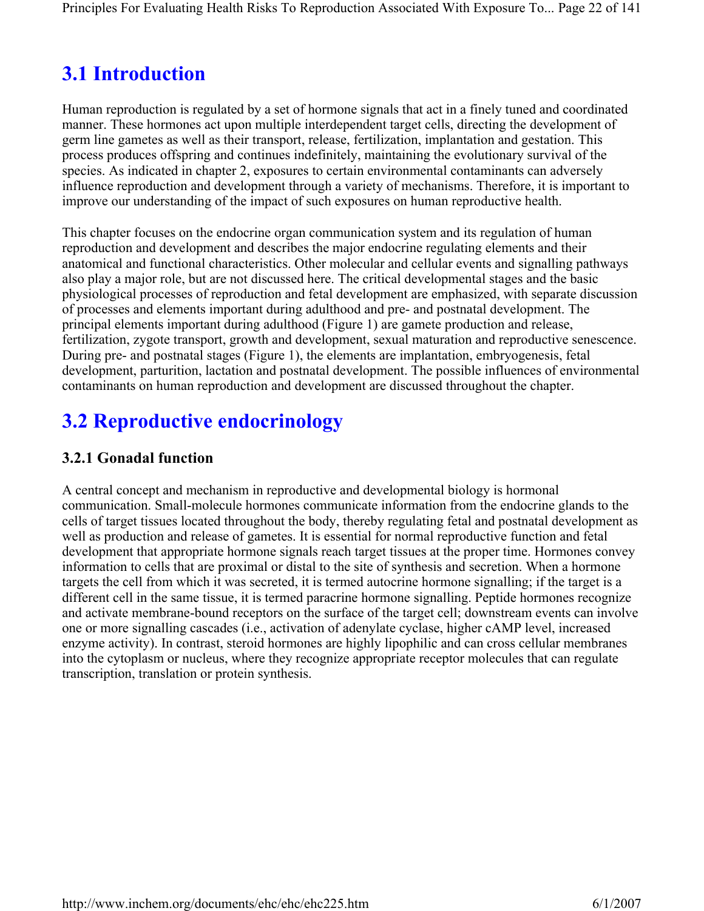# **3.1 Introduction**

Human reproduction is regulated by a set of hormone signals that act in a finely tuned and coordinated manner. These hormones act upon multiple interdependent target cells, directing the development of germ line gametes as well as their transport, release, fertilization, implantation and gestation. This process produces offspring and continues indefinitely, maintaining the evolutionary survival of the species. As indicated in chapter 2, exposures to certain environmental contaminants can adversely influence reproduction and development through a variety of mechanisms. Therefore, it is important to improve our understanding of the impact of such exposures on human reproductive health.

This chapter focuses on the endocrine organ communication system and its regulation of human reproduction and development and describes the major endocrine regulating elements and their anatomical and functional characteristics. Other molecular and cellular events and signalling pathways also play a major role, but are not discussed here. The critical developmental stages and the basic physiological processes of reproduction and fetal development are emphasized, with separate discussion of processes and elements important during adulthood and pre- and postnatal development. The principal elements important during adulthood (Figure 1) are gamete production and release, fertilization, zygote transport, growth and development, sexual maturation and reproductive senescence. During pre- and postnatal stages (Figure 1), the elements are implantation, embryogenesis, fetal development, parturition, lactation and postnatal development. The possible influences of environmental contaminants on human reproduction and development are discussed throughout the chapter.

# **3.2 Reproductive endocrinology**

## **3.2.1 Gonadal function**

A central concept and mechanism in reproductive and developmental biology is hormonal communication. Small-molecule hormones communicate information from the endocrine glands to the cells of target tissues located throughout the body, thereby regulating fetal and postnatal development as well as production and release of gametes. It is essential for normal reproductive function and fetal development that appropriate hormone signals reach target tissues at the proper time. Hormones convey information to cells that are proximal or distal to the site of synthesis and secretion. When a hormone targets the cell from which it was secreted, it is termed autocrine hormone signalling; if the target is a different cell in the same tissue, it is termed paracrine hormone signalling. Peptide hormones recognize and activate membrane-bound receptors on the surface of the target cell; downstream events can involve one or more signalling cascades (i.e., activation of adenylate cyclase, higher cAMP level, increased enzyme activity). In contrast, steroid hormones are highly lipophilic and can cross cellular membranes into the cytoplasm or nucleus, where they recognize appropriate receptor molecules that can regulate transcription, translation or protein synthesis.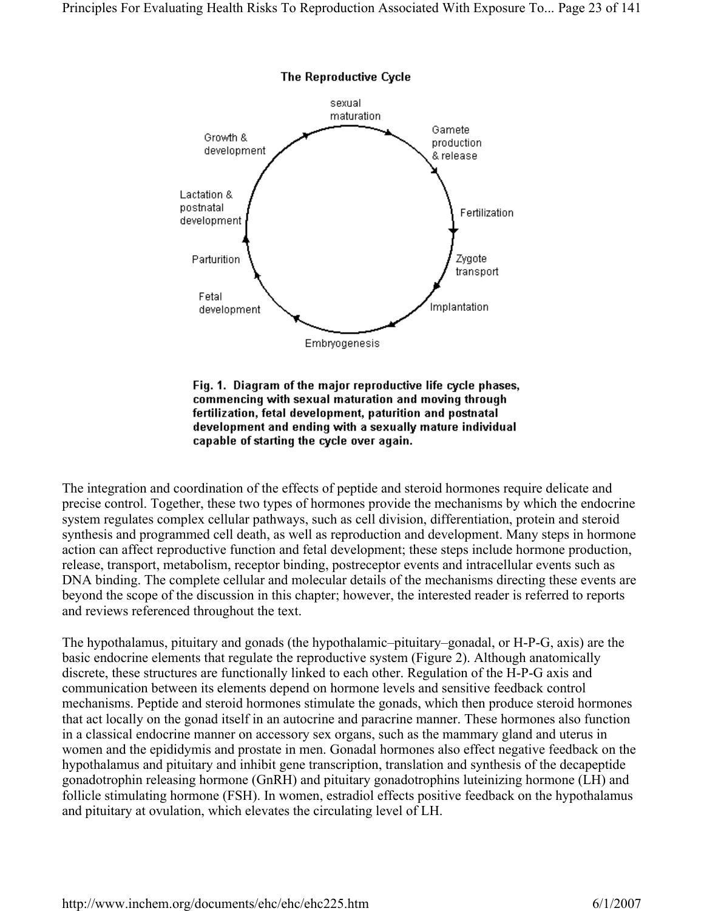



The integration and coordination of the effects of peptide and steroid hormones require delicate and precise control. Together, these two types of hormones provide the mechanisms by which the endocrine system regulates complex cellular pathways, such as cell division, differentiation, protein and steroid synthesis and programmed cell death, as well as reproduction and development. Many steps in hormone action can affect reproductive function and fetal development; these steps include hormone production, release, transport, metabolism, receptor binding, postreceptor events and intracellular events such as DNA binding. The complete cellular and molecular details of the mechanisms directing these events are beyond the scope of the discussion in this chapter; however, the interested reader is referred to reports and reviews referenced throughout the text.

The hypothalamus, pituitary and gonads (the hypothalamic–pituitary–gonadal, or H-P-G, axis) are the basic endocrine elements that regulate the reproductive system (Figure 2). Although anatomically discrete, these structures are functionally linked to each other. Regulation of the H-P-G axis and communication between its elements depend on hormone levels and sensitive feedback control mechanisms. Peptide and steroid hormones stimulate the gonads, which then produce steroid hormones that act locally on the gonad itself in an autocrine and paracrine manner. These hormones also function in a classical endocrine manner on accessory sex organs, such as the mammary gland and uterus in women and the epididymis and prostate in men. Gonadal hormones also effect negative feedback on the hypothalamus and pituitary and inhibit gene transcription, translation and synthesis of the decapeptide gonadotrophin releasing hormone (GnRH) and pituitary gonadotrophins luteinizing hormone (LH) and follicle stimulating hormone (FSH). In women, estradiol effects positive feedback on the hypothalamus and pituitary at ovulation, which elevates the circulating level of LH.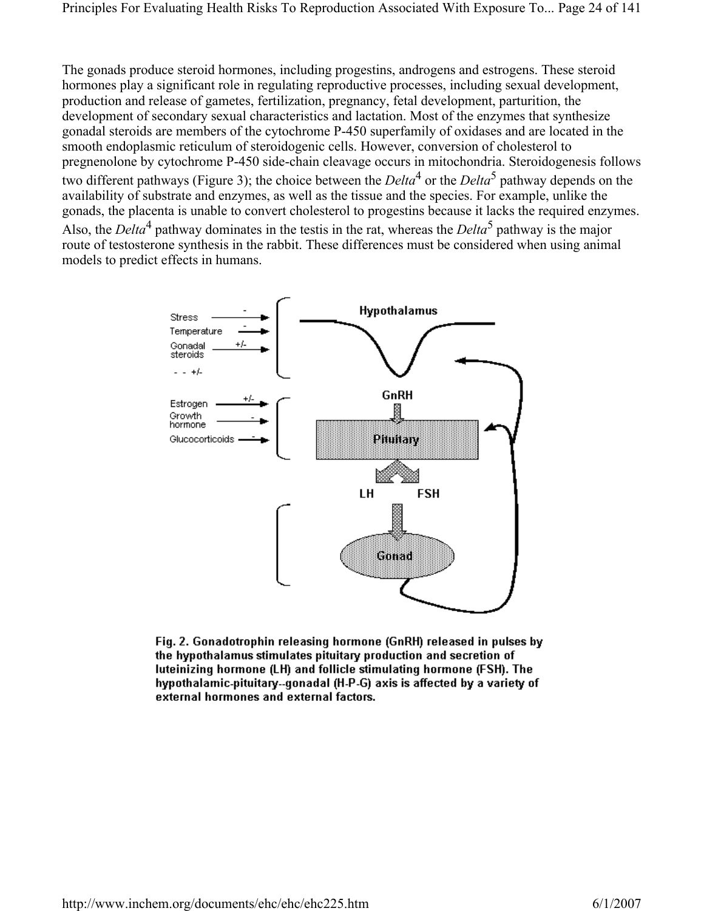The gonads produce steroid hormones, including progestins, androgens and estrogens. These steroid hormones play a significant role in regulating reproductive processes, including sexual development, production and release of gametes, fertilization, pregnancy, fetal development, parturition, the development of secondary sexual characteristics and lactation. Most of the enzymes that synthesize gonadal steroids are members of the cytochrome P-450 superfamily of oxidases and are located in the smooth endoplasmic reticulum of steroidogenic cells. However, conversion of cholesterol to pregnenolone by cytochrome P-450 side-chain cleavage occurs in mitochondria. Steroidogenesis follows two different pathways (Figure 3); the choice between the *Delta*<sup>4</sup> or the *Delta*<sup>5</sup> pathway depends on the availability of substrate and enzymes, as well as the tissue and the species. For example, unlike the gonads, the placenta is unable to convert cholesterol to progestins because it lacks the required enzymes. Also, the *Delta*4 pathway dominates in the testis in the rat, whereas the *Delta*5 pathway is the major route of testosterone synthesis in the rabbit. These differences must be considered when using animal models to predict effects in humans.



Fig. 2. Gonadotrophin releasing hormone (GnRH) released in pulses by the hypothalamus stimulates pituitary production and secretion of luteinizing hormone (LH) and follicle stimulating hormone (FSH). The hypothalamic-pituitary--gonadal (H-P-G) axis is affected by a variety of external hormones and external factors.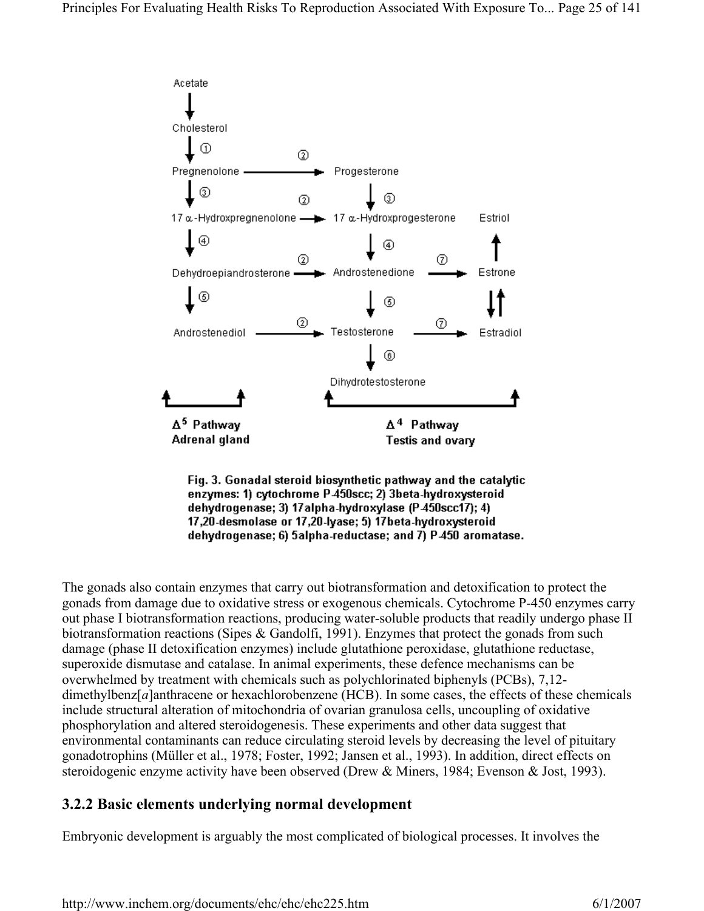

Fig. 3. Gonadal steroid biosynthetic pathway and the catalytic enzymes: 1) cytochrome P-450scc; 2) 3beta-hydroxysteroid dehydrogenase; 3) 17 alpha-hydroxylase (P-450scc17); 4) 17,20-desmolase or 17,20-lyase; 5) 17beta-hydroxysteroid dehydrogenase; 6) 5alpha-reductase; and 7) P-450 aromatase.

The gonads also contain enzymes that carry out biotransformation and detoxification to protect the gonads from damage due to oxidative stress or exogenous chemicals. Cytochrome P-450 enzymes carry out phase I biotransformation reactions, producing water-soluble products that readily undergo phase II biotransformation reactions (Sipes & Gandolfi, 1991). Enzymes that protect the gonads from such damage (phase II detoxification enzymes) include glutathione peroxidase, glutathione reductase, superoxide dismutase and catalase. In animal experiments, these defence mechanisms can be overwhelmed by treatment with chemicals such as polychlorinated biphenyls (PCBs), 7,12 dimethylbenz[*a*]anthracene or hexachlorobenzene (HCB). In some cases, the effects of these chemicals include structural alteration of mitochondria of ovarian granulosa cells, uncoupling of oxidative phosphorylation and altered steroidogenesis. These experiments and other data suggest that environmental contaminants can reduce circulating steroid levels by decreasing the level of pituitary gonadotrophins (Müller et al., 1978; Foster, 1992; Jansen et al., 1993). In addition, direct effects on steroidogenic enzyme activity have been observed (Drew & Miners, 1984; Evenson & Jost, 1993).

## **3.2.2 Basic elements underlying normal development**

Embryonic development is arguably the most complicated of biological processes. It involves the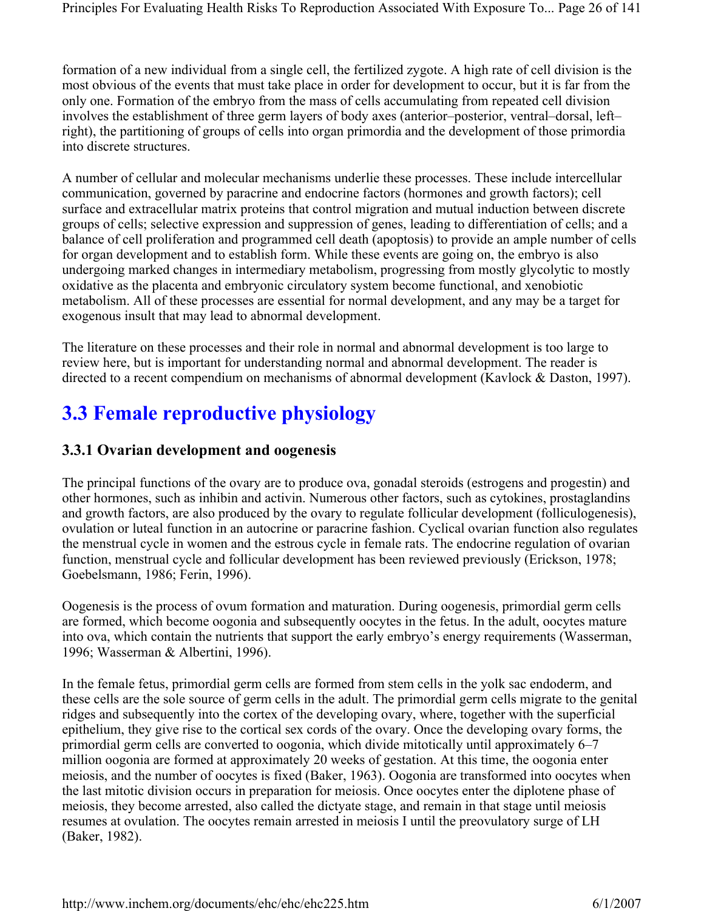formation of a new individual from a single cell, the fertilized zygote. A high rate of cell division is the most obvious of the events that must take place in order for development to occur, but it is far from the only one. Formation of the embryo from the mass of cells accumulating from repeated cell division involves the establishment of three germ layers of body axes (anterior–posterior, ventral–dorsal, left– right), the partitioning of groups of cells into organ primordia and the development of those primordia into discrete structures.

A number of cellular and molecular mechanisms underlie these processes. These include intercellular communication, governed by paracrine and endocrine factors (hormones and growth factors); cell surface and extracellular matrix proteins that control migration and mutual induction between discrete groups of cells; selective expression and suppression of genes, leading to differentiation of cells; and a balance of cell proliferation and programmed cell death (apoptosis) to provide an ample number of cells for organ development and to establish form. While these events are going on, the embryo is also undergoing marked changes in intermediary metabolism, progressing from mostly glycolytic to mostly oxidative as the placenta and embryonic circulatory system become functional, and xenobiotic metabolism. All of these processes are essential for normal development, and any may be a target for exogenous insult that may lead to abnormal development.

The literature on these processes and their role in normal and abnormal development is too large to review here, but is important for understanding normal and abnormal development. The reader is directed to a recent compendium on mechanisms of abnormal development (Kavlock & Daston, 1997).

# **3.3 Female reproductive physiology**

## **3.3.1 Ovarian development and oogenesis**

The principal functions of the ovary are to produce ova, gonadal steroids (estrogens and progestin) and other hormones, such as inhibin and activin. Numerous other factors, such as cytokines, prostaglandins and growth factors, are also produced by the ovary to regulate follicular development (folliculogenesis), ovulation or luteal function in an autocrine or paracrine fashion. Cyclical ovarian function also regulates the menstrual cycle in women and the estrous cycle in female rats. The endocrine regulation of ovarian function, menstrual cycle and follicular development has been reviewed previously (Erickson, 1978; Goebelsmann, 1986; Ferin, 1996).

Oogenesis is the process of ovum formation and maturation. During oogenesis, primordial germ cells are formed, which become oogonia and subsequently oocytes in the fetus. In the adult, oocytes mature into ova, which contain the nutrients that support the early embryo's energy requirements (Wasserman, 1996; Wasserman & Albertini, 1996).

In the female fetus, primordial germ cells are formed from stem cells in the yolk sac endoderm, and these cells are the sole source of germ cells in the adult. The primordial germ cells migrate to the genital ridges and subsequently into the cortex of the developing ovary, where, together with the superficial epithelium, they give rise to the cortical sex cords of the ovary. Once the developing ovary forms, the primordial germ cells are converted to oogonia, which divide mitotically until approximately 6–7 million oogonia are formed at approximately 20 weeks of gestation. At this time, the oogonia enter meiosis, and the number of oocytes is fixed (Baker, 1963). Oogonia are transformed into oocytes when the last mitotic division occurs in preparation for meiosis. Once oocytes enter the diplotene phase of meiosis, they become arrested, also called the dictyate stage, and remain in that stage until meiosis resumes at ovulation. The oocytes remain arrested in meiosis I until the preovulatory surge of LH (Baker, 1982).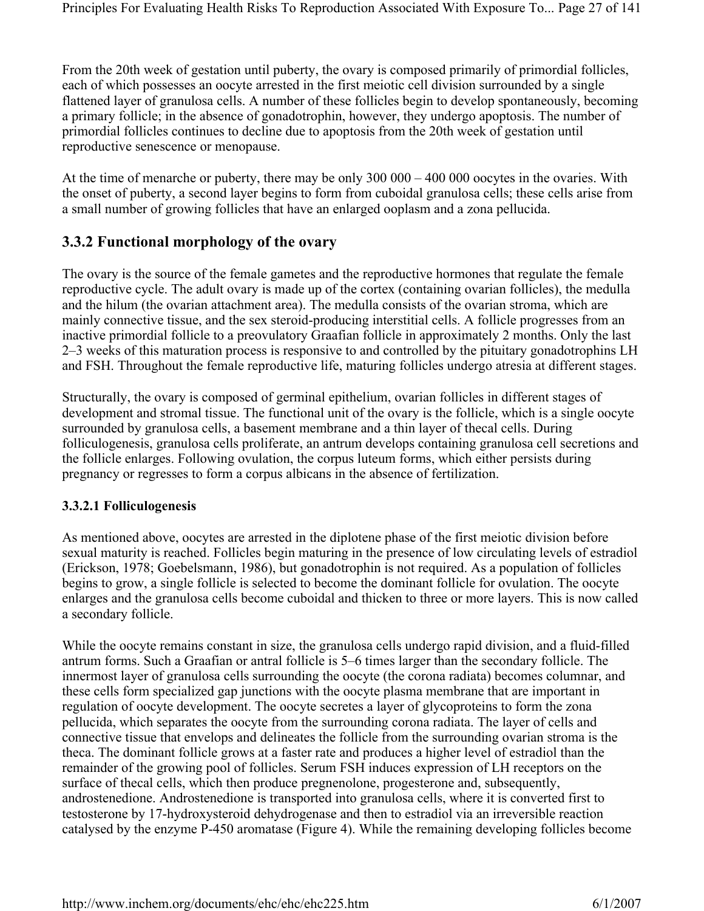From the 20th week of gestation until puberty, the ovary is composed primarily of primordial follicles, each of which possesses an oocyte arrested in the first meiotic cell division surrounded by a single flattened layer of granulosa cells. A number of these follicles begin to develop spontaneously, becoming a primary follicle; in the absence of gonadotrophin, however, they undergo apoptosis. The number of primordial follicles continues to decline due to apoptosis from the 20th week of gestation until reproductive senescence or menopause.

At the time of menarche or puberty, there may be only 300 000 – 400 000 oocytes in the ovaries. With the onset of puberty, a second layer begins to form from cuboidal granulosa cells; these cells arise from a small number of growing follicles that have an enlarged ooplasm and a zona pellucida.

## **3.3.2 Functional morphology of the ovary**

The ovary is the source of the female gametes and the reproductive hormones that regulate the female reproductive cycle. The adult ovary is made up of the cortex (containing ovarian follicles), the medulla and the hilum (the ovarian attachment area). The medulla consists of the ovarian stroma, which are mainly connective tissue, and the sex steroid-producing interstitial cells. A follicle progresses from an inactive primordial follicle to a preovulatory Graafian follicle in approximately 2 months. Only the last 2–3 weeks of this maturation process is responsive to and controlled by the pituitary gonadotrophins LH and FSH. Throughout the female reproductive life, maturing follicles undergo atresia at different stages.

Structurally, the ovary is composed of germinal epithelium, ovarian follicles in different stages of development and stromal tissue. The functional unit of the ovary is the follicle, which is a single oocyte surrounded by granulosa cells, a basement membrane and a thin layer of thecal cells. During folliculogenesis, granulosa cells proliferate, an antrum develops containing granulosa cell secretions and the follicle enlarges. Following ovulation, the corpus luteum forms, which either persists during pregnancy or regresses to form a corpus albicans in the absence of fertilization.

## **3.3.2.1 Folliculogenesis**

As mentioned above, oocytes are arrested in the diplotene phase of the first meiotic division before sexual maturity is reached. Follicles begin maturing in the presence of low circulating levels of estradiol (Erickson, 1978; Goebelsmann, 1986), but gonadotrophin is not required. As a population of follicles begins to grow, a single follicle is selected to become the dominant follicle for ovulation. The oocyte enlarges and the granulosa cells become cuboidal and thicken to three or more layers. This is now called a secondary follicle.

While the oocyte remains constant in size, the granulosa cells undergo rapid division, and a fluid-filled antrum forms. Such a Graafian or antral follicle is 5–6 times larger than the secondary follicle. The innermost layer of granulosa cells surrounding the oocyte (the corona radiata) becomes columnar, and these cells form specialized gap junctions with the oocyte plasma membrane that are important in regulation of oocyte development. The oocyte secretes a layer of glycoproteins to form the zona pellucida, which separates the oocyte from the surrounding corona radiata. The layer of cells and connective tissue that envelops and delineates the follicle from the surrounding ovarian stroma is the theca. The dominant follicle grows at a faster rate and produces a higher level of estradiol than the remainder of the growing pool of follicles. Serum FSH induces expression of LH receptors on the surface of thecal cells, which then produce pregnenolone, progesterone and, subsequently, androstenedione. Androstenedione is transported into granulosa cells, where it is converted first to testosterone by 17-hydroxysteroid dehydrogenase and then to estradiol via an irreversible reaction catalysed by the enzyme P-450 aromatase (Figure 4). While the remaining developing follicles become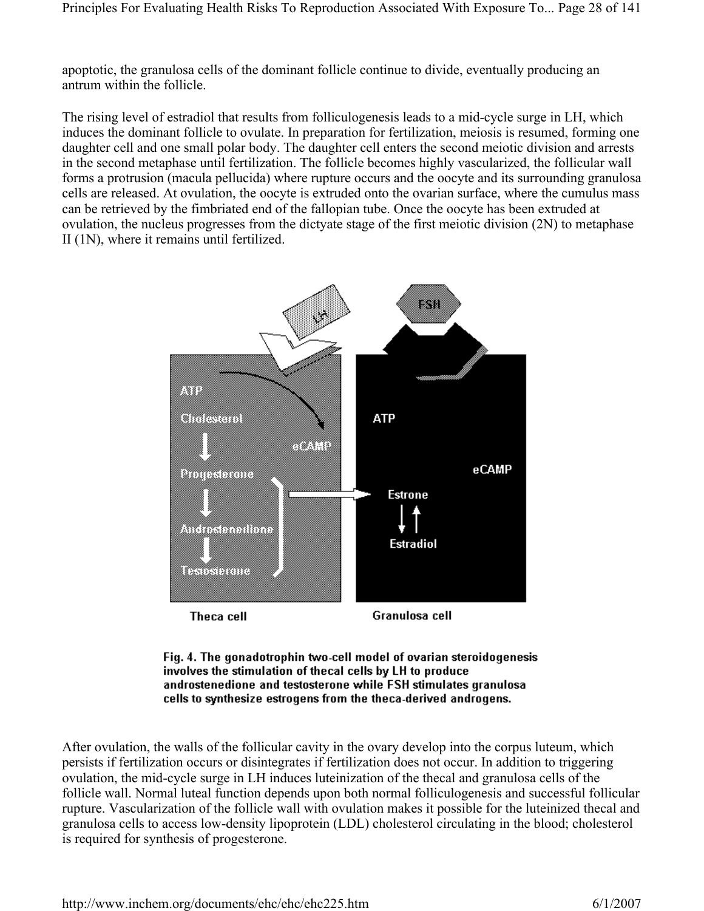apoptotic, the granulosa cells of the dominant follicle continue to divide, eventually producing an antrum within the follicle.

The rising level of estradiol that results from folliculogenesis leads to a mid-cycle surge in LH, which induces the dominant follicle to ovulate. In preparation for fertilization, meiosis is resumed, forming one daughter cell and one small polar body. The daughter cell enters the second meiotic division and arrests in the second metaphase until fertilization. The follicle becomes highly vascularized, the follicular wall forms a protrusion (macula pellucida) where rupture occurs and the oocyte and its surrounding granulosa cells are released. At ovulation, the oocyte is extruded onto the ovarian surface, where the cumulus mass can be retrieved by the fimbriated end of the fallopian tube. Once the oocyte has been extruded at ovulation, the nucleus progresses from the dictyate stage of the first meiotic division (2N) to metaphase II (1N), where it remains until fertilized.





After ovulation, the walls of the follicular cavity in the ovary develop into the corpus luteum, which persists if fertilization occurs or disintegrates if fertilization does not occur. In addition to triggering ovulation, the mid-cycle surge in LH induces luteinization of the thecal and granulosa cells of the follicle wall. Normal luteal function depends upon both normal folliculogenesis and successful follicular rupture. Vascularization of the follicle wall with ovulation makes it possible for the luteinized thecal and granulosa cells to access low-density lipoprotein (LDL) cholesterol circulating in the blood; cholesterol is required for synthesis of progesterone.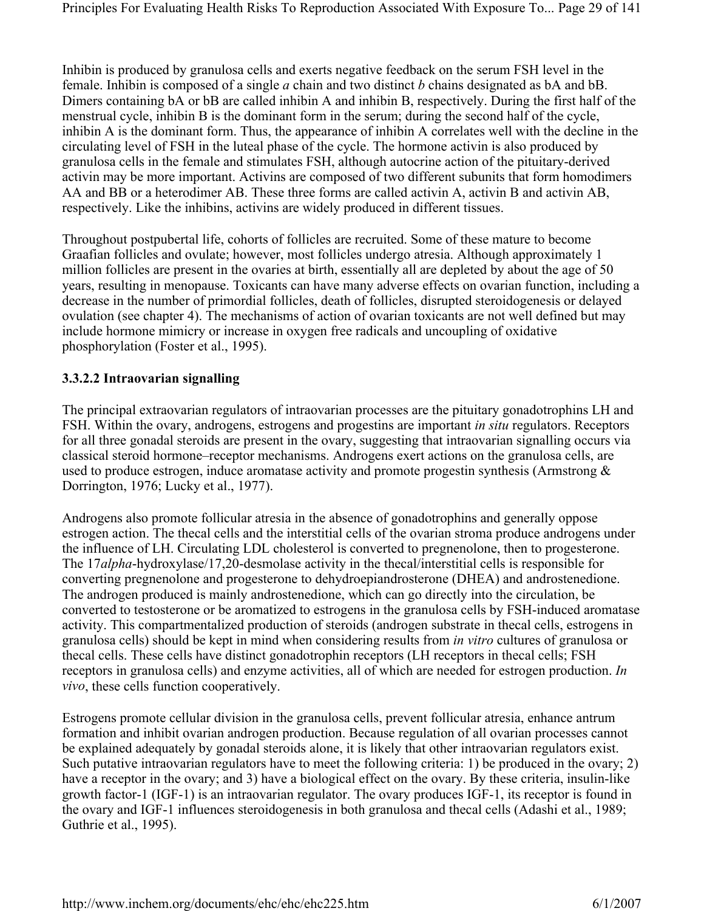Inhibin is produced by granulosa cells and exerts negative feedback on the serum FSH level in the female. Inhibin is composed of a single *a* chain and two distinct *b* chains designated as bA and bB. Dimers containing bA or bB are called inhibin A and inhibin B, respectively. During the first half of the menstrual cycle, inhibin B is the dominant form in the serum; during the second half of the cycle, inhibin A is the dominant form. Thus, the appearance of inhibin A correlates well with the decline in the circulating level of FSH in the luteal phase of the cycle. The hormone activin is also produced by granulosa cells in the female and stimulates FSH, although autocrine action of the pituitary-derived activin may be more important. Activins are composed of two different subunits that form homodimers AA and BB or a heterodimer AB. These three forms are called activin A, activin B and activin AB, respectively. Like the inhibins, activins are widely produced in different tissues.

Throughout postpubertal life, cohorts of follicles are recruited. Some of these mature to become Graafian follicles and ovulate; however, most follicles undergo atresia. Although approximately 1 million follicles are present in the ovaries at birth, essentially all are depleted by about the age of 50 years, resulting in menopause. Toxicants can have many adverse effects on ovarian function, including a decrease in the number of primordial follicles, death of follicles, disrupted steroidogenesis or delayed ovulation (see chapter 4). The mechanisms of action of ovarian toxicants are not well defined but may include hormone mimicry or increase in oxygen free radicals and uncoupling of oxidative phosphorylation (Foster et al., 1995).

## **3.3.2.2 Intraovarian signalling**

The principal extraovarian regulators of intraovarian processes are the pituitary gonadotrophins LH and FSH. Within the ovary, androgens, estrogens and progestins are important *in situ* regulators. Receptors for all three gonadal steroids are present in the ovary, suggesting that intraovarian signalling occurs via classical steroid hormone–receptor mechanisms. Androgens exert actions on the granulosa cells, are used to produce estrogen, induce aromatase activity and promote progestin synthesis (Armstrong  $\&$ Dorrington, 1976; Lucky et al., 1977).

Androgens also promote follicular atresia in the absence of gonadotrophins and generally oppose estrogen action. The thecal cells and the interstitial cells of the ovarian stroma produce androgens under the influence of LH. Circulating LDL cholesterol is converted to pregnenolone, then to progesterone. The 17*alpha*-hydroxylase/17,20-desmolase activity in the thecal/interstitial cells is responsible for converting pregnenolone and progesterone to dehydroepiandrosterone (DHEA) and androstenedione. The androgen produced is mainly androstenedione, which can go directly into the circulation, be converted to testosterone or be aromatized to estrogens in the granulosa cells by FSH-induced aromatase activity. This compartmentalized production of steroids (androgen substrate in thecal cells, estrogens in granulosa cells) should be kept in mind when considering results from *in vitro* cultures of granulosa or thecal cells. These cells have distinct gonadotrophin receptors (LH receptors in thecal cells; FSH receptors in granulosa cells) and enzyme activities, all of which are needed for estrogen production. *In vivo*, these cells function cooperatively.

Estrogens promote cellular division in the granulosa cells, prevent follicular atresia, enhance antrum formation and inhibit ovarian androgen production. Because regulation of all ovarian processes cannot be explained adequately by gonadal steroids alone, it is likely that other intraovarian regulators exist. Such putative intraovarian regulators have to meet the following criteria: 1) be produced in the ovary; 2) have a receptor in the ovary; and 3) have a biological effect on the ovary. By these criteria, insulin-like growth factor-1 (IGF-1) is an intraovarian regulator. The ovary produces IGF-1, its receptor is found in the ovary and IGF-1 influences steroidogenesis in both granulosa and thecal cells (Adashi et al., 1989; Guthrie et al., 1995).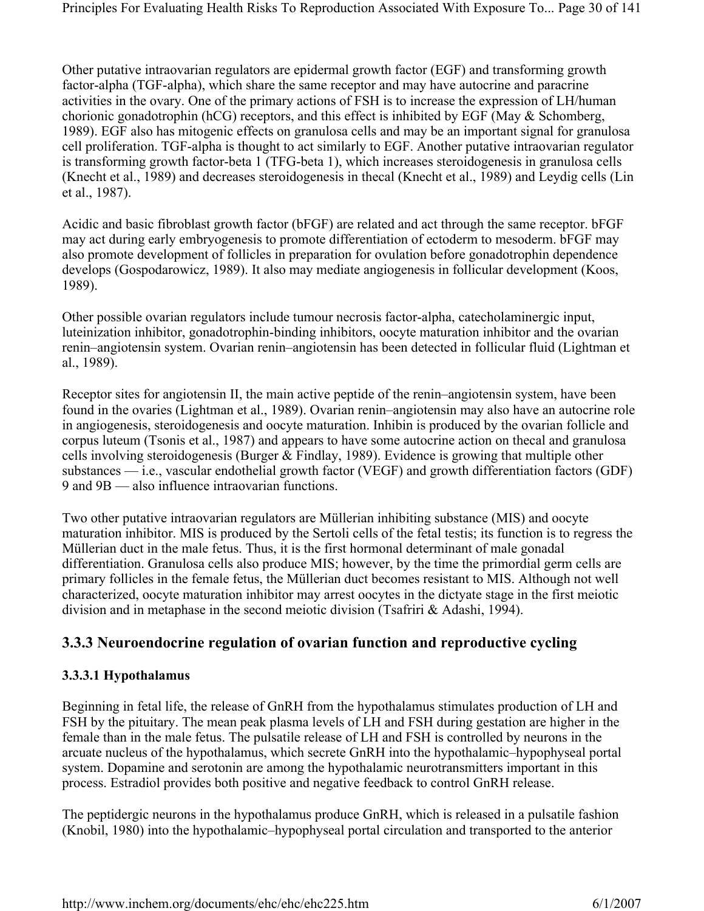Other putative intraovarian regulators are epidermal growth factor (EGF) and transforming growth factor-alpha (TGF-alpha), which share the same receptor and may have autocrine and paracrine activities in the ovary. One of the primary actions of FSH is to increase the expression of LH/human chorionic gonadotrophin (hCG) receptors, and this effect is inhibited by EGF (May & Schomberg, 1989). EGF also has mitogenic effects on granulosa cells and may be an important signal for granulosa cell proliferation. TGF-alpha is thought to act similarly to EGF. Another putative intraovarian regulator is transforming growth factor-beta 1 (TFG-beta 1), which increases steroidogenesis in granulosa cells (Knecht et al., 1989) and decreases steroidogenesis in thecal (Knecht et al., 1989) and Leydig cells (Lin et al., 1987).

Acidic and basic fibroblast growth factor (bFGF) are related and act through the same receptor. bFGF may act during early embryogenesis to promote differentiation of ectoderm to mesoderm. bFGF may also promote development of follicles in preparation for ovulation before gonadotrophin dependence develops (Gospodarowicz, 1989). It also may mediate angiogenesis in follicular development (Koos, 1989).

Other possible ovarian regulators include tumour necrosis factor-alpha, catecholaminergic input, luteinization inhibitor, gonadotrophin-binding inhibitors, oocyte maturation inhibitor and the ovarian renin–angiotensin system. Ovarian renin–angiotensin has been detected in follicular fluid (Lightman et al., 1989).

Receptor sites for angiotensin II, the main active peptide of the renin–angiotensin system, have been found in the ovaries (Lightman et al., 1989). Ovarian renin–angiotensin may also have an autocrine role in angiogenesis, steroidogenesis and oocyte maturation. Inhibin is produced by the ovarian follicle and corpus luteum (Tsonis et al., 1987) and appears to have some autocrine action on thecal and granulosa cells involving steroidogenesis (Burger & Findlay, 1989). Evidence is growing that multiple other substances — i.e., vascular endothelial growth factor (VEGF) and growth differentiation factors (GDF) 9 and 9B — also influence intraovarian functions.

Two other putative intraovarian regulators are Müllerian inhibiting substance (MIS) and oocyte maturation inhibitor. MIS is produced by the Sertoli cells of the fetal testis; its function is to regress the Müllerian duct in the male fetus. Thus, it is the first hormonal determinant of male gonadal differentiation. Granulosa cells also produce MIS; however, by the time the primordial germ cells are primary follicles in the female fetus, the Müllerian duct becomes resistant to MIS. Although not well characterized, oocyte maturation inhibitor may arrest oocytes in the dictyate stage in the first meiotic division and in metaphase in the second meiotic division (Tsafriri & Adashi, 1994).

## **3.3.3 Neuroendocrine regulation of ovarian function and reproductive cycling**

## **3.3.3.1 Hypothalamus**

Beginning in fetal life, the release of GnRH from the hypothalamus stimulates production of LH and FSH by the pituitary. The mean peak plasma levels of LH and FSH during gestation are higher in the female than in the male fetus. The pulsatile release of LH and FSH is controlled by neurons in the arcuate nucleus of the hypothalamus, which secrete GnRH into the hypothalamic–hypophyseal portal system. Dopamine and serotonin are among the hypothalamic neurotransmitters important in this process. Estradiol provides both positive and negative feedback to control GnRH release.

The peptidergic neurons in the hypothalamus produce GnRH, which is released in a pulsatile fashion (Knobil, 1980) into the hypothalamic–hypophyseal portal circulation and transported to the anterior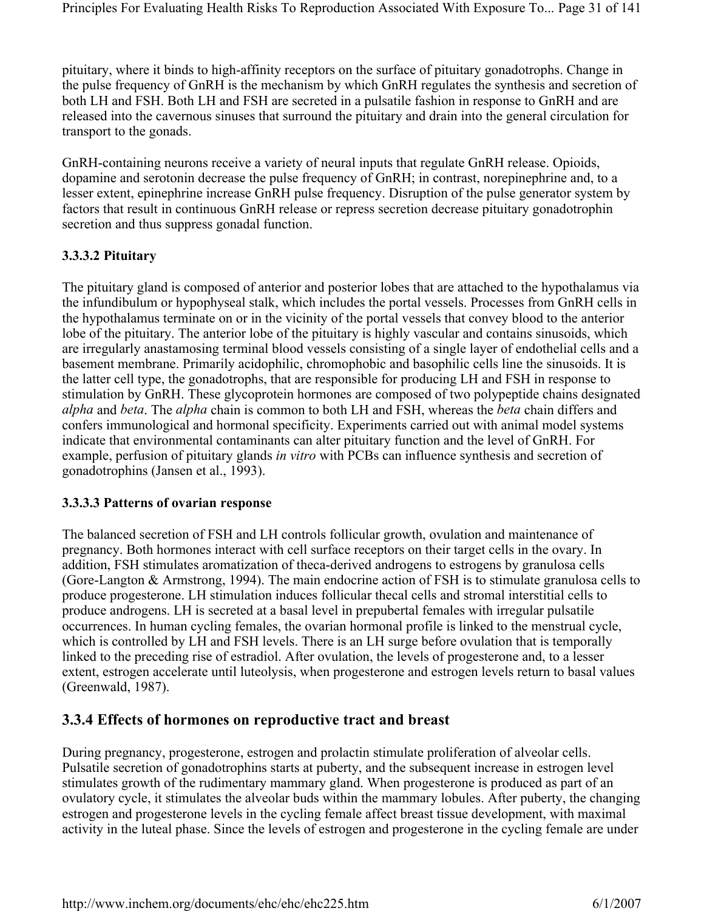pituitary, where it binds to high-affinity receptors on the surface of pituitary gonadotrophs. Change in the pulse frequency of GnRH is the mechanism by which GnRH regulates the synthesis and secretion of both LH and FSH. Both LH and FSH are secreted in a pulsatile fashion in response to GnRH and are released into the cavernous sinuses that surround the pituitary and drain into the general circulation for transport to the gonads.

GnRH-containing neurons receive a variety of neural inputs that regulate GnRH release. Opioids, dopamine and serotonin decrease the pulse frequency of GnRH; in contrast, norepinephrine and, to a lesser extent, epinephrine increase GnRH pulse frequency. Disruption of the pulse generator system by factors that result in continuous GnRH release or repress secretion decrease pituitary gonadotrophin secretion and thus suppress gonadal function.

## **3.3.3.2 Pituitary**

The pituitary gland is composed of anterior and posterior lobes that are attached to the hypothalamus via the infundibulum or hypophyseal stalk, which includes the portal vessels. Processes from GnRH cells in the hypothalamus terminate on or in the vicinity of the portal vessels that convey blood to the anterior lobe of the pituitary. The anterior lobe of the pituitary is highly vascular and contains sinusoids, which are irregularly anastamosing terminal blood vessels consisting of a single layer of endothelial cells and a basement membrane. Primarily acidophilic, chromophobic and basophilic cells line the sinusoids. It is the latter cell type, the gonadotrophs, that are responsible for producing LH and FSH in response to stimulation by GnRH. These glycoprotein hormones are composed of two polypeptide chains designated *alpha* and *beta*. The *alpha* chain is common to both LH and FSH, whereas the *beta* chain differs and confers immunological and hormonal specificity. Experiments carried out with animal model systems indicate that environmental contaminants can alter pituitary function and the level of GnRH. For example, perfusion of pituitary glands *in vitro* with PCBs can influence synthesis and secretion of gonadotrophins (Jansen et al., 1993).

### **3.3.3.3 Patterns of ovarian response**

The balanced secretion of FSH and LH controls follicular growth, ovulation and maintenance of pregnancy. Both hormones interact with cell surface receptors on their target cells in the ovary. In addition, FSH stimulates aromatization of theca-derived androgens to estrogens by granulosa cells (Gore-Langton & Armstrong, 1994). The main endocrine action of FSH is to stimulate granulosa cells to produce progesterone. LH stimulation induces follicular thecal cells and stromal interstitial cells to produce androgens. LH is secreted at a basal level in prepubertal females with irregular pulsatile occurrences. In human cycling females, the ovarian hormonal profile is linked to the menstrual cycle, which is controlled by LH and FSH levels. There is an LH surge before ovulation that is temporally linked to the preceding rise of estradiol. After ovulation, the levels of progesterone and, to a lesser extent, estrogen accelerate until luteolysis, when progesterone and estrogen levels return to basal values (Greenwald, 1987).

## **3.3.4 Effects of hormones on reproductive tract and breast**

During pregnancy, progesterone, estrogen and prolactin stimulate proliferation of alveolar cells. Pulsatile secretion of gonadotrophins starts at puberty, and the subsequent increase in estrogen level stimulates growth of the rudimentary mammary gland. When progesterone is produced as part of an ovulatory cycle, it stimulates the alveolar buds within the mammary lobules. After puberty, the changing estrogen and progesterone levels in the cycling female affect breast tissue development, with maximal activity in the luteal phase. Since the levels of estrogen and progesterone in the cycling female are under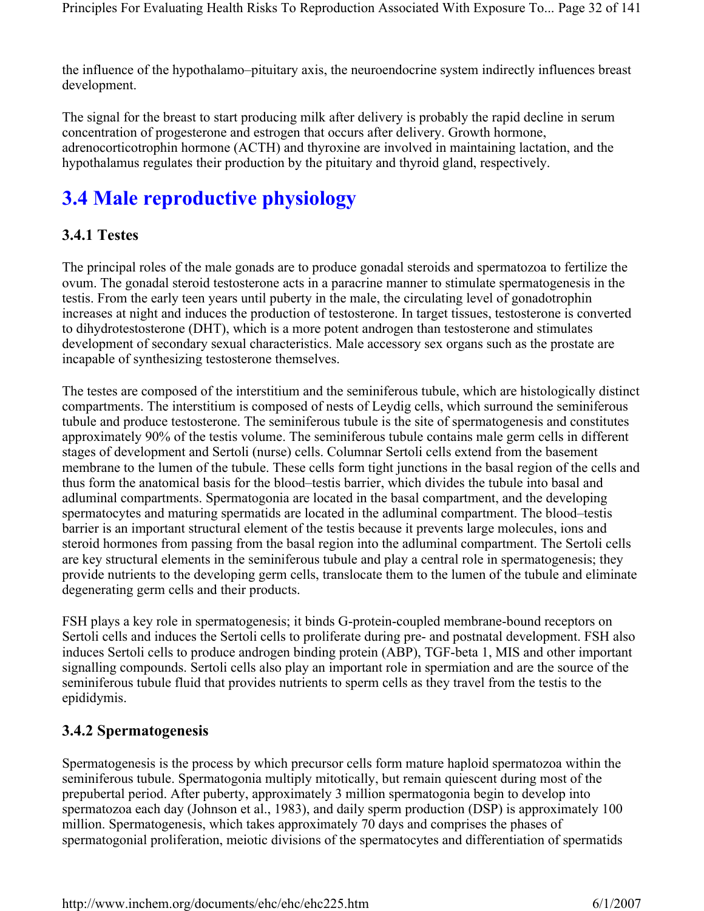the influence of the hypothalamo–pituitary axis, the neuroendocrine system indirectly influences breast development.

The signal for the breast to start producing milk after delivery is probably the rapid decline in serum concentration of progesterone and estrogen that occurs after delivery. Growth hormone, adrenocorticotrophin hormone (ACTH) and thyroxine are involved in maintaining lactation, and the hypothalamus regulates their production by the pituitary and thyroid gland, respectively.

# **3.4 Male reproductive physiology**

## **3.4.1 Testes**

The principal roles of the male gonads are to produce gonadal steroids and spermatozoa to fertilize the ovum. The gonadal steroid testosterone acts in a paracrine manner to stimulate spermatogenesis in the testis. From the early teen years until puberty in the male, the circulating level of gonadotrophin increases at night and induces the production of testosterone. In target tissues, testosterone is converted to dihydrotestosterone (DHT), which is a more potent androgen than testosterone and stimulates development of secondary sexual characteristics. Male accessory sex organs such as the prostate are incapable of synthesizing testosterone themselves.

The testes are composed of the interstitium and the seminiferous tubule, which are histologically distinct compartments. The interstitium is composed of nests of Leydig cells, which surround the seminiferous tubule and produce testosterone. The seminiferous tubule is the site of spermatogenesis and constitutes approximately 90% of the testis volume. The seminiferous tubule contains male germ cells in different stages of development and Sertoli (nurse) cells. Columnar Sertoli cells extend from the basement membrane to the lumen of the tubule. These cells form tight junctions in the basal region of the cells and thus form the anatomical basis for the blood–testis barrier, which divides the tubule into basal and adluminal compartments. Spermatogonia are located in the basal compartment, and the developing spermatocytes and maturing spermatids are located in the adluminal compartment. The blood–testis barrier is an important structural element of the testis because it prevents large molecules, ions and steroid hormones from passing from the basal region into the adluminal compartment. The Sertoli cells are key structural elements in the seminiferous tubule and play a central role in spermatogenesis; they provide nutrients to the developing germ cells, translocate them to the lumen of the tubule and eliminate degenerating germ cells and their products.

FSH plays a key role in spermatogenesis; it binds G-protein-coupled membrane-bound receptors on Sertoli cells and induces the Sertoli cells to proliferate during pre- and postnatal development. FSH also induces Sertoli cells to produce androgen binding protein (ABP), TGF-beta 1, MIS and other important signalling compounds. Sertoli cells also play an important role in spermiation and are the source of the seminiferous tubule fluid that provides nutrients to sperm cells as they travel from the testis to the epididymis.

## **3.4.2 Spermatogenesis**

Spermatogenesis is the process by which precursor cells form mature haploid spermatozoa within the seminiferous tubule. Spermatogonia multiply mitotically, but remain quiescent during most of the prepubertal period. After puberty, approximately 3 million spermatogonia begin to develop into spermatozoa each day (Johnson et al., 1983), and daily sperm production (DSP) is approximately 100 million. Spermatogenesis, which takes approximately 70 days and comprises the phases of spermatogonial proliferation, meiotic divisions of the spermatocytes and differentiation of spermatids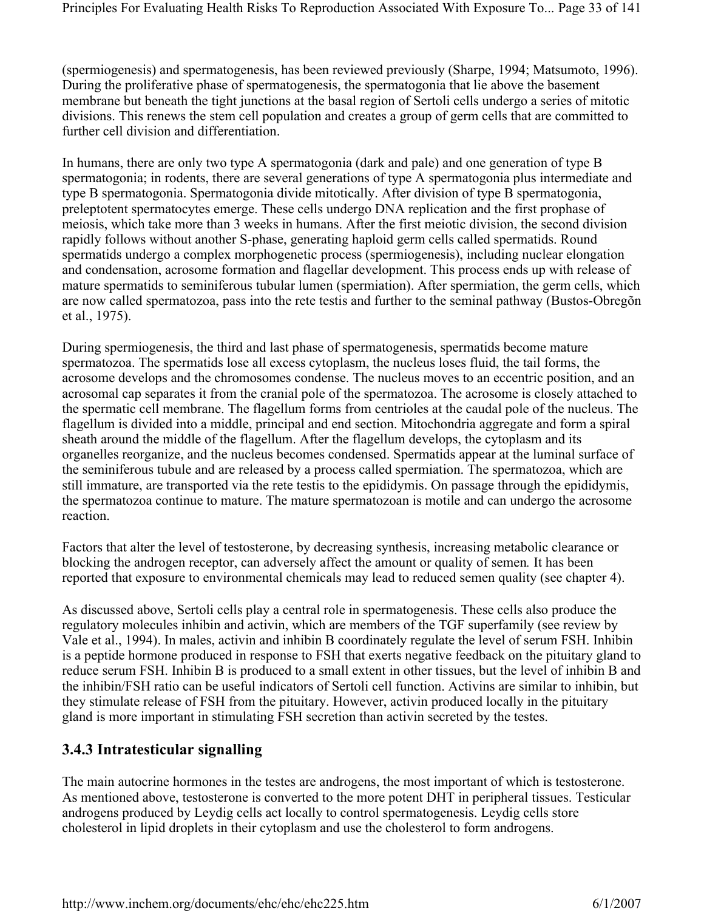(spermiogenesis) and spermatogenesis, has been reviewed previously (Sharpe, 1994; Matsumoto, 1996). During the proliferative phase of spermatogenesis, the spermatogonia that lie above the basement membrane but beneath the tight junctions at the basal region of Sertoli cells undergo a series of mitotic divisions. This renews the stem cell population and creates a group of germ cells that are committed to further cell division and differentiation.

In humans, there are only two type A spermatogonia (dark and pale) and one generation of type B spermatogonia; in rodents, there are several generations of type A spermatogonia plus intermediate and type B spermatogonia. Spermatogonia divide mitotically. After division of type B spermatogonia, preleptotent spermatocytes emerge. These cells undergo DNA replication and the first prophase of meiosis, which take more than 3 weeks in humans. After the first meiotic division, the second division rapidly follows without another S-phase, generating haploid germ cells called spermatids. Round spermatids undergo a complex morphogenetic process (spermiogenesis), including nuclear elongation and condensation, acrosome formation and flagellar development. This process ends up with release of mature spermatids to seminiferous tubular lumen (spermiation). After spermiation, the germ cells, which are now called spermatozoa, pass into the rete testis and further to the seminal pathway (Bustos-Obregõn et al., 1975).

During spermiogenesis, the third and last phase of spermatogenesis, spermatids become mature spermatozoa. The spermatids lose all excess cytoplasm, the nucleus loses fluid, the tail forms, the acrosome develops and the chromosomes condense. The nucleus moves to an eccentric position, and an acrosomal cap separates it from the cranial pole of the spermatozoa. The acrosome is closely attached to the spermatic cell membrane. The flagellum forms from centrioles at the caudal pole of the nucleus. The flagellum is divided into a middle, principal and end section. Mitochondria aggregate and form a spiral sheath around the middle of the flagellum. After the flagellum develops, the cytoplasm and its organelles reorganize, and the nucleus becomes condensed. Spermatids appear at the luminal surface of the seminiferous tubule and are released by a process called spermiation. The spermatozoa, which are still immature, are transported via the rete testis to the epididymis. On passage through the epididymis, the spermatozoa continue to mature. The mature spermatozoan is motile and can undergo the acrosome reaction.

Factors that alter the level of testosterone, by decreasing synthesis, increasing metabolic clearance or blocking the androgen receptor, can adversely affect the amount or quality of semen*.* It has been reported that exposure to environmental chemicals may lead to reduced semen quality (see chapter 4).

As discussed above, Sertoli cells play a central role in spermatogenesis. These cells also produce the regulatory molecules inhibin and activin, which are members of the TGF superfamily (see review by Vale et al., 1994). In males, activin and inhibin B coordinately regulate the level of serum FSH. Inhibin is a peptide hormone produced in response to FSH that exerts negative feedback on the pituitary gland to reduce serum FSH. Inhibin B is produced to a small extent in other tissues, but the level of inhibin B and the inhibin/FSH ratio can be useful indicators of Sertoli cell function. Activins are similar to inhibin, but they stimulate release of FSH from the pituitary. However, activin produced locally in the pituitary gland is more important in stimulating FSH secretion than activin secreted by the testes.

## **3.4.3 Intratesticular signalling**

The main autocrine hormones in the testes are androgens, the most important of which is testosterone. As mentioned above, testosterone is converted to the more potent DHT in peripheral tissues. Testicular androgens produced by Leydig cells act locally to control spermatogenesis. Leydig cells store cholesterol in lipid droplets in their cytoplasm and use the cholesterol to form androgens.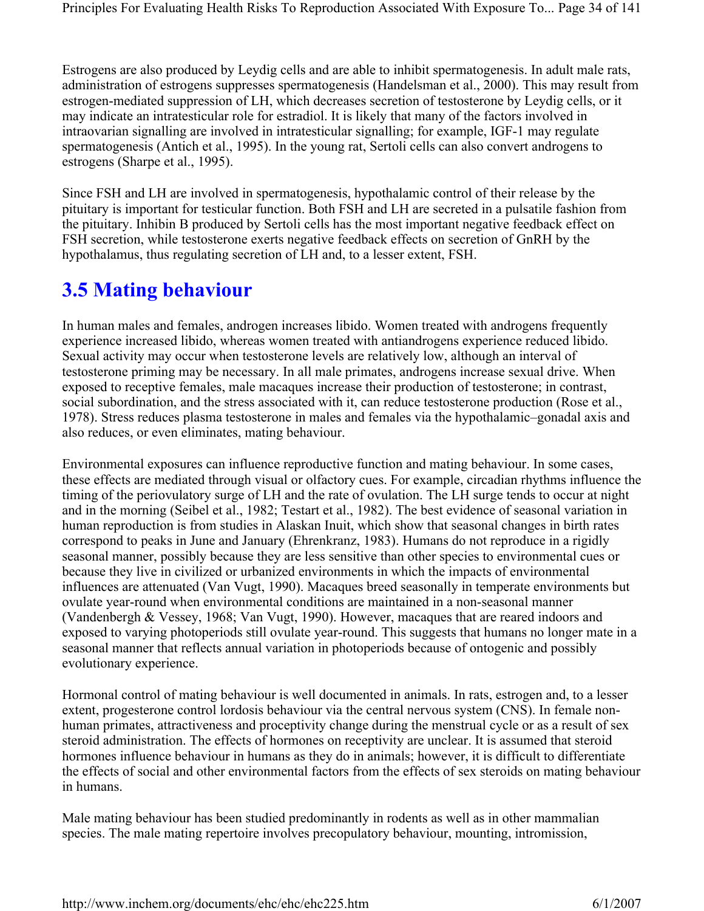Estrogens are also produced by Leydig cells and are able to inhibit spermatogenesis. In adult male rats, administration of estrogens suppresses spermatogenesis (Handelsman et al., 2000). This may result from estrogen-mediated suppression of LH, which decreases secretion of testosterone by Leydig cells, or it may indicate an intratesticular role for estradiol. It is likely that many of the factors involved in intraovarian signalling are involved in intratesticular signalling; for example, IGF-1 may regulate spermatogenesis (Antich et al., 1995). In the young rat, Sertoli cells can also convert androgens to estrogens (Sharpe et al., 1995).

Since FSH and LH are involved in spermatogenesis, hypothalamic control of their release by the pituitary is important for testicular function. Both FSH and LH are secreted in a pulsatile fashion from the pituitary. Inhibin B produced by Sertoli cells has the most important negative feedback effect on FSH secretion, while testosterone exerts negative feedback effects on secretion of GnRH by the hypothalamus, thus regulating secretion of LH and, to a lesser extent, FSH.

## **3.5 Mating behaviour**

In human males and females, androgen increases libido. Women treated with androgens frequently experience increased libido, whereas women treated with antiandrogens experience reduced libido. Sexual activity may occur when testosterone levels are relatively low, although an interval of testosterone priming may be necessary. In all male primates, androgens increase sexual drive. When exposed to receptive females, male macaques increase their production of testosterone; in contrast, social subordination, and the stress associated with it, can reduce testosterone production (Rose et al., 1978). Stress reduces plasma testosterone in males and females via the hypothalamic–gonadal axis and also reduces, or even eliminates, mating behaviour.

Environmental exposures can influence reproductive function and mating behaviour. In some cases, these effects are mediated through visual or olfactory cues. For example, circadian rhythms influence the timing of the periovulatory surge of LH and the rate of ovulation. The LH surge tends to occur at night and in the morning (Seibel et al., 1982; Testart et al., 1982). The best evidence of seasonal variation in human reproduction is from studies in Alaskan Inuit, which show that seasonal changes in birth rates correspond to peaks in June and January (Ehrenkranz, 1983). Humans do not reproduce in a rigidly seasonal manner, possibly because they are less sensitive than other species to environmental cues or because they live in civilized or urbanized environments in which the impacts of environmental influences are attenuated (Van Vugt, 1990). Macaques breed seasonally in temperate environments but ovulate year-round when environmental conditions are maintained in a non-seasonal manner (Vandenbergh & Vessey, 1968; Van Vugt, 1990). However, macaques that are reared indoors and exposed to varying photoperiods still ovulate year-round. This suggests that humans no longer mate in a seasonal manner that reflects annual variation in photoperiods because of ontogenic and possibly evolutionary experience.

Hormonal control of mating behaviour is well documented in animals. In rats, estrogen and, to a lesser extent, progesterone control lordosis behaviour via the central nervous system (CNS). In female nonhuman primates, attractiveness and proceptivity change during the menstrual cycle or as a result of sex steroid administration. The effects of hormones on receptivity are unclear. It is assumed that steroid hormones influence behaviour in humans as they do in animals; however, it is difficult to differentiate the effects of social and other environmental factors from the effects of sex steroids on mating behaviour in humans.

Male mating behaviour has been studied predominantly in rodents as well as in other mammalian species. The male mating repertoire involves precopulatory behaviour, mounting, intromission,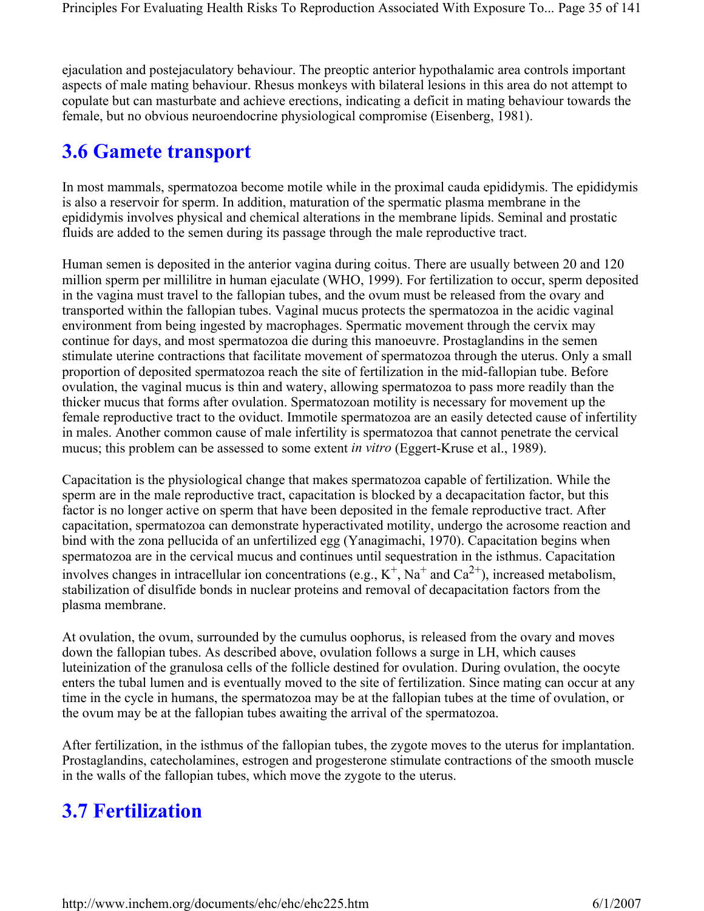ejaculation and postejaculatory behaviour. The preoptic anterior hypothalamic area controls important aspects of male mating behaviour. Rhesus monkeys with bilateral lesions in this area do not attempt to copulate but can masturbate and achieve erections, indicating a deficit in mating behaviour towards the female, but no obvious neuroendocrine physiological compromise (Eisenberg, 1981).

# **3.6 Gamete transport**

In most mammals, spermatozoa become motile while in the proximal cauda epididymis. The epididymis is also a reservoir for sperm. In addition, maturation of the spermatic plasma membrane in the epididymis involves physical and chemical alterations in the membrane lipids. Seminal and prostatic fluids are added to the semen during its passage through the male reproductive tract.

Human semen is deposited in the anterior vagina during coitus. There are usually between 20 and 120 million sperm per millilitre in human ejaculate (WHO, 1999). For fertilization to occur, sperm deposited in the vagina must travel to the fallopian tubes, and the ovum must be released from the ovary and transported within the fallopian tubes. Vaginal mucus protects the spermatozoa in the acidic vaginal environment from being ingested by macrophages. Spermatic movement through the cervix may continue for days, and most spermatozoa die during this manoeuvre. Prostaglandins in the semen stimulate uterine contractions that facilitate movement of spermatozoa through the uterus. Only a small proportion of deposited spermatozoa reach the site of fertilization in the mid-fallopian tube. Before ovulation, the vaginal mucus is thin and watery, allowing spermatozoa to pass more readily than the thicker mucus that forms after ovulation. Spermatozoan motility is necessary for movement up the female reproductive tract to the oviduct. Immotile spermatozoa are an easily detected cause of infertility in males. Another common cause of male infertility is spermatozoa that cannot penetrate the cervical mucus; this problem can be assessed to some extent *in vitro* (Eggert-Kruse et al., 1989).

Capacitation is the physiological change that makes spermatozoa capable of fertilization. While the sperm are in the male reproductive tract, capacitation is blocked by a decapacitation factor, but this factor is no longer active on sperm that have been deposited in the female reproductive tract. After capacitation, spermatozoa can demonstrate hyperactivated motility, undergo the acrosome reaction and bind with the zona pellucida of an unfertilized egg (Yanagimachi, 1970). Capacitation begins when spermatozoa are in the cervical mucus and continues until sequestration in the isthmus. Capacitation involves changes in intracellular ion concentrations (e.g.,  $K^+$ , Na<sup>+</sup> and Ca<sup>2+</sup>), increased metabolism, stabilization of disulfide bonds in nuclear proteins and removal of decapacitation factors from the plasma membrane.

At ovulation, the ovum, surrounded by the cumulus oophorus, is released from the ovary and moves down the fallopian tubes. As described above, ovulation follows a surge in LH, which causes luteinization of the granulosa cells of the follicle destined for ovulation. During ovulation, the oocyte enters the tubal lumen and is eventually moved to the site of fertilization. Since mating can occur at any time in the cycle in humans, the spermatozoa may be at the fallopian tubes at the time of ovulation, or the ovum may be at the fallopian tubes awaiting the arrival of the spermatozoa.

After fertilization, in the isthmus of the fallopian tubes, the zygote moves to the uterus for implantation. Prostaglandins, catecholamines, estrogen and progesterone stimulate contractions of the smooth muscle in the walls of the fallopian tubes, which move the zygote to the uterus.

# **3.7 Fertilization**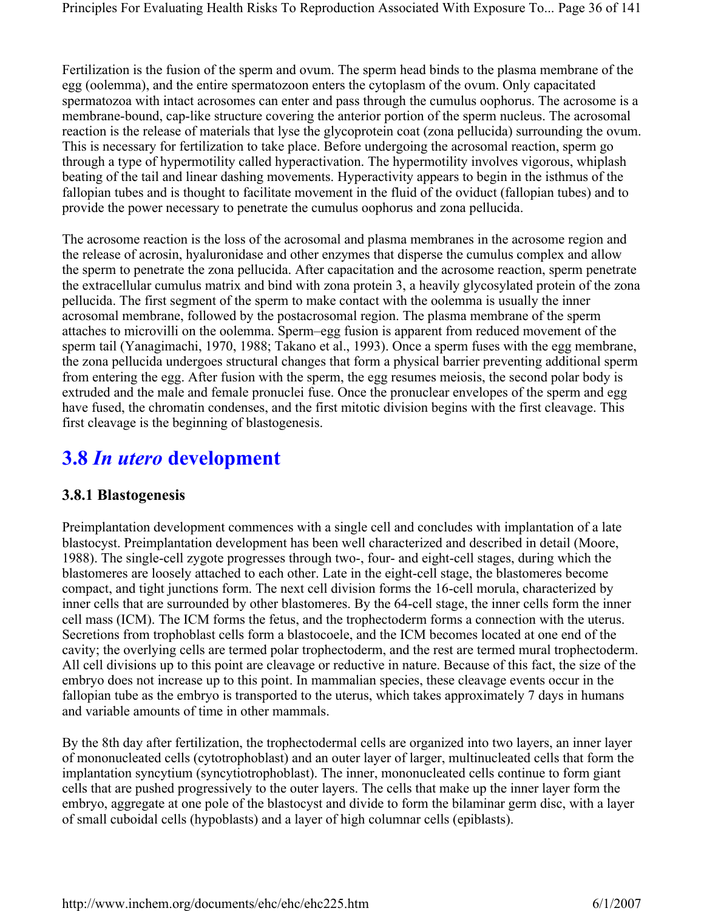Fertilization is the fusion of the sperm and ovum. The sperm head binds to the plasma membrane of the egg (oolemma), and the entire spermatozoon enters the cytoplasm of the ovum. Only capacitated spermatozoa with intact acrosomes can enter and pass through the cumulus oophorus. The acrosome is a membrane-bound, cap-like structure covering the anterior portion of the sperm nucleus. The acrosomal reaction is the release of materials that lyse the glycoprotein coat (zona pellucida) surrounding the ovum. This is necessary for fertilization to take place. Before undergoing the acrosomal reaction, sperm go through a type of hypermotility called hyperactivation. The hypermotility involves vigorous, whiplash beating of the tail and linear dashing movements. Hyperactivity appears to begin in the isthmus of the fallopian tubes and is thought to facilitate movement in the fluid of the oviduct (fallopian tubes) and to provide the power necessary to penetrate the cumulus oophorus and zona pellucida.

The acrosome reaction is the loss of the acrosomal and plasma membranes in the acrosome region and the release of acrosin, hyaluronidase and other enzymes that disperse the cumulus complex and allow the sperm to penetrate the zona pellucida. After capacitation and the acrosome reaction, sperm penetrate the extracellular cumulus matrix and bind with zona protein 3, a heavily glycosylated protein of the zona pellucida. The first segment of the sperm to make contact with the oolemma is usually the inner acrosomal membrane, followed by the postacrosomal region. The plasma membrane of the sperm attaches to microvilli on the oolemma. Sperm–egg fusion is apparent from reduced movement of the sperm tail (Yanagimachi, 1970, 1988; Takano et al., 1993). Once a sperm fuses with the egg membrane, the zona pellucida undergoes structural changes that form a physical barrier preventing additional sperm from entering the egg. After fusion with the sperm, the egg resumes meiosis, the second polar body is extruded and the male and female pronuclei fuse. Once the pronuclear envelopes of the sperm and egg have fused, the chromatin condenses, and the first mitotic division begins with the first cleavage. This first cleavage is the beginning of blastogenesis.

# **3.8** *In utero* **development**

## **3.8.1 Blastogenesis**

Preimplantation development commences with a single cell and concludes with implantation of a late blastocyst. Preimplantation development has been well characterized and described in detail (Moore, 1988). The single-cell zygote progresses through two-, four- and eight-cell stages, during which the blastomeres are loosely attached to each other. Late in the eight-cell stage, the blastomeres become compact, and tight junctions form. The next cell division forms the 16-cell morula, characterized by inner cells that are surrounded by other blastomeres. By the 64-cell stage, the inner cells form the inner cell mass (ICM). The ICM forms the fetus, and the trophectoderm forms a connection with the uterus. Secretions from trophoblast cells form a blastocoele, and the ICM becomes located at one end of the cavity; the overlying cells are termed polar trophectoderm, and the rest are termed mural trophectoderm. All cell divisions up to this point are cleavage or reductive in nature. Because of this fact, the size of the embryo does not increase up to this point. In mammalian species, these cleavage events occur in the fallopian tube as the embryo is transported to the uterus, which takes approximately 7 days in humans and variable amounts of time in other mammals.

By the 8th day after fertilization, the trophectodermal cells are organized into two layers, an inner layer of mononucleated cells (cytotrophoblast) and an outer layer of larger, multinucleated cells that form the implantation syncytium (syncytiotrophoblast). The inner, mononucleated cells continue to form giant cells that are pushed progressively to the outer layers. The cells that make up the inner layer form the embryo, aggregate at one pole of the blastocyst and divide to form the bilaminar germ disc, with a layer of small cuboidal cells (hypoblasts) and a layer of high columnar cells (epiblasts).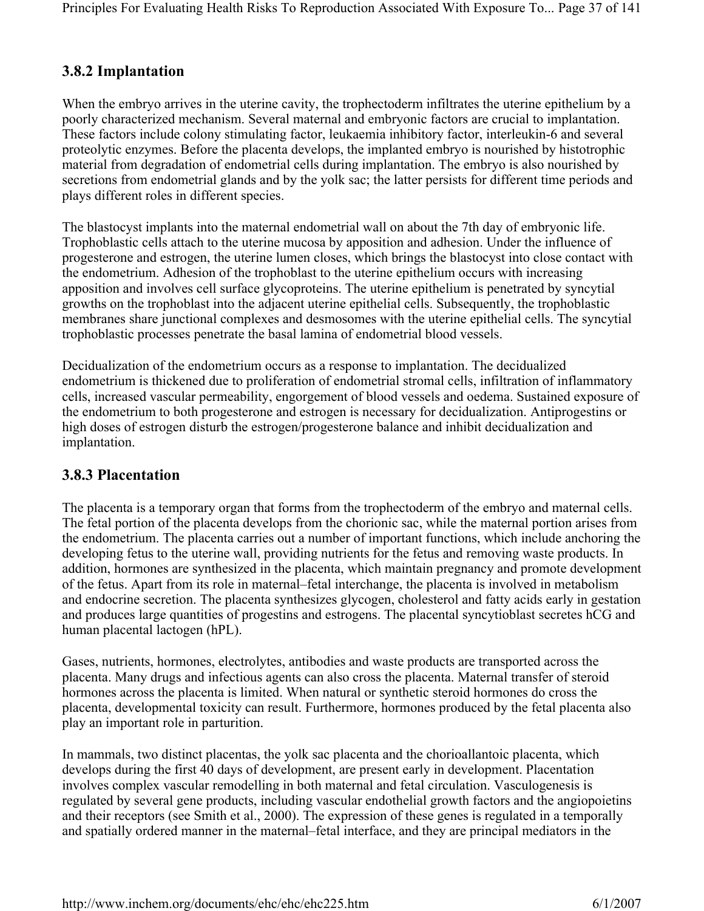## **3.8.2 Implantation**

When the embryo arrives in the uterine cavity, the trophectoderm infiltrates the uterine epithelium by a poorly characterized mechanism. Several maternal and embryonic factors are crucial to implantation. These factors include colony stimulating factor, leukaemia inhibitory factor, interleukin-6 and several proteolytic enzymes. Before the placenta develops, the implanted embryo is nourished by histotrophic material from degradation of endometrial cells during implantation. The embryo is also nourished by secretions from endometrial glands and by the yolk sac; the latter persists for different time periods and plays different roles in different species.

The blastocyst implants into the maternal endometrial wall on about the 7th day of embryonic life. Trophoblastic cells attach to the uterine mucosa by apposition and adhesion. Under the influence of progesterone and estrogen, the uterine lumen closes, which brings the blastocyst into close contact with the endometrium. Adhesion of the trophoblast to the uterine epithelium occurs with increasing apposition and involves cell surface glycoproteins. The uterine epithelium is penetrated by syncytial growths on the trophoblast into the adjacent uterine epithelial cells. Subsequently, the trophoblastic membranes share junctional complexes and desmosomes with the uterine epithelial cells. The syncytial trophoblastic processes penetrate the basal lamina of endometrial blood vessels.

Decidualization of the endometrium occurs as a response to implantation. The decidualized endometrium is thickened due to proliferation of endometrial stromal cells, infiltration of inflammatory cells, increased vascular permeability, engorgement of blood vessels and oedema. Sustained exposure of the endometrium to both progesterone and estrogen is necessary for decidualization. Antiprogestins or high doses of estrogen disturb the estrogen/progesterone balance and inhibit decidualization and implantation.

## **3.8.3 Placentation**

The placenta is a temporary organ that forms from the trophectoderm of the embryo and maternal cells. The fetal portion of the placenta develops from the chorionic sac, while the maternal portion arises from the endometrium. The placenta carries out a number of important functions, which include anchoring the developing fetus to the uterine wall, providing nutrients for the fetus and removing waste products. In addition, hormones are synthesized in the placenta, which maintain pregnancy and promote development of the fetus. Apart from its role in maternal–fetal interchange, the placenta is involved in metabolism and endocrine secretion. The placenta synthesizes glycogen, cholesterol and fatty acids early in gestation and produces large quantities of progestins and estrogens. The placental syncytioblast secretes hCG and human placental lactogen (hPL).

Gases, nutrients, hormones, electrolytes, antibodies and waste products are transported across the placenta. Many drugs and infectious agents can also cross the placenta. Maternal transfer of steroid hormones across the placenta is limited. When natural or synthetic steroid hormones do cross the placenta, developmental toxicity can result. Furthermore, hormones produced by the fetal placenta also play an important role in parturition.

In mammals, two distinct placentas, the yolk sac placenta and the chorioallantoic placenta, which develops during the first 40 days of development, are present early in development. Placentation involves complex vascular remodelling in both maternal and fetal circulation. Vasculogenesis is regulated by several gene products, including vascular endothelial growth factors and the angiopoietins and their receptors (see Smith et al., 2000). The expression of these genes is regulated in a temporally and spatially ordered manner in the maternal–fetal interface, and they are principal mediators in the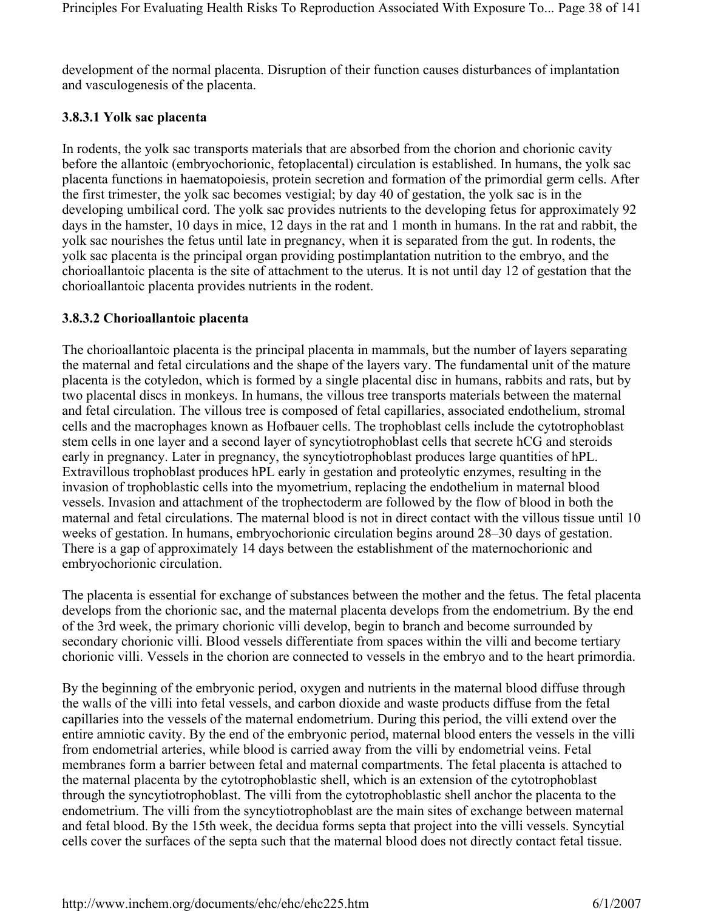development of the normal placenta. Disruption of their function causes disturbances of implantation and vasculogenesis of the placenta.

### **3.8.3.1 Yolk sac placenta**

In rodents, the yolk sac transports materials that are absorbed from the chorion and chorionic cavity before the allantoic (embryochorionic, fetoplacental) circulation is established. In humans, the yolk sac placenta functions in haematopoiesis, protein secretion and formation of the primordial germ cells. After the first trimester, the yolk sac becomes vestigial; by day 40 of gestation, the yolk sac is in the developing umbilical cord. The yolk sac provides nutrients to the developing fetus for approximately 92 days in the hamster, 10 days in mice, 12 days in the rat and 1 month in humans. In the rat and rabbit, the yolk sac nourishes the fetus until late in pregnancy, when it is separated from the gut. In rodents, the yolk sac placenta is the principal organ providing postimplantation nutrition to the embryo, and the chorioallantoic placenta is the site of attachment to the uterus. It is not until day 12 of gestation that the chorioallantoic placenta provides nutrients in the rodent.

### **3.8.3.2 Chorioallantoic placenta**

The chorioallantoic placenta is the principal placenta in mammals, but the number of layers separating the maternal and fetal circulations and the shape of the layers vary. The fundamental unit of the mature placenta is the cotyledon, which is formed by a single placental disc in humans, rabbits and rats, but by two placental discs in monkeys. In humans, the villous tree transports materials between the maternal and fetal circulation. The villous tree is composed of fetal capillaries, associated endothelium, stromal cells and the macrophages known as Hofbauer cells. The trophoblast cells include the cytotrophoblast stem cells in one layer and a second layer of syncytiotrophoblast cells that secrete hCG and steroids early in pregnancy. Later in pregnancy, the syncytiotrophoblast produces large quantities of hPL. Extravillous trophoblast produces hPL early in gestation and proteolytic enzymes, resulting in the invasion of trophoblastic cells into the myometrium, replacing the endothelium in maternal blood vessels. Invasion and attachment of the trophectoderm are followed by the flow of blood in both the maternal and fetal circulations. The maternal blood is not in direct contact with the villous tissue until 10 weeks of gestation. In humans, embryochorionic circulation begins around 28–30 days of gestation. There is a gap of approximately 14 days between the establishment of the maternochorionic and embryochorionic circulation.

The placenta is essential for exchange of substances between the mother and the fetus. The fetal placenta develops from the chorionic sac, and the maternal placenta develops from the endometrium. By the end of the 3rd week, the primary chorionic villi develop, begin to branch and become surrounded by secondary chorionic villi. Blood vessels differentiate from spaces within the villi and become tertiary chorionic villi. Vessels in the chorion are connected to vessels in the embryo and to the heart primordia.

By the beginning of the embryonic period, oxygen and nutrients in the maternal blood diffuse through the walls of the villi into fetal vessels, and carbon dioxide and waste products diffuse from the fetal capillaries into the vessels of the maternal endometrium. During this period, the villi extend over the entire amniotic cavity. By the end of the embryonic period, maternal blood enters the vessels in the villi from endometrial arteries, while blood is carried away from the villi by endometrial veins. Fetal membranes form a barrier between fetal and maternal compartments. The fetal placenta is attached to the maternal placenta by the cytotrophoblastic shell, which is an extension of the cytotrophoblast through the syncytiotrophoblast. The villi from the cytotrophoblastic shell anchor the placenta to the endometrium. The villi from the syncytiotrophoblast are the main sites of exchange between maternal and fetal blood. By the 15th week, the decidua forms septa that project into the villi vessels. Syncytial cells cover the surfaces of the septa such that the maternal blood does not directly contact fetal tissue.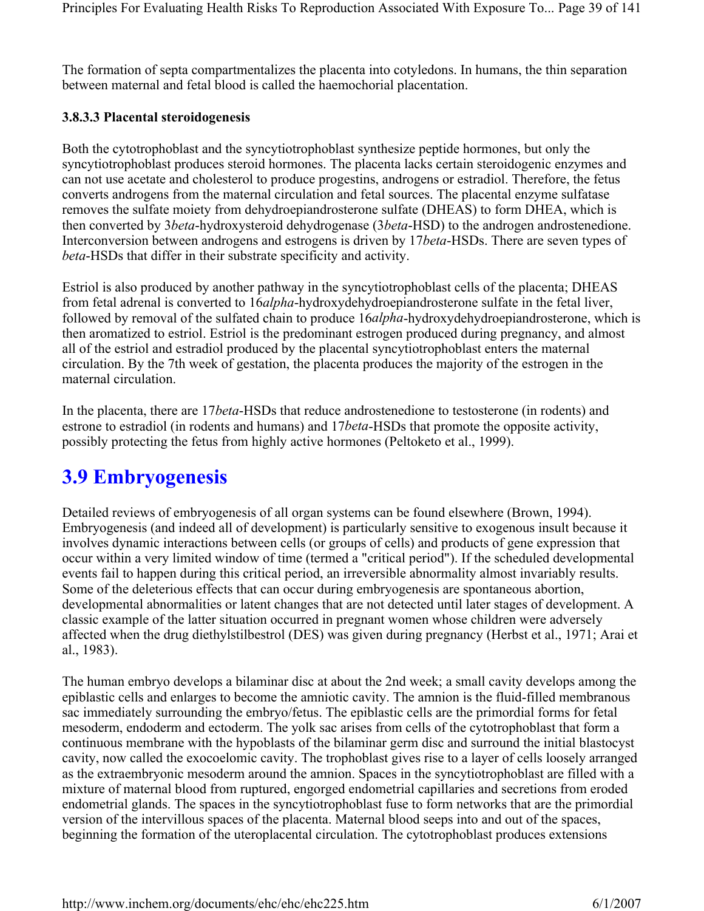The formation of septa compartmentalizes the placenta into cotyledons. In humans, the thin separation between maternal and fetal blood is called the haemochorial placentation.

### **3.8.3.3 Placental steroidogenesis**

Both the cytotrophoblast and the syncytiotrophoblast synthesize peptide hormones, but only the syncytiotrophoblast produces steroid hormones. The placenta lacks certain steroidogenic enzymes and can not use acetate and cholesterol to produce progestins, androgens or estradiol. Therefore, the fetus converts androgens from the maternal circulation and fetal sources. The placental enzyme sulfatase removes the sulfate moiety from dehydroepiandrosterone sulfate (DHEAS) to form DHEA, which is then converted by 3*beta*-hydroxysteroid dehydrogenase (3*beta*-HSD) to the androgen androstenedione. Interconversion between androgens and estrogens is driven by 17*beta*-HSDs. There are seven types of *beta*-HSDs that differ in their substrate specificity and activity.

Estriol is also produced by another pathway in the syncytiotrophoblast cells of the placenta; DHEAS from fetal adrenal is converted to 16*alpha*-hydroxydehydroepiandrosterone sulfate in the fetal liver, followed by removal of the sulfated chain to produce 16*alpha*-hydroxydehydroepiandrosterone, which is then aromatized to estriol. Estriol is the predominant estrogen produced during pregnancy, and almost all of the estriol and estradiol produced by the placental syncytiotrophoblast enters the maternal circulation. By the 7th week of gestation, the placenta produces the majority of the estrogen in the maternal circulation.

In the placenta, there are 17*beta*-HSDs that reduce androstenedione to testosterone (in rodents) and estrone to estradiol (in rodents and humans) and 17*beta*-HSDs that promote the opposite activity, possibly protecting the fetus from highly active hormones (Peltoketo et al., 1999).

## **3.9 Embryogenesis**

Detailed reviews of embryogenesis of all organ systems can be found elsewhere (Brown, 1994). Embryogenesis (and indeed all of development) is particularly sensitive to exogenous insult because it involves dynamic interactions between cells (or groups of cells) and products of gene expression that occur within a very limited window of time (termed a "critical period"). If the scheduled developmental events fail to happen during this critical period, an irreversible abnormality almost invariably results. Some of the deleterious effects that can occur during embryogenesis are spontaneous abortion, developmental abnormalities or latent changes that are not detected until later stages of development. A classic example of the latter situation occurred in pregnant women whose children were adversely affected when the drug diethylstilbestrol (DES) was given during pregnancy (Herbst et al., 1971; Arai et al., 1983).

The human embryo develops a bilaminar disc at about the 2nd week; a small cavity develops among the epiblastic cells and enlarges to become the amniotic cavity. The amnion is the fluid-filled membranous sac immediately surrounding the embryo/fetus. The epiblastic cells are the primordial forms for fetal mesoderm, endoderm and ectoderm. The yolk sac arises from cells of the cytotrophoblast that form a continuous membrane with the hypoblasts of the bilaminar germ disc and surround the initial blastocyst cavity, now called the exocoelomic cavity. The trophoblast gives rise to a layer of cells loosely arranged as the extraembryonic mesoderm around the amnion. Spaces in the syncytiotrophoblast are filled with a mixture of maternal blood from ruptured, engorged endometrial capillaries and secretions from eroded endometrial glands. The spaces in the syncytiotrophoblast fuse to form networks that are the primordial version of the intervillous spaces of the placenta. Maternal blood seeps into and out of the spaces, beginning the formation of the uteroplacental circulation. The cytotrophoblast produces extensions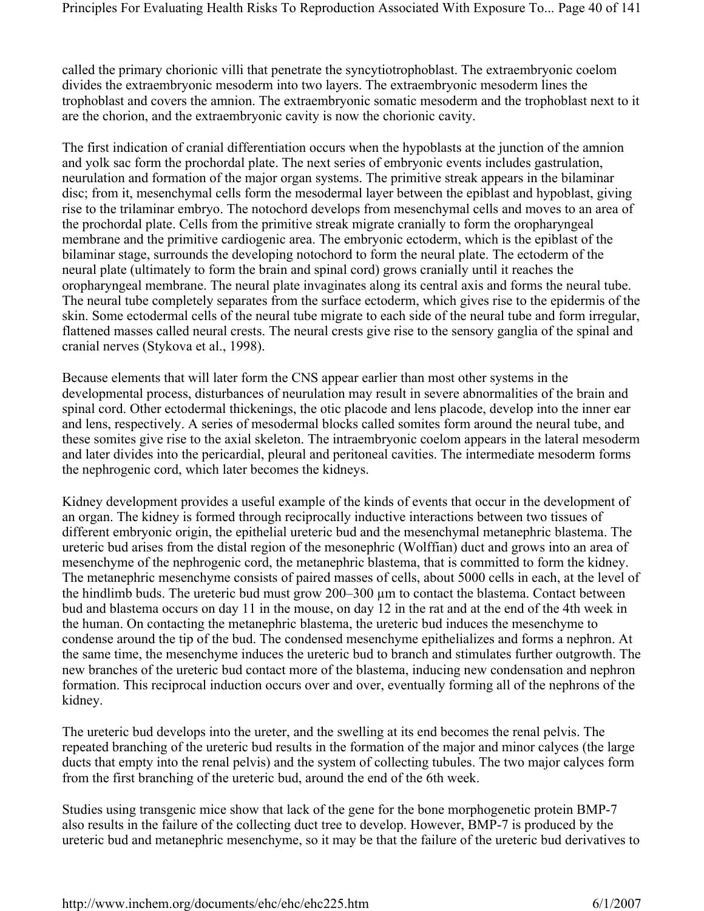called the primary chorionic villi that penetrate the syncytiotrophoblast. The extraembryonic coelom divides the extraembryonic mesoderm into two layers. The extraembryonic mesoderm lines the trophoblast and covers the amnion. The extraembryonic somatic mesoderm and the trophoblast next to it are the chorion, and the extraembryonic cavity is now the chorionic cavity.

The first indication of cranial differentiation occurs when the hypoblasts at the junction of the amnion and yolk sac form the prochordal plate. The next series of embryonic events includes gastrulation, neurulation and formation of the major organ systems. The primitive streak appears in the bilaminar disc; from it, mesenchymal cells form the mesodermal layer between the epiblast and hypoblast, giving rise to the trilaminar embryo. The notochord develops from mesenchymal cells and moves to an area of the prochordal plate. Cells from the primitive streak migrate cranially to form the oropharyngeal membrane and the primitive cardiogenic area. The embryonic ectoderm, which is the epiblast of the bilaminar stage, surrounds the developing notochord to form the neural plate. The ectoderm of the neural plate (ultimately to form the brain and spinal cord) grows cranially until it reaches the oropharyngeal membrane. The neural plate invaginates along its central axis and forms the neural tube. The neural tube completely separates from the surface ectoderm, which gives rise to the epidermis of the skin. Some ectodermal cells of the neural tube migrate to each side of the neural tube and form irregular, flattened masses called neural crests. The neural crests give rise to the sensory ganglia of the spinal and cranial nerves (Stykova et al., 1998).

Because elements that will later form the CNS appear earlier than most other systems in the developmental process, disturbances of neurulation may result in severe abnormalities of the brain and spinal cord. Other ectodermal thickenings, the otic placode and lens placode, develop into the inner ear and lens, respectively. A series of mesodermal blocks called somites form around the neural tube, and these somites give rise to the axial skeleton. The intraembryonic coelom appears in the lateral mesoderm and later divides into the pericardial, pleural and peritoneal cavities. The intermediate mesoderm forms the nephrogenic cord, which later becomes the kidneys.

Kidney development provides a useful example of the kinds of events that occur in the development of an organ. The kidney is formed through reciprocally inductive interactions between two tissues of different embryonic origin, the epithelial ureteric bud and the mesenchymal metanephric blastema. The ureteric bud arises from the distal region of the mesonephric (Wolffian) duct and grows into an area of mesenchyme of the nephrogenic cord, the metanephric blastema, that is committed to form the kidney. The metanephric mesenchyme consists of paired masses of cells, about 5000 cells in each, at the level of the hindlimb buds. The ureteric bud must grow 200–300 µm to contact the blastema. Contact between bud and blastema occurs on day 11 in the mouse, on day 12 in the rat and at the end of the 4th week in the human. On contacting the metanephric blastema, the ureteric bud induces the mesenchyme to condense around the tip of the bud. The condensed mesenchyme epithelializes and forms a nephron. At the same time, the mesenchyme induces the ureteric bud to branch and stimulates further outgrowth. The new branches of the ureteric bud contact more of the blastema, inducing new condensation and nephron formation. This reciprocal induction occurs over and over, eventually forming all of the nephrons of the kidney.

The ureteric bud develops into the ureter, and the swelling at its end becomes the renal pelvis. The repeated branching of the ureteric bud results in the formation of the major and minor calyces (the large ducts that empty into the renal pelvis) and the system of collecting tubules. The two major calyces form from the first branching of the ureteric bud, around the end of the 6th week.

Studies using transgenic mice show that lack of the gene for the bone morphogenetic protein BMP-7 also results in the failure of the collecting duct tree to develop. However, BMP-7 is produced by the ureteric bud and metanephric mesenchyme, so it may be that the failure of the ureteric bud derivatives to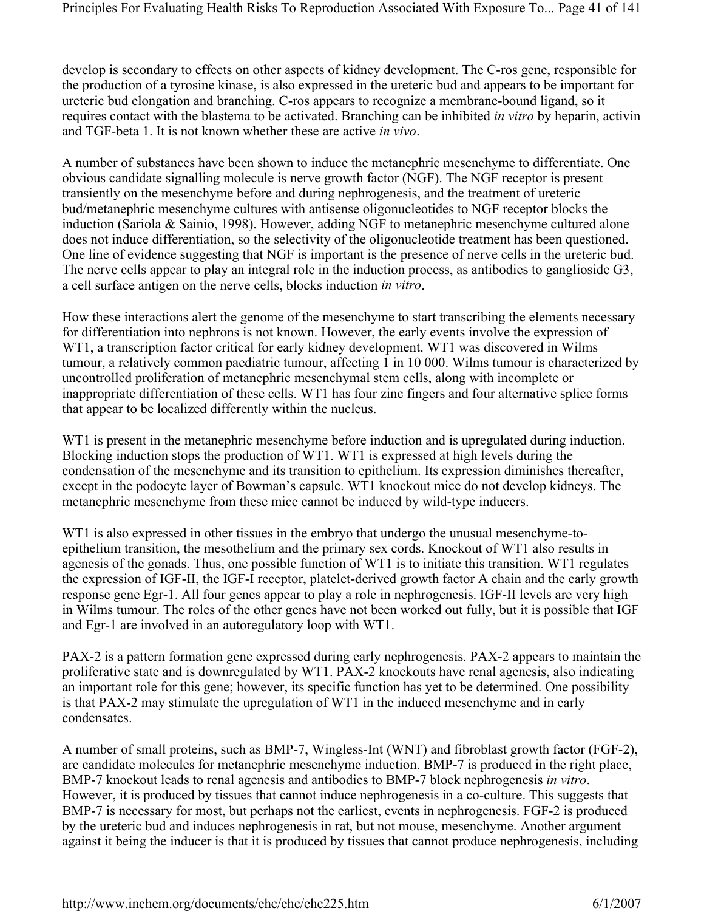develop is secondary to effects on other aspects of kidney development. The C-ros gene, responsible for the production of a tyrosine kinase, is also expressed in the ureteric bud and appears to be important for ureteric bud elongation and branching. C-ros appears to recognize a membrane-bound ligand, so it requires contact with the blastema to be activated. Branching can be inhibited *in vitro* by heparin, activin and TGF-beta 1. It is not known whether these are active *in vivo*.

A number of substances have been shown to induce the metanephric mesenchyme to differentiate. One obvious candidate signalling molecule is nerve growth factor (NGF). The NGF receptor is present transiently on the mesenchyme before and during nephrogenesis, and the treatment of ureteric bud/metanephric mesenchyme cultures with antisense oligonucleotides to NGF receptor blocks the induction (Sariola & Sainio, 1998). However, adding NGF to metanephric mesenchyme cultured alone does not induce differentiation, so the selectivity of the oligonucleotide treatment has been questioned. One line of evidence suggesting that NGF is important is the presence of nerve cells in the ureteric bud. The nerve cells appear to play an integral role in the induction process, as antibodies to ganglioside G3, a cell surface antigen on the nerve cells, blocks induction *in vitro*.

How these interactions alert the genome of the mesenchyme to start transcribing the elements necessary for differentiation into nephrons is not known. However, the early events involve the expression of WT1, a transcription factor critical for early kidney development. WT1 was discovered in Wilms tumour, a relatively common paediatric tumour, affecting 1 in 10 000. Wilms tumour is characterized by uncontrolled proliferation of metanephric mesenchymal stem cells, along with incomplete or inappropriate differentiation of these cells. WT1 has four zinc fingers and four alternative splice forms that appear to be localized differently within the nucleus.

WT1 is present in the metanephric mesenchyme before induction and is upregulated during induction. Blocking induction stops the production of WT1. WT1 is expressed at high levels during the condensation of the mesenchyme and its transition to epithelium. Its expression diminishes thereafter, except in the podocyte layer of Bowman's capsule. WT1 knockout mice do not develop kidneys. The metanephric mesenchyme from these mice cannot be induced by wild-type inducers.

WT1 is also expressed in other tissues in the embryo that undergo the unusual mesenchyme-toepithelium transition, the mesothelium and the primary sex cords. Knockout of WT1 also results in agenesis of the gonads. Thus, one possible function of WT1 is to initiate this transition. WT1 regulates the expression of IGF-II, the IGF-I receptor, platelet-derived growth factor A chain and the early growth response gene Egr-1. All four genes appear to play a role in nephrogenesis. IGF-II levels are very high in Wilms tumour. The roles of the other genes have not been worked out fully, but it is possible that IGF and Egr-1 are involved in an autoregulatory loop with WT1.

PAX-2 is a pattern formation gene expressed during early nephrogenesis. PAX-2 appears to maintain the proliferative state and is downregulated by WT1. PAX-2 knockouts have renal agenesis, also indicating an important role for this gene; however, its specific function has yet to be determined. One possibility is that PAX-2 may stimulate the upregulation of WT1 in the induced mesenchyme and in early condensates.

A number of small proteins, such as BMP-7, Wingless-Int (WNT) and fibroblast growth factor (FGF-2), are candidate molecules for metanephric mesenchyme induction. BMP-7 is produced in the right place, BMP-7 knockout leads to renal agenesis and antibodies to BMP-7 block nephrogenesis *in vitro*. However, it is produced by tissues that cannot induce nephrogenesis in a co-culture. This suggests that BMP-7 is necessary for most, but perhaps not the earliest, events in nephrogenesis. FGF-2 is produced by the ureteric bud and induces nephrogenesis in rat, but not mouse, mesenchyme. Another argument against it being the inducer is that it is produced by tissues that cannot produce nephrogenesis, including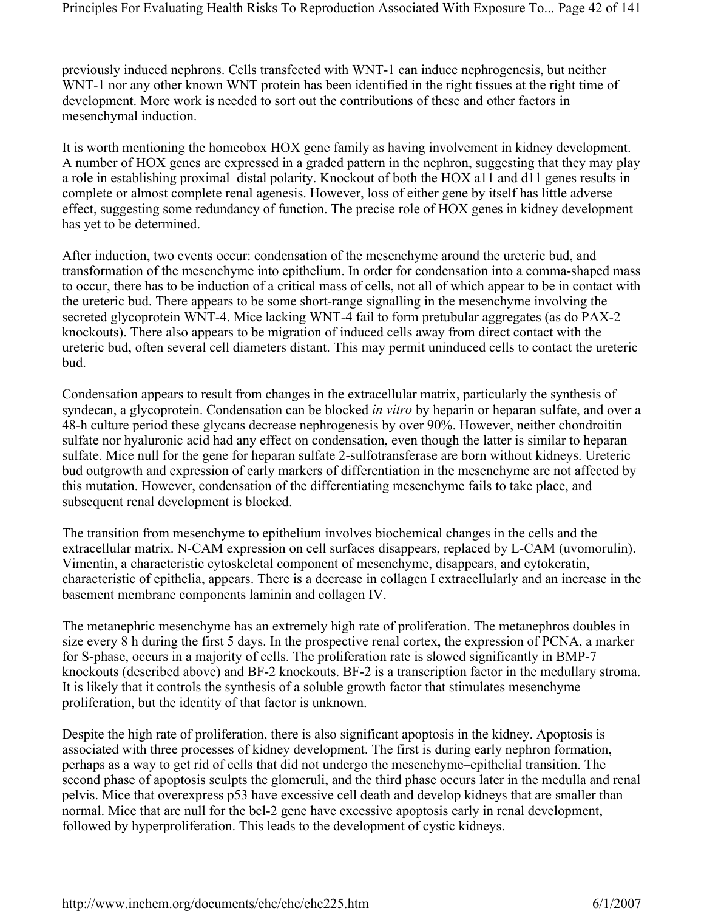previously induced nephrons. Cells transfected with WNT-1 can induce nephrogenesis, but neither WNT-1 nor any other known WNT protein has been identified in the right tissues at the right time of development. More work is needed to sort out the contributions of these and other factors in mesenchymal induction.

It is worth mentioning the homeobox HOX gene family as having involvement in kidney development. A number of HOX genes are expressed in a graded pattern in the nephron, suggesting that they may play a role in establishing proximal–distal polarity. Knockout of both the HOX a11 and d11 genes results in complete or almost complete renal agenesis. However, loss of either gene by itself has little adverse effect, suggesting some redundancy of function. The precise role of HOX genes in kidney development has yet to be determined.

After induction, two events occur: condensation of the mesenchyme around the ureteric bud, and transformation of the mesenchyme into epithelium. In order for condensation into a comma-shaped mass to occur, there has to be induction of a critical mass of cells, not all of which appear to be in contact with the ureteric bud. There appears to be some short-range signalling in the mesenchyme involving the secreted glycoprotein WNT-4. Mice lacking WNT-4 fail to form pretubular aggregates (as do PAX-2 knockouts). There also appears to be migration of induced cells away from direct contact with the ureteric bud, often several cell diameters distant. This may permit uninduced cells to contact the ureteric bud.

Condensation appears to result from changes in the extracellular matrix, particularly the synthesis of syndecan, a glycoprotein. Condensation can be blocked *in vitro* by heparin or heparan sulfate, and over a 48-h culture period these glycans decrease nephrogenesis by over 90%. However, neither chondroitin sulfate nor hyaluronic acid had any effect on condensation, even though the latter is similar to heparan sulfate. Mice null for the gene for heparan sulfate 2-sulfotransferase are born without kidneys. Ureteric bud outgrowth and expression of early markers of differentiation in the mesenchyme are not affected by this mutation. However, condensation of the differentiating mesenchyme fails to take place, and subsequent renal development is blocked.

The transition from mesenchyme to epithelium involves biochemical changes in the cells and the extracellular matrix. N-CAM expression on cell surfaces disappears, replaced by L-CAM (uvomorulin). Vimentin, a characteristic cytoskeletal component of mesenchyme, disappears, and cytokeratin, characteristic of epithelia, appears. There is a decrease in collagen I extracellularly and an increase in the basement membrane components laminin and collagen IV.

The metanephric mesenchyme has an extremely high rate of proliferation. The metanephros doubles in size every 8 h during the first 5 days. In the prospective renal cortex, the expression of PCNA, a marker for S-phase, occurs in a majority of cells. The proliferation rate is slowed significantly in BMP-7 knockouts (described above) and BF-2 knockouts. BF-2 is a transcription factor in the medullary stroma. It is likely that it controls the synthesis of a soluble growth factor that stimulates mesenchyme proliferation, but the identity of that factor is unknown.

Despite the high rate of proliferation, there is also significant apoptosis in the kidney. Apoptosis is associated with three processes of kidney development. The first is during early nephron formation, perhaps as a way to get rid of cells that did not undergo the mesenchyme–epithelial transition. The second phase of apoptosis sculpts the glomeruli, and the third phase occurs later in the medulla and renal pelvis. Mice that overexpress p53 have excessive cell death and develop kidneys that are smaller than normal. Mice that are null for the bcl-2 gene have excessive apoptosis early in renal development, followed by hyperproliferation. This leads to the development of cystic kidneys.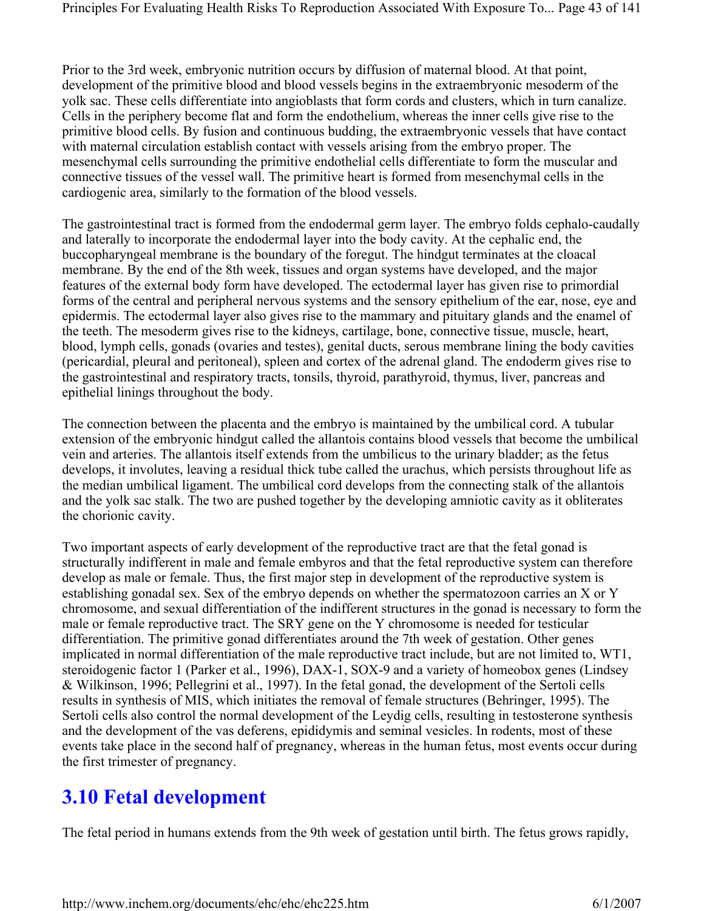Prior to the 3rd week, embryonic nutrition occurs by diffusion of maternal blood. At that point, development of the primitive blood and blood vessels begins in the extraembryonic mesoderm of the yolk sac. These cells differentiate into angioblasts that form cords and clusters, which in turn canalize. Cells in the periphery become flat and form the endothelium, whereas the inner cells give rise to the primitive blood cells. By fusion and continuous budding, the extraembryonic vessels that have contact with maternal circulation establish contact with vessels arising from the embryo proper. The mesenchymal cells surrounding the primitive endothelial cells differentiate to form the muscular and connective tissues of the vessel wall. The primitive heart is formed from mesenchymal cells in the cardiogenic area, similarly to the formation of the blood vessels.

The gastrointestinal tract is formed from the endodermal germ layer. The embryo folds cephalo-caudally and laterally to incorporate the endodermal layer into the body cavity. At the cephalic end, the buccopharyngeal membrane is the boundary of the foregut. The hindgut terminates at the cloacal membrane. By the end of the 8th week, tissues and organ systems have developed, and the major features of the external body form have developed. The ectodermal layer has given rise to primordial forms of the central and peripheral nervous systems and the sensory epithelium of the ear, nose, eye and epidermis. The ectodermal layer also gives rise to the mammary and pituitary glands and the enamel of the teeth. The mesoderm gives rise to the kidneys, cartilage, bone, connective tissue, muscle, heart, blood, lymph cells, gonads (ovaries and testes), genital ducts, serous membrane lining the body cavities (pericardial, pleural and peritoneal), spleen and cortex of the adrenal gland. The endoderm gives rise to the gastrointestinal and respiratory tracts, tonsils, thyroid, parathyroid, thymus, liver, pancreas and epithelial linings throughout the body.

The connection between the placenta and the embryo is maintained by the umbilical cord. A tubular extension of the embryonic hindgut called the allantois contains blood vessels that become the umbilical vein and arteries. The allantois itself extends from the umbilicus to the urinary bladder; as the fetus develops, it involutes, leaving a residual thick tube called the urachus, which persists throughout life as the median umbilical ligament. The umbilical cord develops from the connecting stalk of the allantois and the yolk sac stalk. The two are pushed together by the developing amniotic cavity as it obliterates the chorionic cavity.

Two important aspects of early development of the reproductive tract are that the fetal gonad is structurally indifferent in male and female embyros and that the fetal reproductive system can therefore develop as male or female. Thus, the first major step in development of the reproductive system is establishing gonadal sex. Sex of the embryo depends on whether the spermatozoon carries an X or Y chromosome, and sexual differentiation of the indifferent structures in the gonad is necessary to form the male or female reproductive tract. The SRY gene on the Y chromosome is needed for testicular differentiation. The primitive gonad differentiates around the 7th week of gestation. Other genes implicated in normal differentiation of the male reproductive tract include, but are not limited to, WT1, steroidogenic factor 1 (Parker et al., 1996), DAX-1, SOX-9 and a variety of homeobox genes (Lindsey & Wilkinson, 1996; Pellegrini et al., 1997). In the fetal gonad, the development of the Sertoli cells results in synthesis of MIS, which initiates the removal of female structures (Behringer, 1995). The Sertoli cells also control the normal development of the Leydig cells, resulting in testosterone synthesis and the development of the vas deferens, epididymis and seminal vesicles. In rodents, most of these events take place in the second half of pregnancy, whereas in the human fetus, most events occur during the first trimester of pregnancy.

# **3.10 Fetal development**

The fetal period in humans extends from the 9th week of gestation until birth. The fetus grows rapidly,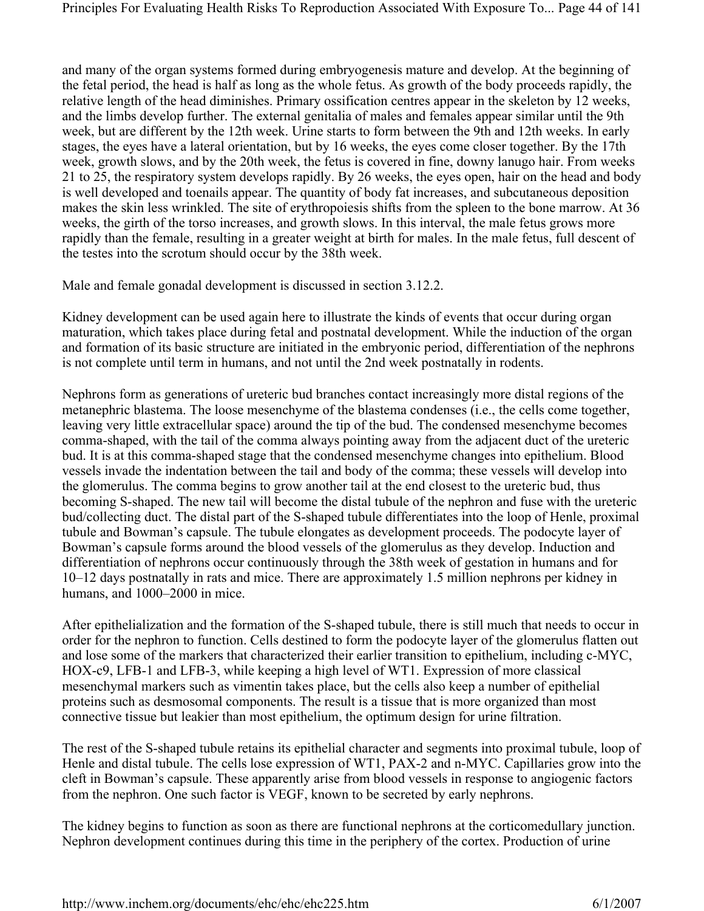and many of the organ systems formed during embryogenesis mature and develop. At the beginning of the fetal period, the head is half as long as the whole fetus. As growth of the body proceeds rapidly, the relative length of the head diminishes. Primary ossification centres appear in the skeleton by 12 weeks, and the limbs develop further. The external genitalia of males and females appear similar until the 9th week, but are different by the 12th week. Urine starts to form between the 9th and 12th weeks. In early stages, the eyes have a lateral orientation, but by 16 weeks, the eyes come closer together. By the 17th week, growth slows, and by the 20th week, the fetus is covered in fine, downy lanugo hair. From weeks 21 to 25, the respiratory system develops rapidly. By 26 weeks, the eyes open, hair on the head and body is well developed and toenails appear. The quantity of body fat increases, and subcutaneous deposition makes the skin less wrinkled. The site of erythropoiesis shifts from the spleen to the bone marrow. At 36 weeks, the girth of the torso increases, and growth slows. In this interval, the male fetus grows more rapidly than the female, resulting in a greater weight at birth for males. In the male fetus, full descent of the testes into the scrotum should occur by the 38th week.

Male and female gonadal development is discussed in section 3.12.2.

Kidney development can be used again here to illustrate the kinds of events that occur during organ maturation, which takes place during fetal and postnatal development. While the induction of the organ and formation of its basic structure are initiated in the embryonic period, differentiation of the nephrons is not complete until term in humans, and not until the 2nd week postnatally in rodents.

Nephrons form as generations of ureteric bud branches contact increasingly more distal regions of the metanephric blastema. The loose mesenchyme of the blastema condenses (i.e., the cells come together, leaving very little extracellular space) around the tip of the bud. The condensed mesenchyme becomes comma-shaped, with the tail of the comma always pointing away from the adjacent duct of the ureteric bud. It is at this comma-shaped stage that the condensed mesenchyme changes into epithelium. Blood vessels invade the indentation between the tail and body of the comma; these vessels will develop into the glomerulus. The comma begins to grow another tail at the end closest to the ureteric bud, thus becoming S-shaped. The new tail will become the distal tubule of the nephron and fuse with the ureteric bud/collecting duct. The distal part of the S-shaped tubule differentiates into the loop of Henle, proximal tubule and Bowman's capsule. The tubule elongates as development proceeds. The podocyte layer of Bowman's capsule forms around the blood vessels of the glomerulus as they develop. Induction and differentiation of nephrons occur continuously through the 38th week of gestation in humans and for 10–12 days postnatally in rats and mice. There are approximately 1.5 million nephrons per kidney in humans, and  $1000-2000$  in mice.

After epithelialization and the formation of the S-shaped tubule, there is still much that needs to occur in order for the nephron to function. Cells destined to form the podocyte layer of the glomerulus flatten out and lose some of the markers that characterized their earlier transition to epithelium, including c-MYC, HOX-c9, LFB-1 and LFB-3, while keeping a high level of WT1. Expression of more classical mesenchymal markers such as vimentin takes place, but the cells also keep a number of epithelial proteins such as desmosomal components. The result is a tissue that is more organized than most connective tissue but leakier than most epithelium, the optimum design for urine filtration.

The rest of the S-shaped tubule retains its epithelial character and segments into proximal tubule, loop of Henle and distal tubule. The cells lose expression of WT1, PAX-2 and n-MYC. Capillaries grow into the cleft in Bowman's capsule. These apparently arise from blood vessels in response to angiogenic factors from the nephron. One such factor is VEGF, known to be secreted by early nephrons.

The kidney begins to function as soon as there are functional nephrons at the corticomedullary junction. Nephron development continues during this time in the periphery of the cortex. Production of urine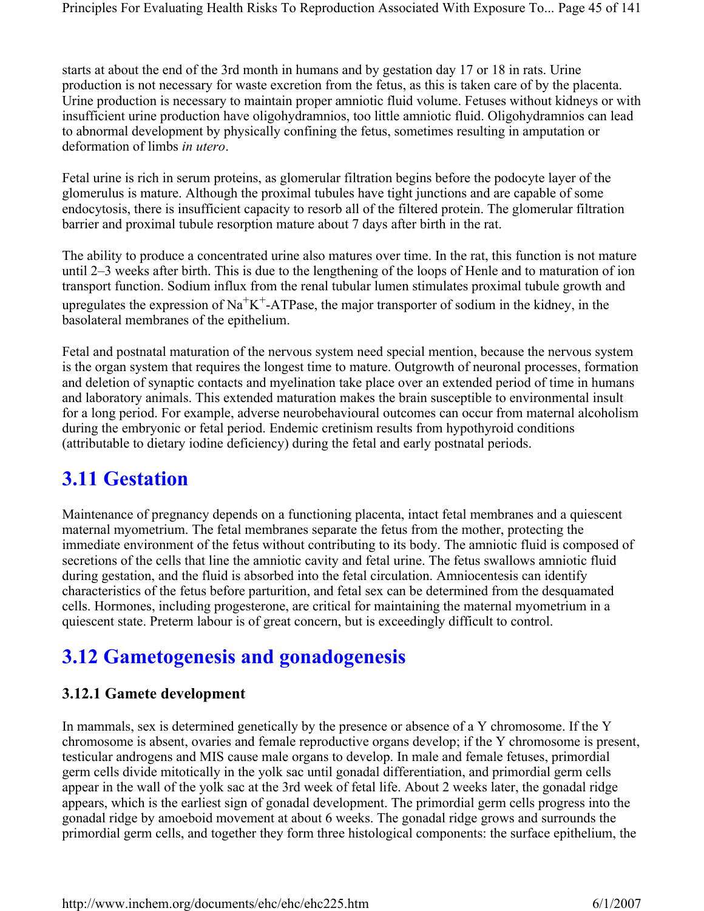starts at about the end of the 3rd month in humans and by gestation day 17 or 18 in rats. Urine production is not necessary for waste excretion from the fetus, as this is taken care of by the placenta. Urine production is necessary to maintain proper amniotic fluid volume. Fetuses without kidneys or with insufficient urine production have oligohydramnios, too little amniotic fluid. Oligohydramnios can lead to abnormal development by physically confining the fetus, sometimes resulting in amputation or deformation of limbs *in utero*.

Fetal urine is rich in serum proteins, as glomerular filtration begins before the podocyte layer of the glomerulus is mature. Although the proximal tubules have tight junctions and are capable of some endocytosis, there is insufficient capacity to resorb all of the filtered protein. The glomerular filtration barrier and proximal tubule resorption mature about 7 days after birth in the rat.

The ability to produce a concentrated urine also matures over time. In the rat, this function is not mature until 2–3 weeks after birth. This is due to the lengthening of the loops of Henle and to maturation of ion transport function. Sodium influx from the renal tubular lumen stimulates proximal tubule growth and upregulates the expression of  $Na<sup>+</sup>K<sup>+</sup>-ATPase$ , the major transporter of sodium in the kidney, in the basolateral membranes of the epithelium.

Fetal and postnatal maturation of the nervous system need special mention, because the nervous system is the organ system that requires the longest time to mature. Outgrowth of neuronal processes, formation and deletion of synaptic contacts and myelination take place over an extended period of time in humans and laboratory animals. This extended maturation makes the brain susceptible to environmental insult for a long period. For example, adverse neurobehavioural outcomes can occur from maternal alcoholism during the embryonic or fetal period. Endemic cretinism results from hypothyroid conditions (attributable to dietary iodine deficiency) during the fetal and early postnatal periods.

# **3.11 Gestation**

Maintenance of pregnancy depends on a functioning placenta, intact fetal membranes and a quiescent maternal myometrium. The fetal membranes separate the fetus from the mother, protecting the immediate environment of the fetus without contributing to its body. The amniotic fluid is composed of secretions of the cells that line the amniotic cavity and fetal urine. The fetus swallows amniotic fluid during gestation, and the fluid is absorbed into the fetal circulation. Amniocentesis can identify characteristics of the fetus before parturition, and fetal sex can be determined from the desquamated cells. Hormones, including progesterone, are critical for maintaining the maternal myometrium in a quiescent state. Preterm labour is of great concern, but is exceedingly difficult to control.

# **3.12 Gametogenesis and gonadogenesis**

## **3.12.1 Gamete development**

In mammals, sex is determined genetically by the presence or absence of a Y chromosome. If the Y chromosome is absent, ovaries and female reproductive organs develop; if the Y chromosome is present, testicular androgens and MIS cause male organs to develop. In male and female fetuses, primordial germ cells divide mitotically in the yolk sac until gonadal differentiation, and primordial germ cells appear in the wall of the yolk sac at the 3rd week of fetal life. About 2 weeks later, the gonadal ridge appears, which is the earliest sign of gonadal development. The primordial germ cells progress into the gonadal ridge by amoeboid movement at about 6 weeks. The gonadal ridge grows and surrounds the primordial germ cells, and together they form three histological components: the surface epithelium, the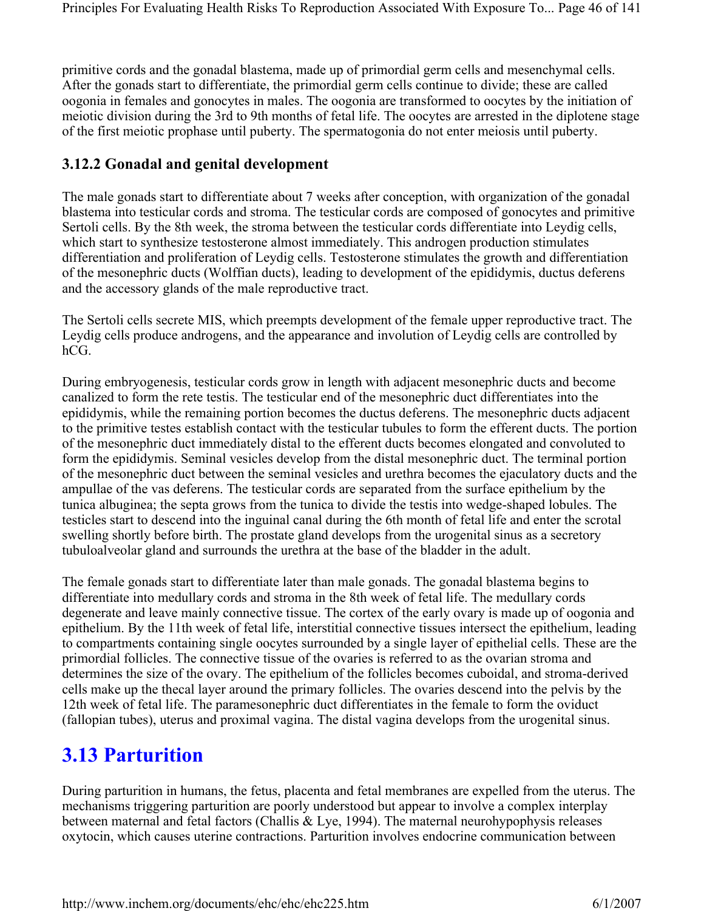primitive cords and the gonadal blastema, made up of primordial germ cells and mesenchymal cells. After the gonads start to differentiate, the primordial germ cells continue to divide; these are called oogonia in females and gonocytes in males. The oogonia are transformed to oocytes by the initiation of meiotic division during the 3rd to 9th months of fetal life. The oocytes are arrested in the diplotene stage of the first meiotic prophase until puberty. The spermatogonia do not enter meiosis until puberty.

### **3.12.2 Gonadal and genital development**

The male gonads start to differentiate about 7 weeks after conception, with organization of the gonadal blastema into testicular cords and stroma. The testicular cords are composed of gonocytes and primitive Sertoli cells. By the 8th week, the stroma between the testicular cords differentiate into Leydig cells, which start to synthesize testosterone almost immediately. This androgen production stimulates differentiation and proliferation of Leydig cells. Testosterone stimulates the growth and differentiation of the mesonephric ducts (Wolffian ducts), leading to development of the epididymis, ductus deferens and the accessory glands of the male reproductive tract.

The Sertoli cells secrete MIS, which preempts development of the female upper reproductive tract. The Leydig cells produce androgens, and the appearance and involution of Leydig cells are controlled by hCG.

During embryogenesis, testicular cords grow in length with adjacent mesonephric ducts and become canalized to form the rete testis. The testicular end of the mesonephric duct differentiates into the epididymis, while the remaining portion becomes the ductus deferens. The mesonephric ducts adjacent to the primitive testes establish contact with the testicular tubules to form the efferent ducts. The portion of the mesonephric duct immediately distal to the efferent ducts becomes elongated and convoluted to form the epididymis. Seminal vesicles develop from the distal mesonephric duct. The terminal portion of the mesonephric duct between the seminal vesicles and urethra becomes the ejaculatory ducts and the ampullae of the vas deferens. The testicular cords are separated from the surface epithelium by the tunica albuginea; the septa grows from the tunica to divide the testis into wedge-shaped lobules. The testicles start to descend into the inguinal canal during the 6th month of fetal life and enter the scrotal swelling shortly before birth. The prostate gland develops from the urogenital sinus as a secretory tubuloalveolar gland and surrounds the urethra at the base of the bladder in the adult.

The female gonads start to differentiate later than male gonads. The gonadal blastema begins to differentiate into medullary cords and stroma in the 8th week of fetal life. The medullary cords degenerate and leave mainly connective tissue. The cortex of the early ovary is made up of oogonia and epithelium. By the 11th week of fetal life, interstitial connective tissues intersect the epithelium, leading to compartments containing single oocytes surrounded by a single layer of epithelial cells. These are the primordial follicles. The connective tissue of the ovaries is referred to as the ovarian stroma and determines the size of the ovary. The epithelium of the follicles becomes cuboidal, and stroma-derived cells make up the thecal layer around the primary follicles. The ovaries descend into the pelvis by the 12th week of fetal life. The paramesonephric duct differentiates in the female to form the oviduct (fallopian tubes), uterus and proximal vagina. The distal vagina develops from the urogenital sinus.

## **3.13 Parturition**

During parturition in humans, the fetus, placenta and fetal membranes are expelled from the uterus. The mechanisms triggering parturition are poorly understood but appear to involve a complex interplay between maternal and fetal factors (Challis & Lye, 1994). The maternal neurohypophysis releases oxytocin, which causes uterine contractions. Parturition involves endocrine communication between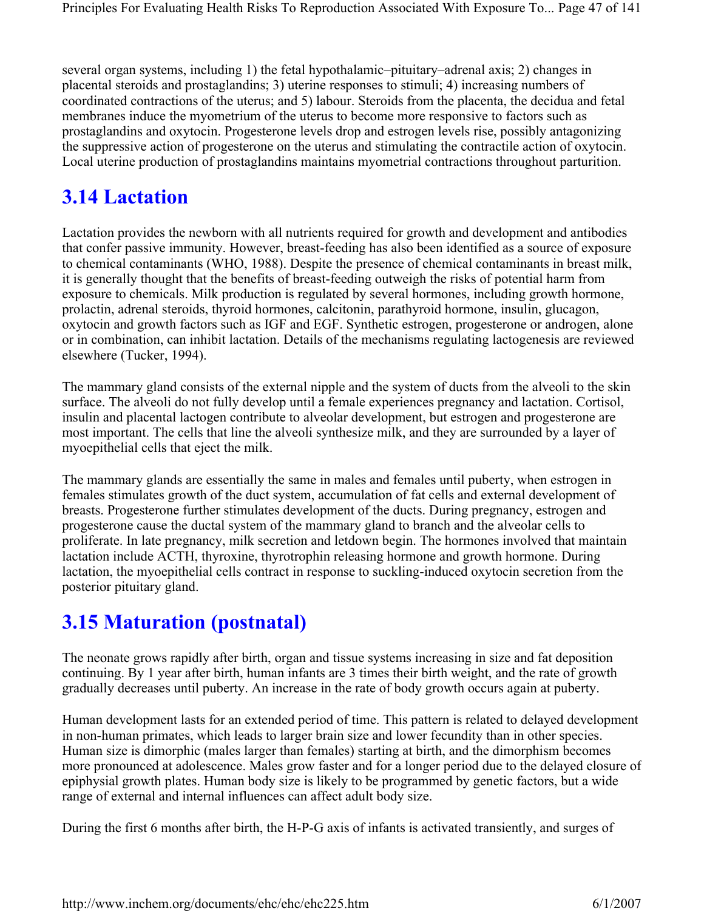several organ systems, including 1) the fetal hypothalamic–pituitary–adrenal axis; 2) changes in placental steroids and prostaglandins; 3) uterine responses to stimuli; 4) increasing numbers of coordinated contractions of the uterus; and 5) labour. Steroids from the placenta, the decidua and fetal membranes induce the myometrium of the uterus to become more responsive to factors such as prostaglandins and oxytocin. Progesterone levels drop and estrogen levels rise, possibly antagonizing the suppressive action of progesterone on the uterus and stimulating the contractile action of oxytocin. Local uterine production of prostaglandins maintains myometrial contractions throughout parturition.

# **3.14 Lactation**

Lactation provides the newborn with all nutrients required for growth and development and antibodies that confer passive immunity. However, breast-feeding has also been identified as a source of exposure to chemical contaminants (WHO, 1988). Despite the presence of chemical contaminants in breast milk, it is generally thought that the benefits of breast-feeding outweigh the risks of potential harm from exposure to chemicals. Milk production is regulated by several hormones, including growth hormone, prolactin, adrenal steroids, thyroid hormones, calcitonin, parathyroid hormone, insulin, glucagon, oxytocin and growth factors such as IGF and EGF. Synthetic estrogen, progesterone or androgen, alone or in combination, can inhibit lactation. Details of the mechanisms regulating lactogenesis are reviewed elsewhere (Tucker, 1994).

The mammary gland consists of the external nipple and the system of ducts from the alveoli to the skin surface. The alveoli do not fully develop until a female experiences pregnancy and lactation. Cortisol, insulin and placental lactogen contribute to alveolar development, but estrogen and progesterone are most important. The cells that line the alveoli synthesize milk, and they are surrounded by a layer of myoepithelial cells that eject the milk.

The mammary glands are essentially the same in males and females until puberty, when estrogen in females stimulates growth of the duct system, accumulation of fat cells and external development of breasts. Progesterone further stimulates development of the ducts. During pregnancy, estrogen and progesterone cause the ductal system of the mammary gland to branch and the alveolar cells to proliferate. In late pregnancy, milk secretion and letdown begin. The hormones involved that maintain lactation include ACTH, thyroxine, thyrotrophin releasing hormone and growth hormone. During lactation, the myoepithelial cells contract in response to suckling-induced oxytocin secretion from the posterior pituitary gland.

# **3.15 Maturation (postnatal)**

The neonate grows rapidly after birth, organ and tissue systems increasing in size and fat deposition continuing. By 1 year after birth, human infants are 3 times their birth weight, and the rate of growth gradually decreases until puberty. An increase in the rate of body growth occurs again at puberty.

Human development lasts for an extended period of time. This pattern is related to delayed development in non-human primates, which leads to larger brain size and lower fecundity than in other species. Human size is dimorphic (males larger than females) starting at birth, and the dimorphism becomes more pronounced at adolescence. Males grow faster and for a longer period due to the delayed closure of epiphysial growth plates. Human body size is likely to be programmed by genetic factors, but a wide range of external and internal influences can affect adult body size.

During the first 6 months after birth, the H-P-G axis of infants is activated transiently, and surges of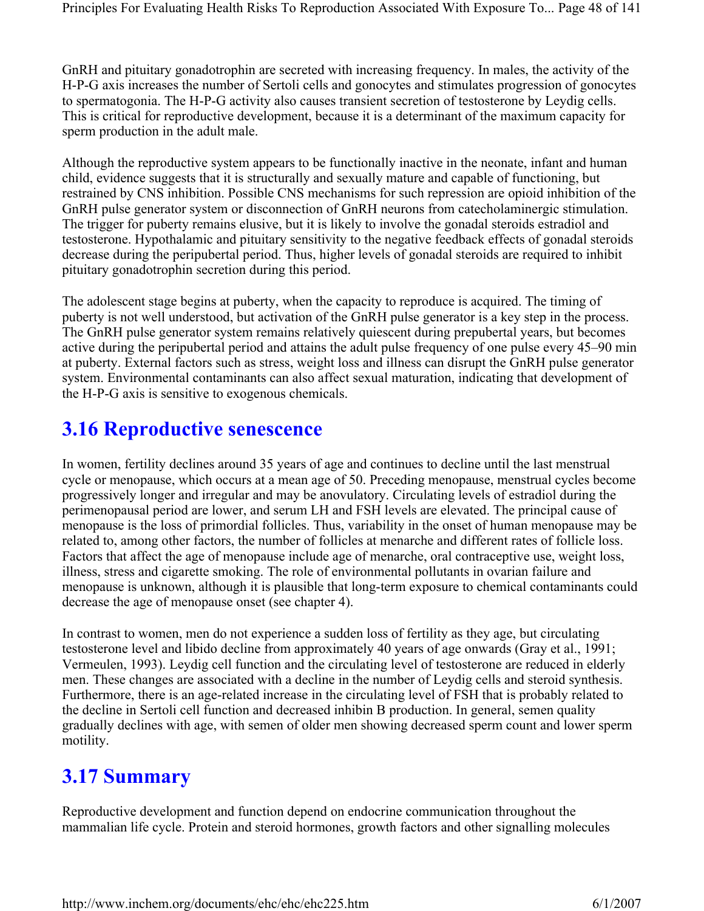GnRH and pituitary gonadotrophin are secreted with increasing frequency. In males, the activity of the H-P-G axis increases the number of Sertoli cells and gonocytes and stimulates progression of gonocytes to spermatogonia. The H-P-G activity also causes transient secretion of testosterone by Leydig cells. This is critical for reproductive development, because it is a determinant of the maximum capacity for sperm production in the adult male.

Although the reproductive system appears to be functionally inactive in the neonate, infant and human child, evidence suggests that it is structurally and sexually mature and capable of functioning, but restrained by CNS inhibition. Possible CNS mechanisms for such repression are opioid inhibition of the GnRH pulse generator system or disconnection of GnRH neurons from catecholaminergic stimulation. The trigger for puberty remains elusive, but it is likely to involve the gonadal steroids estradiol and testosterone. Hypothalamic and pituitary sensitivity to the negative feedback effects of gonadal steroids decrease during the peripubertal period. Thus, higher levels of gonadal steroids are required to inhibit pituitary gonadotrophin secretion during this period.

The adolescent stage begins at puberty, when the capacity to reproduce is acquired. The timing of puberty is not well understood, but activation of the GnRH pulse generator is a key step in the process. The GnRH pulse generator system remains relatively quiescent during prepubertal years, but becomes active during the peripubertal period and attains the adult pulse frequency of one pulse every 45–90 min at puberty. External factors such as stress, weight loss and illness can disrupt the GnRH pulse generator system. Environmental contaminants can also affect sexual maturation, indicating that development of the H-P-G axis is sensitive to exogenous chemicals.

## **3.16 Reproductive senescence**

In women, fertility declines around 35 years of age and continues to decline until the last menstrual cycle or menopause, which occurs at a mean age of 50. Preceding menopause, menstrual cycles become progressively longer and irregular and may be anovulatory. Circulating levels of estradiol during the perimenopausal period are lower, and serum LH and FSH levels are elevated. The principal cause of menopause is the loss of primordial follicles. Thus, variability in the onset of human menopause may be related to, among other factors, the number of follicles at menarche and different rates of follicle loss. Factors that affect the age of menopause include age of menarche, oral contraceptive use, weight loss, illness, stress and cigarette smoking. The role of environmental pollutants in ovarian failure and menopause is unknown, although it is plausible that long-term exposure to chemical contaminants could decrease the age of menopause onset (see chapter 4).

In contrast to women, men do not experience a sudden loss of fertility as they age, but circulating testosterone level and libido decline from approximately 40 years of age onwards (Gray et al., 1991; Vermeulen, 1993). Leydig cell function and the circulating level of testosterone are reduced in elderly men. These changes are associated with a decline in the number of Leydig cells and steroid synthesis. Furthermore, there is an age-related increase in the circulating level of FSH that is probably related to the decline in Sertoli cell function and decreased inhibin B production. In general, semen quality gradually declines with age, with semen of older men showing decreased sperm count and lower sperm motility.

## **3.17 Summary**

Reproductive development and function depend on endocrine communication throughout the mammalian life cycle. Protein and steroid hormones, growth factors and other signalling molecules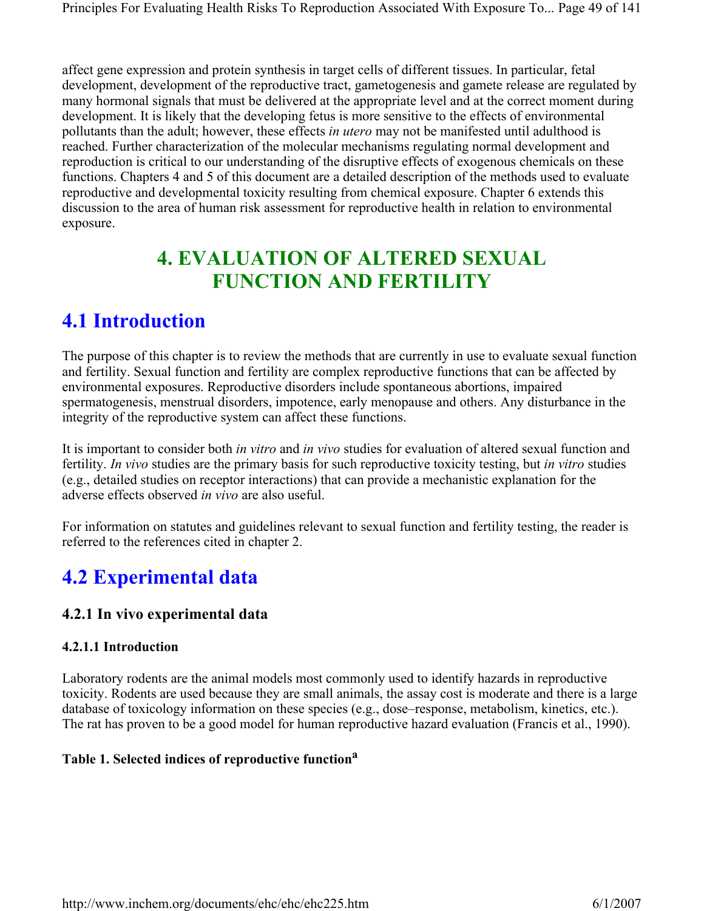affect gene expression and protein synthesis in target cells of different tissues. In particular, fetal development, development of the reproductive tract, gametogenesis and gamete release are regulated by many hormonal signals that must be delivered at the appropriate level and at the correct moment during development. It is likely that the developing fetus is more sensitive to the effects of environmental pollutants than the adult; however, these effects *in utero* may not be manifested until adulthood is reached. Further characterization of the molecular mechanisms regulating normal development and reproduction is critical to our understanding of the disruptive effects of exogenous chemicals on these functions. Chapters 4 and 5 of this document are a detailed description of the methods used to evaluate reproductive and developmental toxicity resulting from chemical exposure. Chapter 6 extends this discussion to the area of human risk assessment for reproductive health in relation to environmental exposure.

## **4. EVALUATION OF ALTERED SEXUAL FUNCTION AND FERTILITY**

## **4.1 Introduction**

The purpose of this chapter is to review the methods that are currently in use to evaluate sexual function and fertility. Sexual function and fertility are complex reproductive functions that can be affected by environmental exposures. Reproductive disorders include spontaneous abortions, impaired spermatogenesis, menstrual disorders, impotence, early menopause and others. Any disturbance in the integrity of the reproductive system can affect these functions.

It is important to consider both *in vitro* and *in vivo* studies for evaluation of altered sexual function and fertility. *In vivo* studies are the primary basis for such reproductive toxicity testing, but *in vitro* studies (e.g., detailed studies on receptor interactions) that can provide a mechanistic explanation for the adverse effects observed *in vivo* are also useful.

For information on statutes and guidelines relevant to sexual function and fertility testing, the reader is referred to the references cited in chapter 2.

# **4.2 Experimental data**

## **4.2.1 In vivo experimental data**

## **4.2.1.1 Introduction**

Laboratory rodents are the animal models most commonly used to identify hazards in reproductive toxicity. Rodents are used because they are small animals, the assay cost is moderate and there is a large database of toxicology information on these species (e.g., dose–response, metabolism, kinetics, etc.). The rat has proven to be a good model for human reproductive hazard evaluation (Francis et al., 1990).

## **Table 1. Selected indices of reproductive function<sup>a</sup>**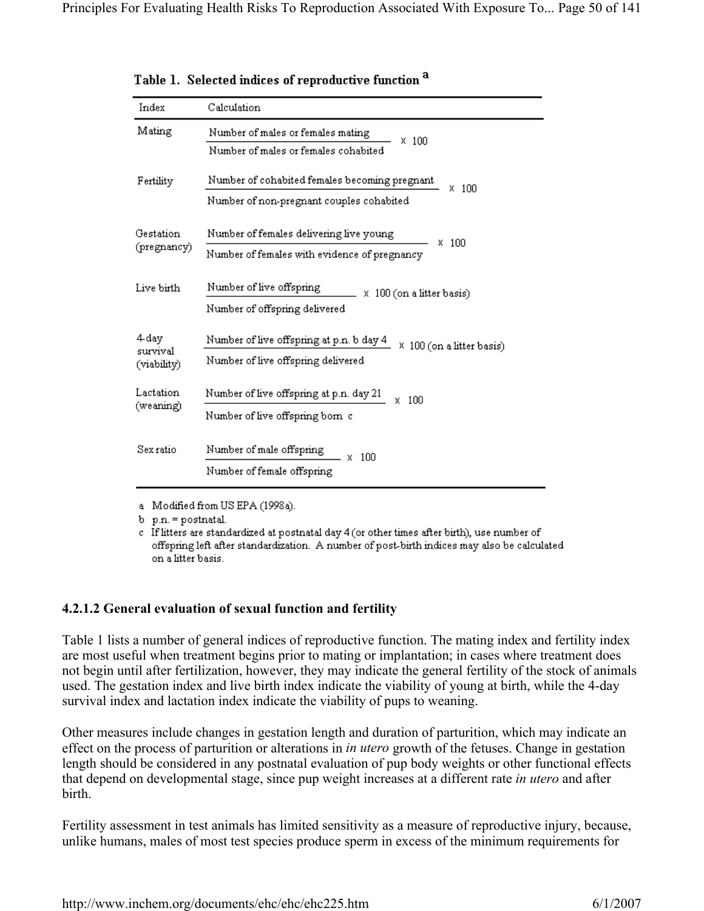| Index                            | Calculation                                                                                                 |
|----------------------------------|-------------------------------------------------------------------------------------------------------------|
| Mating                           | Number of males or females mating<br>x 100<br>Number of males or females cohabited                          |
| Fertility                        | Number of cohabited females becoming pregnant<br>x 100<br>Number of non-pregnant couples cohabited          |
| Gestation<br>(pregnancy)         | Number of females delivering live young<br>100<br>х.<br>Number of females with evidence of pregnancy        |
| Live birth                       | Number of live offspring<br>x 100 (on a litter basis)<br>Number of offspring delivered                      |
| 4 day<br>survival<br>(viability) | Number of live offspring at p.n. b day 4<br>× 100 (on a litter basis)<br>Number of live offspring delivered |
| Lactation<br>(weaning)           | Number of live offspring at p.n. day 21<br>100<br>x<br>Number of live offspring born c                      |
| Sex ratio                        | Number of male offspring<br>x 100<br>Number of female offspring                                             |

Table 1. Selected indices of reproductive function <sup>a</sup>

a Modified from US EPA (1998a).

 $b$  p.n. = postnatal.

c If litters are standardized at postnatal day 4 (or other times after birth), use number of offspring left after standardization. A number of post-birth indices may also be calculated on a litter basis.

#### **4.2.1.2 General evaluation of sexual function and fertility**

Table 1 lists a number of general indices of reproductive function. The mating index and fertility index are most useful when treatment begins prior to mating or implantation; in cases where treatment does not begin until after fertilization, however, they may indicate the general fertility of the stock of animals used. The gestation index and live birth index indicate the viability of young at birth, while the 4-day survival index and lactation index indicate the viability of pups to weaning.

Other measures include changes in gestation length and duration of parturition, which may indicate an effect on the process of parturition or alterations in *in utero* growth of the fetuses. Change in gestation length should be considered in any postnatal evaluation of pup body weights or other functional effects that depend on developmental stage, since pup weight increases at a different rate *in utero* and after birth.

Fertility assessment in test animals has limited sensitivity as a measure of reproductive injury, because, unlike humans, males of most test species produce sperm in excess of the minimum requirements for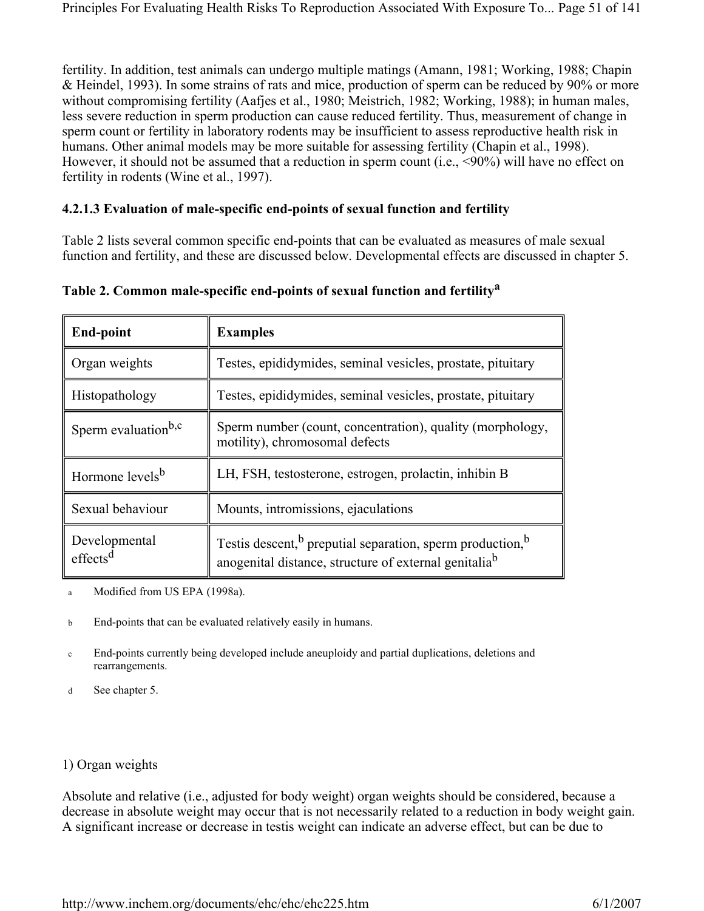fertility. In addition, test animals can undergo multiple matings (Amann, 1981; Working, 1988; Chapin & Heindel, 1993). In some strains of rats and mice, production of sperm can be reduced by 90% or more without compromising fertility (Aafjes et al., 1980; Meistrich, 1982; Working, 1988); in human males, less severe reduction in sperm production can cause reduced fertility. Thus, measurement of change in sperm count or fertility in laboratory rodents may be insufficient to assess reproductive health risk in humans. Other animal models may be more suitable for assessing fertility (Chapin et al., 1998). However, it should not be assumed that a reduction in sperm count (i.e., <90%) will have no effect on fertility in rodents (Wine et al., 1997).

### **4.2.1.3 Evaluation of male-specific end-points of sexual function and fertility**

Table 2 lists several common specific end-points that can be evaluated as measures of male sexual function and fertility, and these are discussed below. Developmental effects are discussed in chapter 5.

| End-point                             | <b>Examples</b>                                                                                                                                        |  |  |  |
|---------------------------------------|--------------------------------------------------------------------------------------------------------------------------------------------------------|--|--|--|
| Organ weights                         | Testes, epididymides, seminal vesicles, prostate, pituitary                                                                                            |  |  |  |
| Histopathology                        | Testes, epididymides, seminal vesicles, prostate, pituitary                                                                                            |  |  |  |
| Sperm evaluation <sup>b,c</sup>       | Sperm number (count, concentration), quality (morphology,<br>motility), chromosomal defects                                                            |  |  |  |
| Hormone levels <sup>b</sup>           | LH, FSH, testosterone, estrogen, prolactin, inhibin B                                                                                                  |  |  |  |
| Sexual behaviour                      | Mounts, intromissions, ejaculations                                                                                                                    |  |  |  |
| Developmental<br>effects <sup>d</sup> | Testis descent, <sup>b</sup> preputial separation, sperm production, <sup>b</sup><br>anogenital distance, structure of external genitalia <sup>b</sup> |  |  |  |

**Table 2. Common male-specific end-points of sexual function and fertility<sup>a</sup>**

a Modified from US EPA (1998a).

- b End-points that can be evaluated relatively easily in humans.
- c End-points currently being developed include aneuploidy and partial duplications, deletions and rearrangements.
- d See chapter 5.

#### 1) Organ weights

Absolute and relative (i.e., adjusted for body weight) organ weights should be considered, because a decrease in absolute weight may occur that is not necessarily related to a reduction in body weight gain. A significant increase or decrease in testis weight can indicate an adverse effect, but can be due to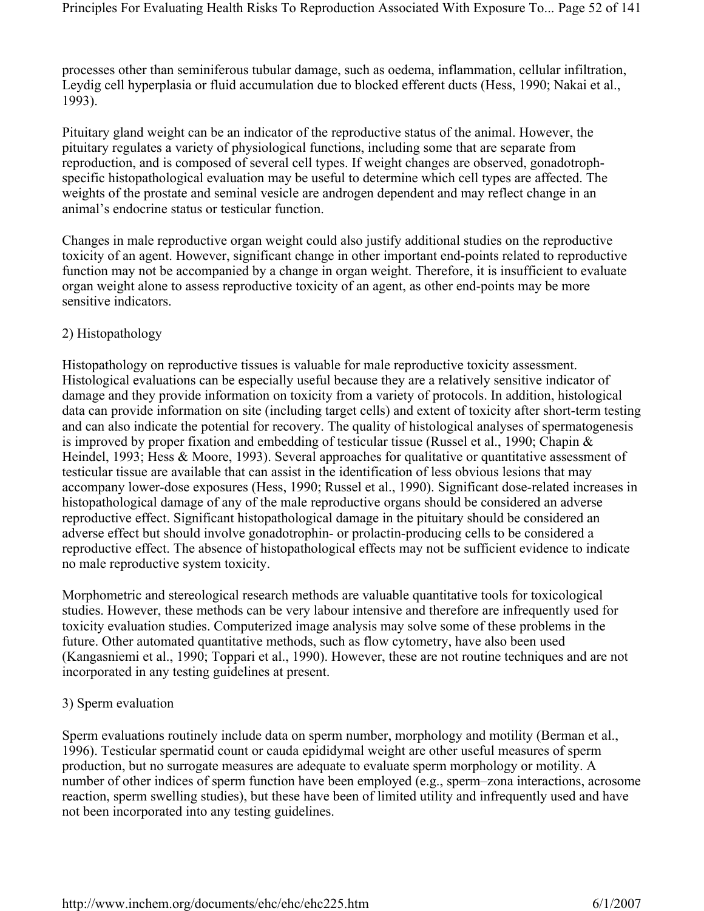processes other than seminiferous tubular damage, such as oedema, inflammation, cellular infiltration, Leydig cell hyperplasia or fluid accumulation due to blocked efferent ducts (Hess, 1990; Nakai et al., 1993).

Pituitary gland weight can be an indicator of the reproductive status of the animal. However, the pituitary regulates a variety of physiological functions, including some that are separate from reproduction, and is composed of several cell types. If weight changes are observed, gonadotrophspecific histopathological evaluation may be useful to determine which cell types are affected. The weights of the prostate and seminal vesicle are androgen dependent and may reflect change in an animal's endocrine status or testicular function.

Changes in male reproductive organ weight could also justify additional studies on the reproductive toxicity of an agent. However, significant change in other important end-points related to reproductive function may not be accompanied by a change in organ weight. Therefore, it is insufficient to evaluate organ weight alone to assess reproductive toxicity of an agent, as other end-points may be more sensitive indicators.

#### 2) Histopathology

Histopathology on reproductive tissues is valuable for male reproductive toxicity assessment. Histological evaluations can be especially useful because they are a relatively sensitive indicator of damage and they provide information on toxicity from a variety of protocols. In addition, histological data can provide information on site (including target cells) and extent of toxicity after short-term testing and can also indicate the potential for recovery. The quality of histological analyses of spermatogenesis is improved by proper fixation and embedding of testicular tissue (Russel et al., 1990; Chapin & Heindel, 1993; Hess & Moore, 1993). Several approaches for qualitative or quantitative assessment of testicular tissue are available that can assist in the identification of less obvious lesions that may accompany lower-dose exposures (Hess, 1990; Russel et al., 1990). Significant dose-related increases in histopathological damage of any of the male reproductive organs should be considered an adverse reproductive effect. Significant histopathological damage in the pituitary should be considered an adverse effect but should involve gonadotrophin- or prolactin-producing cells to be considered a reproductive effect. The absence of histopathological effects may not be sufficient evidence to indicate no male reproductive system toxicity.

Morphometric and stereological research methods are valuable quantitative tools for toxicological studies. However, these methods can be very labour intensive and therefore are infrequently used for toxicity evaluation studies. Computerized image analysis may solve some of these problems in the future. Other automated quantitative methods, such as flow cytometry, have also been used (Kangasniemi et al., 1990; Toppari et al., 1990). However, these are not routine techniques and are not incorporated in any testing guidelines at present.

#### 3) Sperm evaluation

Sperm evaluations routinely include data on sperm number, morphology and motility (Berman et al., 1996). Testicular spermatid count or cauda epididymal weight are other useful measures of sperm production, but no surrogate measures are adequate to evaluate sperm morphology or motility. A number of other indices of sperm function have been employed (e.g., sperm–zona interactions, acrosome reaction, sperm swelling studies), but these have been of limited utility and infrequently used and have not been incorporated into any testing guidelines.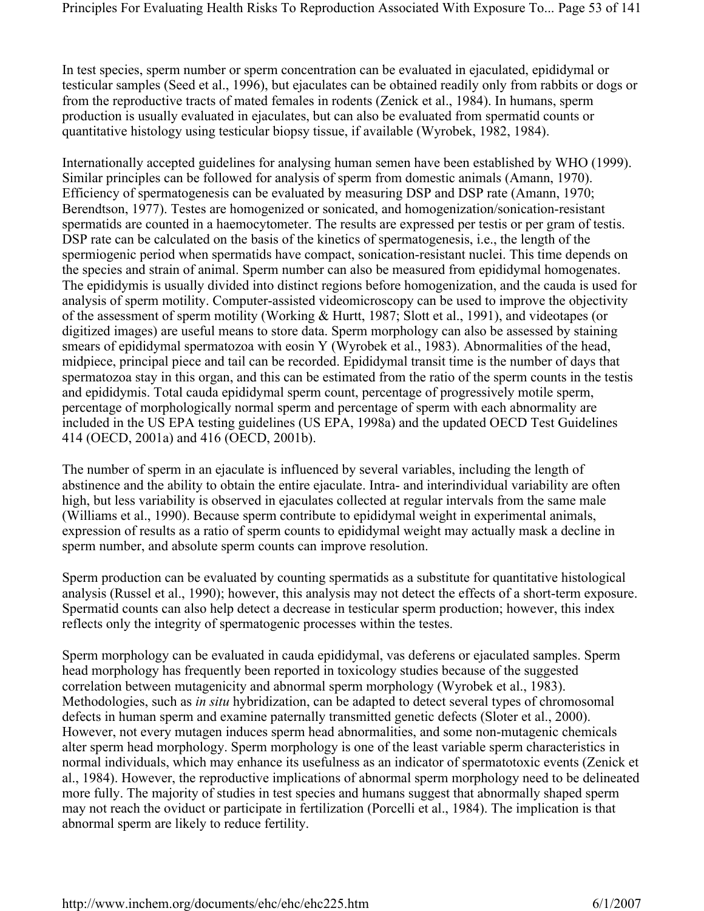In test species, sperm number or sperm concentration can be evaluated in ejaculated, epididymal or testicular samples (Seed et al., 1996), but ejaculates can be obtained readily only from rabbits or dogs or from the reproductive tracts of mated females in rodents (Zenick et al., 1984). In humans, sperm production is usually evaluated in ejaculates, but can also be evaluated from spermatid counts or quantitative histology using testicular biopsy tissue, if available (Wyrobek, 1982, 1984).

Internationally accepted guidelines for analysing human semen have been established by WHO (1999). Similar principles can be followed for analysis of sperm from domestic animals (Amann, 1970). Efficiency of spermatogenesis can be evaluated by measuring DSP and DSP rate (Amann, 1970; Berendtson, 1977). Testes are homogenized or sonicated, and homogenization/sonication-resistant spermatids are counted in a haemocytometer. The results are expressed per testis or per gram of testis. DSP rate can be calculated on the basis of the kinetics of spermatogenesis, i.e., the length of the spermiogenic period when spermatids have compact, sonication-resistant nuclei. This time depends on the species and strain of animal. Sperm number can also be measured from epididymal homogenates. The epididymis is usually divided into distinct regions before homogenization, and the cauda is used for analysis of sperm motility. Computer-assisted videomicroscopy can be used to improve the objectivity of the assessment of sperm motility (Working & Hurtt, 1987; Slott et al., 1991), and videotapes (or digitized images) are useful means to store data. Sperm morphology can also be assessed by staining smears of epididymal spermatozoa with eosin Y (Wyrobek et al., 1983). Abnormalities of the head, midpiece, principal piece and tail can be recorded. Epididymal transit time is the number of days that spermatozoa stay in this organ, and this can be estimated from the ratio of the sperm counts in the testis and epididymis. Total cauda epididymal sperm count, percentage of progressively motile sperm, percentage of morphologically normal sperm and percentage of sperm with each abnormality are included in the US EPA testing guidelines (US EPA, 1998a) and the updated OECD Test Guidelines 414 (OECD, 2001a) and 416 (OECD, 2001b).

The number of sperm in an ejaculate is influenced by several variables, including the length of abstinence and the ability to obtain the entire ejaculate. Intra- and interindividual variability are often high, but less variability is observed in ejaculates collected at regular intervals from the same male (Williams et al., 1990). Because sperm contribute to epididymal weight in experimental animals, expression of results as a ratio of sperm counts to epididymal weight may actually mask a decline in sperm number, and absolute sperm counts can improve resolution.

Sperm production can be evaluated by counting spermatids as a substitute for quantitative histological analysis (Russel et al., 1990); however, this analysis may not detect the effects of a short-term exposure. Spermatid counts can also help detect a decrease in testicular sperm production; however, this index reflects only the integrity of spermatogenic processes within the testes.

Sperm morphology can be evaluated in cauda epididymal, vas deferens or ejaculated samples. Sperm head morphology has frequently been reported in toxicology studies because of the suggested correlation between mutagenicity and abnormal sperm morphology (Wyrobek et al., 1983). Methodologies, such as *in situ* hybridization, can be adapted to detect several types of chromosomal defects in human sperm and examine paternally transmitted genetic defects (Sloter et al., 2000). However, not every mutagen induces sperm head abnormalities, and some non-mutagenic chemicals alter sperm head morphology. Sperm morphology is one of the least variable sperm characteristics in normal individuals, which may enhance its usefulness as an indicator of spermatotoxic events (Zenick et al., 1984). However, the reproductive implications of abnormal sperm morphology need to be delineated more fully. The majority of studies in test species and humans suggest that abnormally shaped sperm may not reach the oviduct or participate in fertilization (Porcelli et al., 1984). The implication is that abnormal sperm are likely to reduce fertility.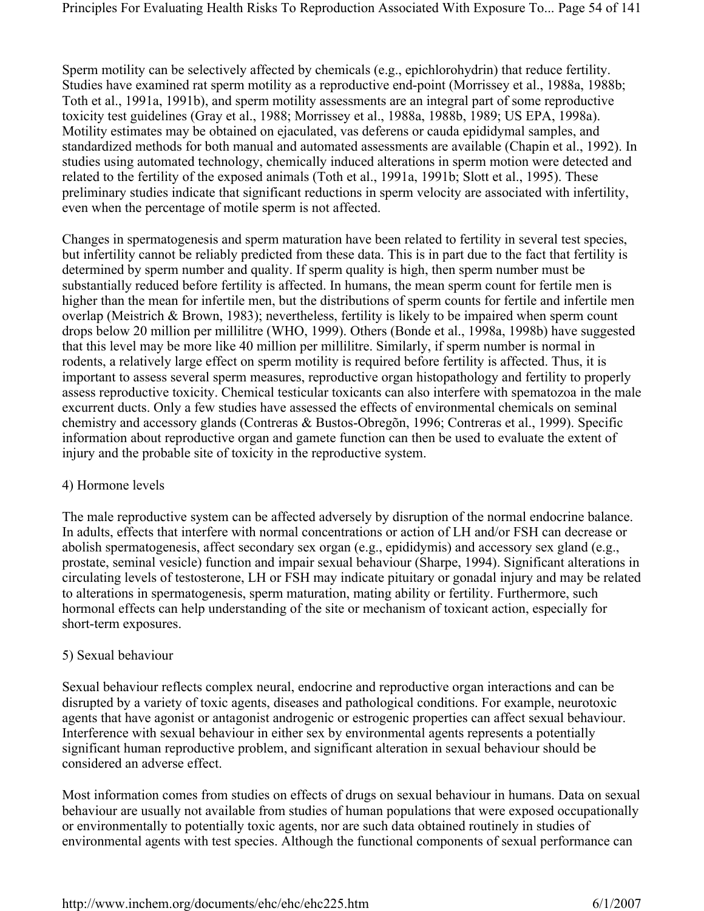Sperm motility can be selectively affected by chemicals (e.g., epichlorohydrin) that reduce fertility. Studies have examined rat sperm motility as a reproductive end-point (Morrissey et al., 1988a, 1988b; Toth et al., 1991a, 1991b), and sperm motility assessments are an integral part of some reproductive toxicity test guidelines (Gray et al., 1988; Morrissey et al., 1988a, 1988b, 1989; US EPA, 1998a). Motility estimates may be obtained on ejaculated, vas deferens or cauda epididymal samples, and standardized methods for both manual and automated assessments are available (Chapin et al., 1992). In studies using automated technology, chemically induced alterations in sperm motion were detected and related to the fertility of the exposed animals (Toth et al., 1991a, 1991b; Slott et al., 1995). These preliminary studies indicate that significant reductions in sperm velocity are associated with infertility, even when the percentage of motile sperm is not affected.

Changes in spermatogenesis and sperm maturation have been related to fertility in several test species, but infertility cannot be reliably predicted from these data. This is in part due to the fact that fertility is determined by sperm number and quality. If sperm quality is high, then sperm number must be substantially reduced before fertility is affected. In humans, the mean sperm count for fertile men is higher than the mean for infertile men, but the distributions of sperm counts for fertile and infertile men overlap (Meistrich & Brown, 1983); nevertheless, fertility is likely to be impaired when sperm count drops below 20 million per millilitre (WHO, 1999). Others (Bonde et al., 1998a, 1998b) have suggested that this level may be more like 40 million per millilitre. Similarly, if sperm number is normal in rodents, a relatively large effect on sperm motility is required before fertility is affected. Thus, it is important to assess several sperm measures, reproductive organ histopathology and fertility to properly assess reproductive toxicity. Chemical testicular toxicants can also interfere with spematozoa in the male excurrent ducts. Only a few studies have assessed the effects of environmental chemicals on seminal chemistry and accessory glands (Contreras & Bustos-Obregõn, 1996; Contreras et al., 1999). Specific information about reproductive organ and gamete function can then be used to evaluate the extent of injury and the probable site of toxicity in the reproductive system.

#### 4) Hormone levels

The male reproductive system can be affected adversely by disruption of the normal endocrine balance. In adults, effects that interfere with normal concentrations or action of LH and/or FSH can decrease or abolish spermatogenesis, affect secondary sex organ (e.g., epididymis) and accessory sex gland (e.g., prostate, seminal vesicle) function and impair sexual behaviour (Sharpe, 1994). Significant alterations in circulating levels of testosterone, LH or FSH may indicate pituitary or gonadal injury and may be related to alterations in spermatogenesis, sperm maturation, mating ability or fertility. Furthermore, such hormonal effects can help understanding of the site or mechanism of toxicant action, especially for short-term exposures.

#### 5) Sexual behaviour

Sexual behaviour reflects complex neural, endocrine and reproductive organ interactions and can be disrupted by a variety of toxic agents, diseases and pathological conditions. For example, neurotoxic agents that have agonist or antagonist androgenic or estrogenic properties can affect sexual behaviour. Interference with sexual behaviour in either sex by environmental agents represents a potentially significant human reproductive problem, and significant alteration in sexual behaviour should be considered an adverse effect.

Most information comes from studies on effects of drugs on sexual behaviour in humans. Data on sexual behaviour are usually not available from studies of human populations that were exposed occupationally or environmentally to potentially toxic agents, nor are such data obtained routinely in studies of environmental agents with test species. Although the functional components of sexual performance can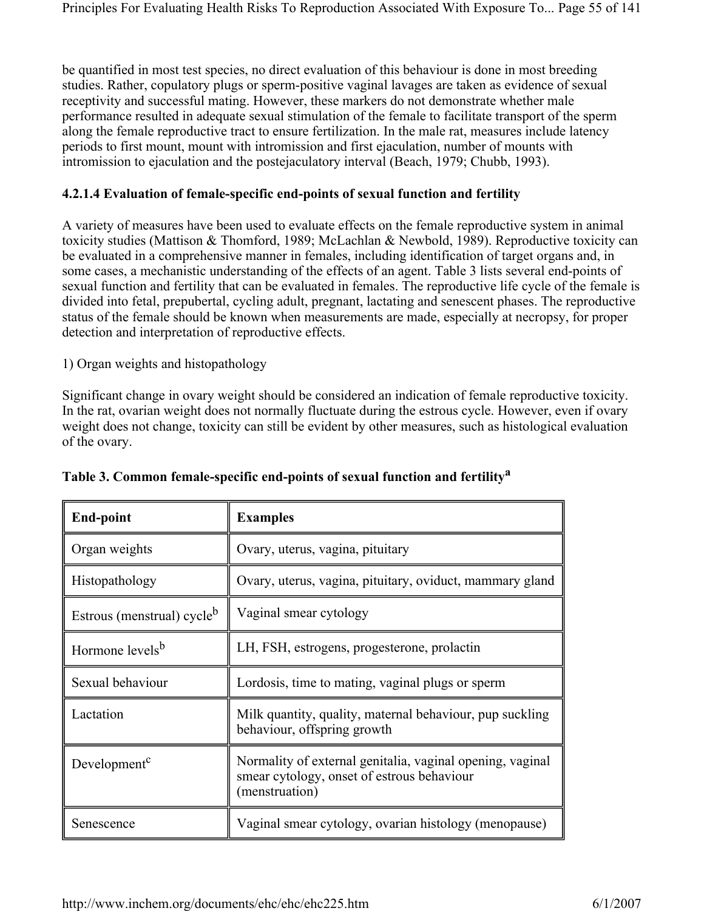be quantified in most test species, no direct evaluation of this behaviour is done in most breeding studies. Rather, copulatory plugs or sperm-positive vaginal lavages are taken as evidence of sexual receptivity and successful mating. However, these markers do not demonstrate whether male performance resulted in adequate sexual stimulation of the female to facilitate transport of the sperm along the female reproductive tract to ensure fertilization. In the male rat, measures include latency periods to first mount, mount with intromission and first ejaculation, number of mounts with intromission to ejaculation and the postejaculatory interval (Beach, 1979; Chubb, 1993).

#### **4.2.1.4 Evaluation of female-specific end-points of sexual function and fertility**

A variety of measures have been used to evaluate effects on the female reproductive system in animal toxicity studies (Mattison & Thomford, 1989; McLachlan & Newbold, 1989). Reproductive toxicity can be evaluated in a comprehensive manner in females, including identification of target organs and, in some cases, a mechanistic understanding of the effects of an agent. Table 3 lists several end-points of sexual function and fertility that can be evaluated in females. The reproductive life cycle of the female is divided into fetal, prepubertal, cycling adult, pregnant, lactating and senescent phases. The reproductive status of the female should be known when measurements are made, especially at necropsy, for proper detection and interpretation of reproductive effects.

1) Organ weights and histopathology

Significant change in ovary weight should be considered an indication of female reproductive toxicity. In the rat, ovarian weight does not normally fluctuate during the estrous cycle. However, even if ovary weight does not change, toxicity can still be evident by other measures, such as histological evaluation of the ovary.

| <b>End-point</b>                       | <b>Examples</b>                                                                                                           |  |  |  |
|----------------------------------------|---------------------------------------------------------------------------------------------------------------------------|--|--|--|
| Organ weights                          | Ovary, uterus, vagina, pituitary                                                                                          |  |  |  |
| Histopathology                         | Ovary, uterus, vagina, pituitary, oviduct, mammary gland                                                                  |  |  |  |
| Estrous (menstrual) cycle <sup>b</sup> | Vaginal smear cytology                                                                                                    |  |  |  |
| Hormone levels <sup>b</sup>            | LH, FSH, estrogens, progesterone, prolactin                                                                               |  |  |  |
| Sexual behaviour                       | Lordosis, time to mating, vaginal plugs or sperm                                                                          |  |  |  |
| Lactation                              | Milk quantity, quality, maternal behaviour, pup suckling<br>behaviour, offspring growth                                   |  |  |  |
| Development <sup>c</sup>               | Normality of external genitalia, vaginal opening, vaginal<br>smear cytology, onset of estrous behaviour<br>(menstruation) |  |  |  |
| Senescence                             | Vaginal smear cytology, ovarian histology (menopause)                                                                     |  |  |  |

|  | Table 3. Common female-specific end-points of sexual function and fertility <sup>a</sup> |  |  |  |
|--|------------------------------------------------------------------------------------------|--|--|--|
|  |                                                                                          |  |  |  |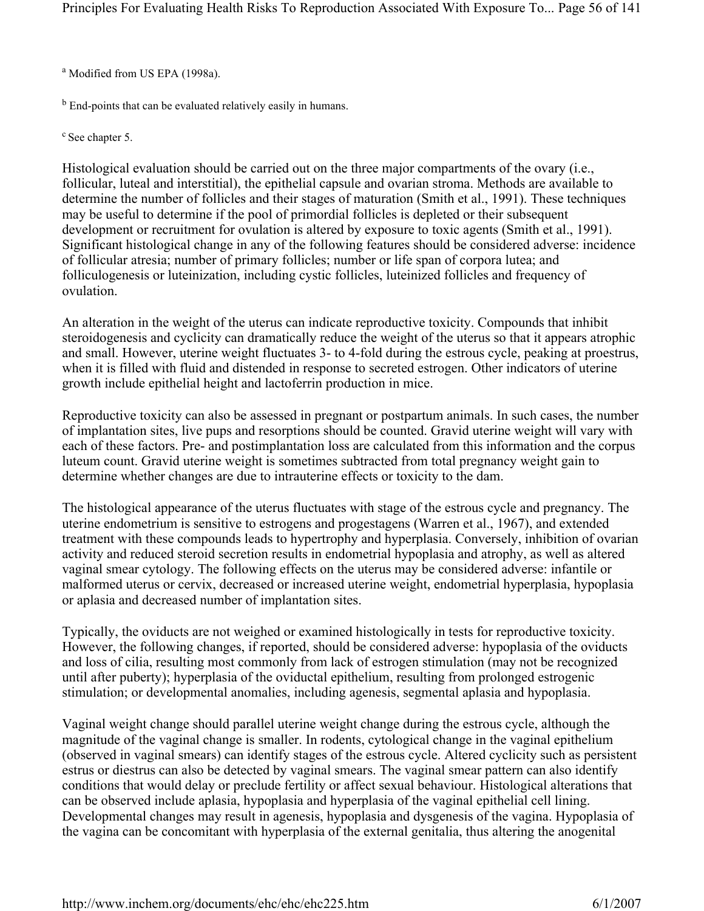<sup>a</sup> Modified from US EPA (1998a).

<sup>b</sup> End-points that can be evaluated relatively easily in humans.

c See chapter 5.

Histological evaluation should be carried out on the three major compartments of the ovary (i.e., follicular, luteal and interstitial), the epithelial capsule and ovarian stroma. Methods are available to determine the number of follicles and their stages of maturation (Smith et al., 1991). These techniques may be useful to determine if the pool of primordial follicles is depleted or their subsequent development or recruitment for ovulation is altered by exposure to toxic agents (Smith et al., 1991). Significant histological change in any of the following features should be considered adverse: incidence of follicular atresia; number of primary follicles; number or life span of corpora lutea; and folliculogenesis or luteinization, including cystic follicles, luteinized follicles and frequency of ovulation.

An alteration in the weight of the uterus can indicate reproductive toxicity. Compounds that inhibit steroidogenesis and cyclicity can dramatically reduce the weight of the uterus so that it appears atrophic and small. However, uterine weight fluctuates 3- to 4-fold during the estrous cycle, peaking at proestrus, when it is filled with fluid and distended in response to secreted estrogen. Other indicators of uterine growth include epithelial height and lactoferrin production in mice.

Reproductive toxicity can also be assessed in pregnant or postpartum animals. In such cases, the number of implantation sites, live pups and resorptions should be counted. Gravid uterine weight will vary with each of these factors. Pre- and postimplantation loss are calculated from this information and the corpus luteum count. Gravid uterine weight is sometimes subtracted from total pregnancy weight gain to determine whether changes are due to intrauterine effects or toxicity to the dam.

The histological appearance of the uterus fluctuates with stage of the estrous cycle and pregnancy. The uterine endometrium is sensitive to estrogens and progestagens (Warren et al., 1967), and extended treatment with these compounds leads to hypertrophy and hyperplasia. Conversely, inhibition of ovarian activity and reduced steroid secretion results in endometrial hypoplasia and atrophy, as well as altered vaginal smear cytology. The following effects on the uterus may be considered adverse: infantile or malformed uterus or cervix, decreased or increased uterine weight, endometrial hyperplasia, hypoplasia or aplasia and decreased number of implantation sites.

Typically, the oviducts are not weighed or examined histologically in tests for reproductive toxicity. However, the following changes, if reported, should be considered adverse: hypoplasia of the oviducts and loss of cilia, resulting most commonly from lack of estrogen stimulation (may not be recognized until after puberty); hyperplasia of the oviductal epithelium, resulting from prolonged estrogenic stimulation; or developmental anomalies, including agenesis, segmental aplasia and hypoplasia.

Vaginal weight change should parallel uterine weight change during the estrous cycle, although the magnitude of the vaginal change is smaller. In rodents, cytological change in the vaginal epithelium (observed in vaginal smears) can identify stages of the estrous cycle. Altered cyclicity such as persistent estrus or diestrus can also be detected by vaginal smears. The vaginal smear pattern can also identify conditions that would delay or preclude fertility or affect sexual behaviour. Histological alterations that can be observed include aplasia, hypoplasia and hyperplasia of the vaginal epithelial cell lining. Developmental changes may result in agenesis, hypoplasia and dysgenesis of the vagina. Hypoplasia of the vagina can be concomitant with hyperplasia of the external genitalia, thus altering the anogenital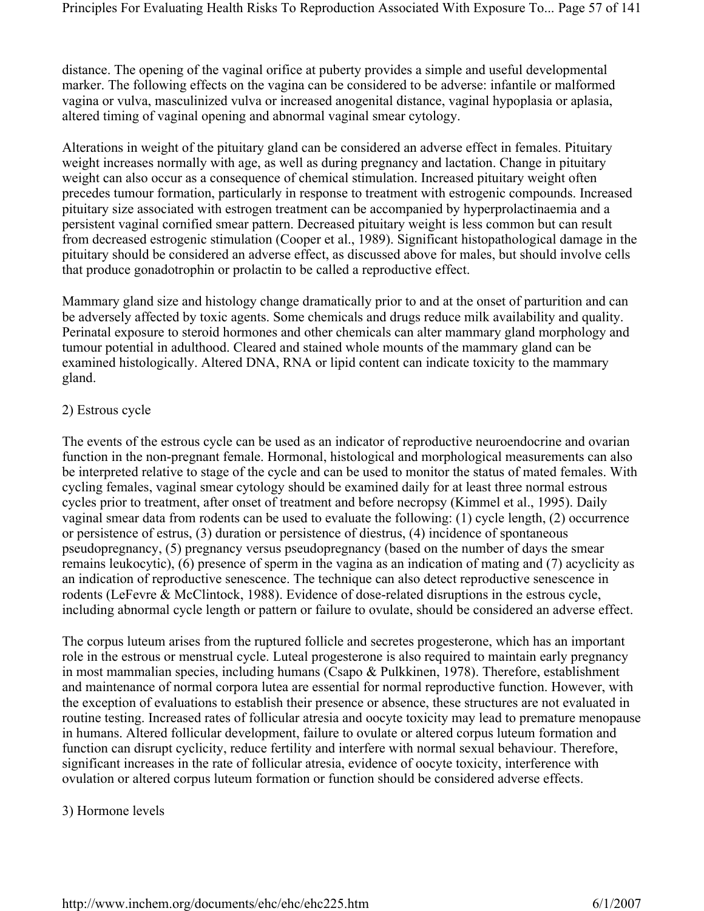distance. The opening of the vaginal orifice at puberty provides a simple and useful developmental marker. The following effects on the vagina can be considered to be adverse: infantile or malformed vagina or vulva, masculinized vulva or increased anogenital distance, vaginal hypoplasia or aplasia, altered timing of vaginal opening and abnormal vaginal smear cytology.

Alterations in weight of the pituitary gland can be considered an adverse effect in females. Pituitary weight increases normally with age, as well as during pregnancy and lactation. Change in pituitary weight can also occur as a consequence of chemical stimulation. Increased pituitary weight often precedes tumour formation, particularly in response to treatment with estrogenic compounds. Increased pituitary size associated with estrogen treatment can be accompanied by hyperprolactinaemia and a persistent vaginal cornified smear pattern. Decreased pituitary weight is less common but can result from decreased estrogenic stimulation (Cooper et al., 1989). Significant histopathological damage in the pituitary should be considered an adverse effect, as discussed above for males, but should involve cells that produce gonadotrophin or prolactin to be called a reproductive effect.

Mammary gland size and histology change dramatically prior to and at the onset of parturition and can be adversely affected by toxic agents. Some chemicals and drugs reduce milk availability and quality. Perinatal exposure to steroid hormones and other chemicals can alter mammary gland morphology and tumour potential in adulthood. Cleared and stained whole mounts of the mammary gland can be examined histologically. Altered DNA, RNA or lipid content can indicate toxicity to the mammary gland.

#### 2) Estrous cycle

The events of the estrous cycle can be used as an indicator of reproductive neuroendocrine and ovarian function in the non-pregnant female. Hormonal, histological and morphological measurements can also be interpreted relative to stage of the cycle and can be used to monitor the status of mated females. With cycling females, vaginal smear cytology should be examined daily for at least three normal estrous cycles prior to treatment, after onset of treatment and before necropsy (Kimmel et al., 1995). Daily vaginal smear data from rodents can be used to evaluate the following: (1) cycle length, (2) occurrence or persistence of estrus, (3) duration or persistence of diestrus, (4) incidence of spontaneous pseudopregnancy, (5) pregnancy versus pseudopregnancy (based on the number of days the smear remains leukocytic), (6) presence of sperm in the vagina as an indication of mating and (7) acyclicity as an indication of reproductive senescence. The technique can also detect reproductive senescence in rodents (LeFevre & McClintock, 1988). Evidence of dose-related disruptions in the estrous cycle, including abnormal cycle length or pattern or failure to ovulate, should be considered an adverse effect.

The corpus luteum arises from the ruptured follicle and secretes progesterone, which has an important role in the estrous or menstrual cycle. Luteal progesterone is also required to maintain early pregnancy in most mammalian species, including humans (Csapo & Pulkkinen, 1978). Therefore, establishment and maintenance of normal corpora lutea are essential for normal reproductive function. However, with the exception of evaluations to establish their presence or absence, these structures are not evaluated in routine testing. Increased rates of follicular atresia and oocyte toxicity may lead to premature menopause in humans. Altered follicular development, failure to ovulate or altered corpus luteum formation and function can disrupt cyclicity, reduce fertility and interfere with normal sexual behaviour. Therefore, significant increases in the rate of follicular atresia, evidence of oocyte toxicity, interference with ovulation or altered corpus luteum formation or function should be considered adverse effects.

#### 3) Hormone levels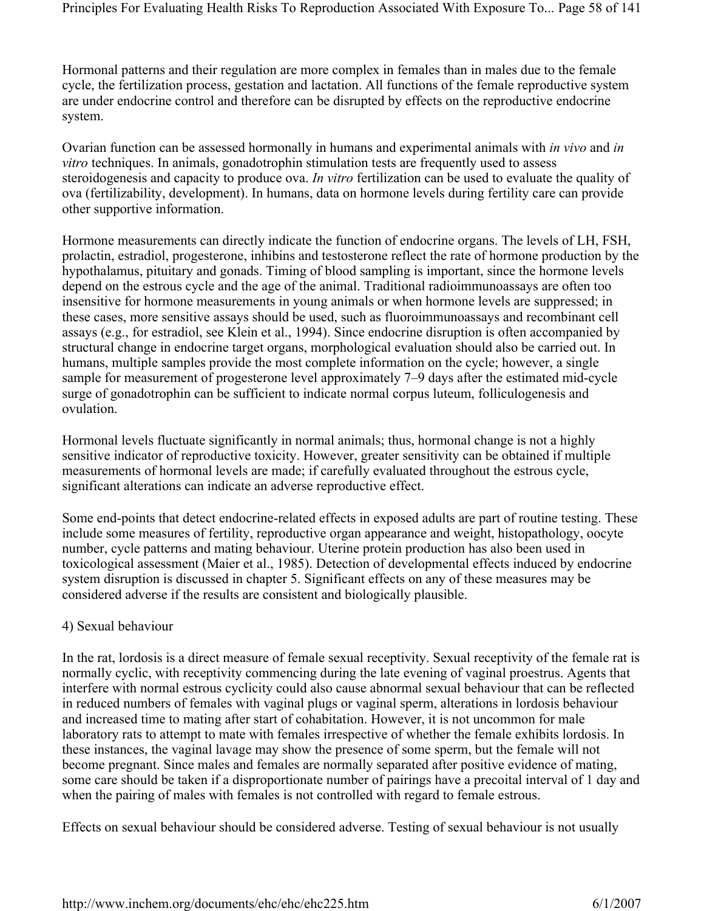Hormonal patterns and their regulation are more complex in females than in males due to the female cycle, the fertilization process, gestation and lactation. All functions of the female reproductive system are under endocrine control and therefore can be disrupted by effects on the reproductive endocrine system.

Ovarian function can be assessed hormonally in humans and experimental animals with *in vivo* and *in vitro* techniques. In animals, gonadotrophin stimulation tests are frequently used to assess steroidogenesis and capacity to produce ova. *In vitro* fertilization can be used to evaluate the quality of ova (fertilizability, development). In humans, data on hormone levels during fertility care can provide other supportive information.

Hormone measurements can directly indicate the function of endocrine organs. The levels of LH, FSH, prolactin, estradiol, progesterone, inhibins and testosterone reflect the rate of hormone production by the hypothalamus, pituitary and gonads. Timing of blood sampling is important, since the hormone levels depend on the estrous cycle and the age of the animal. Traditional radioimmunoassays are often too insensitive for hormone measurements in young animals or when hormone levels are suppressed; in these cases, more sensitive assays should be used, such as fluoroimmunoassays and recombinant cell assays (e.g., for estradiol, see Klein et al., 1994). Since endocrine disruption is often accompanied by structural change in endocrine target organs, morphological evaluation should also be carried out. In humans, multiple samples provide the most complete information on the cycle; however, a single sample for measurement of progesterone level approximately 7–9 days after the estimated mid-cycle surge of gonadotrophin can be sufficient to indicate normal corpus luteum, folliculogenesis and ovulation.

Hormonal levels fluctuate significantly in normal animals; thus, hormonal change is not a highly sensitive indicator of reproductive toxicity. However, greater sensitivity can be obtained if multiple measurements of hormonal levels are made; if carefully evaluated throughout the estrous cycle, significant alterations can indicate an adverse reproductive effect.

Some end-points that detect endocrine-related effects in exposed adults are part of routine testing. These include some measures of fertility, reproductive organ appearance and weight, histopathology, oocyte number, cycle patterns and mating behaviour. Uterine protein production has also been used in toxicological assessment (Maier et al., 1985). Detection of developmental effects induced by endocrine system disruption is discussed in chapter 5. Significant effects on any of these measures may be considered adverse if the results are consistent and biologically plausible.

#### 4) Sexual behaviour

In the rat, lordosis is a direct measure of female sexual receptivity. Sexual receptivity of the female rat is normally cyclic, with receptivity commencing during the late evening of vaginal proestrus. Agents that interfere with normal estrous cyclicity could also cause abnormal sexual behaviour that can be reflected in reduced numbers of females with vaginal plugs or vaginal sperm, alterations in lordosis behaviour and increased time to mating after start of cohabitation. However, it is not uncommon for male laboratory rats to attempt to mate with females irrespective of whether the female exhibits lordosis. In these instances, the vaginal lavage may show the presence of some sperm, but the female will not become pregnant. Since males and females are normally separated after positive evidence of mating, some care should be taken if a disproportionate number of pairings have a precoital interval of 1 day and when the pairing of males with females is not controlled with regard to female estrous.

Effects on sexual behaviour should be considered adverse. Testing of sexual behaviour is not usually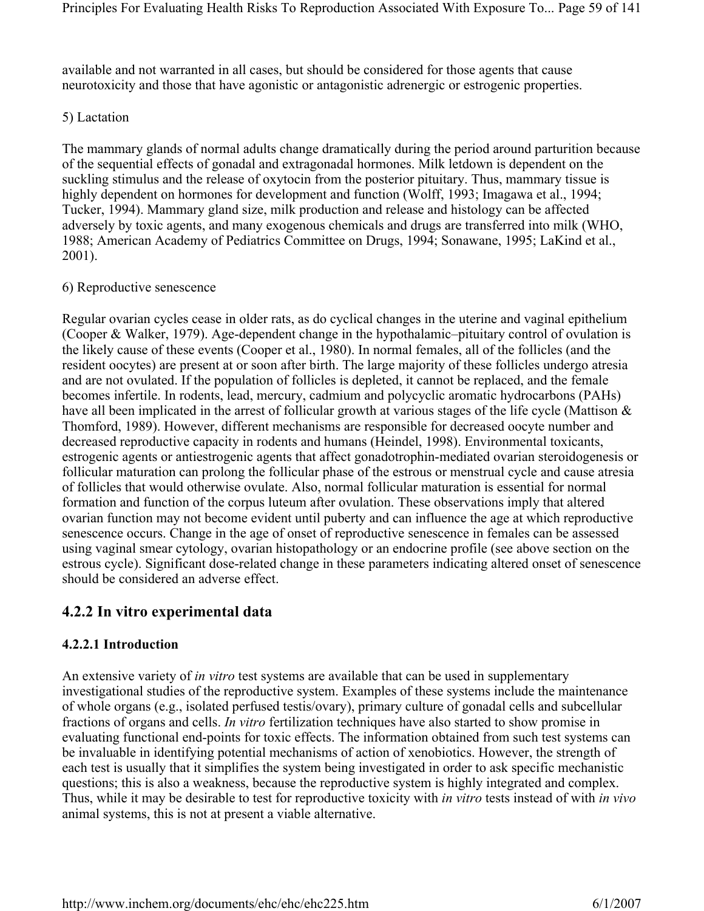available and not warranted in all cases, but should be considered for those agents that cause neurotoxicity and those that have agonistic or antagonistic adrenergic or estrogenic properties.

#### 5) Lactation

The mammary glands of normal adults change dramatically during the period around parturition because of the sequential effects of gonadal and extragonadal hormones. Milk letdown is dependent on the suckling stimulus and the release of oxytocin from the posterior pituitary. Thus, mammary tissue is highly dependent on hormones for development and function (Wolff, 1993; Imagawa et al., 1994; Tucker, 1994). Mammary gland size, milk production and release and histology can be affected adversely by toxic agents, and many exogenous chemicals and drugs are transferred into milk (WHO, 1988; American Academy of Pediatrics Committee on Drugs, 1994; Sonawane, 1995; LaKind et al., 2001).

#### 6) Reproductive senescence

Regular ovarian cycles cease in older rats, as do cyclical changes in the uterine and vaginal epithelium (Cooper & Walker, 1979). Age-dependent change in the hypothalamic–pituitary control of ovulation is the likely cause of these events (Cooper et al., 1980). In normal females, all of the follicles (and the resident oocytes) are present at or soon after birth. The large majority of these follicles undergo atresia and are not ovulated. If the population of follicles is depleted, it cannot be replaced, and the female becomes infertile. In rodents, lead, mercury, cadmium and polycyclic aromatic hydrocarbons (PAHs) have all been implicated in the arrest of follicular growth at various stages of the life cycle (Mattison  $\&$ Thomford, 1989). However, different mechanisms are responsible for decreased oocyte number and decreased reproductive capacity in rodents and humans (Heindel, 1998). Environmental toxicants, estrogenic agents or antiestrogenic agents that affect gonadotrophin-mediated ovarian steroidogenesis or follicular maturation can prolong the follicular phase of the estrous or menstrual cycle and cause atresia of follicles that would otherwise ovulate. Also, normal follicular maturation is essential for normal formation and function of the corpus luteum after ovulation. These observations imply that altered ovarian function may not become evident until puberty and can influence the age at which reproductive senescence occurs. Change in the age of onset of reproductive senescence in females can be assessed using vaginal smear cytology, ovarian histopathology or an endocrine profile (see above section on the estrous cycle). Significant dose-related change in these parameters indicating altered onset of senescence should be considered an adverse effect.

## **4.2.2 In vitro experimental data**

#### **4.2.2.1 Introduction**

An extensive variety of *in vitro* test systems are available that can be used in supplementary investigational studies of the reproductive system. Examples of these systems include the maintenance of whole organs (e.g., isolated perfused testis/ovary), primary culture of gonadal cells and subcellular fractions of organs and cells. *In vitro* fertilization techniques have also started to show promise in evaluating functional end-points for toxic effects. The information obtained from such test systems can be invaluable in identifying potential mechanisms of action of xenobiotics. However, the strength of each test is usually that it simplifies the system being investigated in order to ask specific mechanistic questions; this is also a weakness, because the reproductive system is highly integrated and complex. Thus, while it may be desirable to test for reproductive toxicity with *in vitro* tests instead of with *in vivo* animal systems, this is not at present a viable alternative.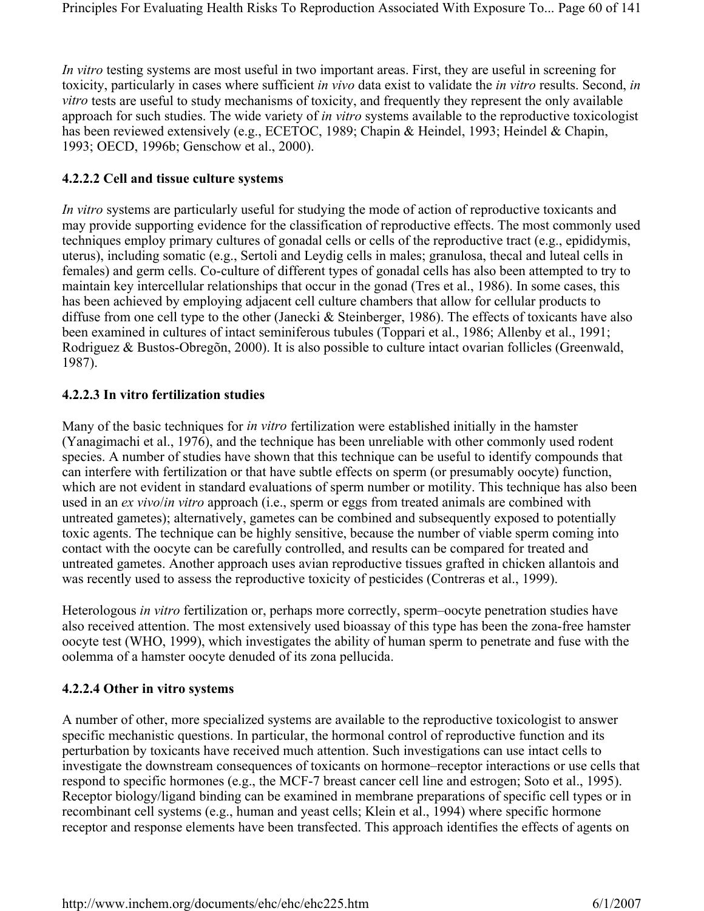*In vitro* testing systems are most useful in two important areas. First, they are useful in screening for toxicity, particularly in cases where sufficient *in vivo* data exist to validate the *in vitro* results. Second, *in vitro* tests are useful to study mechanisms of toxicity, and frequently they represent the only available approach for such studies. The wide variety of *in vitro* systems available to the reproductive toxicologist has been reviewed extensively (e.g., ECETOC, 1989; Chapin & Heindel, 1993; Heindel & Chapin, 1993; OECD, 1996b; Genschow et al., 2000).

#### **4.2.2.2 Cell and tissue culture systems**

*In vitro* systems are particularly useful for studying the mode of action of reproductive toxicants and may provide supporting evidence for the classification of reproductive effects. The most commonly used techniques employ primary cultures of gonadal cells or cells of the reproductive tract (e.g., epididymis, uterus), including somatic (e.g., Sertoli and Leydig cells in males; granulosa, thecal and luteal cells in females) and germ cells. Co-culture of different types of gonadal cells has also been attempted to try to maintain key intercellular relationships that occur in the gonad (Tres et al., 1986). In some cases, this has been achieved by employing adjacent cell culture chambers that allow for cellular products to diffuse from one cell type to the other (Janecki & Steinberger, 1986). The effects of toxicants have also been examined in cultures of intact seminiferous tubules (Toppari et al., 1986; Allenby et al., 1991; Rodriguez & Bustos-Obregõn, 2000). It is also possible to culture intact ovarian follicles (Greenwald, 1987).

#### **4.2.2.3 In vitro fertilization studies**

Many of the basic techniques for *in vitro* fertilization were established initially in the hamster (Yanagimachi et al., 1976), and the technique has been unreliable with other commonly used rodent species. A number of studies have shown that this technique can be useful to identify compounds that can interfere with fertilization or that have subtle effects on sperm (or presumably oocyte) function, which are not evident in standard evaluations of sperm number or motility. This technique has also been used in an *ex vivo*/*in vitro* approach (i.e., sperm or eggs from treated animals are combined with untreated gametes); alternatively, gametes can be combined and subsequently exposed to potentially toxic agents. The technique can be highly sensitive, because the number of viable sperm coming into contact with the oocyte can be carefully controlled, and results can be compared for treated and untreated gametes. Another approach uses avian reproductive tissues grafted in chicken allantois and was recently used to assess the reproductive toxicity of pesticides (Contreras et al., 1999).

Heterologous *in vitro* fertilization or, perhaps more correctly, sperm–oocyte penetration studies have also received attention. The most extensively used bioassay of this type has been the zona-free hamster oocyte test (WHO, 1999), which investigates the ability of human sperm to penetrate and fuse with the oolemma of a hamster oocyte denuded of its zona pellucida.

#### **4.2.2.4 Other in vitro systems**

A number of other, more specialized systems are available to the reproductive toxicologist to answer specific mechanistic questions. In particular, the hormonal control of reproductive function and its perturbation by toxicants have received much attention. Such investigations can use intact cells to investigate the downstream consequences of toxicants on hormone–receptor interactions or use cells that respond to specific hormones (e.g., the MCF-7 breast cancer cell line and estrogen; Soto et al., 1995). Receptor biology/ligand binding can be examined in membrane preparations of specific cell types or in recombinant cell systems (e.g., human and yeast cells; Klein et al., 1994) where specific hormone receptor and response elements have been transfected. This approach identifies the effects of agents on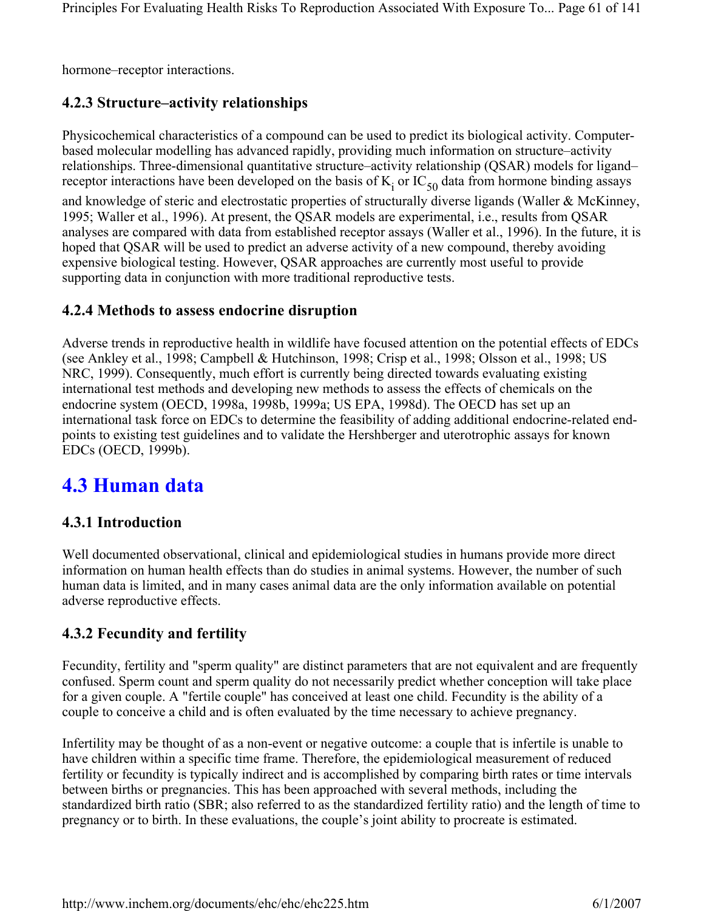hormone–receptor interactions.

## **4.2.3 Structure–activity relationships**

Physicochemical characteristics of a compound can be used to predict its biological activity. Computerbased molecular modelling has advanced rapidly, providing much information on structure–activity relationships. Three-dimensional quantitative structure–activity relationship (QSAR) models for ligand– receptor interactions have been developed on the basis of  $K_i$  or  $IC_{50}$  data from hormone binding assays

and knowledge of steric and electrostatic properties of structurally diverse ligands (Waller & McKinney, 1995; Waller et al., 1996). At present, the QSAR models are experimental, i.e., results from QSAR analyses are compared with data from established receptor assays (Waller et al., 1996). In the future, it is hoped that QSAR will be used to predict an adverse activity of a new compound, thereby avoiding expensive biological testing. However, QSAR approaches are currently most useful to provide supporting data in conjunction with more traditional reproductive tests.

## **4.2.4 Methods to assess endocrine disruption**

Adverse trends in reproductive health in wildlife have focused attention on the potential effects of EDCs (see Ankley et al., 1998; Campbell & Hutchinson, 1998; Crisp et al., 1998; Olsson et al., 1998; US NRC, 1999). Consequently, much effort is currently being directed towards evaluating existing international test methods and developing new methods to assess the effects of chemicals on the endocrine system (OECD, 1998a, 1998b, 1999a; US EPA, 1998d). The OECD has set up an international task force on EDCs to determine the feasibility of adding additional endocrine-related endpoints to existing test guidelines and to validate the Hershberger and uterotrophic assays for known EDCs (OECD, 1999b).

## **4.3 Human data**

## **4.3.1 Introduction**

Well documented observational, clinical and epidemiological studies in humans provide more direct information on human health effects than do studies in animal systems. However, the number of such human data is limited, and in many cases animal data are the only information available on potential adverse reproductive effects.

## **4.3.2 Fecundity and fertility**

Fecundity, fertility and "sperm quality" are distinct parameters that are not equivalent and are frequently confused. Sperm count and sperm quality do not necessarily predict whether conception will take place for a given couple. A "fertile couple" has conceived at least one child. Fecundity is the ability of a couple to conceive a child and is often evaluated by the time necessary to achieve pregnancy.

Infertility may be thought of as a non-event or negative outcome: a couple that is infertile is unable to have children within a specific time frame. Therefore, the epidemiological measurement of reduced fertility or fecundity is typically indirect and is accomplished by comparing birth rates or time intervals between births or pregnancies. This has been approached with several methods, including the standardized birth ratio (SBR; also referred to as the standardized fertility ratio) and the length of time to pregnancy or to birth. In these evaluations, the couple's joint ability to procreate is estimated.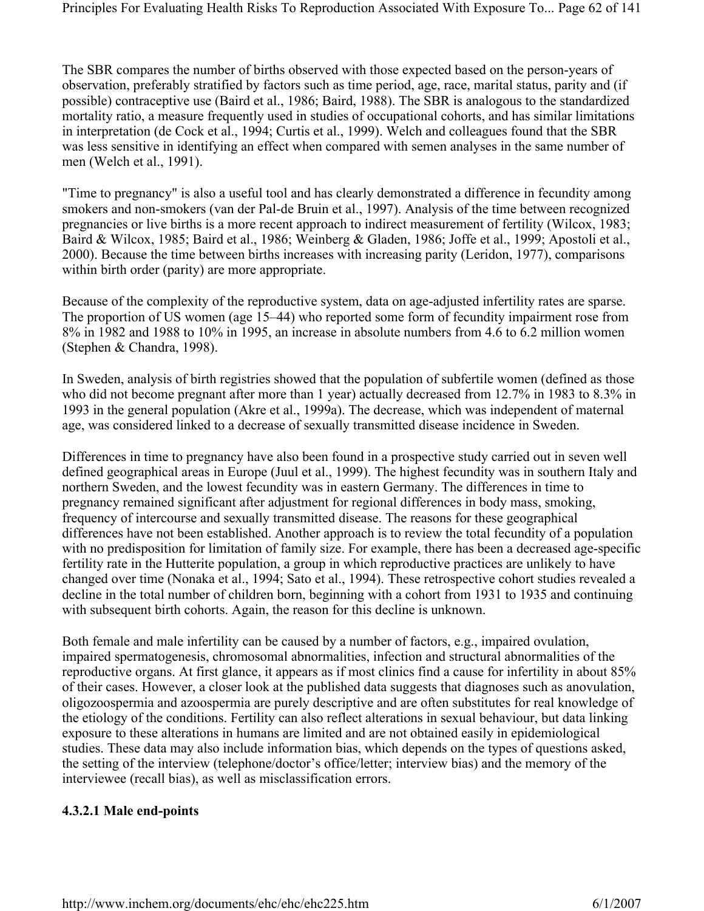The SBR compares the number of births observed with those expected based on the person-years of observation, preferably stratified by factors such as time period, age, race, marital status, parity and (if possible) contraceptive use (Baird et al., 1986; Baird, 1988). The SBR is analogous to the standardized mortality ratio, a measure frequently used in studies of occupational cohorts, and has similar limitations in interpretation (de Cock et al., 1994; Curtis et al., 1999). Welch and colleagues found that the SBR was less sensitive in identifying an effect when compared with semen analyses in the same number of men (Welch et al., 1991).

"Time to pregnancy" is also a useful tool and has clearly demonstrated a difference in fecundity among smokers and non-smokers (van der Pal-de Bruin et al., 1997). Analysis of the time between recognized pregnancies or live births is a more recent approach to indirect measurement of fertility (Wilcox, 1983; Baird & Wilcox, 1985; Baird et al., 1986; Weinberg & Gladen, 1986; Joffe et al., 1999; Apostoli et al., 2000). Because the time between births increases with increasing parity (Leridon, 1977), comparisons within birth order (parity) are more appropriate.

Because of the complexity of the reproductive system, data on age-adjusted infertility rates are sparse. The proportion of US women (age 15–44) who reported some form of fecundity impairment rose from 8% in 1982 and 1988 to 10% in 1995, an increase in absolute numbers from 4.6 to 6.2 million women (Stephen & Chandra, 1998).

In Sweden, analysis of birth registries showed that the population of subfertile women (defined as those who did not become pregnant after more than 1 year) actually decreased from 12.7% in 1983 to 8.3% in 1993 in the general population (Akre et al., 1999a). The decrease, which was independent of maternal age, was considered linked to a decrease of sexually transmitted disease incidence in Sweden.

Differences in time to pregnancy have also been found in a prospective study carried out in seven well defined geographical areas in Europe (Juul et al., 1999). The highest fecundity was in southern Italy and northern Sweden, and the lowest fecundity was in eastern Germany. The differences in time to pregnancy remained significant after adjustment for regional differences in body mass, smoking, frequency of intercourse and sexually transmitted disease. The reasons for these geographical differences have not been established. Another approach is to review the total fecundity of a population with no predisposition for limitation of family size. For example, there has been a decreased age-specific fertility rate in the Hutterite population, a group in which reproductive practices are unlikely to have changed over time (Nonaka et al., 1994; Sato et al., 1994). These retrospective cohort studies revealed a decline in the total number of children born, beginning with a cohort from 1931 to 1935 and continuing with subsequent birth cohorts. Again, the reason for this decline is unknown.

Both female and male infertility can be caused by a number of factors, e.g., impaired ovulation, impaired spermatogenesis, chromosomal abnormalities, infection and structural abnormalities of the reproductive organs. At first glance, it appears as if most clinics find a cause for infertility in about 85% of their cases. However, a closer look at the published data suggests that diagnoses such as anovulation, oligozoospermia and azoospermia are purely descriptive and are often substitutes for real knowledge of the etiology of the conditions. Fertility can also reflect alterations in sexual behaviour, but data linking exposure to these alterations in humans are limited and are not obtained easily in epidemiological studies. These data may also include information bias, which depends on the types of questions asked, the setting of the interview (telephone/doctor's office/letter; interview bias) and the memory of the interviewee (recall bias), as well as misclassification errors.

#### **4.3.2.1 Male end-points**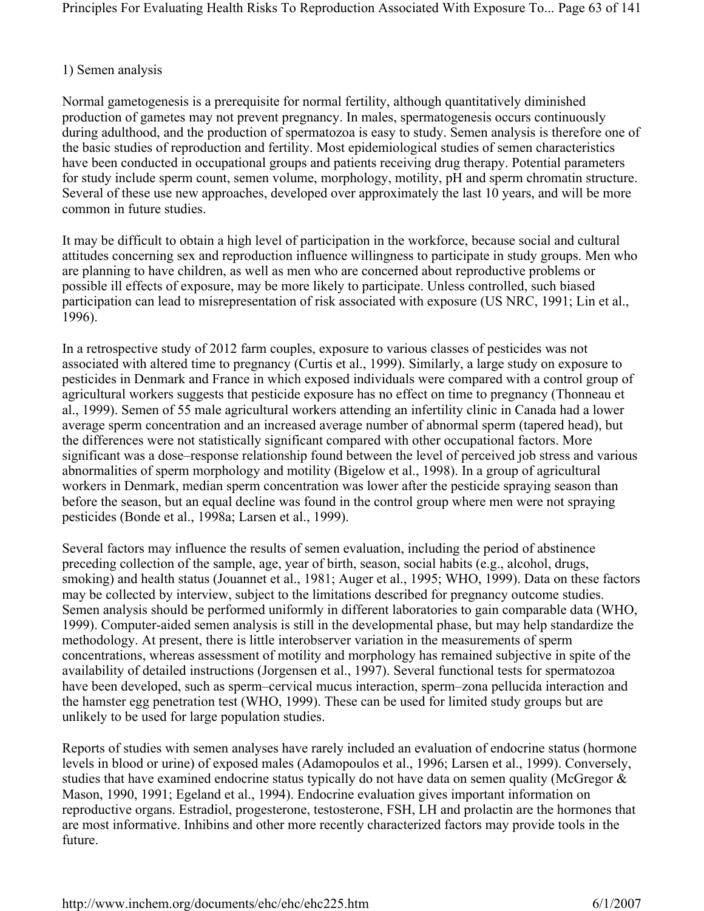#### 1) Semen analysis

Normal gametogenesis is a prerequisite for normal fertility, although quantitatively diminished production of gametes may not prevent pregnancy. In males, spermatogenesis occurs continuously during adulthood, and the production of spermatozoa is easy to study. Semen analysis is therefore one of the basic studies of reproduction and fertility. Most epidemiological studies of semen characteristics have been conducted in occupational groups and patients receiving drug therapy. Potential parameters for study include sperm count, semen volume, morphology, motility, pH and sperm chromatin structure. Several of these use new approaches, developed over approximately the last 10 years, and will be more common in future studies.

It may be difficult to obtain a high level of participation in the workforce, because social and cultural attitudes concerning sex and reproduction influence willingness to participate in study groups. Men who are planning to have children, as well as men who are concerned about reproductive problems or possible ill effects of exposure, may be more likely to participate. Unless controlled, such biased participation can lead to misrepresentation of risk associated with exposure (US NRC, 1991; Lin et al., 1996).

In a retrospective study of 2012 farm couples, exposure to various classes of pesticides was not associated with altered time to pregnancy (Curtis et al., 1999). Similarly, a large study on exposure to pesticides in Denmark and France in which exposed individuals were compared with a control group of agricultural workers suggests that pesticide exposure has no effect on time to pregnancy (Thonneau et al., 1999). Semen of 55 male agricultural workers attending an infertility clinic in Canada had a lower average sperm concentration and an increased average number of abnormal sperm (tapered head), but the differences were not statistically significant compared with other occupational factors. More significant was a dose–response relationship found between the level of perceived job stress and various abnormalities of sperm morphology and motility (Bigelow et al., 1998). In a group of agricultural workers in Denmark, median sperm concentration was lower after the pesticide spraying season than before the season, but an equal decline was found in the control group where men were not spraying pesticides (Bonde et al., 1998a; Larsen et al., 1999).

Several factors may influence the results of semen evaluation, including the period of abstinence preceding collection of the sample, age, year of birth, season, social habits (e.g., alcohol, drugs, smoking) and health status (Jouannet et al., 1981; Auger et al., 1995; WHO, 1999). Data on these factors may be collected by interview, subject to the limitations described for pregnancy outcome studies. Semen analysis should be performed uniformly in different laboratories to gain comparable data (WHO, 1999). Computer-aided semen analysis is still in the developmental phase, but may help standardize the methodology. At present, there is little interobserver variation in the measurements of sperm concentrations, whereas assessment of motility and morphology has remained subjective in spite of the availability of detailed instructions (Jorgensen et al., 1997). Several functional tests for spermatozoa have been developed, such as sperm–cervical mucus interaction, sperm–zona pellucida interaction and the hamster egg penetration test (WHO, 1999). These can be used for limited study groups but are unlikely to be used for large population studies.

Reports of studies with semen analyses have rarely included an evaluation of endocrine status (hormone levels in blood or urine) of exposed males (Adamopoulos et al., 1996; Larsen et al., 1999). Conversely, studies that have examined endocrine status typically do not have data on semen quality (McGregor & Mason, 1990, 1991; Egeland et al., 1994). Endocrine evaluation gives important information on reproductive organs. Estradiol, progesterone, testosterone, FSH, LH and prolactin are the hormones that are most informative. Inhibins and other more recently characterized factors may provide tools in the future.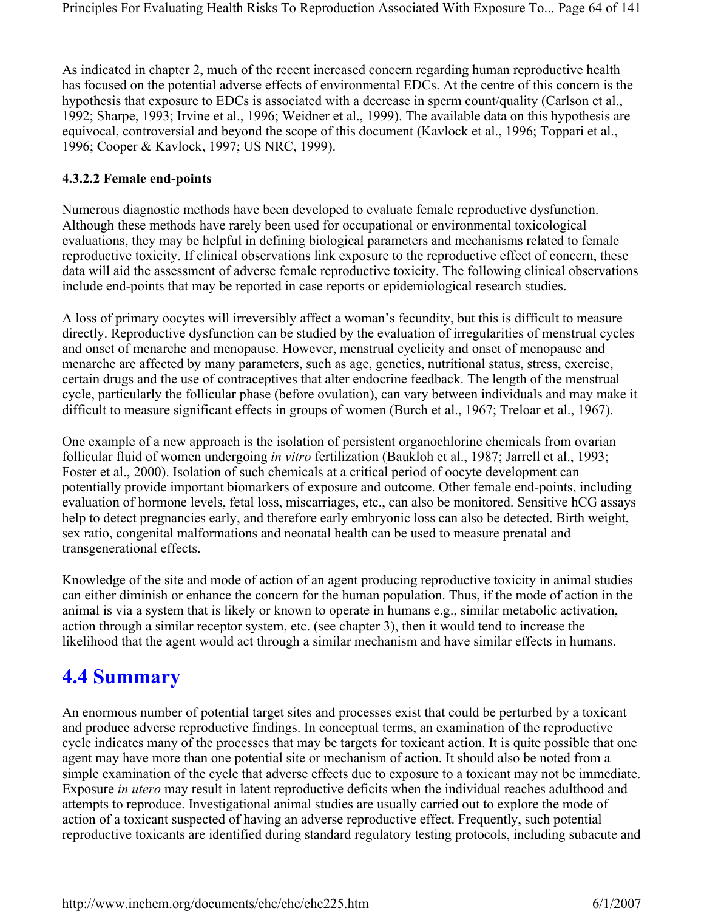As indicated in chapter 2, much of the recent increased concern regarding human reproductive health has focused on the potential adverse effects of environmental EDCs. At the centre of this concern is the hypothesis that exposure to EDCs is associated with a decrease in sperm count/quality (Carlson et al., 1992; Sharpe, 1993; Irvine et al., 1996; Weidner et al., 1999). The available data on this hypothesis are equivocal, controversial and beyond the scope of this document (Kavlock et al., 1996; Toppari et al., 1996; Cooper & Kavlock, 1997; US NRC, 1999).

#### **4.3.2.2 Female end-points**

Numerous diagnostic methods have been developed to evaluate female reproductive dysfunction. Although these methods have rarely been used for occupational or environmental toxicological evaluations, they may be helpful in defining biological parameters and mechanisms related to female reproductive toxicity. If clinical observations link exposure to the reproductive effect of concern, these data will aid the assessment of adverse female reproductive toxicity. The following clinical observations include end-points that may be reported in case reports or epidemiological research studies.

A loss of primary oocytes will irreversibly affect a woman's fecundity, but this is difficult to measure directly. Reproductive dysfunction can be studied by the evaluation of irregularities of menstrual cycles and onset of menarche and menopause. However, menstrual cyclicity and onset of menopause and menarche are affected by many parameters, such as age, genetics, nutritional status, stress, exercise, certain drugs and the use of contraceptives that alter endocrine feedback. The length of the menstrual cycle, particularly the follicular phase (before ovulation), can vary between individuals and may make it difficult to measure significant effects in groups of women (Burch et al., 1967; Treloar et al., 1967).

One example of a new approach is the isolation of persistent organochlorine chemicals from ovarian follicular fluid of women undergoing *in vitro* fertilization (Baukloh et al., 1987; Jarrell et al., 1993; Foster et al., 2000). Isolation of such chemicals at a critical period of oocyte development can potentially provide important biomarkers of exposure and outcome. Other female end-points, including evaluation of hormone levels, fetal loss, miscarriages, etc., can also be monitored. Sensitive hCG assays help to detect pregnancies early, and therefore early embryonic loss can also be detected. Birth weight, sex ratio, congenital malformations and neonatal health can be used to measure prenatal and transgenerational effects.

Knowledge of the site and mode of action of an agent producing reproductive toxicity in animal studies can either diminish or enhance the concern for the human population. Thus, if the mode of action in the animal is via a system that is likely or known to operate in humans e.g., similar metabolic activation, action through a similar receptor system, etc. (see chapter 3), then it would tend to increase the likelihood that the agent would act through a similar mechanism and have similar effects in humans.

## **4.4 Summary**

An enormous number of potential target sites and processes exist that could be perturbed by a toxicant and produce adverse reproductive findings. In conceptual terms, an examination of the reproductive cycle indicates many of the processes that may be targets for toxicant action. It is quite possible that one agent may have more than one potential site or mechanism of action. It should also be noted from a simple examination of the cycle that adverse effects due to exposure to a toxicant may not be immediate. Exposure *in utero* may result in latent reproductive deficits when the individual reaches adulthood and attempts to reproduce. Investigational animal studies are usually carried out to explore the mode of action of a toxicant suspected of having an adverse reproductive effect. Frequently, such potential reproductive toxicants are identified during standard regulatory testing protocols, including subacute and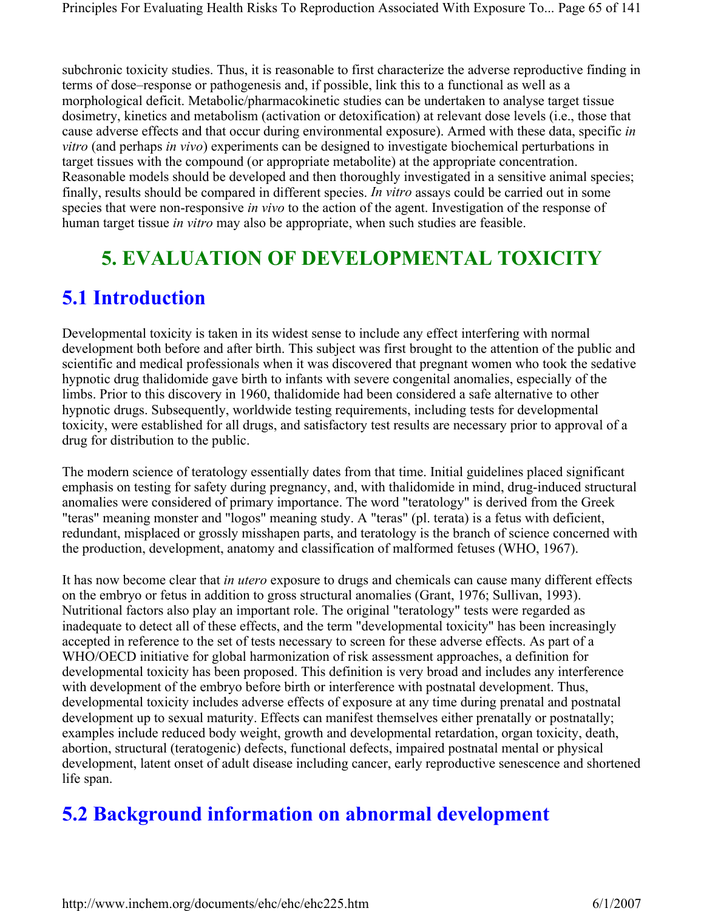subchronic toxicity studies. Thus, it is reasonable to first characterize the adverse reproductive finding in terms of dose–response or pathogenesis and, if possible, link this to a functional as well as a morphological deficit. Metabolic/pharmacokinetic studies can be undertaken to analyse target tissue dosimetry, kinetics and metabolism (activation or detoxification) at relevant dose levels (i.e., those that cause adverse effects and that occur during environmental exposure). Armed with these data, specific *in vitro* (and perhaps *in vivo*) experiments can be designed to investigate biochemical perturbations in target tissues with the compound (or appropriate metabolite) at the appropriate concentration. Reasonable models should be developed and then thoroughly investigated in a sensitive animal species; finally, results should be compared in different species. *In vitro* assays could be carried out in some species that were non-responsive *in vivo* to the action of the agent. Investigation of the response of human target tissue *in vitro* may also be appropriate, when such studies are feasible.

# **5. EVALUATION OF DEVELOPMENTAL TOXICITY**

## **5.1 Introduction**

Developmental toxicity is taken in its widest sense to include any effect interfering with normal development both before and after birth. This subject was first brought to the attention of the public and scientific and medical professionals when it was discovered that pregnant women who took the sedative hypnotic drug thalidomide gave birth to infants with severe congenital anomalies, especially of the limbs. Prior to this discovery in 1960, thalidomide had been considered a safe alternative to other hypnotic drugs. Subsequently, worldwide testing requirements, including tests for developmental toxicity, were established for all drugs, and satisfactory test results are necessary prior to approval of a drug for distribution to the public.

The modern science of teratology essentially dates from that time. Initial guidelines placed significant emphasis on testing for safety during pregnancy, and, with thalidomide in mind, drug-induced structural anomalies were considered of primary importance. The word "teratology" is derived from the Greek "teras" meaning monster and "logos" meaning study. A "teras" (pl. terata) is a fetus with deficient, redundant, misplaced or grossly misshapen parts, and teratology is the branch of science concerned with the production, development, anatomy and classification of malformed fetuses (WHO, 1967).

It has now become clear that *in utero* exposure to drugs and chemicals can cause many different effects on the embryo or fetus in addition to gross structural anomalies (Grant, 1976; Sullivan, 1993). Nutritional factors also play an important role. The original "teratology" tests were regarded as inadequate to detect all of these effects, and the term "developmental toxicity" has been increasingly accepted in reference to the set of tests necessary to screen for these adverse effects. As part of a WHO/OECD initiative for global harmonization of risk assessment approaches, a definition for developmental toxicity has been proposed. This definition is very broad and includes any interference with development of the embryo before birth or interference with postnatal development. Thus, developmental toxicity includes adverse effects of exposure at any time during prenatal and postnatal development up to sexual maturity. Effects can manifest themselves either prenatally or postnatally; examples include reduced body weight, growth and developmental retardation, organ toxicity, death, abortion, structural (teratogenic) defects, functional defects, impaired postnatal mental or physical development, latent onset of adult disease including cancer, early reproductive senescence and shortened life span.

# **5.2 Background information on abnormal development**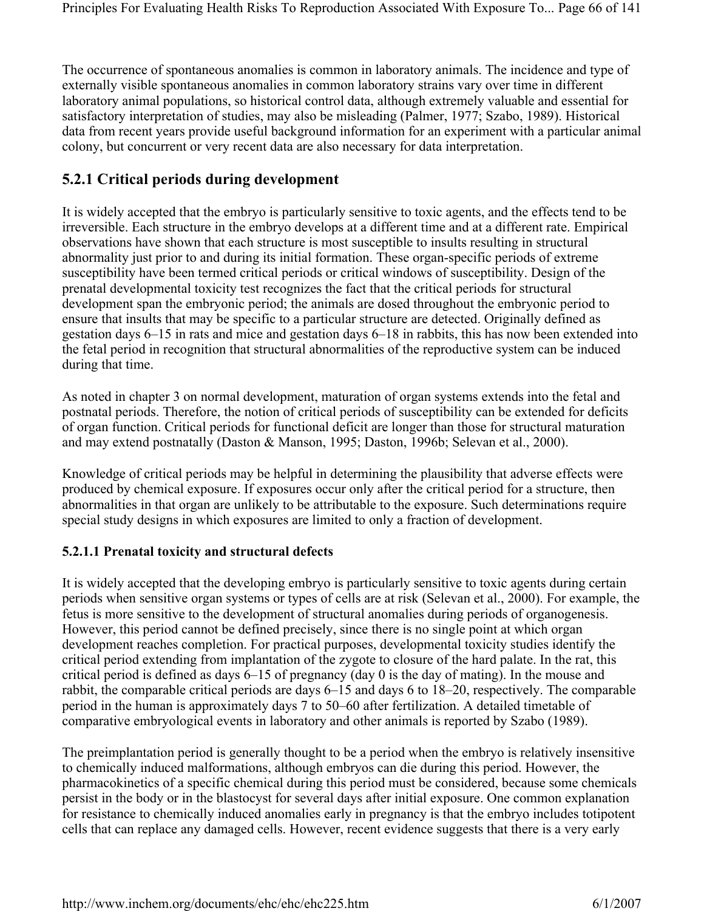The occurrence of spontaneous anomalies is common in laboratory animals. The incidence and type of externally visible spontaneous anomalies in common laboratory strains vary over time in different laboratory animal populations, so historical control data, although extremely valuable and essential for satisfactory interpretation of studies, may also be misleading (Palmer, 1977; Szabo, 1989). Historical data from recent years provide useful background information for an experiment with a particular animal colony, but concurrent or very recent data are also necessary for data interpretation.

## **5.2.1 Critical periods during development**

It is widely accepted that the embryo is particularly sensitive to toxic agents, and the effects tend to be irreversible. Each structure in the embryo develops at a different time and at a different rate. Empirical observations have shown that each structure is most susceptible to insults resulting in structural abnormality just prior to and during its initial formation. These organ-specific periods of extreme susceptibility have been termed critical periods or critical windows of susceptibility. Design of the prenatal developmental toxicity test recognizes the fact that the critical periods for structural development span the embryonic period; the animals are dosed throughout the embryonic period to ensure that insults that may be specific to a particular structure are detected. Originally defined as gestation days 6–15 in rats and mice and gestation days 6–18 in rabbits, this has now been extended into the fetal period in recognition that structural abnormalities of the reproductive system can be induced during that time.

As noted in chapter 3 on normal development, maturation of organ systems extends into the fetal and postnatal periods. Therefore, the notion of critical periods of susceptibility can be extended for deficits of organ function. Critical periods for functional deficit are longer than those for structural maturation and may extend postnatally (Daston & Manson, 1995; Daston, 1996b; Selevan et al., 2000).

Knowledge of critical periods may be helpful in determining the plausibility that adverse effects were produced by chemical exposure. If exposures occur only after the critical period for a structure, then abnormalities in that organ are unlikely to be attributable to the exposure. Such determinations require special study designs in which exposures are limited to only a fraction of development.

## **5.2.1.1 Prenatal toxicity and structural defects**

It is widely accepted that the developing embryo is particularly sensitive to toxic agents during certain periods when sensitive organ systems or types of cells are at risk (Selevan et al., 2000). For example, the fetus is more sensitive to the development of structural anomalies during periods of organogenesis. However, this period cannot be defined precisely, since there is no single point at which organ development reaches completion. For practical purposes, developmental toxicity studies identify the critical period extending from implantation of the zygote to closure of the hard palate. In the rat, this critical period is defined as days  $6-15$  of pregnancy (day 0 is the day of mating). In the mouse and rabbit, the comparable critical periods are days 6–15 and days 6 to 18–20, respectively. The comparable period in the human is approximately days 7 to 50–60 after fertilization. A detailed timetable of comparative embryological events in laboratory and other animals is reported by Szabo (1989).

The preimplantation period is generally thought to be a period when the embryo is relatively insensitive to chemically induced malformations, although embryos can die during this period. However, the pharmacokinetics of a specific chemical during this period must be considered, because some chemicals persist in the body or in the blastocyst for several days after initial exposure. One common explanation for resistance to chemically induced anomalies early in pregnancy is that the embryo includes totipotent cells that can replace any damaged cells. However, recent evidence suggests that there is a very early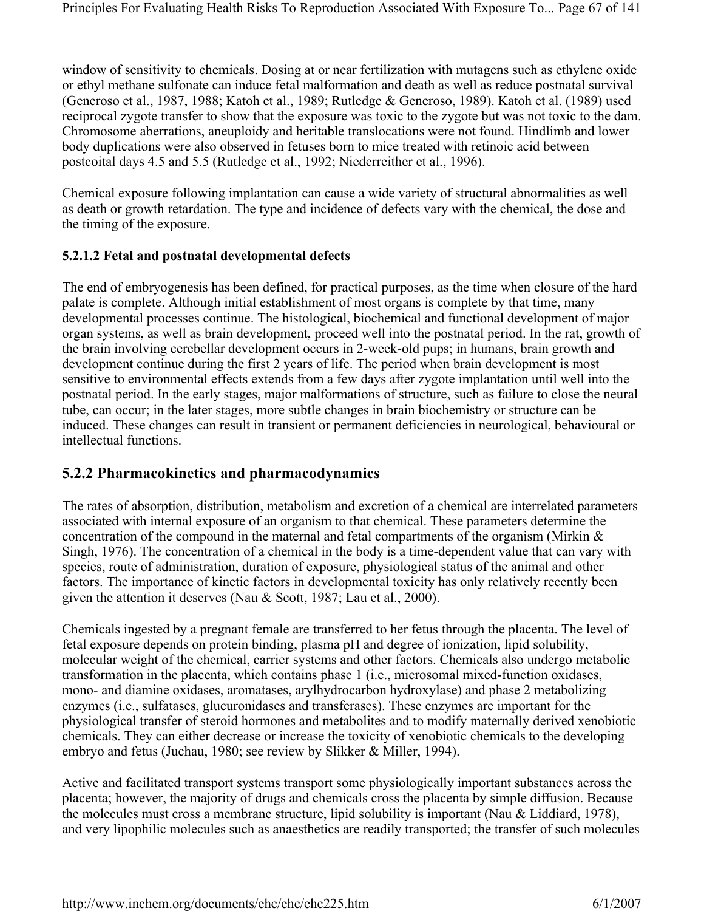window of sensitivity to chemicals. Dosing at or near fertilization with mutagens such as ethylene oxide or ethyl methane sulfonate can induce fetal malformation and death as well as reduce postnatal survival (Generoso et al., 1987, 1988; Katoh et al., 1989; Rutledge & Generoso, 1989). Katoh et al. (1989) used reciprocal zygote transfer to show that the exposure was toxic to the zygote but was not toxic to the dam. Chromosome aberrations, aneuploidy and heritable translocations were not found. Hindlimb and lower body duplications were also observed in fetuses born to mice treated with retinoic acid between postcoital days 4.5 and 5.5 (Rutledge et al., 1992; Niederreither et al., 1996).

Chemical exposure following implantation can cause a wide variety of structural abnormalities as well as death or growth retardation. The type and incidence of defects vary with the chemical, the dose and the timing of the exposure.

## **5.2.1.2 Fetal and postnatal developmental defects**

The end of embryogenesis has been defined, for practical purposes, as the time when closure of the hard palate is complete. Although initial establishment of most organs is complete by that time, many developmental processes continue. The histological, biochemical and functional development of major organ systems, as well as brain development, proceed well into the postnatal period. In the rat, growth of the brain involving cerebellar development occurs in 2-week-old pups; in humans, brain growth and development continue during the first 2 years of life. The period when brain development is most sensitive to environmental effects extends from a few days after zygote implantation until well into the postnatal period. In the early stages, major malformations of structure, such as failure to close the neural tube, can occur; in the later stages, more subtle changes in brain biochemistry or structure can be induced. These changes can result in transient or permanent deficiencies in neurological, behavioural or intellectual functions.

## **5.2.2 Pharmacokinetics and pharmacodynamics**

The rates of absorption, distribution, metabolism and excretion of a chemical are interrelated parameters associated with internal exposure of an organism to that chemical. These parameters determine the concentration of the compound in the maternal and fetal compartments of the organism (Mirkin  $\&$ Singh, 1976). The concentration of a chemical in the body is a time-dependent value that can vary with species, route of administration, duration of exposure, physiological status of the animal and other factors. The importance of kinetic factors in developmental toxicity has only relatively recently been given the attention it deserves (Nau & Scott, 1987; Lau et al., 2000).

Chemicals ingested by a pregnant female are transferred to her fetus through the placenta. The level of fetal exposure depends on protein binding, plasma pH and degree of ionization, lipid solubility, molecular weight of the chemical, carrier systems and other factors. Chemicals also undergo metabolic transformation in the placenta, which contains phase 1 (i.e., microsomal mixed-function oxidases, mono- and diamine oxidases, aromatases, arylhydrocarbon hydroxylase) and phase 2 metabolizing enzymes (i.e., sulfatases, glucuronidases and transferases). These enzymes are important for the physiological transfer of steroid hormones and metabolites and to modify maternally derived xenobiotic chemicals. They can either decrease or increase the toxicity of xenobiotic chemicals to the developing embryo and fetus (Juchau, 1980; see review by Slikker & Miller, 1994).

Active and facilitated transport systems transport some physiologically important substances across the placenta; however, the majority of drugs and chemicals cross the placenta by simple diffusion. Because the molecules must cross a membrane structure, lipid solubility is important (Nau & Liddiard, 1978), and very lipophilic molecules such as anaesthetics are readily transported; the transfer of such molecules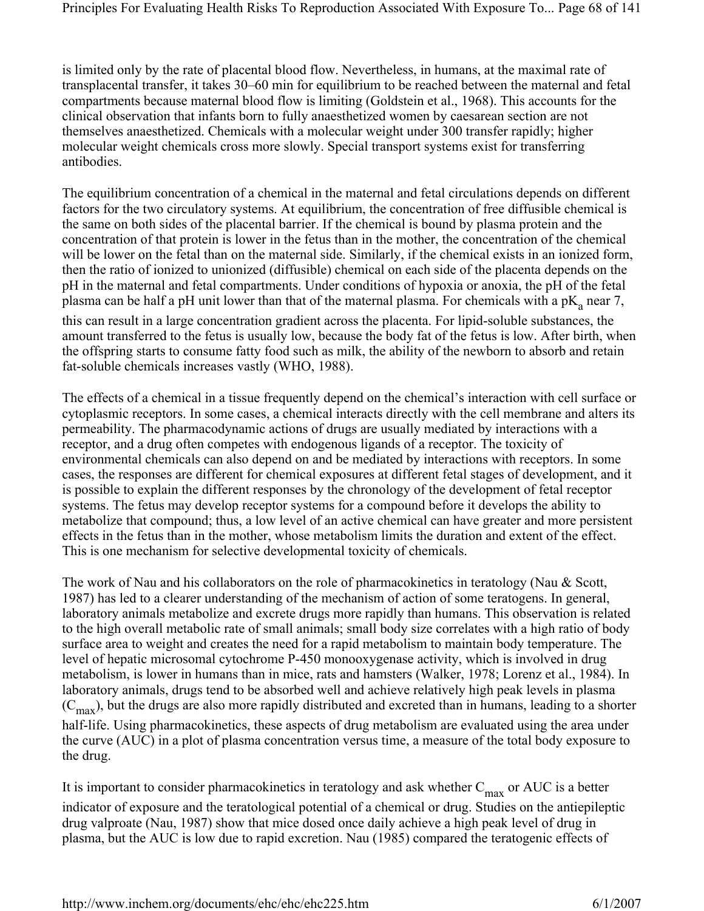is limited only by the rate of placental blood flow. Nevertheless, in humans, at the maximal rate of transplacental transfer, it takes 30–60 min for equilibrium to be reached between the maternal and fetal compartments because maternal blood flow is limiting (Goldstein et al., 1968). This accounts for the clinical observation that infants born to fully anaesthetized women by caesarean section are not themselves anaesthetized. Chemicals with a molecular weight under 300 transfer rapidly; higher molecular weight chemicals cross more slowly. Special transport systems exist for transferring antibodies.

The equilibrium concentration of a chemical in the maternal and fetal circulations depends on different factors for the two circulatory systems. At equilibrium, the concentration of free diffusible chemical is the same on both sides of the placental barrier. If the chemical is bound by plasma protein and the concentration of that protein is lower in the fetus than in the mother, the concentration of the chemical will be lower on the fetal than on the maternal side. Similarly, if the chemical exists in an ionized form, then the ratio of ionized to unionized (diffusible) chemical on each side of the placenta depends on the pH in the maternal and fetal compartments. Under conditions of hypoxia or anoxia, the pH of the fetal plasma can be half a pH unit lower than that of the maternal plasma. For chemicals with a  $pK_a$  near 7,

this can result in a large concentration gradient across the placenta. For lipid-soluble substances, the amount transferred to the fetus is usually low, because the body fat of the fetus is low. After birth, when the offspring starts to consume fatty food such as milk, the ability of the newborn to absorb and retain fat-soluble chemicals increases vastly (WHO, 1988).

The effects of a chemical in a tissue frequently depend on the chemical's interaction with cell surface or cytoplasmic receptors. In some cases, a chemical interacts directly with the cell membrane and alters its permeability. The pharmacodynamic actions of drugs are usually mediated by interactions with a receptor, and a drug often competes with endogenous ligands of a receptor. The toxicity of environmental chemicals can also depend on and be mediated by interactions with receptors. In some cases, the responses are different for chemical exposures at different fetal stages of development, and it is possible to explain the different responses by the chronology of the development of fetal receptor systems. The fetus may develop receptor systems for a compound before it develops the ability to metabolize that compound; thus, a low level of an active chemical can have greater and more persistent effects in the fetus than in the mother, whose metabolism limits the duration and extent of the effect. This is one mechanism for selective developmental toxicity of chemicals.

The work of Nau and his collaborators on the role of pharmacokinetics in teratology (Nau & Scott, 1987) has led to a clearer understanding of the mechanism of action of some teratogens. In general, laboratory animals metabolize and excrete drugs more rapidly than humans. This observation is related to the high overall metabolic rate of small animals; small body size correlates with a high ratio of body surface area to weight and creates the need for a rapid metabolism to maintain body temperature. The level of hepatic microsomal cytochrome P-450 monooxygenase activity, which is involved in drug metabolism, is lower in humans than in mice, rats and hamsters (Walker, 1978; Lorenz et al., 1984). In laboratory animals, drugs tend to be absorbed well and achieve relatively high peak levels in plasma  $(C<sub>max</sub>)$ , but the drugs are also more rapidly distributed and excreted than in humans, leading to a shorter half-life. Using pharmacokinetics, these aspects of drug metabolism are evaluated using the area under the curve (AUC) in a plot of plasma concentration versus time, a measure of the total body exposure to the drug.

It is important to consider pharmacokinetics in teratology and ask whether  $C_{\text{max}}$  or AUC is a better indicator of exposure and the teratological potential of a chemical or drug. Studies on the antiepileptic drug valproate (Nau, 1987) show that mice dosed once daily achieve a high peak level of drug in plasma, but the AUC is low due to rapid excretion. Nau (1985) compared the teratogenic effects of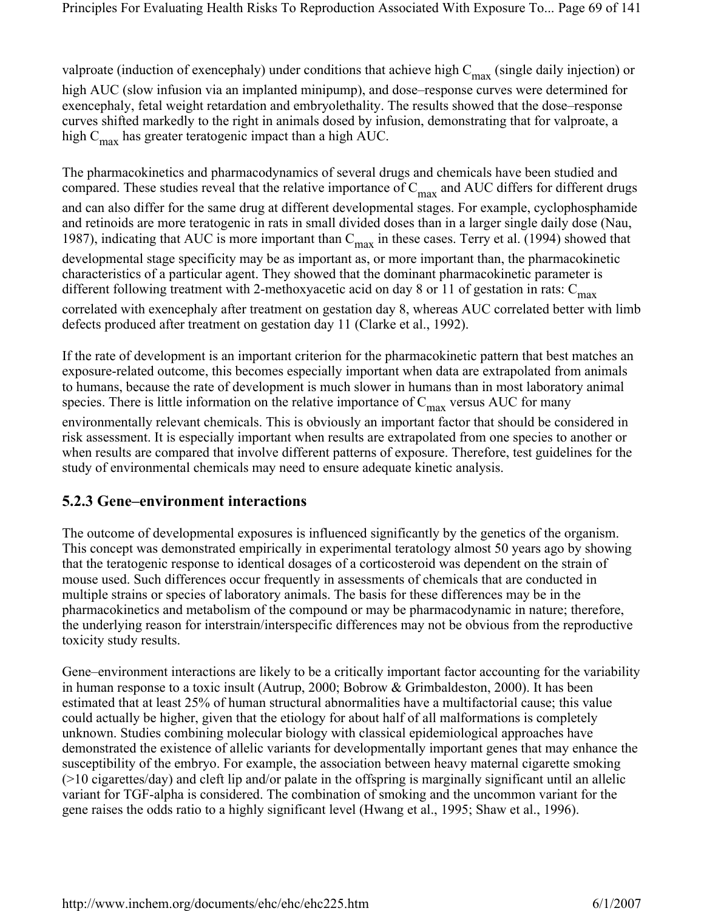valproate (induction of exencephaly) under conditions that achieve high  $C_{\text{max}}$  (single daily injection) or high AUC (slow infusion via an implanted minipump), and dose–response curves were determined for exencephaly, fetal weight retardation and embryolethality. The results showed that the dose–response curves shifted markedly to the right in animals dosed by infusion, demonstrating that for valproate, a high  $C_{\text{max}}$  has greater teratogenic impact than a high AUC.

The pharmacokinetics and pharmacodynamics of several drugs and chemicals have been studied and compared. These studies reveal that the relative importance of  $C_{\text{max}}$  and AUC differs for different drugs and can also differ for the same drug at different developmental stages. For example, cyclophosphamide and retinoids are more teratogenic in rats in small divided doses than in a larger single daily dose (Nau, 1987), indicating that AUC is more important than  $C_{\text{max}}$  in these cases. Terry et al. (1994) showed that developmental stage specificity may be as important as, or more important than, the pharmacokinetic characteristics of a particular agent. They showed that the dominant pharmacokinetic parameter is different following treatment with 2-methoxyacetic acid on day 8 or 11 of gestation in rats:  $C_{\text{max}}$ 

correlated with exencephaly after treatment on gestation day 8, whereas AUC correlated better with limb defects produced after treatment on gestation day 11 (Clarke et al., 1992).

If the rate of development is an important criterion for the pharmacokinetic pattern that best matches an exposure-related outcome, this becomes especially important when data are extrapolated from animals to humans, because the rate of development is much slower in humans than in most laboratory animal species. There is little information on the relative importance of  $C_{\text{max}}$  versus AUC for many

environmentally relevant chemicals. This is obviously an important factor that should be considered in risk assessment. It is especially important when results are extrapolated from one species to another or when results are compared that involve different patterns of exposure. Therefore, test guidelines for the study of environmental chemicals may need to ensure adequate kinetic analysis.

## **5.2.3 Gene–environment interactions**

The outcome of developmental exposures is influenced significantly by the genetics of the organism. This concept was demonstrated empirically in experimental teratology almost 50 years ago by showing that the teratogenic response to identical dosages of a corticosteroid was dependent on the strain of mouse used. Such differences occur frequently in assessments of chemicals that are conducted in multiple strains or species of laboratory animals. The basis for these differences may be in the pharmacokinetics and metabolism of the compound or may be pharmacodynamic in nature; therefore, the underlying reason for interstrain/interspecific differences may not be obvious from the reproductive toxicity study results.

Gene–environment interactions are likely to be a critically important factor accounting for the variability in human response to a toxic insult (Autrup, 2000; Bobrow & Grimbaldeston, 2000). It has been estimated that at least 25% of human structural abnormalities have a multifactorial cause; this value could actually be higher, given that the etiology for about half of all malformations is completely unknown. Studies combining molecular biology with classical epidemiological approaches have demonstrated the existence of allelic variants for developmentally important genes that may enhance the susceptibility of the embryo. For example, the association between heavy maternal cigarette smoking (>10 cigarettes/day) and cleft lip and/or palate in the offspring is marginally significant until an allelic variant for TGF-alpha is considered. The combination of smoking and the uncommon variant for the gene raises the odds ratio to a highly significant level (Hwang et al., 1995; Shaw et al., 1996).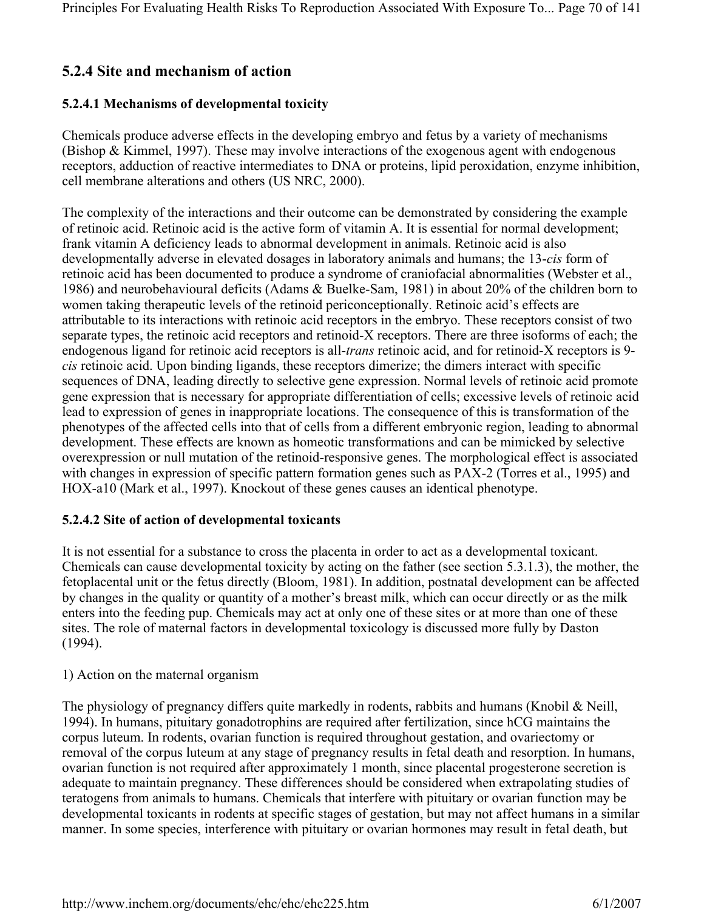## **5.2.4 Site and mechanism of action**

## **5.2.4.1 Mechanisms of developmental toxicity**

Chemicals produce adverse effects in the developing embryo and fetus by a variety of mechanisms (Bishop & Kimmel, 1997). These may involve interactions of the exogenous agent with endogenous receptors, adduction of reactive intermediates to DNA or proteins, lipid peroxidation, enzyme inhibition, cell membrane alterations and others (US NRC, 2000).

The complexity of the interactions and their outcome can be demonstrated by considering the example of retinoic acid. Retinoic acid is the active form of vitamin A. It is essential for normal development; frank vitamin A deficiency leads to abnormal development in animals. Retinoic acid is also developmentally adverse in elevated dosages in laboratory animals and humans; the 13-*cis* form of retinoic acid has been documented to produce a syndrome of craniofacial abnormalities (Webster et al., 1986) and neurobehavioural deficits (Adams & Buelke-Sam, 1981) in about 20% of the children born to women taking therapeutic levels of the retinoid periconceptionally. Retinoic acid's effects are attributable to its interactions with retinoic acid receptors in the embryo. These receptors consist of two separate types, the retinoic acid receptors and retinoid-X receptors. There are three isoforms of each; the endogenous ligand for retinoic acid receptors is all-*trans* retinoic acid, and for retinoid-X receptors is 9 *cis* retinoic acid. Upon binding ligands, these receptors dimerize; the dimers interact with specific sequences of DNA, leading directly to selective gene expression. Normal levels of retinoic acid promote gene expression that is necessary for appropriate differentiation of cells; excessive levels of retinoic acid lead to expression of genes in inappropriate locations. The consequence of this is transformation of the phenotypes of the affected cells into that of cells from a different embryonic region, leading to abnormal development. These effects are known as homeotic transformations and can be mimicked by selective overexpression or null mutation of the retinoid-responsive genes. The morphological effect is associated with changes in expression of specific pattern formation genes such as PAX-2 (Torres et al., 1995) and HOX-a10 (Mark et al., 1997). Knockout of these genes causes an identical phenotype.

## **5.2.4.2 Site of action of developmental toxicants**

It is not essential for a substance to cross the placenta in order to act as a developmental toxicant. Chemicals can cause developmental toxicity by acting on the father (see section 5.3.1.3), the mother, the fetoplacental unit or the fetus directly (Bloom, 1981). In addition, postnatal development can be affected by changes in the quality or quantity of a mother's breast milk, which can occur directly or as the milk enters into the feeding pup. Chemicals may act at only one of these sites or at more than one of these sites. The role of maternal factors in developmental toxicology is discussed more fully by Daston (1994).

#### 1) Action on the maternal organism

The physiology of pregnancy differs quite markedly in rodents, rabbits and humans (Knobil & Neill, 1994). In humans, pituitary gonadotrophins are required after fertilization, since hCG maintains the corpus luteum. In rodents, ovarian function is required throughout gestation, and ovariectomy or removal of the corpus luteum at any stage of pregnancy results in fetal death and resorption. In humans, ovarian function is not required after approximately 1 month, since placental progesterone secretion is adequate to maintain pregnancy. These differences should be considered when extrapolating studies of teratogens from animals to humans. Chemicals that interfere with pituitary or ovarian function may be developmental toxicants in rodents at specific stages of gestation, but may not affect humans in a similar manner. In some species, interference with pituitary or ovarian hormones may result in fetal death, but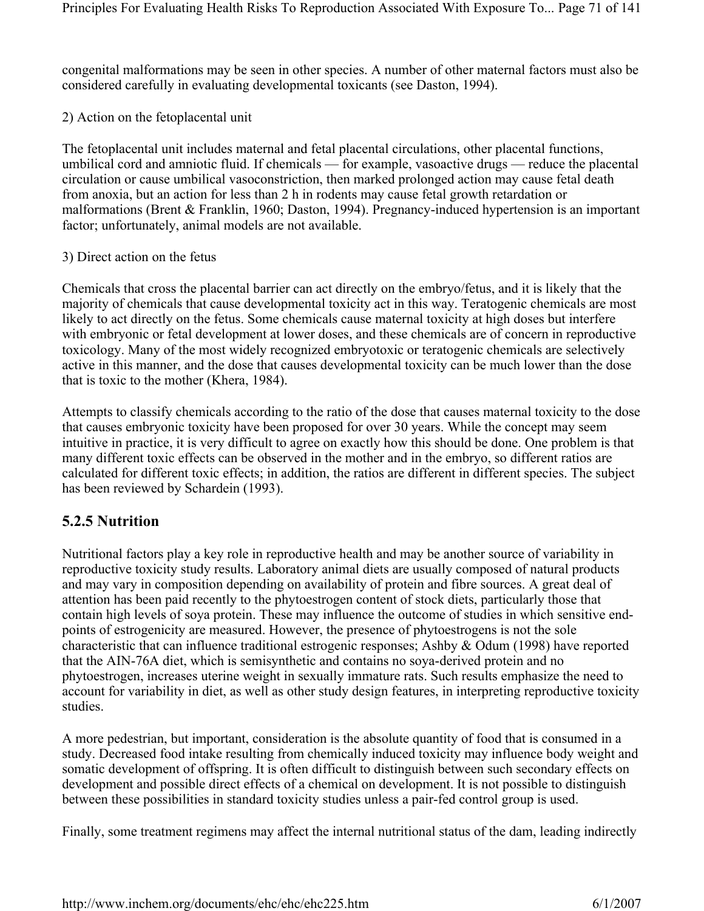congenital malformations may be seen in other species. A number of other maternal factors must also be considered carefully in evaluating developmental toxicants (see Daston, 1994).

2) Action on the fetoplacental unit

The fetoplacental unit includes maternal and fetal placental circulations, other placental functions, umbilical cord and amniotic fluid. If chemicals — for example, vasoactive drugs — reduce the placental circulation or cause umbilical vasoconstriction, then marked prolonged action may cause fetal death from anoxia, but an action for less than 2 h in rodents may cause fetal growth retardation or malformations (Brent & Franklin, 1960; Daston, 1994). Pregnancy-induced hypertension is an important factor; unfortunately, animal models are not available.

3) Direct action on the fetus

Chemicals that cross the placental barrier can act directly on the embryo/fetus, and it is likely that the majority of chemicals that cause developmental toxicity act in this way. Teratogenic chemicals are most likely to act directly on the fetus. Some chemicals cause maternal toxicity at high doses but interfere with embryonic or fetal development at lower doses, and these chemicals are of concern in reproductive toxicology. Many of the most widely recognized embryotoxic or teratogenic chemicals are selectively active in this manner, and the dose that causes developmental toxicity can be much lower than the dose that is toxic to the mother (Khera, 1984).

Attempts to classify chemicals according to the ratio of the dose that causes maternal toxicity to the dose that causes embryonic toxicity have been proposed for over 30 years. While the concept may seem intuitive in practice, it is very difficult to agree on exactly how this should be done. One problem is that many different toxic effects can be observed in the mother and in the embryo, so different ratios are calculated for different toxic effects; in addition, the ratios are different in different species. The subject has been reviewed by Schardein (1993).

## **5.2.5 Nutrition**

Nutritional factors play a key role in reproductive health and may be another source of variability in reproductive toxicity study results. Laboratory animal diets are usually composed of natural products and may vary in composition depending on availability of protein and fibre sources. A great deal of attention has been paid recently to the phytoestrogen content of stock diets, particularly those that contain high levels of soya protein. These may influence the outcome of studies in which sensitive endpoints of estrogenicity are measured. However, the presence of phytoestrogens is not the sole characteristic that can influence traditional estrogenic responses; Ashby & Odum (1998) have reported that the AIN-76A diet, which is semisynthetic and contains no soya-derived protein and no phytoestrogen, increases uterine weight in sexually immature rats. Such results emphasize the need to account for variability in diet, as well as other study design features, in interpreting reproductive toxicity studies.

A more pedestrian, but important, consideration is the absolute quantity of food that is consumed in a study. Decreased food intake resulting from chemically induced toxicity may influence body weight and somatic development of offspring. It is often difficult to distinguish between such secondary effects on development and possible direct effects of a chemical on development. It is not possible to distinguish between these possibilities in standard toxicity studies unless a pair-fed control group is used.

Finally, some treatment regimens may affect the internal nutritional status of the dam, leading indirectly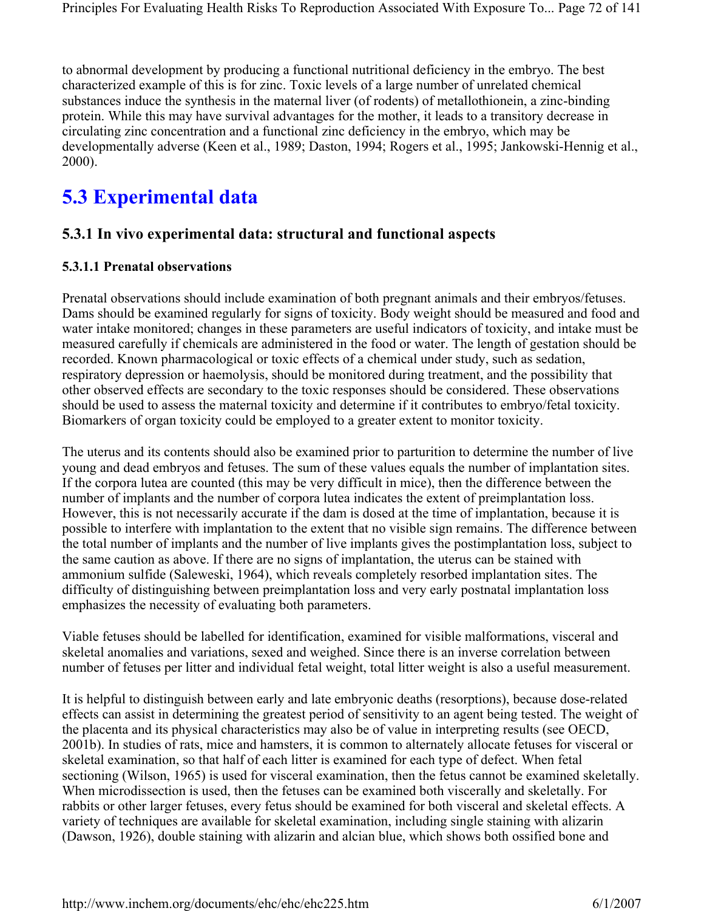to abnormal development by producing a functional nutritional deficiency in the embryo. The best characterized example of this is for zinc. Toxic levels of a large number of unrelated chemical substances induce the synthesis in the maternal liver (of rodents) of metallothionein, a zinc-binding protein. While this may have survival advantages for the mother, it leads to a transitory decrease in circulating zinc concentration and a functional zinc deficiency in the embryo, which may be developmentally adverse (Keen et al., 1989; Daston, 1994; Rogers et al., 1995; Jankowski-Hennig et al., 2000).

# **5.3 Experimental data**

## **5.3.1 In vivo experimental data: structural and functional aspects**

## **5.3.1.1 Prenatal observations**

Prenatal observations should include examination of both pregnant animals and their embryos/fetuses. Dams should be examined regularly for signs of toxicity. Body weight should be measured and food and water intake monitored; changes in these parameters are useful indicators of toxicity, and intake must be measured carefully if chemicals are administered in the food or water. The length of gestation should be recorded. Known pharmacological or toxic effects of a chemical under study, such as sedation, respiratory depression or haemolysis, should be monitored during treatment, and the possibility that other observed effects are secondary to the toxic responses should be considered. These observations should be used to assess the maternal toxicity and determine if it contributes to embryo/fetal toxicity. Biomarkers of organ toxicity could be employed to a greater extent to monitor toxicity.

The uterus and its contents should also be examined prior to parturition to determine the number of live young and dead embryos and fetuses. The sum of these values equals the number of implantation sites. If the corpora lutea are counted (this may be very difficult in mice), then the difference between the number of implants and the number of corpora lutea indicates the extent of preimplantation loss. However, this is not necessarily accurate if the dam is dosed at the time of implantation, because it is possible to interfere with implantation to the extent that no visible sign remains. The difference between the total number of implants and the number of live implants gives the postimplantation loss, subject to the same caution as above. If there are no signs of implantation, the uterus can be stained with ammonium sulfide (Saleweski, 1964), which reveals completely resorbed implantation sites. The difficulty of distinguishing between preimplantation loss and very early postnatal implantation loss emphasizes the necessity of evaluating both parameters.

Viable fetuses should be labelled for identification, examined for visible malformations, visceral and skeletal anomalies and variations, sexed and weighed. Since there is an inverse correlation between number of fetuses per litter and individual fetal weight, total litter weight is also a useful measurement.

It is helpful to distinguish between early and late embryonic deaths (resorptions), because dose-related effects can assist in determining the greatest period of sensitivity to an agent being tested. The weight of the placenta and its physical characteristics may also be of value in interpreting results (see OECD, 2001b). In studies of rats, mice and hamsters, it is common to alternately allocate fetuses for visceral or skeletal examination, so that half of each litter is examined for each type of defect. When fetal sectioning (Wilson, 1965) is used for visceral examination, then the fetus cannot be examined skeletally. When microdissection is used, then the fetuses can be examined both viscerally and skeletally. For rabbits or other larger fetuses, every fetus should be examined for both visceral and skeletal effects. A variety of techniques are available for skeletal examination, including single staining with alizarin (Dawson, 1926), double staining with alizarin and alcian blue, which shows both ossified bone and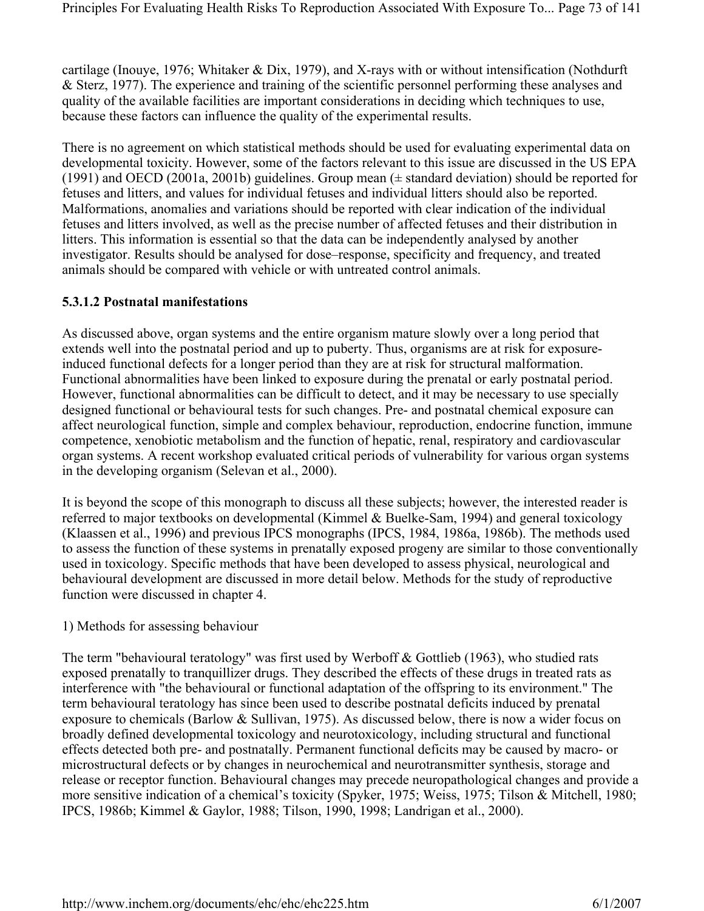cartilage (Inouye, 1976; Whitaker & Dix, 1979), and X-rays with or without intensification (Nothdurft & Sterz, 1977). The experience and training of the scientific personnel performing these analyses and quality of the available facilities are important considerations in deciding which techniques to use, because these factors can influence the quality of the experimental results.

There is no agreement on which statistical methods should be used for evaluating experimental data on developmental toxicity. However, some of the factors relevant to this issue are discussed in the US EPA (1991) and OECD (2001a, 2001b) guidelines. Group mean ( $\pm$  standard deviation) should be reported for fetuses and litters, and values for individual fetuses and individual litters should also be reported. Malformations, anomalies and variations should be reported with clear indication of the individual fetuses and litters involved, as well as the precise number of affected fetuses and their distribution in litters. This information is essential so that the data can be independently analysed by another investigator. Results should be analysed for dose–response, specificity and frequency, and treated animals should be compared with vehicle or with untreated control animals.

### **5.3.1.2 Postnatal manifestations**

As discussed above, organ systems and the entire organism mature slowly over a long period that extends well into the postnatal period and up to puberty. Thus, organisms are at risk for exposureinduced functional defects for a longer period than they are at risk for structural malformation. Functional abnormalities have been linked to exposure during the prenatal or early postnatal period. However, functional abnormalities can be difficult to detect, and it may be necessary to use specially designed functional or behavioural tests for such changes. Pre- and postnatal chemical exposure can affect neurological function, simple and complex behaviour, reproduction, endocrine function, immune competence, xenobiotic metabolism and the function of hepatic, renal, respiratory and cardiovascular organ systems. A recent workshop evaluated critical periods of vulnerability for various organ systems in the developing organism (Selevan et al., 2000).

It is beyond the scope of this monograph to discuss all these subjects; however, the interested reader is referred to major textbooks on developmental (Kimmel & Buelke-Sam, 1994) and general toxicology (Klaassen et al., 1996) and previous IPCS monographs (IPCS, 1984, 1986a, 1986b). The methods used to assess the function of these systems in prenatally exposed progeny are similar to those conventionally used in toxicology. Specific methods that have been developed to assess physical, neurological and behavioural development are discussed in more detail below. Methods for the study of reproductive function were discussed in chapter 4.

#### 1) Methods for assessing behaviour

The term "behavioural teratology" was first used by Werboff & Gottlieb (1963), who studied rats exposed prenatally to tranquillizer drugs. They described the effects of these drugs in treated rats as interference with "the behavioural or functional adaptation of the offspring to its environment." The term behavioural teratology has since been used to describe postnatal deficits induced by prenatal exposure to chemicals (Barlow & Sullivan, 1975). As discussed below, there is now a wider focus on broadly defined developmental toxicology and neurotoxicology, including structural and functional effects detected both pre- and postnatally. Permanent functional deficits may be caused by macro- or microstructural defects or by changes in neurochemical and neurotransmitter synthesis, storage and release or receptor function. Behavioural changes may precede neuropathological changes and provide a more sensitive indication of a chemical's toxicity (Spyker, 1975; Weiss, 1975; Tilson & Mitchell, 1980; IPCS, 1986b; Kimmel & Gaylor, 1988; Tilson, 1990, 1998; Landrigan et al., 2000).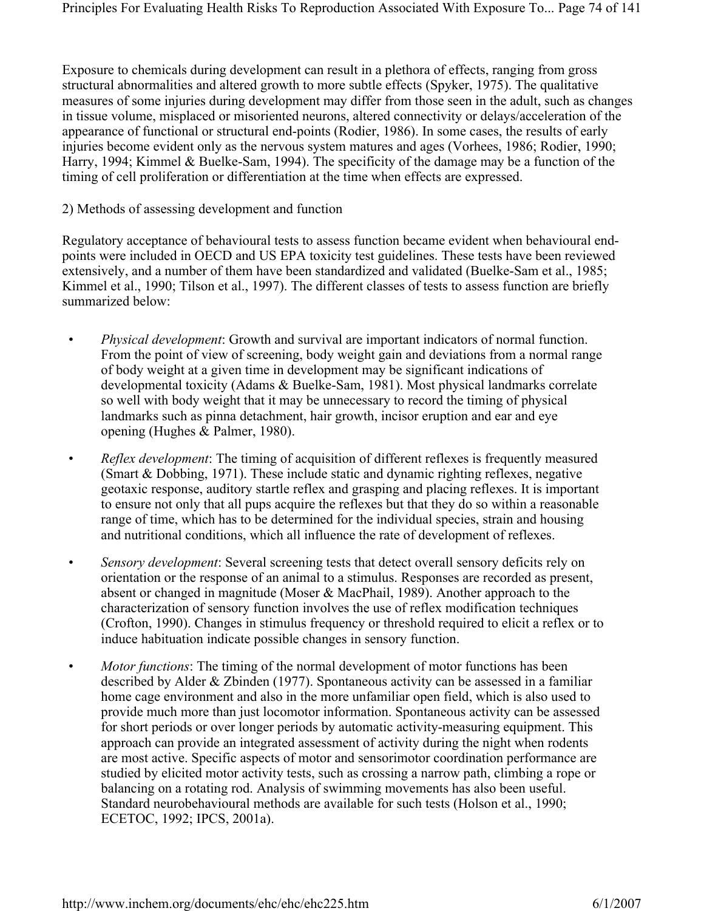Exposure to chemicals during development can result in a plethora of effects, ranging from gross structural abnormalities and altered growth to more subtle effects (Spyker, 1975). The qualitative measures of some injuries during development may differ from those seen in the adult, such as changes in tissue volume, misplaced or misoriented neurons, altered connectivity or delays/acceleration of the appearance of functional or structural end-points (Rodier, 1986). In some cases, the results of early injuries become evident only as the nervous system matures and ages (Vorhees, 1986; Rodier, 1990; Harry, 1994; Kimmel & Buelke-Sam, 1994). The specificity of the damage may be a function of the timing of cell proliferation or differentiation at the time when effects are expressed.

2) Methods of assessing development and function

Regulatory acceptance of behavioural tests to assess function became evident when behavioural endpoints were included in OECD and US EPA toxicity test guidelines. These tests have been reviewed extensively, and a number of them have been standardized and validated (Buelke-Sam et al., 1985; Kimmel et al., 1990; Tilson et al., 1997). The different classes of tests to assess function are briefly summarized below:

- *• Physical development*: Growth and survival are important indicators of normal function. From the point of view of screening, body weight gain and deviations from a normal range of body weight at a given time in development may be significant indications of developmental toxicity (Adams & Buelke-Sam, 1981). Most physical landmarks correlate so well with body weight that it may be unnecessary to record the timing of physical landmarks such as pinna detachment, hair growth, incisor eruption and ear and eye opening (Hughes & Palmer, 1980).
- *• Reflex development*: The timing of acquisition of different reflexes is frequently measured (Smart & Dobbing, 1971). These include static and dynamic righting reflexes, negative geotaxic response, auditory startle reflex and grasping and placing reflexes. It is important to ensure not only that all pups acquire the reflexes but that they do so within a reasonable range of time, which has to be determined for the individual species, strain and housing and nutritional conditions, which all influence the rate of development of reflexes.
- *• Sensory development*: Several screening tests that detect overall sensory deficits rely on orientation or the response of an animal to a stimulus. Responses are recorded as present, absent or changed in magnitude (Moser & MacPhail, 1989). Another approach to the characterization of sensory function involves the use of reflex modification techniques (Crofton, 1990). Changes in stimulus frequency or threshold required to elicit a reflex or to induce habituation indicate possible changes in sensory function.
- *• Motor functions*: The timing of the normal development of motor functions has been described by Alder & Zbinden (1977). Spontaneous activity can be assessed in a familiar home cage environment and also in the more unfamiliar open field, which is also used to provide much more than just locomotor information. Spontaneous activity can be assessed for short periods or over longer periods by automatic activity-measuring equipment. This approach can provide an integrated assessment of activity during the night when rodents are most active. Specific aspects of motor and sensorimotor coordination performance are studied by elicited motor activity tests, such as crossing a narrow path, climbing a rope or balancing on a rotating rod. Analysis of swimming movements has also been useful. Standard neurobehavioural methods are available for such tests (Holson et al., 1990; ECETOC, 1992; IPCS, 2001a).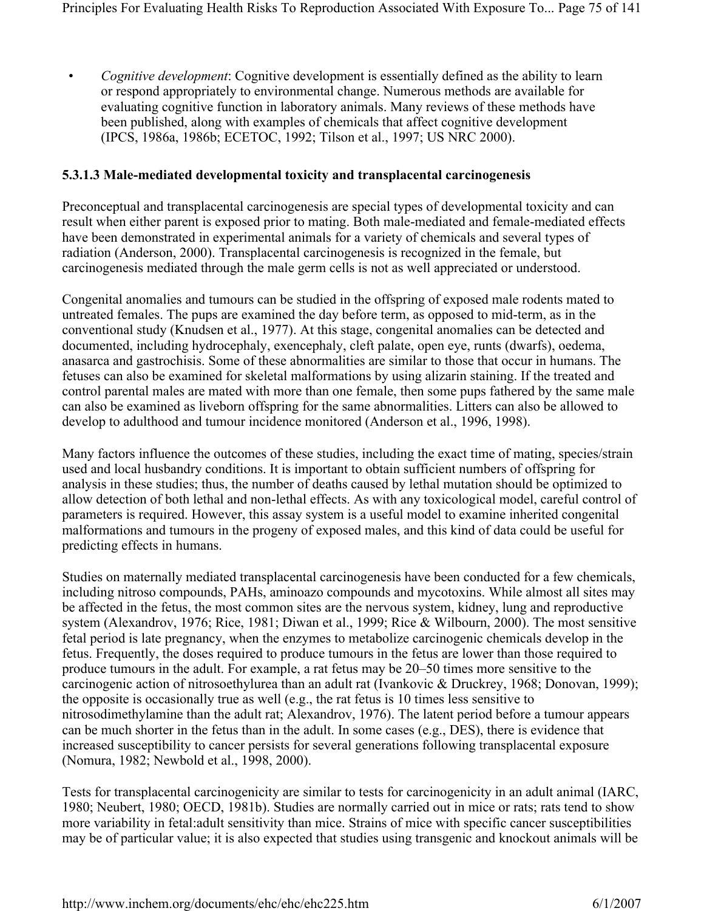*• Cognitive development*: Cognitive development is essentially defined as the ability to learn or respond appropriately to environmental change. Numerous methods are available for evaluating cognitive function in laboratory animals. Many reviews of these methods have been published, along with examples of chemicals that affect cognitive development (IPCS, 1986a, 1986b; ECETOC, 1992; Tilson et al., 1997; US NRC 2000).

#### **5.3.1.3 Male-mediated developmental toxicity and transplacental carcinogenesis**

Preconceptual and transplacental carcinogenesis are special types of developmental toxicity and can result when either parent is exposed prior to mating. Both male-mediated and female-mediated effects have been demonstrated in experimental animals for a variety of chemicals and several types of radiation (Anderson, 2000). Transplacental carcinogenesis is recognized in the female, but carcinogenesis mediated through the male germ cells is not as well appreciated or understood.

Congenital anomalies and tumours can be studied in the offspring of exposed male rodents mated to untreated females. The pups are examined the day before term, as opposed to mid-term, as in the conventional study (Knudsen et al., 1977). At this stage, congenital anomalies can be detected and documented, including hydrocephaly, exencephaly, cleft palate, open eye, runts (dwarfs), oedema, anasarca and gastrochisis. Some of these abnormalities are similar to those that occur in humans. The fetuses can also be examined for skeletal malformations by using alizarin staining. If the treated and control parental males are mated with more than one female, then some pups fathered by the same male can also be examined as liveborn offspring for the same abnormalities. Litters can also be allowed to develop to adulthood and tumour incidence monitored (Anderson et al., 1996, 1998).

Many factors influence the outcomes of these studies, including the exact time of mating, species/strain used and local husbandry conditions. It is important to obtain sufficient numbers of offspring for analysis in these studies; thus, the number of deaths caused by lethal mutation should be optimized to allow detection of both lethal and non-lethal effects. As with any toxicological model, careful control of parameters is required. However, this assay system is a useful model to examine inherited congenital malformations and tumours in the progeny of exposed males, and this kind of data could be useful for predicting effects in humans.

Studies on maternally mediated transplacental carcinogenesis have been conducted for a few chemicals, including nitroso compounds, PAHs, aminoazo compounds and mycotoxins. While almost all sites may be affected in the fetus, the most common sites are the nervous system, kidney, lung and reproductive system (Alexandrov, 1976; Rice, 1981; Diwan et al., 1999; Rice & Wilbourn, 2000). The most sensitive fetal period is late pregnancy, when the enzymes to metabolize carcinogenic chemicals develop in the fetus. Frequently, the doses required to produce tumours in the fetus are lower than those required to produce tumours in the adult. For example, a rat fetus may be 20–50 times more sensitive to the carcinogenic action of nitrosoethylurea than an adult rat (Ivankovic & Druckrey, 1968; Donovan, 1999); the opposite is occasionally true as well (e.g., the rat fetus is 10 times less sensitive to nitrosodimethylamine than the adult rat; Alexandrov, 1976). The latent period before a tumour appears can be much shorter in the fetus than in the adult. In some cases (e.g., DES), there is evidence that increased susceptibility to cancer persists for several generations following transplacental exposure (Nomura, 1982; Newbold et al., 1998, 2000).

Tests for transplacental carcinogenicity are similar to tests for carcinogenicity in an adult animal (IARC, 1980; Neubert, 1980; OECD, 1981b). Studies are normally carried out in mice or rats; rats tend to show more variability in fetal:adult sensitivity than mice. Strains of mice with specific cancer susceptibilities may be of particular value; it is also expected that studies using transgenic and knockout animals will be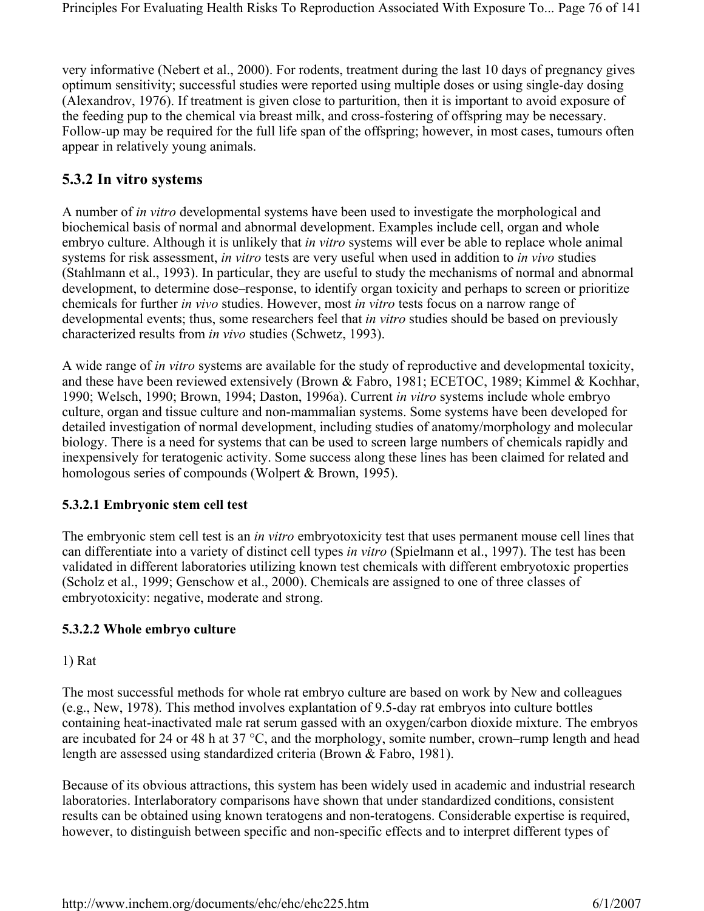very informative (Nebert et al., 2000). For rodents, treatment during the last 10 days of pregnancy gives optimum sensitivity; successful studies were reported using multiple doses or using single-day dosing (Alexandrov, 1976). If treatment is given close to parturition, then it is important to avoid exposure of the feeding pup to the chemical via breast milk, and cross-fostering of offspring may be necessary. Follow-up may be required for the full life span of the offspring; however, in most cases, tumours often appear in relatively young animals.

### **5.3.2 In vitro systems**

A number of *in vitro* developmental systems have been used to investigate the morphological and biochemical basis of normal and abnormal development. Examples include cell, organ and whole embryo culture. Although it is unlikely that *in vitro* systems will ever be able to replace whole animal systems for risk assessment, *in vitro* tests are very useful when used in addition to *in vivo* studies (Stahlmann et al., 1993). In particular, they are useful to study the mechanisms of normal and abnormal development, to determine dose–response, to identify organ toxicity and perhaps to screen or prioritize chemicals for further *in vivo* studies. However, most *in vitro* tests focus on a narrow range of developmental events; thus, some researchers feel that *in vitro* studies should be based on previously characterized results from *in vivo* studies (Schwetz, 1993).

A wide range of *in vitro* systems are available for the study of reproductive and developmental toxicity, and these have been reviewed extensively (Brown & Fabro, 1981; ECETOC, 1989; Kimmel & Kochhar, 1990; Welsch, 1990; Brown, 1994; Daston, 1996a). Current *in vitro* systems include whole embryo culture, organ and tissue culture and non-mammalian systems. Some systems have been developed for detailed investigation of normal development, including studies of anatomy/morphology and molecular biology. There is a need for systems that can be used to screen large numbers of chemicals rapidly and inexpensively for teratogenic activity. Some success along these lines has been claimed for related and homologous series of compounds (Wolpert & Brown, 1995).

### **5.3.2.1 Embryonic stem cell test**

The embryonic stem cell test is an *in vitro* embryotoxicity test that uses permanent mouse cell lines that can differentiate into a variety of distinct cell types *in vitro* (Spielmann et al., 1997). The test has been validated in different laboratories utilizing known test chemicals with different embryotoxic properties (Scholz et al., 1999; Genschow et al., 2000). Chemicals are assigned to one of three classes of embryotoxicity: negative, moderate and strong.

### **5.3.2.2 Whole embryo culture**

### 1) Rat

The most successful methods for whole rat embryo culture are based on work by New and colleagues (e.g., New, 1978). This method involves explantation of 9.5-day rat embryos into culture bottles containing heat-inactivated male rat serum gassed with an oxygen/carbon dioxide mixture. The embryos are incubated for 24 or 48 h at 37 °C, and the morphology, somite number, crown–rump length and head length are assessed using standardized criteria (Brown & Fabro, 1981).

Because of its obvious attractions, this system has been widely used in academic and industrial research laboratories. Interlaboratory comparisons have shown that under standardized conditions, consistent results can be obtained using known teratogens and non-teratogens. Considerable expertise is required, however, to distinguish between specific and non-specific effects and to interpret different types of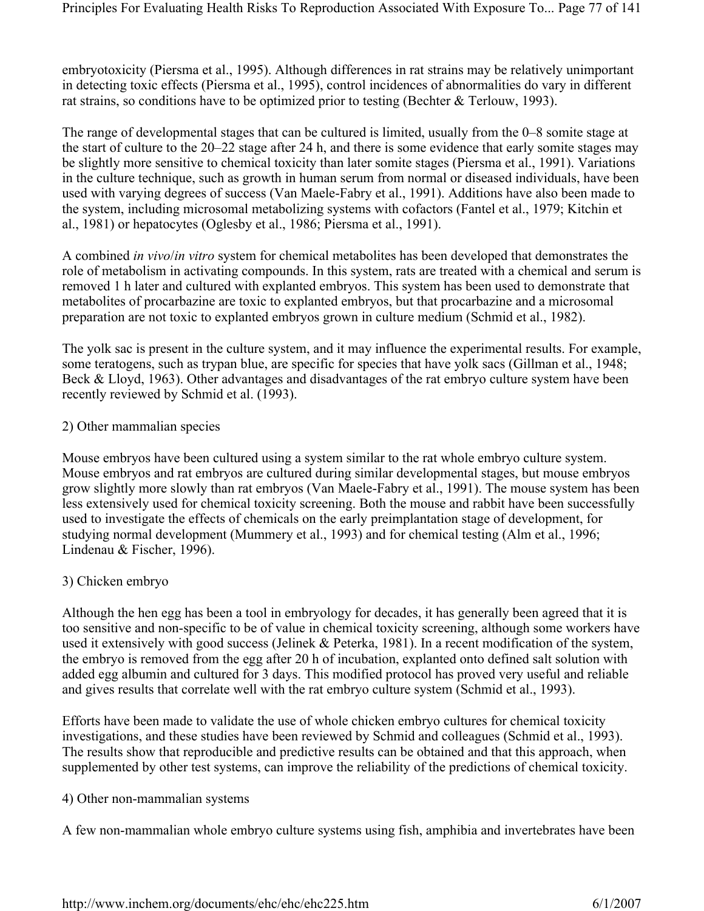embryotoxicity (Piersma et al., 1995). Although differences in rat strains may be relatively unimportant in detecting toxic effects (Piersma et al., 1995), control incidences of abnormalities do vary in different rat strains, so conditions have to be optimized prior to testing (Bechter & Terlouw, 1993).

The range of developmental stages that can be cultured is limited, usually from the 0–8 somite stage at the start of culture to the 20–22 stage after 24 h, and there is some evidence that early somite stages may be slightly more sensitive to chemical toxicity than later somite stages (Piersma et al., 1991). Variations in the culture technique, such as growth in human serum from normal or diseased individuals, have been used with varying degrees of success (Van Maele-Fabry et al., 1991). Additions have also been made to the system, including microsomal metabolizing systems with cofactors (Fantel et al., 1979; Kitchin et al., 1981) or hepatocytes (Oglesby et al., 1986; Piersma et al., 1991).

A combined *in vivo*/*in vitro* system for chemical metabolites has been developed that demonstrates the role of metabolism in activating compounds. In this system, rats are treated with a chemical and serum is removed 1 h later and cultured with explanted embryos. This system has been used to demonstrate that metabolites of procarbazine are toxic to explanted embryos, but that procarbazine and a microsomal preparation are not toxic to explanted embryos grown in culture medium (Schmid et al., 1982).

The yolk sac is present in the culture system, and it may influence the experimental results. For example, some teratogens, such as trypan blue, are specific for species that have yolk sacs (Gillman et al., 1948; Beck & Lloyd, 1963). Other advantages and disadvantages of the rat embryo culture system have been recently reviewed by Schmid et al. (1993).

#### 2) Other mammalian species

Mouse embryos have been cultured using a system similar to the rat whole embryo culture system. Mouse embryos and rat embryos are cultured during similar developmental stages, but mouse embryos grow slightly more slowly than rat embryos (Van Maele-Fabry et al., 1991). The mouse system has been less extensively used for chemical toxicity screening. Both the mouse and rabbit have been successfully used to investigate the effects of chemicals on the early preimplantation stage of development, for studying normal development (Mummery et al., 1993) and for chemical testing (Alm et al., 1996; Lindenau & Fischer, 1996).

### 3) Chicken embryo

Although the hen egg has been a tool in embryology for decades, it has generally been agreed that it is too sensitive and non-specific to be of value in chemical toxicity screening, although some workers have used it extensively with good success (Jelinek & Peterka, 1981). In a recent modification of the system, the embryo is removed from the egg after 20 h of incubation, explanted onto defined salt solution with added egg albumin and cultured for 3 days. This modified protocol has proved very useful and reliable and gives results that correlate well with the rat embryo culture system (Schmid et al., 1993).

Efforts have been made to validate the use of whole chicken embryo cultures for chemical toxicity investigations, and these studies have been reviewed by Schmid and colleagues (Schmid et al., 1993). The results show that reproducible and predictive results can be obtained and that this approach, when supplemented by other test systems, can improve the reliability of the predictions of chemical toxicity.

### 4) Other non-mammalian systems

A few non-mammalian whole embryo culture systems using fish, amphibia and invertebrates have been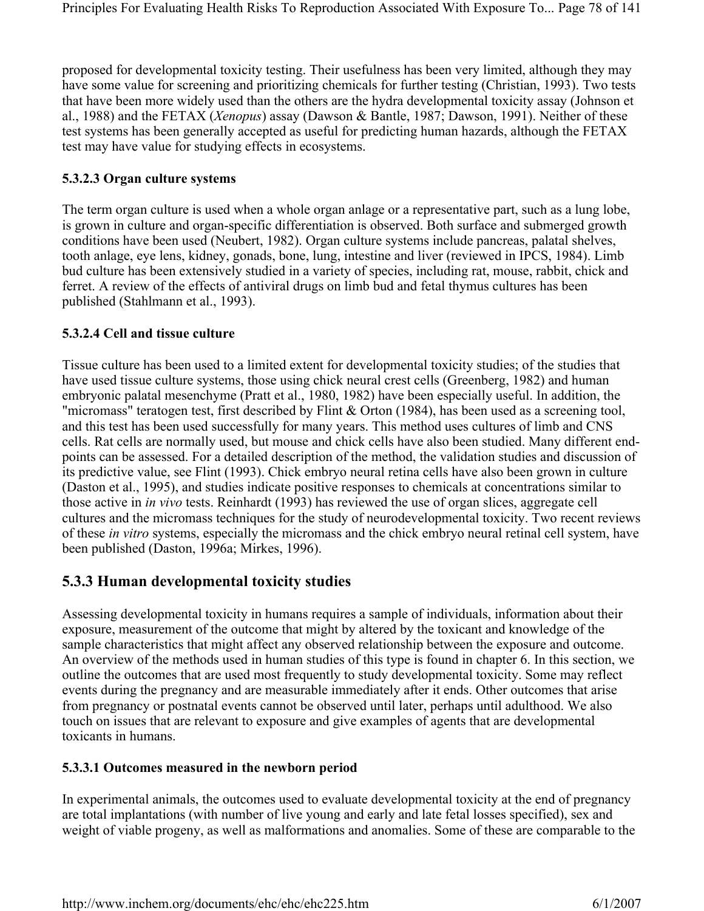proposed for developmental toxicity testing. Their usefulness has been very limited, although they may have some value for screening and prioritizing chemicals for further testing (Christian, 1993). Two tests that have been more widely used than the others are the hydra developmental toxicity assay (Johnson et al., 1988) and the FETAX (*Xenopus*) assay (Dawson & Bantle, 1987; Dawson, 1991). Neither of these test systems has been generally accepted as useful for predicting human hazards, although the FETAX test may have value for studying effects in ecosystems.

### **5.3.2.3 Organ culture systems**

The term organ culture is used when a whole organ anlage or a representative part, such as a lung lobe, is grown in culture and organ-specific differentiation is observed. Both surface and submerged growth conditions have been used (Neubert, 1982). Organ culture systems include pancreas, palatal shelves, tooth anlage, eye lens, kidney, gonads, bone, lung, intestine and liver (reviewed in IPCS, 1984). Limb bud culture has been extensively studied in a variety of species, including rat, mouse, rabbit, chick and ferret. A review of the effects of antiviral drugs on limb bud and fetal thymus cultures has been published (Stahlmann et al., 1993).

### **5.3.2.4 Cell and tissue culture**

Tissue culture has been used to a limited extent for developmental toxicity studies; of the studies that have used tissue culture systems, those using chick neural crest cells (Greenberg, 1982) and human embryonic palatal mesenchyme (Pratt et al., 1980, 1982) have been especially useful. In addition, the "micromass" teratogen test, first described by Flint & Orton (1984), has been used as a screening tool, and this test has been used successfully for many years. This method uses cultures of limb and CNS cells. Rat cells are normally used, but mouse and chick cells have also been studied. Many different endpoints can be assessed. For a detailed description of the method, the validation studies and discussion of its predictive value, see Flint (1993). Chick embryo neural retina cells have also been grown in culture (Daston et al., 1995), and studies indicate positive responses to chemicals at concentrations similar to those active in *in vivo* tests. Reinhardt (1993) has reviewed the use of organ slices, aggregate cell cultures and the micromass techniques for the study of neurodevelopmental toxicity. Two recent reviews of these *in vitro* systems, especially the micromass and the chick embryo neural retinal cell system, have been published (Daston, 1996a; Mirkes, 1996).

## **5.3.3 Human developmental toxicity studies**

Assessing developmental toxicity in humans requires a sample of individuals, information about their exposure, measurement of the outcome that might by altered by the toxicant and knowledge of the sample characteristics that might affect any observed relationship between the exposure and outcome. An overview of the methods used in human studies of this type is found in chapter 6. In this section, we outline the outcomes that are used most frequently to study developmental toxicity. Some may reflect events during the pregnancy and are measurable immediately after it ends. Other outcomes that arise from pregnancy or postnatal events cannot be observed until later, perhaps until adulthood. We also touch on issues that are relevant to exposure and give examples of agents that are developmental toxicants in humans.

### **5.3.3.1 Outcomes measured in the newborn period**

In experimental animals, the outcomes used to evaluate developmental toxicity at the end of pregnancy are total implantations (with number of live young and early and late fetal losses specified), sex and weight of viable progeny, as well as malformations and anomalies. Some of these are comparable to the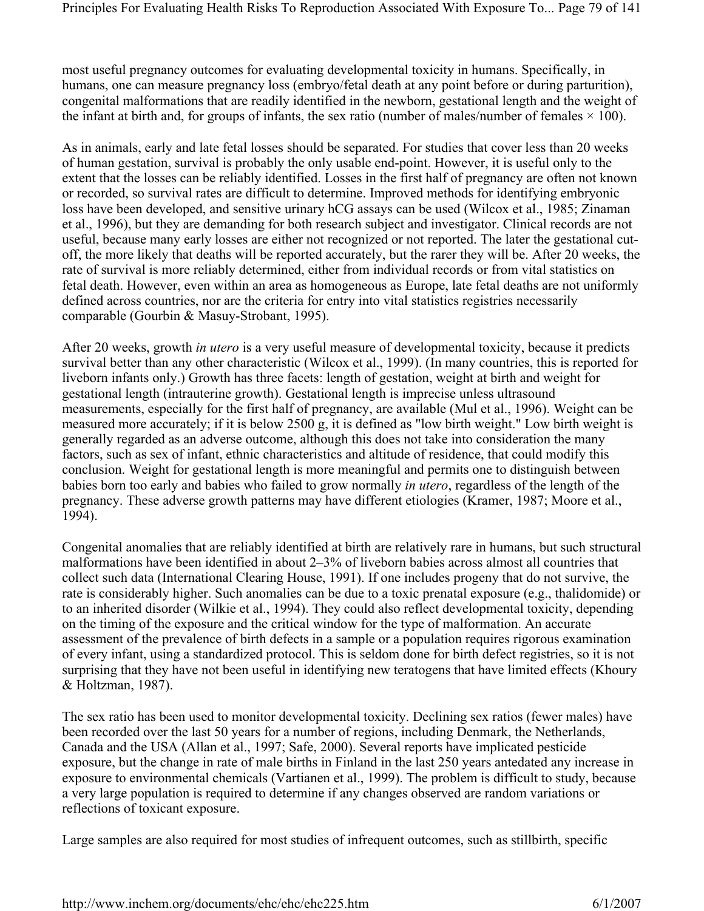most useful pregnancy outcomes for evaluating developmental toxicity in humans. Specifically, in humans, one can measure pregnancy loss (embryo/fetal death at any point before or during parturition), congenital malformations that are readily identified in the newborn, gestational length and the weight of the infant at birth and, for groups of infants, the sex ratio (number of males/number of females  $\times$  100).

As in animals, early and late fetal losses should be separated. For studies that cover less than 20 weeks of human gestation, survival is probably the only usable end-point. However, it is useful only to the extent that the losses can be reliably identified. Losses in the first half of pregnancy are often not known or recorded, so survival rates are difficult to determine. Improved methods for identifying embryonic loss have been developed, and sensitive urinary hCG assays can be used (Wilcox et al., 1985; Zinaman et al., 1996), but they are demanding for both research subject and investigator. Clinical records are not useful, because many early losses are either not recognized or not reported. The later the gestational cutoff, the more likely that deaths will be reported accurately, but the rarer they will be. After 20 weeks, the rate of survival is more reliably determined, either from individual records or from vital statistics on fetal death. However, even within an area as homogeneous as Europe, late fetal deaths are not uniformly defined across countries, nor are the criteria for entry into vital statistics registries necessarily comparable (Gourbin & Masuy-Strobant, 1995).

After 20 weeks, growth *in utero* is a very useful measure of developmental toxicity, because it predicts survival better than any other characteristic (Wilcox et al., 1999). (In many countries, this is reported for liveborn infants only.) Growth has three facets: length of gestation, weight at birth and weight for gestational length (intrauterine growth). Gestational length is imprecise unless ultrasound measurements, especially for the first half of pregnancy, are available (Mul et al., 1996). Weight can be measured more accurately; if it is below 2500 g, it is defined as "low birth weight." Low birth weight is generally regarded as an adverse outcome, although this does not take into consideration the many factors, such as sex of infant, ethnic characteristics and altitude of residence, that could modify this conclusion. Weight for gestational length is more meaningful and permits one to distinguish between babies born too early and babies who failed to grow normally *in utero*, regardless of the length of the pregnancy. These adverse growth patterns may have different etiologies (Kramer, 1987; Moore et al., 1994).

Congenital anomalies that are reliably identified at birth are relatively rare in humans, but such structural malformations have been identified in about 2–3% of liveborn babies across almost all countries that collect such data (International Clearing House, 1991). If one includes progeny that do not survive, the rate is considerably higher. Such anomalies can be due to a toxic prenatal exposure (e.g., thalidomide) or to an inherited disorder (Wilkie et al., 1994). They could also reflect developmental toxicity, depending on the timing of the exposure and the critical window for the type of malformation. An accurate assessment of the prevalence of birth defects in a sample or a population requires rigorous examination of every infant, using a standardized protocol. This is seldom done for birth defect registries, so it is not surprising that they have not been useful in identifying new teratogens that have limited effects (Khoury & Holtzman, 1987).

The sex ratio has been used to monitor developmental toxicity. Declining sex ratios (fewer males) have been recorded over the last 50 years for a number of regions, including Denmark, the Netherlands, Canada and the USA (Allan et al., 1997; Safe, 2000). Several reports have implicated pesticide exposure, but the change in rate of male births in Finland in the last 250 years antedated any increase in exposure to environmental chemicals (Vartianen et al., 1999). The problem is difficult to study, because a very large population is required to determine if any changes observed are random variations or reflections of toxicant exposure.

Large samples are also required for most studies of infrequent outcomes, such as stillbirth, specific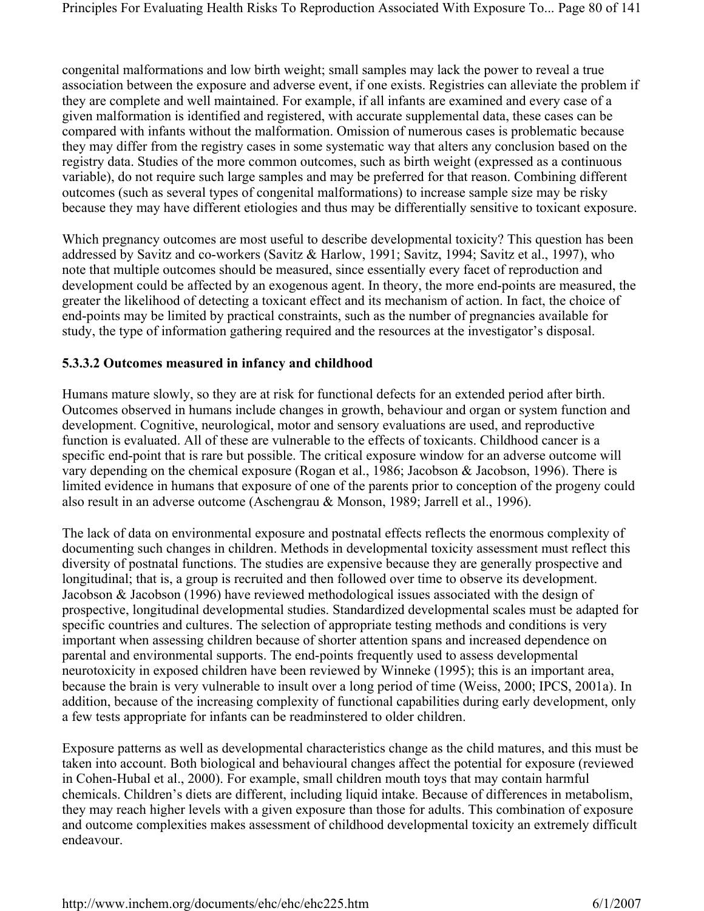congenital malformations and low birth weight; small samples may lack the power to reveal a true association between the exposure and adverse event, if one exists. Registries can alleviate the problem if they are complete and well maintained. For example, if all infants are examined and every case of a given malformation is identified and registered, with accurate supplemental data, these cases can be compared with infants without the malformation. Omission of numerous cases is problematic because they may differ from the registry cases in some systematic way that alters any conclusion based on the registry data. Studies of the more common outcomes, such as birth weight (expressed as a continuous variable), do not require such large samples and may be preferred for that reason. Combining different outcomes (such as several types of congenital malformations) to increase sample size may be risky because they may have different etiologies and thus may be differentially sensitive to toxicant exposure.

Which pregnancy outcomes are most useful to describe developmental toxicity? This question has been addressed by Savitz and co-workers (Savitz & Harlow, 1991; Savitz, 1994; Savitz et al., 1997), who note that multiple outcomes should be measured, since essentially every facet of reproduction and development could be affected by an exogenous agent. In theory, the more end-points are measured, the greater the likelihood of detecting a toxicant effect and its mechanism of action. In fact, the choice of end-points may be limited by practical constraints, such as the number of pregnancies available for study, the type of information gathering required and the resources at the investigator's disposal.

### **5.3.3.2 Outcomes measured in infancy and childhood**

Humans mature slowly, so they are at risk for functional defects for an extended period after birth. Outcomes observed in humans include changes in growth, behaviour and organ or system function and development. Cognitive, neurological, motor and sensory evaluations are used, and reproductive function is evaluated. All of these are vulnerable to the effects of toxicants. Childhood cancer is a specific end-point that is rare but possible. The critical exposure window for an adverse outcome will vary depending on the chemical exposure (Rogan et al., 1986; Jacobson & Jacobson, 1996). There is limited evidence in humans that exposure of one of the parents prior to conception of the progeny could also result in an adverse outcome (Aschengrau & Monson, 1989; Jarrell et al., 1996).

The lack of data on environmental exposure and postnatal effects reflects the enormous complexity of documenting such changes in children. Methods in developmental toxicity assessment must reflect this diversity of postnatal functions. The studies are expensive because they are generally prospective and longitudinal; that is, a group is recruited and then followed over time to observe its development. Jacobson & Jacobson (1996) have reviewed methodological issues associated with the design of prospective, longitudinal developmental studies. Standardized developmental scales must be adapted for specific countries and cultures. The selection of appropriate testing methods and conditions is very important when assessing children because of shorter attention spans and increased dependence on parental and environmental supports. The end-points frequently used to assess developmental neurotoxicity in exposed children have been reviewed by Winneke (1995); this is an important area, because the brain is very vulnerable to insult over a long period of time (Weiss, 2000; IPCS, 2001a). In addition, because of the increasing complexity of functional capabilities during early development, only a few tests appropriate for infants can be readminstered to older children.

Exposure patterns as well as developmental characteristics change as the child matures, and this must be taken into account. Both biological and behavioural changes affect the potential for exposure (reviewed in Cohen-Hubal et al., 2000). For example, small children mouth toys that may contain harmful chemicals. Children's diets are different, including liquid intake. Because of differences in metabolism, they may reach higher levels with a given exposure than those for adults. This combination of exposure and outcome complexities makes assessment of childhood developmental toxicity an extremely difficult endeavour.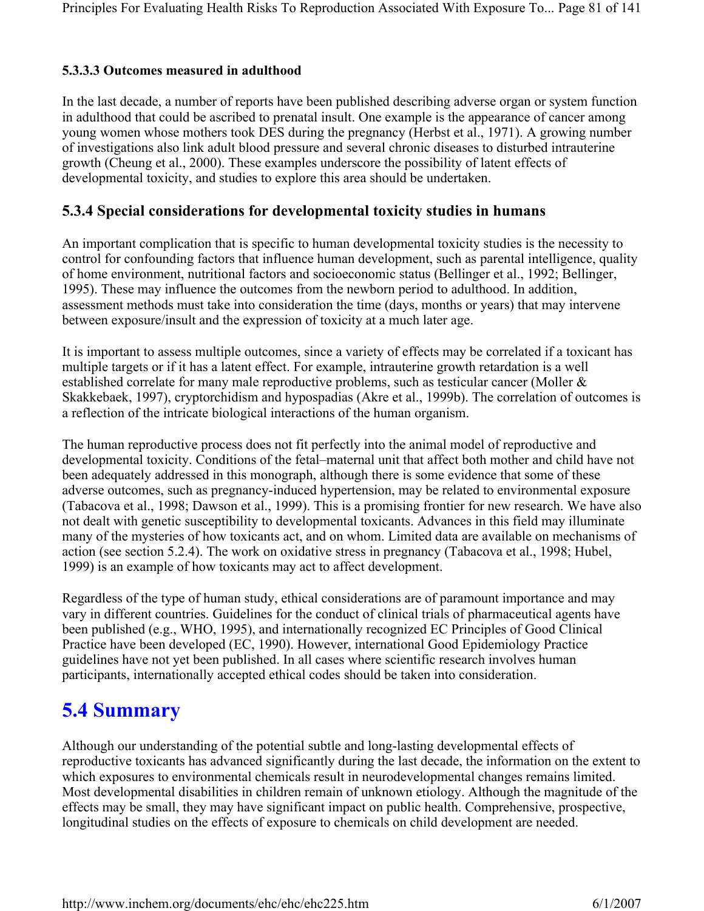### **5.3.3.3 Outcomes measured in adulthood**

In the last decade, a number of reports have been published describing adverse organ or system function in adulthood that could be ascribed to prenatal insult. One example is the appearance of cancer among young women whose mothers took DES during the pregnancy (Herbst et al., 1971). A growing number of investigations also link adult blood pressure and several chronic diseases to disturbed intrauterine growth (Cheung et al., 2000). These examples underscore the possibility of latent effects of developmental toxicity, and studies to explore this area should be undertaken.

### **5.3.4 Special considerations for developmental toxicity studies in humans**

An important complication that is specific to human developmental toxicity studies is the necessity to control for confounding factors that influence human development, such as parental intelligence, quality of home environment, nutritional factors and socioeconomic status (Bellinger et al., 1992; Bellinger, 1995). These may influence the outcomes from the newborn period to adulthood. In addition, assessment methods must take into consideration the time (days, months or years) that may intervene between exposure/insult and the expression of toxicity at a much later age.

It is important to assess multiple outcomes, since a variety of effects may be correlated if a toxicant has multiple targets or if it has a latent effect. For example, intrauterine growth retardation is a well established correlate for many male reproductive problems, such as testicular cancer (Moller & Skakkebaek, 1997), cryptorchidism and hypospadias (Akre et al., 1999b). The correlation of outcomes is a reflection of the intricate biological interactions of the human organism.

The human reproductive process does not fit perfectly into the animal model of reproductive and developmental toxicity. Conditions of the fetal–maternal unit that affect both mother and child have not been adequately addressed in this monograph, although there is some evidence that some of these adverse outcomes, such as pregnancy-induced hypertension, may be related to environmental exposure (Tabacova et al., 1998; Dawson et al., 1999). This is a promising frontier for new research. We have also not dealt with genetic susceptibility to developmental toxicants. Advances in this field may illuminate many of the mysteries of how toxicants act, and on whom. Limited data are available on mechanisms of action (see section 5.2.4). The work on oxidative stress in pregnancy (Tabacova et al., 1998; Hubel, 1999) is an example of how toxicants may act to affect development.

Regardless of the type of human study, ethical considerations are of paramount importance and may vary in different countries. Guidelines for the conduct of clinical trials of pharmaceutical agents have been published (e.g., WHO, 1995), and internationally recognized EC Principles of Good Clinical Practice have been developed (EC, 1990). However, international Good Epidemiology Practice guidelines have not yet been published. In all cases where scientific research involves human participants, internationally accepted ethical codes should be taken into consideration.

## **5.4 Summary**

Although our understanding of the potential subtle and long-lasting developmental effects of reproductive toxicants has advanced significantly during the last decade, the information on the extent to which exposures to environmental chemicals result in neurodevelopmental changes remains limited. Most developmental disabilities in children remain of unknown etiology. Although the magnitude of the effects may be small, they may have significant impact on public health. Comprehensive, prospective, longitudinal studies on the effects of exposure to chemicals on child development are needed.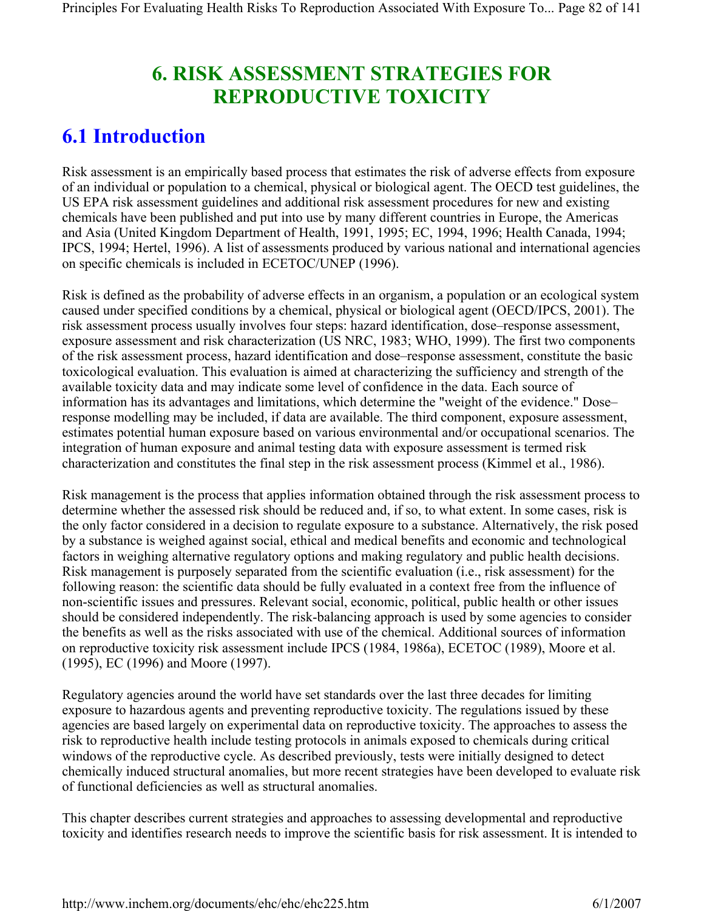## **6. RISK ASSESSMENT STRATEGIES FOR REPRODUCTIVE TOXICITY**

# **6.1 Introduction**

Risk assessment is an empirically based process that estimates the risk of adverse effects from exposure of an individual or population to a chemical, physical or biological agent. The OECD test guidelines, the US EPA risk assessment guidelines and additional risk assessment procedures for new and existing chemicals have been published and put into use by many different countries in Europe, the Americas and Asia (United Kingdom Department of Health, 1991, 1995; EC, 1994, 1996; Health Canada, 1994; IPCS, 1994; Hertel, 1996). A list of assessments produced by various national and international agencies on specific chemicals is included in ECETOC/UNEP (1996).

Risk is defined as the probability of adverse effects in an organism, a population or an ecological system caused under specified conditions by a chemical, physical or biological agent (OECD/IPCS, 2001). The risk assessment process usually involves four steps: hazard identification, dose–response assessment, exposure assessment and risk characterization (US NRC, 1983; WHO, 1999). The first two components of the risk assessment process, hazard identification and dose–response assessment, constitute the basic toxicological evaluation. This evaluation is aimed at characterizing the sufficiency and strength of the available toxicity data and may indicate some level of confidence in the data. Each source of information has its advantages and limitations, which determine the "weight of the evidence." Dose– response modelling may be included, if data are available. The third component, exposure assessment, estimates potential human exposure based on various environmental and/or occupational scenarios. The integration of human exposure and animal testing data with exposure assessment is termed risk characterization and constitutes the final step in the risk assessment process (Kimmel et al., 1986).

Risk management is the process that applies information obtained through the risk assessment process to determine whether the assessed risk should be reduced and, if so, to what extent. In some cases, risk is the only factor considered in a decision to regulate exposure to a substance. Alternatively, the risk posed by a substance is weighed against social, ethical and medical benefits and economic and technological factors in weighing alternative regulatory options and making regulatory and public health decisions. Risk management is purposely separated from the scientific evaluation (i.e., risk assessment) for the following reason: the scientific data should be fully evaluated in a context free from the influence of non-scientific issues and pressures. Relevant social, economic, political, public health or other issues should be considered independently. The risk-balancing approach is used by some agencies to consider the benefits as well as the risks associated with use of the chemical. Additional sources of information on reproductive toxicity risk assessment include IPCS (1984, 1986a), ECETOC (1989), Moore et al. (1995), EC (1996) and Moore (1997).

Regulatory agencies around the world have set standards over the last three decades for limiting exposure to hazardous agents and preventing reproductive toxicity. The regulations issued by these agencies are based largely on experimental data on reproductive toxicity. The approaches to assess the risk to reproductive health include testing protocols in animals exposed to chemicals during critical windows of the reproductive cycle. As described previously, tests were initially designed to detect chemically induced structural anomalies, but more recent strategies have been developed to evaluate risk of functional deficiencies as well as structural anomalies.

This chapter describes current strategies and approaches to assessing developmental and reproductive toxicity and identifies research needs to improve the scientific basis for risk assessment. It is intended to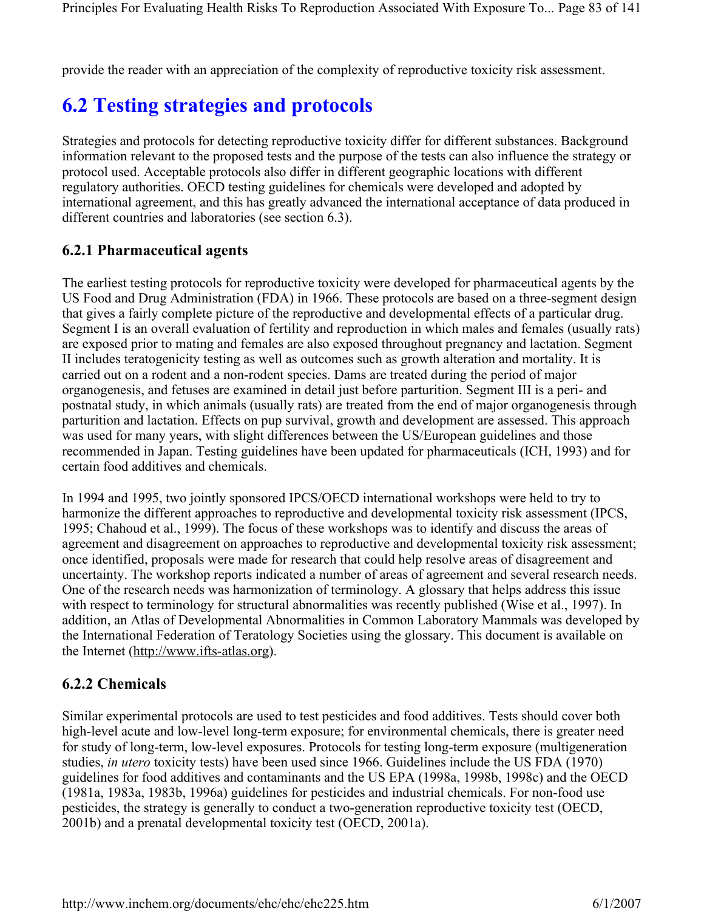provide the reader with an appreciation of the complexity of reproductive toxicity risk assessment.

# **6.2 Testing strategies and protocols**

Strategies and protocols for detecting reproductive toxicity differ for different substances. Background information relevant to the proposed tests and the purpose of the tests can also influence the strategy or protocol used. Acceptable protocols also differ in different geographic locations with different regulatory authorities. OECD testing guidelines for chemicals were developed and adopted by international agreement, and this has greatly advanced the international acceptance of data produced in different countries and laboratories (see section 6.3).

## **6.2.1 Pharmaceutical agents**

The earliest testing protocols for reproductive toxicity were developed for pharmaceutical agents by the US Food and Drug Administration (FDA) in 1966. These protocols are based on a three-segment design that gives a fairly complete picture of the reproductive and developmental effects of a particular drug. Segment I is an overall evaluation of fertility and reproduction in which males and females (usually rats) are exposed prior to mating and females are also exposed throughout pregnancy and lactation. Segment II includes teratogenicity testing as well as outcomes such as growth alteration and mortality. It is carried out on a rodent and a non-rodent species. Dams are treated during the period of major organogenesis, and fetuses are examined in detail just before parturition. Segment III is a peri- and postnatal study, in which animals (usually rats) are treated from the end of major organogenesis through parturition and lactation. Effects on pup survival, growth and development are assessed. This approach was used for many years, with slight differences between the US/European guidelines and those recommended in Japan. Testing guidelines have been updated for pharmaceuticals (ICH, 1993) and for certain food additives and chemicals.

In 1994 and 1995, two jointly sponsored IPCS/OECD international workshops were held to try to harmonize the different approaches to reproductive and developmental toxicity risk assessment (IPCS, 1995; Chahoud et al., 1999). The focus of these workshops was to identify and discuss the areas of agreement and disagreement on approaches to reproductive and developmental toxicity risk assessment; once identified, proposals were made for research that could help resolve areas of disagreement and uncertainty. The workshop reports indicated a number of areas of agreement and several research needs. One of the research needs was harmonization of terminology. A glossary that helps address this issue with respect to terminology for structural abnormalities was recently published (Wise et al., 1997). In addition, an Atlas of Developmental Abnormalities in Common Laboratory Mammals was developed by the International Federation of Teratology Societies using the glossary. This document is available on the Internet (http://www.ifts-atlas.org).

## **6.2.2 Chemicals**

Similar experimental protocols are used to test pesticides and food additives. Tests should cover both high-level acute and low-level long-term exposure; for environmental chemicals, there is greater need for study of long-term, low-level exposures. Protocols for testing long-term exposure (multigeneration studies, *in utero* toxicity tests) have been used since 1966. Guidelines include the US FDA (1970) guidelines for food additives and contaminants and the US EPA (1998a, 1998b, 1998c) and the OECD (1981a, 1983a, 1983b, 1996a) guidelines for pesticides and industrial chemicals. For non-food use pesticides, the strategy is generally to conduct a two-generation reproductive toxicity test (OECD, 2001b) and a prenatal developmental toxicity test (OECD, 2001a).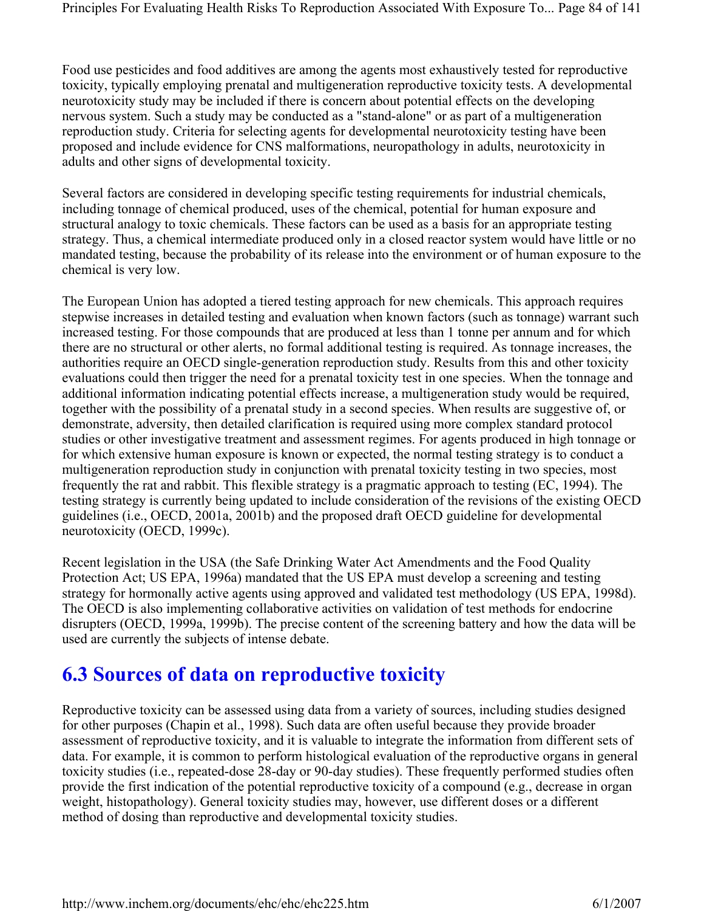Food use pesticides and food additives are among the agents most exhaustively tested for reproductive toxicity, typically employing prenatal and multigeneration reproductive toxicity tests. A developmental neurotoxicity study may be included if there is concern about potential effects on the developing nervous system. Such a study may be conducted as a "stand-alone" or as part of a multigeneration reproduction study. Criteria for selecting agents for developmental neurotoxicity testing have been proposed and include evidence for CNS malformations, neuropathology in adults, neurotoxicity in adults and other signs of developmental toxicity.

Several factors are considered in developing specific testing requirements for industrial chemicals, including tonnage of chemical produced, uses of the chemical, potential for human exposure and structural analogy to toxic chemicals. These factors can be used as a basis for an appropriate testing strategy. Thus, a chemical intermediate produced only in a closed reactor system would have little or no mandated testing, because the probability of its release into the environment or of human exposure to the chemical is very low.

The European Union has adopted a tiered testing approach for new chemicals. This approach requires stepwise increases in detailed testing and evaluation when known factors (such as tonnage) warrant such increased testing. For those compounds that are produced at less than 1 tonne per annum and for which there are no structural or other alerts, no formal additional testing is required. As tonnage increases, the authorities require an OECD single-generation reproduction study. Results from this and other toxicity evaluations could then trigger the need for a prenatal toxicity test in one species. When the tonnage and additional information indicating potential effects increase, a multigeneration study would be required, together with the possibility of a prenatal study in a second species. When results are suggestive of, or demonstrate, adversity, then detailed clarification is required using more complex standard protocol studies or other investigative treatment and assessment regimes. For agents produced in high tonnage or for which extensive human exposure is known or expected, the normal testing strategy is to conduct a multigeneration reproduction study in conjunction with prenatal toxicity testing in two species, most frequently the rat and rabbit. This flexible strategy is a pragmatic approach to testing (EC, 1994). The testing strategy is currently being updated to include consideration of the revisions of the existing OECD guidelines (i.e., OECD, 2001a, 2001b) and the proposed draft OECD guideline for developmental neurotoxicity (OECD, 1999c).

Recent legislation in the USA (the Safe Drinking Water Act Amendments and the Food Quality Protection Act; US EPA, 1996a) mandated that the US EPA must develop a screening and testing strategy for hormonally active agents using approved and validated test methodology (US EPA, 1998d). The OECD is also implementing collaborative activities on validation of test methods for endocrine disrupters (OECD, 1999a, 1999b). The precise content of the screening battery and how the data will be used are currently the subjects of intense debate.

# **6.3 Sources of data on reproductive toxicity**

Reproductive toxicity can be assessed using data from a variety of sources, including studies designed for other purposes (Chapin et al., 1998). Such data are often useful because they provide broader assessment of reproductive toxicity, and it is valuable to integrate the information from different sets of data. For example, it is common to perform histological evaluation of the reproductive organs in general toxicity studies (i.e., repeated-dose 28-day or 90-day studies). These frequently performed studies often provide the first indication of the potential reproductive toxicity of a compound (e.g., decrease in organ weight, histopathology). General toxicity studies may, however, use different doses or a different method of dosing than reproductive and developmental toxicity studies.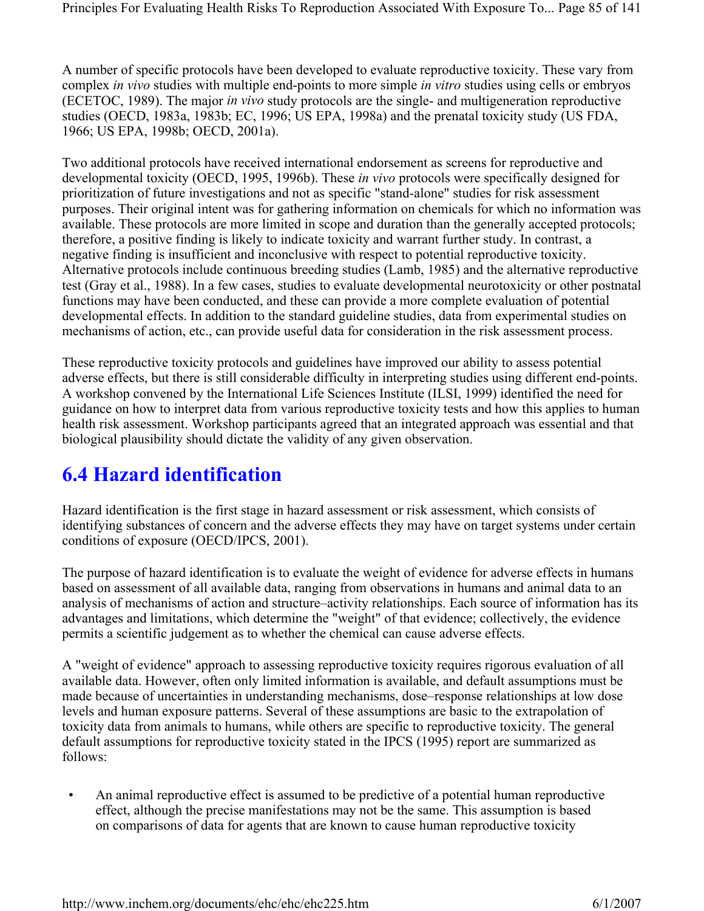A number of specific protocols have been developed to evaluate reproductive toxicity. These vary from complex *in vivo* studies with multiple end-points to more simple *in vitro* studies using cells or embryos (ECETOC, 1989). The major *in vivo* study protocols are the single- and multigeneration reproductive studies (OECD, 1983a, 1983b; EC, 1996; US EPA, 1998a) and the prenatal toxicity study (US FDA, 1966; US EPA, 1998b; OECD, 2001a).

Two additional protocols have received international endorsement as screens for reproductive and developmental toxicity (OECD, 1995, 1996b). These *in vivo* protocols were specifically designed for prioritization of future investigations and not as specific "stand-alone" studies for risk assessment purposes. Their original intent was for gathering information on chemicals for which no information was available. These protocols are more limited in scope and duration than the generally accepted protocols; therefore, a positive finding is likely to indicate toxicity and warrant further study. In contrast, a negative finding is insufficient and inconclusive with respect to potential reproductive toxicity. Alternative protocols include continuous breeding studies (Lamb, 1985) and the alternative reproductive test (Gray et al., 1988). In a few cases, studies to evaluate developmental neurotoxicity or other postnatal functions may have been conducted, and these can provide a more complete evaluation of potential developmental effects. In addition to the standard guideline studies, data from experimental studies on mechanisms of action, etc., can provide useful data for consideration in the risk assessment process.

These reproductive toxicity protocols and guidelines have improved our ability to assess potential adverse effects, but there is still considerable difficulty in interpreting studies using different end-points. A workshop convened by the International Life Sciences Institute (ILSI, 1999) identified the need for guidance on how to interpret data from various reproductive toxicity tests and how this applies to human health risk assessment. Workshop participants agreed that an integrated approach was essential and that biological plausibility should dictate the validity of any given observation.

# **6.4 Hazard identification**

Hazard identification is the first stage in hazard assessment or risk assessment, which consists of identifying substances of concern and the adverse effects they may have on target systems under certain conditions of exposure (OECD/IPCS, 2001).

The purpose of hazard identification is to evaluate the weight of evidence for adverse effects in humans based on assessment of all available data, ranging from observations in humans and animal data to an analysis of mechanisms of action and structure–activity relationships. Each source of information has its advantages and limitations, which determine the "weight" of that evidence; collectively, the evidence permits a scientific judgement as to whether the chemical can cause adverse effects.

A "weight of evidence" approach to assessing reproductive toxicity requires rigorous evaluation of all available data. However, often only limited information is available, and default assumptions must be made because of uncertainties in understanding mechanisms, dose–response relationships at low dose levels and human exposure patterns. Several of these assumptions are basic to the extrapolation of toxicity data from animals to humans, while others are specific to reproductive toxicity. The general default assumptions for reproductive toxicity stated in the IPCS (1995) report are summarized as follows:

*•* An animal reproductive effect is assumed to be predictive of a potential human reproductive effect, although the precise manifestations may not be the same. This assumption is based on comparisons of data for agents that are known to cause human reproductive toxicity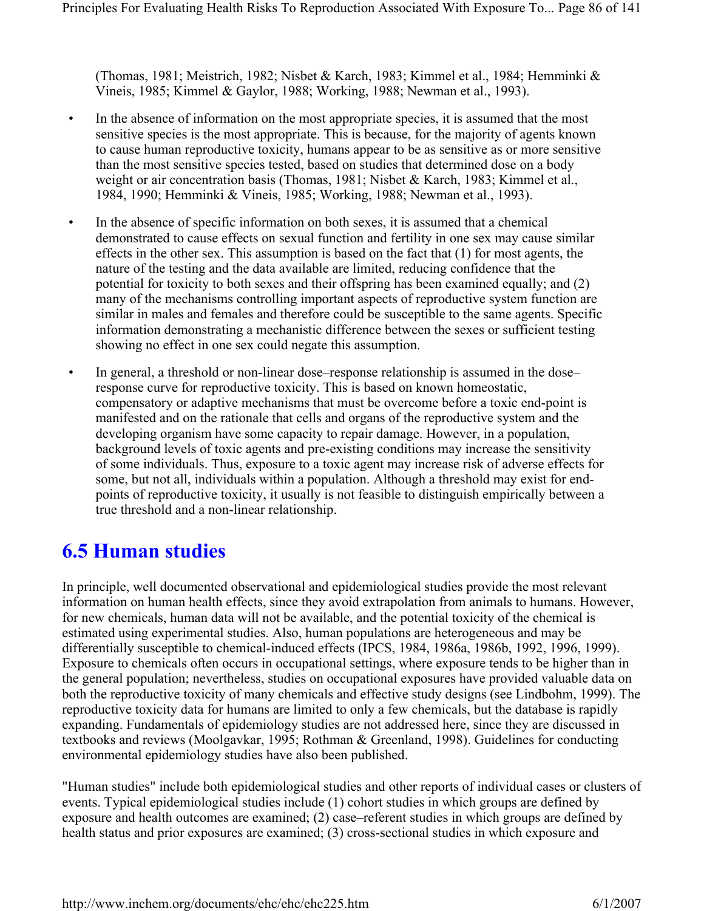(Thomas, 1981; Meistrich, 1982; Nisbet & Karch, 1983; Kimmel et al., 1984; Hemminki & Vineis, 1985; Kimmel & Gaylor, 1988; Working, 1988; Newman et al., 1993).

- *•* In the absence of information on the most appropriate species, it is assumed that the most sensitive species is the most appropriate. This is because, for the majority of agents known to cause human reproductive toxicity, humans appear to be as sensitive as or more sensitive than the most sensitive species tested, based on studies that determined dose on a body weight or air concentration basis (Thomas, 1981; Nisbet & Karch, 1983; Kimmel et al., 1984, 1990; Hemminki & Vineis, 1985; Working, 1988; Newman et al., 1993).
- In the absence of specific information on both sexes, it is assumed that a chemical demonstrated to cause effects on sexual function and fertility in one sex may cause similar effects in the other sex. This assumption is based on the fact that (1) for most agents, the nature of the testing and the data available are limited, reducing confidence that the potential for toxicity to both sexes and their offspring has been examined equally; and (2) many of the mechanisms controlling important aspects of reproductive system function are similar in males and females and therefore could be susceptible to the same agents. Specific information demonstrating a mechanistic difference between the sexes or sufficient testing showing no effect in one sex could negate this assumption.
- In general, a threshold or non-linear dose–response relationship is assumed in the dose– response curve for reproductive toxicity. This is based on known homeostatic, compensatory or adaptive mechanisms that must be overcome before a toxic end-point is manifested and on the rationale that cells and organs of the reproductive system and the developing organism have some capacity to repair damage. However, in a population, background levels of toxic agents and pre-existing conditions may increase the sensitivity of some individuals. Thus, exposure to a toxic agent may increase risk of adverse effects for some, but not all, individuals within a population. Although a threshold may exist for endpoints of reproductive toxicity, it usually is not feasible to distinguish empirically between a true threshold and a non-linear relationship.

# **6.5 Human studies**

In principle, well documented observational and epidemiological studies provide the most relevant information on human health effects, since they avoid extrapolation from animals to humans. However, for new chemicals, human data will not be available, and the potential toxicity of the chemical is estimated using experimental studies. Also, human populations are heterogeneous and may be differentially susceptible to chemical-induced effects (IPCS, 1984, 1986a, 1986b, 1992, 1996, 1999). Exposure to chemicals often occurs in occupational settings, where exposure tends to be higher than in the general population; nevertheless, studies on occupational exposures have provided valuable data on both the reproductive toxicity of many chemicals and effective study designs (see Lindbohm, 1999). The reproductive toxicity data for humans are limited to only a few chemicals, but the database is rapidly expanding. Fundamentals of epidemiology studies are not addressed here, since they are discussed in textbooks and reviews (Moolgavkar, 1995; Rothman & Greenland, 1998). Guidelines for conducting environmental epidemiology studies have also been published.

"Human studies" include both epidemiological studies and other reports of individual cases or clusters of events. Typical epidemiological studies include (1) cohort studies in which groups are defined by exposure and health outcomes are examined; (2) case–referent studies in which groups are defined by health status and prior exposures are examined; (3) cross-sectional studies in which exposure and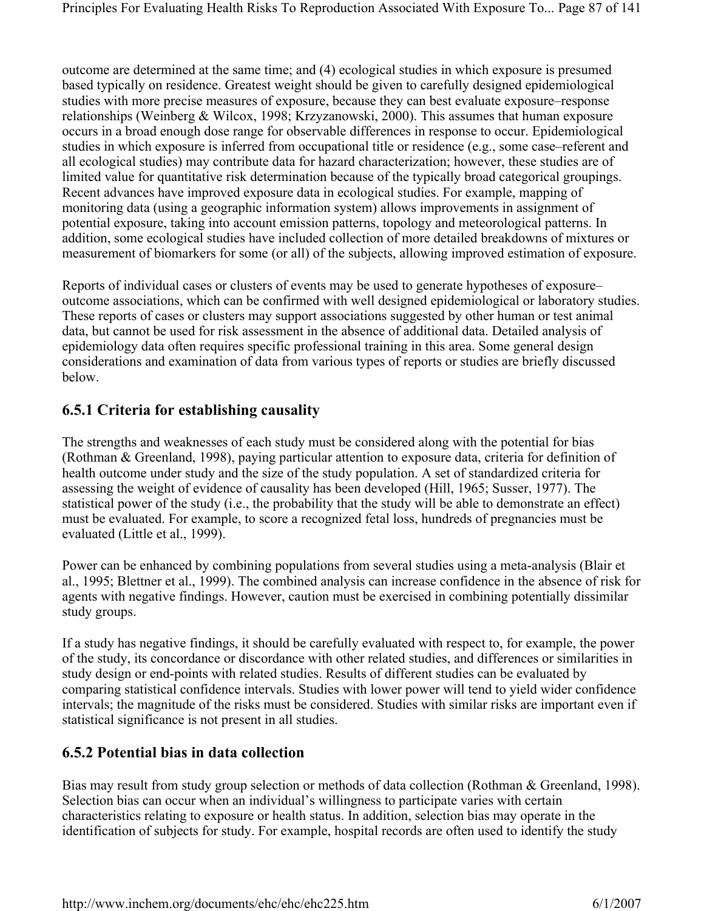outcome are determined at the same time; and (4) ecological studies in which exposure is presumed based typically on residence. Greatest weight should be given to carefully designed epidemiological studies with more precise measures of exposure, because they can best evaluate exposure–response relationships (Weinberg & Wilcox, 1998; Krzyzanowski, 2000). This assumes that human exposure occurs in a broad enough dose range for observable differences in response to occur. Epidemiological studies in which exposure is inferred from occupational title or residence (e.g., some case–referent and all ecological studies) may contribute data for hazard characterization; however, these studies are of limited value for quantitative risk determination because of the typically broad categorical groupings. Recent advances have improved exposure data in ecological studies. For example, mapping of monitoring data (using a geographic information system) allows improvements in assignment of potential exposure, taking into account emission patterns, topology and meteorological patterns. In addition, some ecological studies have included collection of more detailed breakdowns of mixtures or measurement of biomarkers for some (or all) of the subjects, allowing improved estimation of exposure.

Reports of individual cases or clusters of events may be used to generate hypotheses of exposure– outcome associations, which can be confirmed with well designed epidemiological or laboratory studies. These reports of cases or clusters may support associations suggested by other human or test animal data, but cannot be used for risk assessment in the absence of additional data. Detailed analysis of epidemiology data often requires specific professional training in this area. Some general design considerations and examination of data from various types of reports or studies are briefly discussed below.

## **6.5.1 Criteria for establishing causality**

The strengths and weaknesses of each study must be considered along with the potential for bias (Rothman & Greenland, 1998), paying particular attention to exposure data, criteria for definition of health outcome under study and the size of the study population. A set of standardized criteria for assessing the weight of evidence of causality has been developed (Hill, 1965; Susser, 1977). The statistical power of the study (i.e., the probability that the study will be able to demonstrate an effect) must be evaluated. For example, to score a recognized fetal loss, hundreds of pregnancies must be evaluated (Little et al., 1999).

Power can be enhanced by combining populations from several studies using a meta-analysis (Blair et al., 1995; Blettner et al., 1999). The combined analysis can increase confidence in the absence of risk for agents with negative findings. However, caution must be exercised in combining potentially dissimilar study groups.

If a study has negative findings, it should be carefully evaluated with respect to, for example, the power of the study, its concordance or discordance with other related studies, and differences or similarities in study design or end-points with related studies. Results of different studies can be evaluated by comparing statistical confidence intervals. Studies with lower power will tend to yield wider confidence intervals; the magnitude of the risks must be considered. Studies with similar risks are important even if statistical significance is not present in all studies.

## **6.5.2 Potential bias in data collection**

Bias may result from study group selection or methods of data collection (Rothman & Greenland, 1998). Selection bias can occur when an individual's willingness to participate varies with certain characteristics relating to exposure or health status. In addition, selection bias may operate in the identification of subjects for study. For example, hospital records are often used to identify the study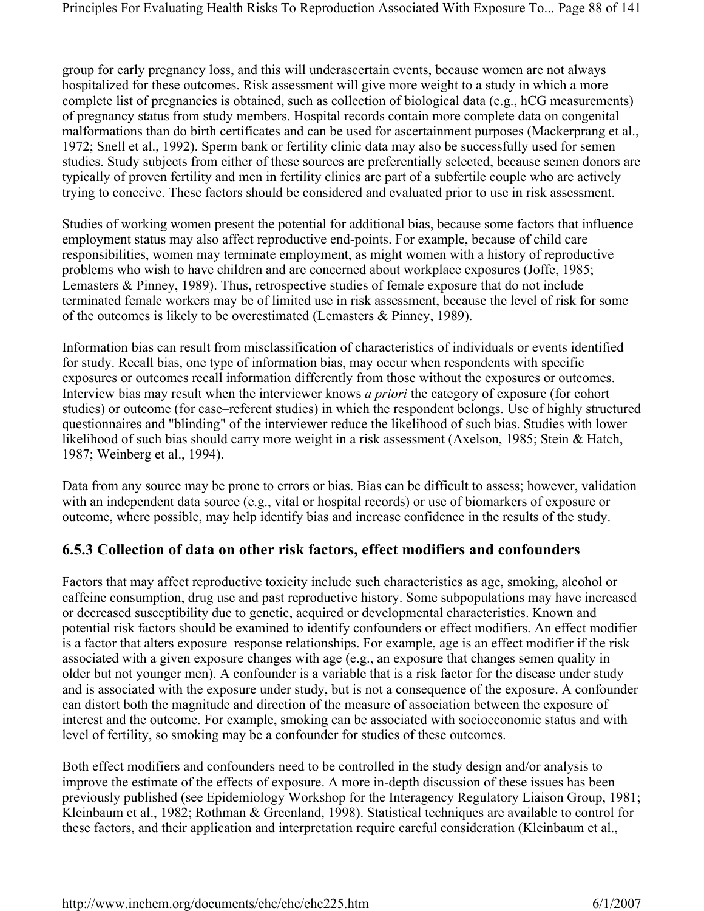group for early pregnancy loss, and this will underascertain events, because women are not always hospitalized for these outcomes. Risk assessment will give more weight to a study in which a more complete list of pregnancies is obtained, such as collection of biological data (e.g., hCG measurements) of pregnancy status from study members. Hospital records contain more complete data on congenital malformations than do birth certificates and can be used for ascertainment purposes (Mackerprang et al., 1972; Snell et al., 1992). Sperm bank or fertility clinic data may also be successfully used for semen studies. Study subjects from either of these sources are preferentially selected, because semen donors are typically of proven fertility and men in fertility clinics are part of a subfertile couple who are actively trying to conceive. These factors should be considered and evaluated prior to use in risk assessment.

Studies of working women present the potential for additional bias, because some factors that influence employment status may also affect reproductive end-points. For example, because of child care responsibilities, women may terminate employment, as might women with a history of reproductive problems who wish to have children and are concerned about workplace exposures (Joffe, 1985; Lemasters & Pinney, 1989). Thus, retrospective studies of female exposure that do not include terminated female workers may be of limited use in risk assessment, because the level of risk for some of the outcomes is likely to be overestimated (Lemasters & Pinney, 1989).

Information bias can result from misclassification of characteristics of individuals or events identified for study. Recall bias, one type of information bias, may occur when respondents with specific exposures or outcomes recall information differently from those without the exposures or outcomes. Interview bias may result when the interviewer knows *a priori* the category of exposure (for cohort studies) or outcome (for case–referent studies) in which the respondent belongs. Use of highly structured questionnaires and "blinding" of the interviewer reduce the likelihood of such bias. Studies with lower likelihood of such bias should carry more weight in a risk assessment (Axelson, 1985; Stein & Hatch, 1987; Weinberg et al., 1994).

Data from any source may be prone to errors or bias. Bias can be difficult to assess; however, validation with an independent data source (e.g., vital or hospital records) or use of biomarkers of exposure or outcome, where possible, may help identify bias and increase confidence in the results of the study.

## **6.5.3 Collection of data on other risk factors, effect modifiers and confounders**

Factors that may affect reproductive toxicity include such characteristics as age, smoking, alcohol or caffeine consumption, drug use and past reproductive history. Some subpopulations may have increased or decreased susceptibility due to genetic, acquired or developmental characteristics. Known and potential risk factors should be examined to identify confounders or effect modifiers. An effect modifier is a factor that alters exposure–response relationships. For example, age is an effect modifier if the risk associated with a given exposure changes with age (e.g., an exposure that changes semen quality in older but not younger men). A confounder is a variable that is a risk factor for the disease under study and is associated with the exposure under study, but is not a consequence of the exposure. A confounder can distort both the magnitude and direction of the measure of association between the exposure of interest and the outcome. For example, smoking can be associated with socioeconomic status and with level of fertility, so smoking may be a confounder for studies of these outcomes.

Both effect modifiers and confounders need to be controlled in the study design and/or analysis to improve the estimate of the effects of exposure. A more in-depth discussion of these issues has been previously published (see Epidemiology Workshop for the Interagency Regulatory Liaison Group, 1981; Kleinbaum et al., 1982; Rothman & Greenland, 1998). Statistical techniques are available to control for these factors, and their application and interpretation require careful consideration (Kleinbaum et al.,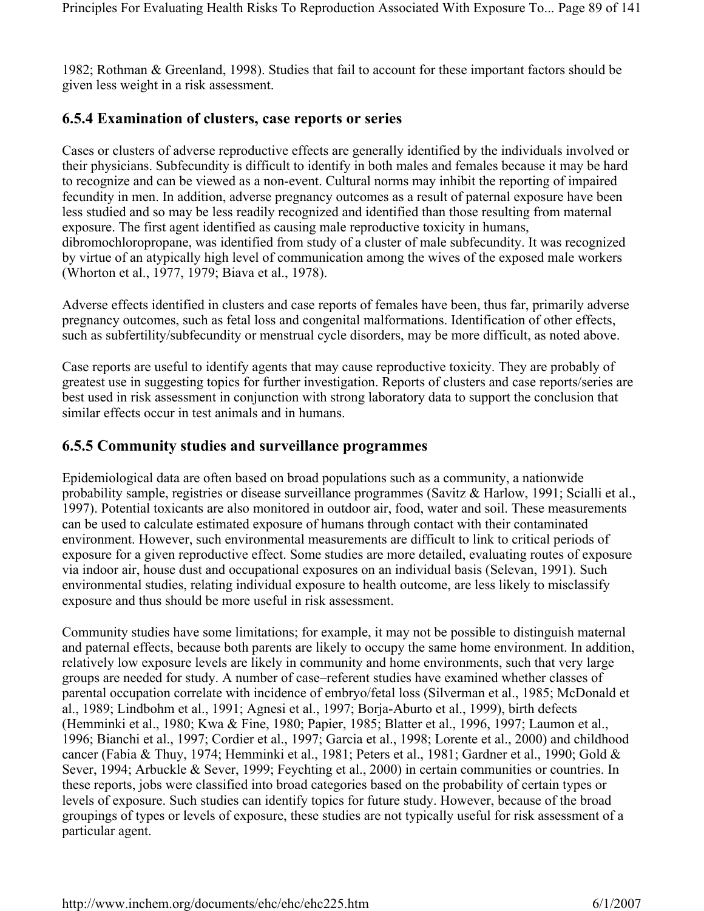1982; Rothman & Greenland, 1998). Studies that fail to account for these important factors should be given less weight in a risk assessment.

### **6.5.4 Examination of clusters, case reports or series**

Cases or clusters of adverse reproductive effects are generally identified by the individuals involved or their physicians. Subfecundity is difficult to identify in both males and females because it may be hard to recognize and can be viewed as a non-event. Cultural norms may inhibit the reporting of impaired fecundity in men. In addition, adverse pregnancy outcomes as a result of paternal exposure have been less studied and so may be less readily recognized and identified than those resulting from maternal exposure. The first agent identified as causing male reproductive toxicity in humans, dibromochloropropane, was identified from study of a cluster of male subfecundity. It was recognized by virtue of an atypically high level of communication among the wives of the exposed male workers (Whorton et al., 1977, 1979; Biava et al., 1978).

Adverse effects identified in clusters and case reports of females have been, thus far, primarily adverse pregnancy outcomes, such as fetal loss and congenital malformations. Identification of other effects, such as subfertility/subfecundity or menstrual cycle disorders, may be more difficult, as noted above.

Case reports are useful to identify agents that may cause reproductive toxicity. They are probably of greatest use in suggesting topics for further investigation. Reports of clusters and case reports/series are best used in risk assessment in conjunction with strong laboratory data to support the conclusion that similar effects occur in test animals and in humans.

### **6.5.5 Community studies and surveillance programmes**

Epidemiological data are often based on broad populations such as a community, a nationwide probability sample, registries or disease surveillance programmes (Savitz & Harlow, 1991; Scialli et al., 1997). Potential toxicants are also monitored in outdoor air, food, water and soil. These measurements can be used to calculate estimated exposure of humans through contact with their contaminated environment. However, such environmental measurements are difficult to link to critical periods of exposure for a given reproductive effect. Some studies are more detailed, evaluating routes of exposure via indoor air, house dust and occupational exposures on an individual basis (Selevan, 1991). Such environmental studies, relating individual exposure to health outcome, are less likely to misclassify exposure and thus should be more useful in risk assessment.

Community studies have some limitations; for example, it may not be possible to distinguish maternal and paternal effects, because both parents are likely to occupy the same home environment. In addition, relatively low exposure levels are likely in community and home environments, such that very large groups are needed for study. A number of case–referent studies have examined whether classes of parental occupation correlate with incidence of embryo/fetal loss (Silverman et al., 1985; McDonald et al., 1989; Lindbohm et al., 1991; Agnesi et al., 1997; Borja-Aburto et al., 1999), birth defects (Hemminki et al., 1980; Kwa & Fine, 1980; Papier, 1985; Blatter et al., 1996, 1997; Laumon et al., 1996; Bianchi et al., 1997; Cordier et al., 1997; Garcia et al., 1998; Lorente et al., 2000) and childhood cancer (Fabia & Thuy, 1974; Hemminki et al., 1981; Peters et al., 1981; Gardner et al., 1990; Gold & Sever, 1994; Arbuckle & Sever, 1999; Feychting et al., 2000) in certain communities or countries. In these reports, jobs were classified into broad categories based on the probability of certain types or levels of exposure. Such studies can identify topics for future study. However, because of the broad groupings of types or levels of exposure, these studies are not typically useful for risk assessment of a particular agent.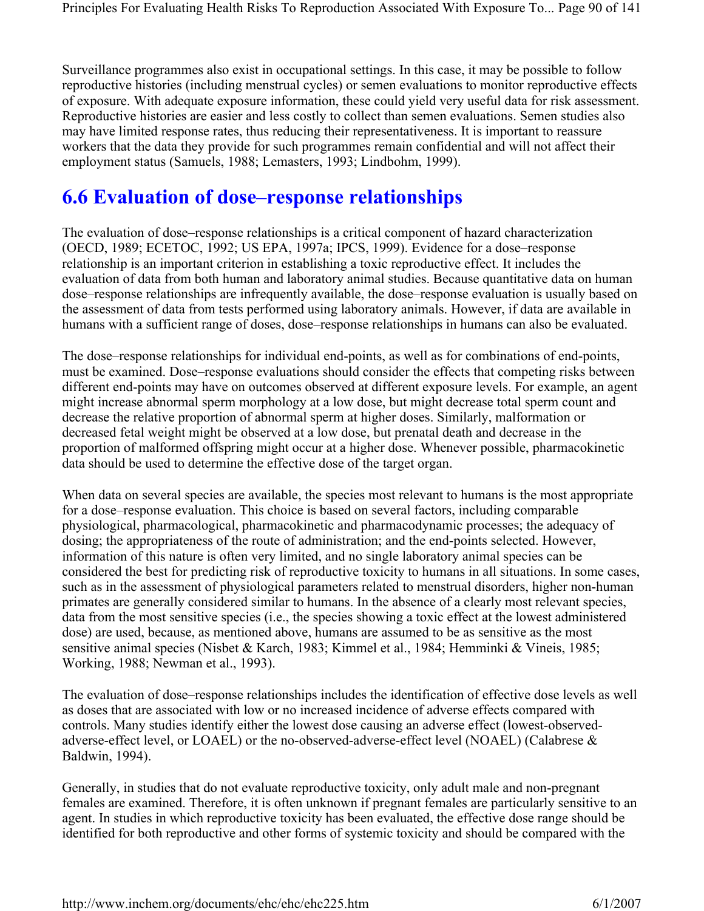Surveillance programmes also exist in occupational settings. In this case, it may be possible to follow reproductive histories (including menstrual cycles) or semen evaluations to monitor reproductive effects of exposure. With adequate exposure information, these could yield very useful data for risk assessment. Reproductive histories are easier and less costly to collect than semen evaluations. Semen studies also may have limited response rates, thus reducing their representativeness. It is important to reassure workers that the data they provide for such programmes remain confidential and will not affect their employment status (Samuels, 1988; Lemasters, 1993; Lindbohm, 1999).

## **6.6 Evaluation of dose–response relationships**

The evaluation of dose–response relationships is a critical component of hazard characterization (OECD, 1989; ECETOC, 1992; US EPA, 1997a; IPCS, 1999). Evidence for a dose–response relationship is an important criterion in establishing a toxic reproductive effect. It includes the evaluation of data from both human and laboratory animal studies. Because quantitative data on human dose–response relationships are infrequently available, the dose–response evaluation is usually based on the assessment of data from tests performed using laboratory animals. However, if data are available in humans with a sufficient range of doses, dose–response relationships in humans can also be evaluated.

The dose–response relationships for individual end-points, as well as for combinations of end-points, must be examined. Dose–response evaluations should consider the effects that competing risks between different end-points may have on outcomes observed at different exposure levels. For example, an agent might increase abnormal sperm morphology at a low dose, but might decrease total sperm count and decrease the relative proportion of abnormal sperm at higher doses. Similarly, malformation or decreased fetal weight might be observed at a low dose, but prenatal death and decrease in the proportion of malformed offspring might occur at a higher dose. Whenever possible, pharmacokinetic data should be used to determine the effective dose of the target organ.

When data on several species are available, the species most relevant to humans is the most appropriate for a dose–response evaluation. This choice is based on several factors, including comparable physiological, pharmacological, pharmacokinetic and pharmacodynamic processes; the adequacy of dosing; the appropriateness of the route of administration; and the end-points selected. However, information of this nature is often very limited, and no single laboratory animal species can be considered the best for predicting risk of reproductive toxicity to humans in all situations. In some cases, such as in the assessment of physiological parameters related to menstrual disorders, higher non-human primates are generally considered similar to humans. In the absence of a clearly most relevant species, data from the most sensitive species (i.e., the species showing a toxic effect at the lowest administered dose) are used, because, as mentioned above, humans are assumed to be as sensitive as the most sensitive animal species (Nisbet & Karch, 1983; Kimmel et al., 1984; Hemminki & Vineis, 1985; Working, 1988; Newman et al., 1993).

The evaluation of dose–response relationships includes the identification of effective dose levels as well as doses that are associated with low or no increased incidence of adverse effects compared with controls. Many studies identify either the lowest dose causing an adverse effect (lowest-observedadverse-effect level, or LOAEL) or the no-observed-adverse-effect level (NOAEL) (Calabrese & Baldwin, 1994).

Generally, in studies that do not evaluate reproductive toxicity, only adult male and non-pregnant females are examined. Therefore, it is often unknown if pregnant females are particularly sensitive to an agent. In studies in which reproductive toxicity has been evaluated, the effective dose range should be identified for both reproductive and other forms of systemic toxicity and should be compared with the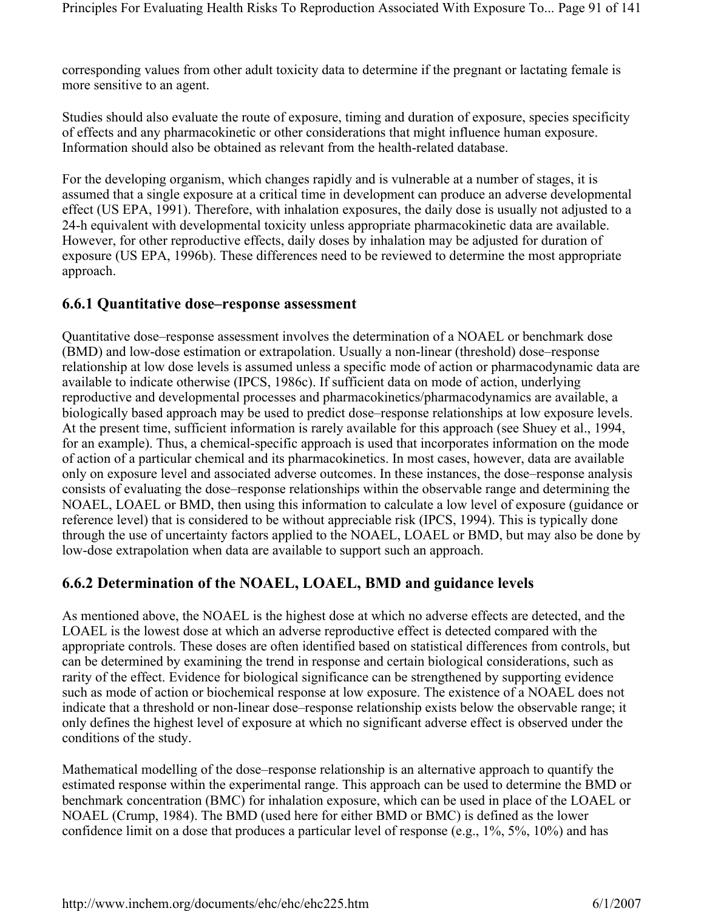corresponding values from other adult toxicity data to determine if the pregnant or lactating female is more sensitive to an agent.

Studies should also evaluate the route of exposure, timing and duration of exposure, species specificity of effects and any pharmacokinetic or other considerations that might influence human exposure. Information should also be obtained as relevant from the health-related database.

For the developing organism, which changes rapidly and is vulnerable at a number of stages, it is assumed that a single exposure at a critical time in development can produce an adverse developmental effect (US EPA, 1991). Therefore, with inhalation exposures, the daily dose is usually not adjusted to a 24-h equivalent with developmental toxicity unless appropriate pharmacokinetic data are available. However, for other reproductive effects, daily doses by inhalation may be adjusted for duration of exposure (US EPA, 1996b). These differences need to be reviewed to determine the most appropriate approach.

### **6.6.1 Quantitative dose–response assessment**

Quantitative dose–response assessment involves the determination of a NOAEL or benchmark dose (BMD) and low-dose estimation or extrapolation. Usually a non-linear (threshold) dose–response relationship at low dose levels is assumed unless a specific mode of action or pharmacodynamic data are available to indicate otherwise (IPCS, 1986c). If sufficient data on mode of action, underlying reproductive and developmental processes and pharmacokinetics/pharmacodynamics are available, a biologically based approach may be used to predict dose–response relationships at low exposure levels. At the present time, sufficient information is rarely available for this approach (see Shuey et al., 1994, for an example). Thus, a chemical-specific approach is used that incorporates information on the mode of action of a particular chemical and its pharmacokinetics. In most cases, however, data are available only on exposure level and associated adverse outcomes. In these instances, the dose–response analysis consists of evaluating the dose–response relationships within the observable range and determining the NOAEL, LOAEL or BMD, then using this information to calculate a low level of exposure (guidance or reference level) that is considered to be without appreciable risk (IPCS, 1994). This is typically done through the use of uncertainty factors applied to the NOAEL, LOAEL or BMD, but may also be done by low-dose extrapolation when data are available to support such an approach.

## **6.6.2 Determination of the NOAEL, LOAEL, BMD and guidance levels**

As mentioned above, the NOAEL is the highest dose at which no adverse effects are detected, and the LOAEL is the lowest dose at which an adverse reproductive effect is detected compared with the appropriate controls. These doses are often identified based on statistical differences from controls, but can be determined by examining the trend in response and certain biological considerations, such as rarity of the effect. Evidence for biological significance can be strengthened by supporting evidence such as mode of action or biochemical response at low exposure. The existence of a NOAEL does not indicate that a threshold or non-linear dose–response relationship exists below the observable range; it only defines the highest level of exposure at which no significant adverse effect is observed under the conditions of the study.

Mathematical modelling of the dose–response relationship is an alternative approach to quantify the estimated response within the experimental range. This approach can be used to determine the BMD or benchmark concentration (BMC) for inhalation exposure, which can be used in place of the LOAEL or NOAEL (Crump, 1984). The BMD (used here for either BMD or BMC) is defined as the lower confidence limit on a dose that produces a particular level of response (e.g., 1%, 5%, 10%) and has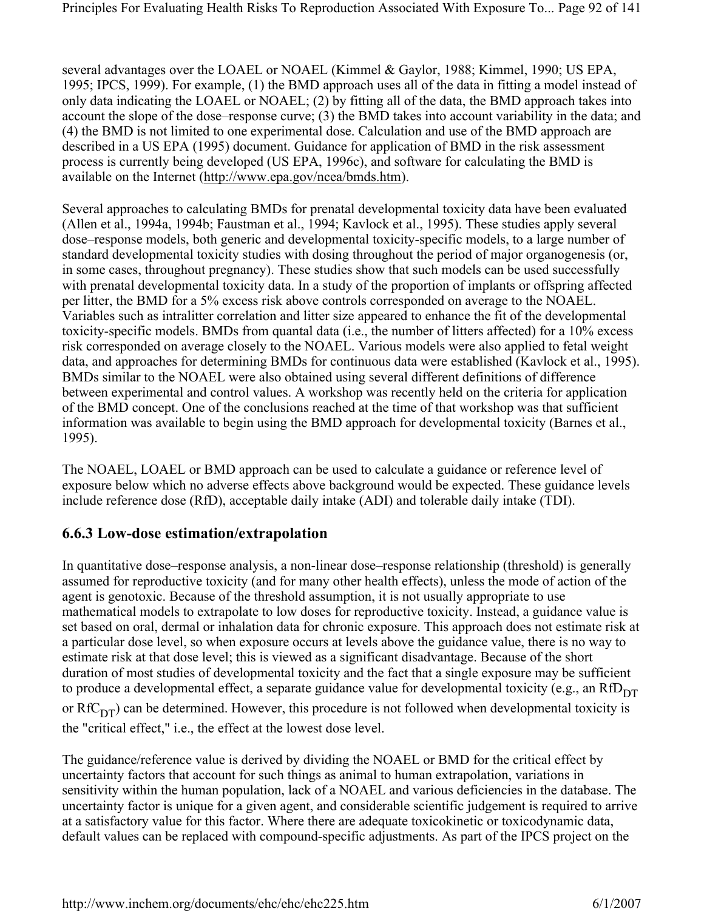several advantages over the LOAEL or NOAEL (Kimmel & Gaylor, 1988; Kimmel, 1990; US EPA, 1995; IPCS, 1999). For example, (1) the BMD approach uses all of the data in fitting a model instead of only data indicating the LOAEL or NOAEL; (2) by fitting all of the data, the BMD approach takes into account the slope of the dose–response curve; (3) the BMD takes into account variability in the data; and (4) the BMD is not limited to one experimental dose. Calculation and use of the BMD approach are described in a US EPA (1995) document. Guidance for application of BMD in the risk assessment process is currently being developed (US EPA, 1996c), and software for calculating the BMD is available on the Internet (http://www.epa.gov/ncea/bmds.htm).

Several approaches to calculating BMDs for prenatal developmental toxicity data have been evaluated (Allen et al., 1994a, 1994b; Faustman et al., 1994; Kavlock et al., 1995). These studies apply several dose–response models, both generic and developmental toxicity-specific models, to a large number of standard developmental toxicity studies with dosing throughout the period of major organogenesis (or, in some cases, throughout pregnancy). These studies show that such models can be used successfully with prenatal developmental toxicity data. In a study of the proportion of implants or offspring affected per litter, the BMD for a 5% excess risk above controls corresponded on average to the NOAEL. Variables such as intralitter correlation and litter size appeared to enhance the fit of the developmental toxicity-specific models. BMDs from quantal data (i.e., the number of litters affected) for a 10% excess risk corresponded on average closely to the NOAEL. Various models were also applied to fetal weight data, and approaches for determining BMDs for continuous data were established (Kavlock et al., 1995). BMDs similar to the NOAEL were also obtained using several different definitions of difference between experimental and control values. A workshop was recently held on the criteria for application of the BMD concept. One of the conclusions reached at the time of that workshop was that sufficient information was available to begin using the BMD approach for developmental toxicity (Barnes et al., 1995).

The NOAEL, LOAEL or BMD approach can be used to calculate a guidance or reference level of exposure below which no adverse effects above background would be expected. These guidance levels include reference dose (RfD), acceptable daily intake (ADI) and tolerable daily intake (TDI).

## **6.6.3 Low-dose estimation/extrapolation**

In quantitative dose–response analysis, a non-linear dose–response relationship (threshold) is generally assumed for reproductive toxicity (and for many other health effects), unless the mode of action of the agent is genotoxic. Because of the threshold assumption, it is not usually appropriate to use mathematical models to extrapolate to low doses for reproductive toxicity. Instead, a guidance value is set based on oral, dermal or inhalation data for chronic exposure. This approach does not estimate risk at a particular dose level, so when exposure occurs at levels above the guidance value, there is no way to estimate risk at that dose level; this is viewed as a significant disadvantage. Because of the short duration of most studies of developmental toxicity and the fact that a single exposure may be sufficient to produce a developmental effect, a separate guidance value for developmental toxicity (e.g., an RfD $_{DT}$ or  $RfC<sub>DT</sub>$ ) can be determined. However, this procedure is not followed when developmental toxicity is the "critical effect," i.e., the effect at the lowest dose level.

The guidance/reference value is derived by dividing the NOAEL or BMD for the critical effect by uncertainty factors that account for such things as animal to human extrapolation, variations in sensitivity within the human population, lack of a NOAEL and various deficiencies in the database. The uncertainty factor is unique for a given agent, and considerable scientific judgement is required to arrive at a satisfactory value for this factor. Where there are adequate toxicokinetic or toxicodynamic data, default values can be replaced with compound-specific adjustments. As part of the IPCS project on the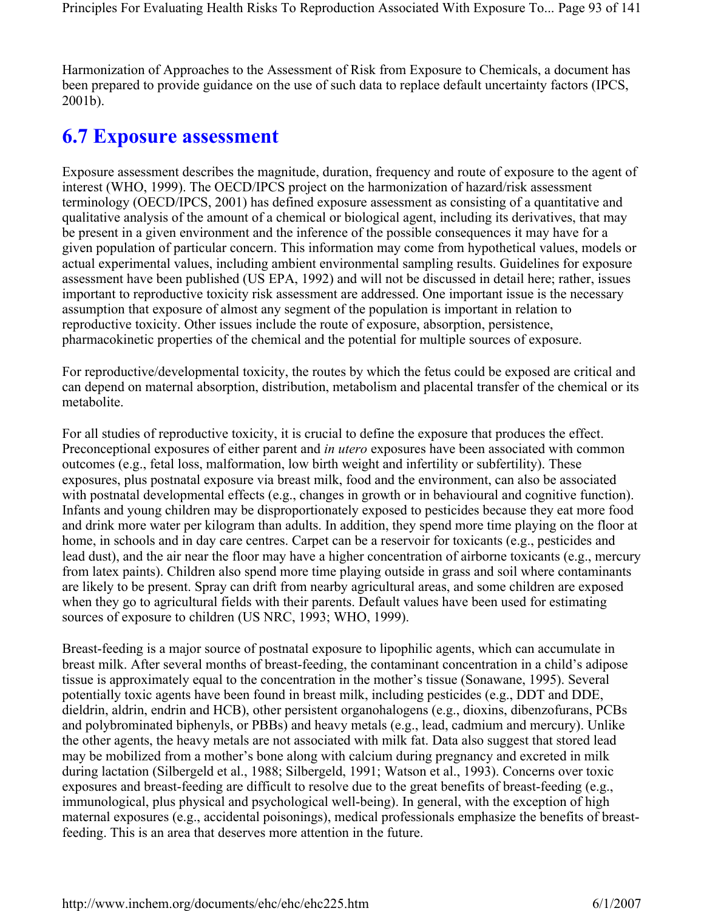Harmonization of Approaches to the Assessment of Risk from Exposure to Chemicals, a document has been prepared to provide guidance on the use of such data to replace default uncertainty factors (IPCS, 2001b).

## **6.7 Exposure assessment**

Exposure assessment describes the magnitude, duration, frequency and route of exposure to the agent of interest (WHO, 1999). The OECD/IPCS project on the harmonization of hazard/risk assessment terminology (OECD/IPCS, 2001) has defined exposure assessment as consisting of a quantitative and qualitative analysis of the amount of a chemical or biological agent, including its derivatives, that may be present in a given environment and the inference of the possible consequences it may have for a given population of particular concern. This information may come from hypothetical values, models or actual experimental values, including ambient environmental sampling results. Guidelines for exposure assessment have been published (US EPA, 1992) and will not be discussed in detail here; rather, issues important to reproductive toxicity risk assessment are addressed. One important issue is the necessary assumption that exposure of almost any segment of the population is important in relation to reproductive toxicity. Other issues include the route of exposure, absorption, persistence, pharmacokinetic properties of the chemical and the potential for multiple sources of exposure.

For reproductive/developmental toxicity, the routes by which the fetus could be exposed are critical and can depend on maternal absorption, distribution, metabolism and placental transfer of the chemical or its metabolite.

For all studies of reproductive toxicity, it is crucial to define the exposure that produces the effect. Preconceptional exposures of either parent and *in utero* exposures have been associated with common outcomes (e.g., fetal loss, malformation, low birth weight and infertility or subfertility). These exposures, plus postnatal exposure via breast milk, food and the environment, can also be associated with postnatal developmental effects (e.g., changes in growth or in behavioural and cognitive function). Infants and young children may be disproportionately exposed to pesticides because they eat more food and drink more water per kilogram than adults. In addition, they spend more time playing on the floor at home, in schools and in day care centres. Carpet can be a reservoir for toxicants (e.g., pesticides and lead dust), and the air near the floor may have a higher concentration of airborne toxicants (e.g., mercury from latex paints). Children also spend more time playing outside in grass and soil where contaminants are likely to be present. Spray can drift from nearby agricultural areas, and some children are exposed when they go to agricultural fields with their parents. Default values have been used for estimating sources of exposure to children (US NRC, 1993; WHO, 1999).

Breast-feeding is a major source of postnatal exposure to lipophilic agents, which can accumulate in breast milk. After several months of breast-feeding, the contaminant concentration in a child's adipose tissue is approximately equal to the concentration in the mother's tissue (Sonawane, 1995). Several potentially toxic agents have been found in breast milk, including pesticides (e.g., DDT and DDE, dieldrin, aldrin, endrin and HCB), other persistent organohalogens (e.g., dioxins, dibenzofurans, PCBs and polybrominated biphenyls, or PBBs) and heavy metals (e.g., lead, cadmium and mercury). Unlike the other agents, the heavy metals are not associated with milk fat. Data also suggest that stored lead may be mobilized from a mother's bone along with calcium during pregnancy and excreted in milk during lactation (Silbergeld et al., 1988; Silbergeld, 1991; Watson et al., 1993). Concerns over toxic exposures and breast-feeding are difficult to resolve due to the great benefits of breast-feeding (e.g., immunological, plus physical and psychological well-being). In general, with the exception of high maternal exposures (e.g., accidental poisonings), medical professionals emphasize the benefits of breastfeeding. This is an area that deserves more attention in the future.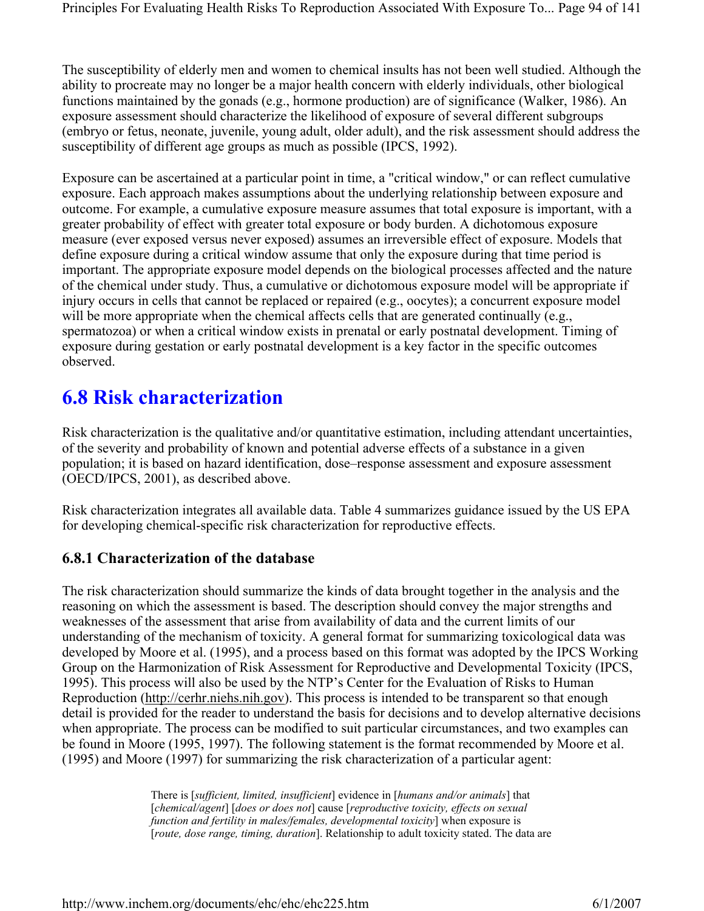The susceptibility of elderly men and women to chemical insults has not been well studied. Although the ability to procreate may no longer be a major health concern with elderly individuals, other biological functions maintained by the gonads (e.g., hormone production) are of significance (Walker, 1986). An exposure assessment should characterize the likelihood of exposure of several different subgroups (embryo or fetus, neonate, juvenile, young adult, older adult), and the risk assessment should address the susceptibility of different age groups as much as possible (IPCS, 1992).

Exposure can be ascertained at a particular point in time, a "critical window," or can reflect cumulative exposure. Each approach makes assumptions about the underlying relationship between exposure and outcome. For example, a cumulative exposure measure assumes that total exposure is important, with a greater probability of effect with greater total exposure or body burden. A dichotomous exposure measure (ever exposed versus never exposed) assumes an irreversible effect of exposure. Models that define exposure during a critical window assume that only the exposure during that time period is important. The appropriate exposure model depends on the biological processes affected and the nature of the chemical under study. Thus, a cumulative or dichotomous exposure model will be appropriate if injury occurs in cells that cannot be replaced or repaired (e.g., oocytes); a concurrent exposure model will be more appropriate when the chemical affects cells that are generated continually (e.g., spermatozoa) or when a critical window exists in prenatal or early postnatal development. Timing of exposure during gestation or early postnatal development is a key factor in the specific outcomes observed.

## **6.8 Risk characterization**

Risk characterization is the qualitative and/or quantitative estimation, including attendant uncertainties, of the severity and probability of known and potential adverse effects of a substance in a given population; it is based on hazard identification, dose–response assessment and exposure assessment (OECD/IPCS, 2001), as described above.

Risk characterization integrates all available data. Table 4 summarizes guidance issued by the US EPA for developing chemical-specific risk characterization for reproductive effects.

## **6.8.1 Characterization of the database**

The risk characterization should summarize the kinds of data brought together in the analysis and the reasoning on which the assessment is based. The description should convey the major strengths and weaknesses of the assessment that arise from availability of data and the current limits of our understanding of the mechanism of toxicity. A general format for summarizing toxicological data was developed by Moore et al. (1995), and a process based on this format was adopted by the IPCS Working Group on the Harmonization of Risk Assessment for Reproductive and Developmental Toxicity (IPCS, 1995). This process will also be used by the NTP's Center for the Evaluation of Risks to Human Reproduction (http://cerhr.niehs.nih.gov). This process is intended to be transparent so that enough detail is provided for the reader to understand the basis for decisions and to develop alternative decisions when appropriate. The process can be modified to suit particular circumstances, and two examples can be found in Moore (1995, 1997). The following statement is the format recommended by Moore et al. (1995) and Moore (1997) for summarizing the risk characterization of a particular agent:

> There is [*sufficient, limited, insufficient*] evidence in [*humans and/or animals*] that [*chemical/agent*] [*does or does not*] cause [*reproductive toxicity, effects on sexual function and fertility in males/females, developmental toxicity*] when exposure is [*route, dose range, timing, duration*]. Relationship to adult toxicity stated. The data are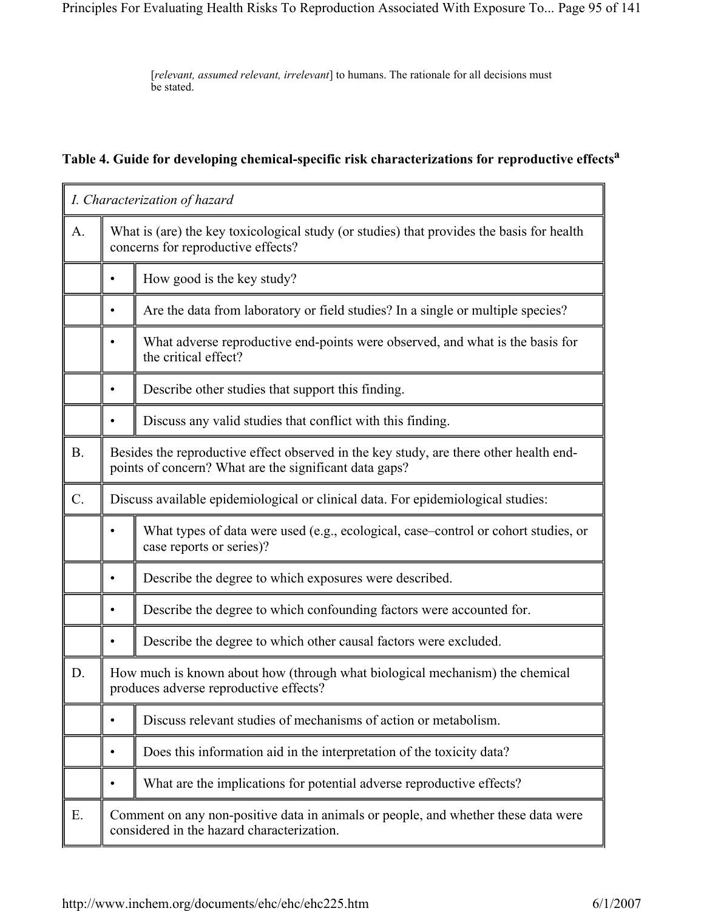[*relevant, assumed relevant, irrelevant*] to humans. The rationale for all decisions must be stated.

## **Table 4. Guide for developing chemical-specific risk characterizations for reproductive effectsa**

|                 | I. Characterization of hazard |                                                                                                                                                  |  |  |  |
|-----------------|-------------------------------|--------------------------------------------------------------------------------------------------------------------------------------------------|--|--|--|
| A.              |                               | What is (are) the key toxicological study (or studies) that provides the basis for health<br>concerns for reproductive effects?                  |  |  |  |
|                 | $\bullet$                     | How good is the key study?                                                                                                                       |  |  |  |
|                 | ٠                             | Are the data from laboratory or field studies? In a single or multiple species?                                                                  |  |  |  |
|                 |                               | What adverse reproductive end-points were observed, and what is the basis for<br>the critical effect?                                            |  |  |  |
|                 | $\bullet$                     | Describe other studies that support this finding.                                                                                                |  |  |  |
|                 | ٠                             | Discuss any valid studies that conflict with this finding.                                                                                       |  |  |  |
| <b>B.</b>       |                               | Besides the reproductive effect observed in the key study, are there other health end-<br>points of concern? What are the significant data gaps? |  |  |  |
| $\mathcal{C}$ . |                               | Discuss available epidemiological or clinical data. For epidemiological studies:                                                                 |  |  |  |
|                 |                               | What types of data were used (e.g., ecological, case–control or cohort studies, or<br>case reports or series)?                                   |  |  |  |
|                 |                               | Describe the degree to which exposures were described.                                                                                           |  |  |  |
|                 | $\bullet$                     | Describe the degree to which confounding factors were accounted for.                                                                             |  |  |  |
|                 | $\bullet$                     | Describe the degree to which other causal factors were excluded.                                                                                 |  |  |  |
| D.              |                               | How much is known about how (through what biological mechanism) the chemical<br>produces adverse reproductive effects?                           |  |  |  |
|                 |                               | Discuss relevant studies of mechanisms of action or metabolism.                                                                                  |  |  |  |
|                 |                               | Does this information aid in the interpretation of the toxicity data?                                                                            |  |  |  |
|                 |                               | What are the implications for potential adverse reproductive effects?                                                                            |  |  |  |
| Е.              |                               | Comment on any non-positive data in animals or people, and whether these data were<br>considered in the hazard characterization.                 |  |  |  |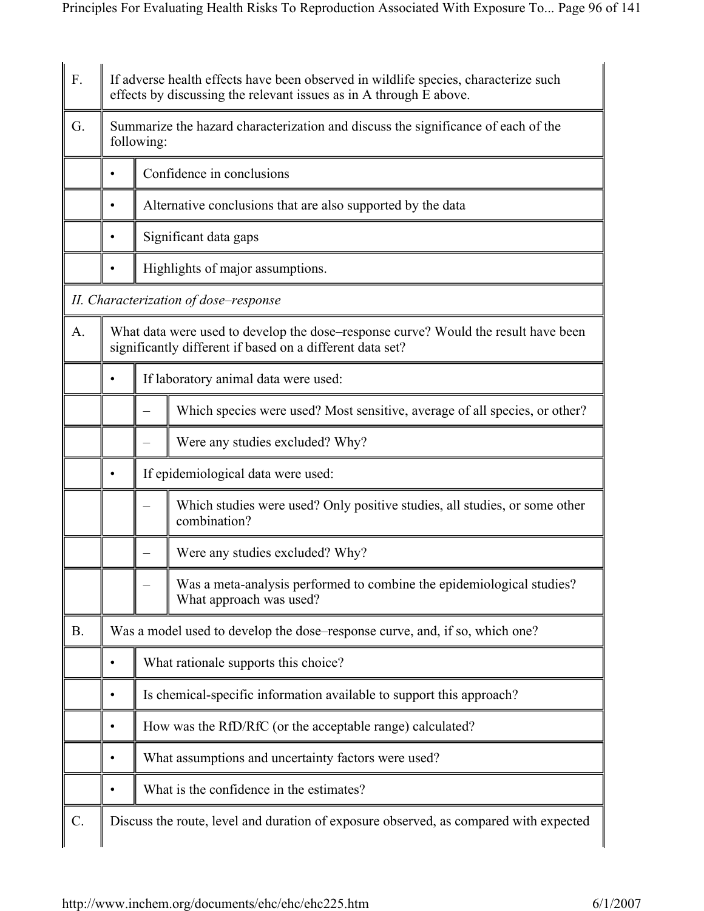| F.              |                                       | If adverse health effects have been observed in wildlife species, characterize such<br>effects by discussing the relevant issues as in A through E above. |                                                                                                  |  |  |  |  |
|-----------------|---------------------------------------|-----------------------------------------------------------------------------------------------------------------------------------------------------------|--------------------------------------------------------------------------------------------------|--|--|--|--|
| G.              |                                       | Summarize the hazard characterization and discuss the significance of each of the<br>following:                                                           |                                                                                                  |  |  |  |  |
|                 |                                       |                                                                                                                                                           | Confidence in conclusions                                                                        |  |  |  |  |
|                 |                                       |                                                                                                                                                           | Alternative conclusions that are also supported by the data                                      |  |  |  |  |
|                 |                                       | Significant data gaps                                                                                                                                     |                                                                                                  |  |  |  |  |
|                 |                                       | Highlights of major assumptions.                                                                                                                          |                                                                                                  |  |  |  |  |
|                 | II. Characterization of dose–response |                                                                                                                                                           |                                                                                                  |  |  |  |  |
| A.              |                                       | What data were used to develop the dose–response curve? Would the result have been<br>significantly different if based on a different data set?           |                                                                                                  |  |  |  |  |
|                 |                                       | If laboratory animal data were used:                                                                                                                      |                                                                                                  |  |  |  |  |
|                 |                                       |                                                                                                                                                           | Which species were used? Most sensitive, average of all species, or other?                       |  |  |  |  |
|                 |                                       |                                                                                                                                                           | Were any studies excluded? Why?                                                                  |  |  |  |  |
|                 |                                       | If epidemiological data were used:                                                                                                                        |                                                                                                  |  |  |  |  |
|                 |                                       |                                                                                                                                                           | Which studies were used? Only positive studies, all studies, or some other<br>combination?       |  |  |  |  |
|                 |                                       |                                                                                                                                                           | Were any studies excluded? Why?                                                                  |  |  |  |  |
|                 |                                       |                                                                                                                                                           | Was a meta-analysis performed to combine the epidemiological studies?<br>What approach was used? |  |  |  |  |
| <b>B.</b>       |                                       | Was a model used to develop the dose-response curve, and, if so, which one?                                                                               |                                                                                                  |  |  |  |  |
|                 |                                       | What rationale supports this choice?                                                                                                                      |                                                                                                  |  |  |  |  |
|                 |                                       | Is chemical-specific information available to support this approach?                                                                                      |                                                                                                  |  |  |  |  |
|                 |                                       | How was the RfD/RfC (or the acceptable range) calculated?                                                                                                 |                                                                                                  |  |  |  |  |
|                 |                                       | What assumptions and uncertainty factors were used?                                                                                                       |                                                                                                  |  |  |  |  |
|                 |                                       | What is the confidence in the estimates?                                                                                                                  |                                                                                                  |  |  |  |  |
| $\mathcal{C}$ . |                                       | Discuss the route, level and duration of exposure observed, as compared with expected                                                                     |                                                                                                  |  |  |  |  |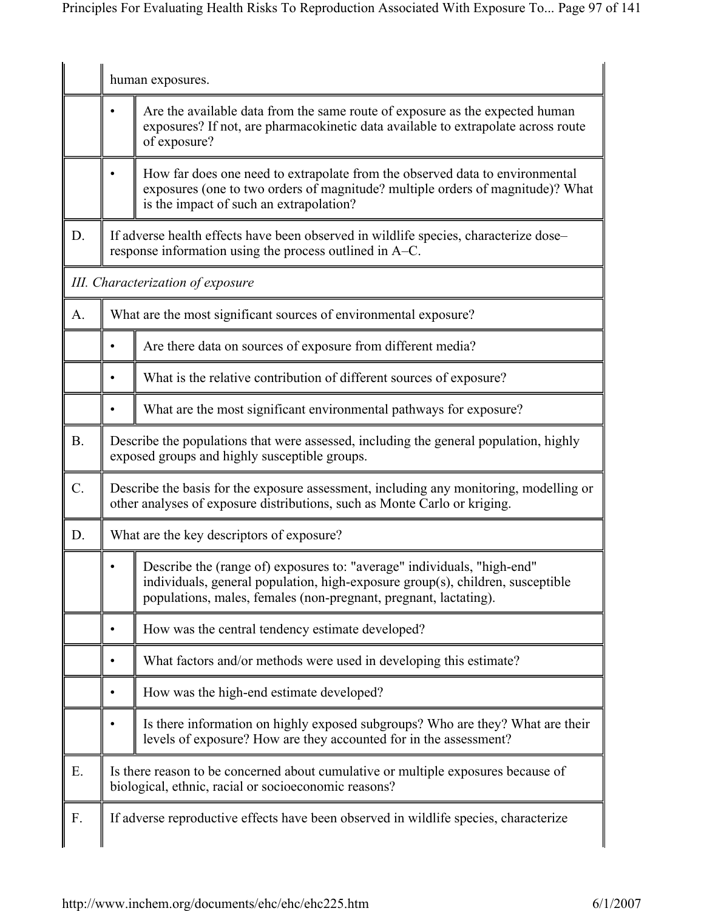|           |                                                                                                                                           | human exposures.                                                                                                                                                                                                              |  |  |  |
|-----------|-------------------------------------------------------------------------------------------------------------------------------------------|-------------------------------------------------------------------------------------------------------------------------------------------------------------------------------------------------------------------------------|--|--|--|
|           |                                                                                                                                           | Are the available data from the same route of exposure as the expected human<br>exposures? If not, are pharmacokinetic data available to extrapolate across route<br>of exposure?                                             |  |  |  |
|           |                                                                                                                                           | How far does one need to extrapolate from the observed data to environmental<br>exposures (one to two orders of magnitude? multiple orders of magnitude)? What<br>is the impact of such an extrapolation?                     |  |  |  |
| D.        |                                                                                                                                           | If adverse health effects have been observed in wildlife species, characterize dose-<br>response information using the process outlined in A–C.                                                                               |  |  |  |
|           |                                                                                                                                           | III. Characterization of exposure                                                                                                                                                                                             |  |  |  |
| A.        |                                                                                                                                           | What are the most significant sources of environmental exposure?                                                                                                                                                              |  |  |  |
|           |                                                                                                                                           | Are there data on sources of exposure from different media?                                                                                                                                                                   |  |  |  |
|           |                                                                                                                                           | What is the relative contribution of different sources of exposure?                                                                                                                                                           |  |  |  |
|           | ٠                                                                                                                                         | What are the most significant environmental pathways for exposure?                                                                                                                                                            |  |  |  |
| <b>B.</b> |                                                                                                                                           | Describe the populations that were assessed, including the general population, highly<br>exposed groups and highly susceptible groups.                                                                                        |  |  |  |
| $C$ .     |                                                                                                                                           | Describe the basis for the exposure assessment, including any monitoring, modelling or<br>other analyses of exposure distributions, such as Monte Carlo or kriging.                                                           |  |  |  |
| D.        |                                                                                                                                           | What are the key descriptors of exposure?                                                                                                                                                                                     |  |  |  |
|           |                                                                                                                                           | Describe the (range of) exposures to: "average" individuals, "high-end"<br>individuals, general population, high-exposure group(s), children, susceptible<br>populations, males, females (non-pregnant, pregnant, lactating). |  |  |  |
|           |                                                                                                                                           | How was the central tendency estimate developed?                                                                                                                                                                              |  |  |  |
|           |                                                                                                                                           | What factors and/or methods were used in developing this estimate?                                                                                                                                                            |  |  |  |
|           |                                                                                                                                           | How was the high-end estimate developed?                                                                                                                                                                                      |  |  |  |
|           |                                                                                                                                           | Is there information on highly exposed subgroups? Who are they? What are their<br>levels of exposure? How are they accounted for in the assessment?                                                                           |  |  |  |
| Ε.        | Is there reason to be concerned about cumulative or multiple exposures because of<br>biological, ethnic, racial or socioeconomic reasons? |                                                                                                                                                                                                                               |  |  |  |
| F.        |                                                                                                                                           | If adverse reproductive effects have been observed in wildlife species, characterize                                                                                                                                          |  |  |  |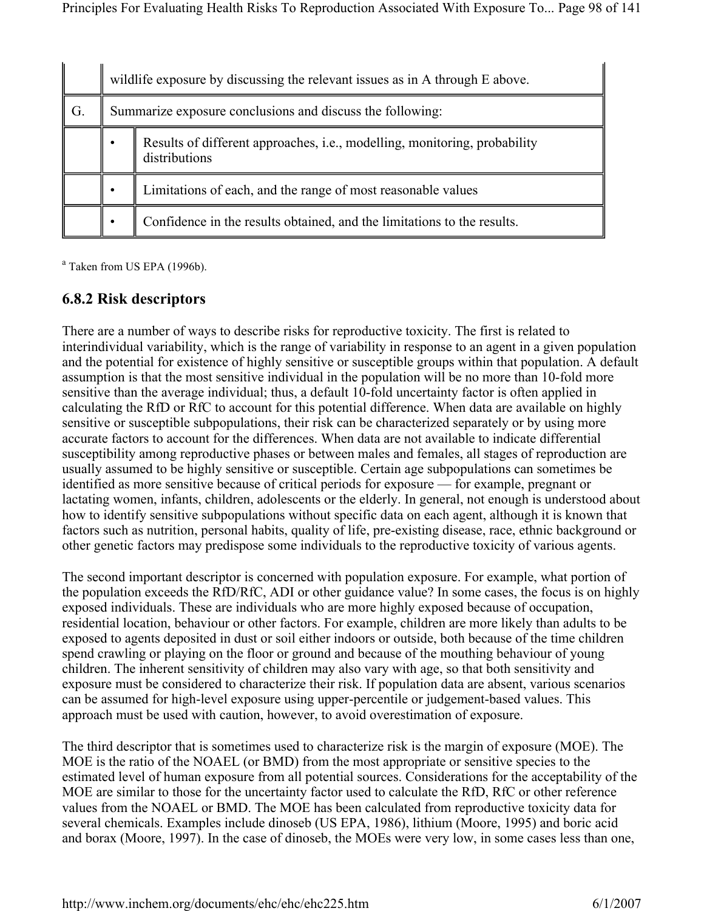|    |                                                           | wildlife exposure by discussing the relevant issues as in A through E above.               |  |  |
|----|-----------------------------------------------------------|--------------------------------------------------------------------------------------------|--|--|
| G. | Summarize exposure conclusions and discuss the following: |                                                                                            |  |  |
|    |                                                           | Results of different approaches, i.e., modelling, monitoring, probability<br>distributions |  |  |
|    |                                                           | Limitations of each, and the range of most reasonable values                               |  |  |
|    |                                                           | Confidence in the results obtained, and the limitations to the results.                    |  |  |

<sup>a</sup> Taken from US EPA (1996b).

### **6.8.2 Risk descriptors**

There are a number of ways to describe risks for reproductive toxicity. The first is related to interindividual variability, which is the range of variability in response to an agent in a given population and the potential for existence of highly sensitive or susceptible groups within that population. A default assumption is that the most sensitive individual in the population will be no more than 10-fold more sensitive than the average individual; thus, a default 10-fold uncertainty factor is often applied in calculating the RfD or RfC to account for this potential difference. When data are available on highly sensitive or susceptible subpopulations, their risk can be characterized separately or by using more accurate factors to account for the differences. When data are not available to indicate differential susceptibility among reproductive phases or between males and females, all stages of reproduction are usually assumed to be highly sensitive or susceptible. Certain age subpopulations can sometimes be identified as more sensitive because of critical periods for exposure — for example, pregnant or lactating women, infants, children, adolescents or the elderly. In general, not enough is understood about how to identify sensitive subpopulations without specific data on each agent, although it is known that factors such as nutrition, personal habits, quality of life, pre-existing disease, race, ethnic background or other genetic factors may predispose some individuals to the reproductive toxicity of various agents.

The second important descriptor is concerned with population exposure. For example, what portion of the population exceeds the RfD/RfC, ADI or other guidance value? In some cases, the focus is on highly exposed individuals. These are individuals who are more highly exposed because of occupation, residential location, behaviour or other factors. For example, children are more likely than adults to be exposed to agents deposited in dust or soil either indoors or outside, both because of the time children spend crawling or playing on the floor or ground and because of the mouthing behaviour of young children. The inherent sensitivity of children may also vary with age, so that both sensitivity and exposure must be considered to characterize their risk. If population data are absent, various scenarios can be assumed for high-level exposure using upper-percentile or judgement-based values. This approach must be used with caution, however, to avoid overestimation of exposure.

The third descriptor that is sometimes used to characterize risk is the margin of exposure (MOE). The MOE is the ratio of the NOAEL (or BMD) from the most appropriate or sensitive species to the estimated level of human exposure from all potential sources. Considerations for the acceptability of the MOE are similar to those for the uncertainty factor used to calculate the RfD, RfC or other reference values from the NOAEL or BMD. The MOE has been calculated from reproductive toxicity data for several chemicals. Examples include dinoseb (US EPA, 1986), lithium (Moore, 1995) and boric acid and borax (Moore, 1997). In the case of dinoseb, the MOEs were very low, in some cases less than one,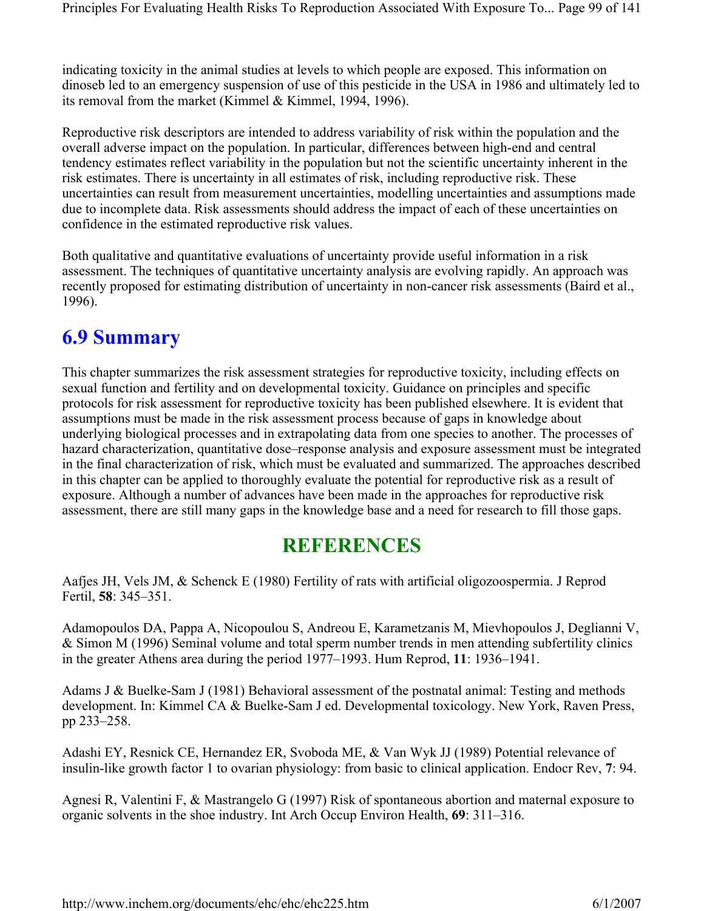indicating toxicity in the animal studies at levels to which people are exposed. This information on dinoseb led to an emergency suspension of use of this pesticide in the USA in 1986 and ultimately led to its removal from the market (Kimmel & Kimmel, 1994, 1996).

Reproductive risk descriptors are intended to address variability of risk within the population and the overall adverse impact on the population. In particular, differences between high-end and central tendency estimates reflect variability in the population but not the scientific uncertainty inherent in the risk estimates. There is uncertainty in all estimates of risk, including reproductive risk. These uncertainties can result from measurement uncertainties, modelling uncertainties and assumptions made due to incomplete data. Risk assessments should address the impact of each of these uncertainties on confidence in the estimated reproductive risk values.

Both qualitative and quantitative evaluations of uncertainty provide useful information in a risk assessment. The techniques of quantitative uncertainty analysis are evolving rapidly. An approach was recently proposed for estimating distribution of uncertainty in non-cancer risk assessments (Baird et al., 1996).

## **6.9 Summary**

This chapter summarizes the risk assessment strategies for reproductive toxicity, including effects on sexual function and fertility and on developmental toxicity. Guidance on principles and specific protocols for risk assessment for reproductive toxicity has been published elsewhere. It is evident that assumptions must be made in the risk assessment process because of gaps in knowledge about underlying biological processes and in extrapolating data from one species to another. The processes of hazard characterization, quantitative dose–response analysis and exposure assessment must be integrated in the final characterization of risk, which must be evaluated and summarized. The approaches described in this chapter can be applied to thoroughly evaluate the potential for reproductive risk as a result of exposure. Although a number of advances have been made in the approaches for reproductive risk assessment, there are still many gaps in the knowledge base and a need for research to fill those gaps.

## **REFERENCES**

Aafjes JH, Vels JM, & Schenck E (1980) Fertility of rats with artificial oligozoospermia. J Reprod Fertil, **58**: 345–351.

Adamopoulos DA, Pappa A, Nicopoulou S, Andreou E, Karametzanis M, Mievhopoulos J, Deglianni V, & Simon M (1996) Seminal volume and total sperm number trends in men attending subfertility clinics in the greater Athens area during the period 1977–1993. Hum Reprod, **11**: 1936–1941.

Adams J & Buelke-Sam J (1981) Behavioral assessment of the postnatal animal: Testing and methods development. In: Kimmel CA & Buelke-Sam J ed. Developmental toxicology. New York, Raven Press, pp 233–258.

Adashi EY, Resnick CE, Hernandez ER, Svoboda ME, & Van Wyk JJ (1989) Potential relevance of insulin-like growth factor 1 to ovarian physiology: from basic to clinical application. Endocr Rev, **7**: 94.

Agnesi R, Valentini F, & Mastrangelo G (1997) Risk of spontaneous abortion and maternal exposure to organic solvents in the shoe industry. Int Arch Occup Environ Health, **69**: 311–316.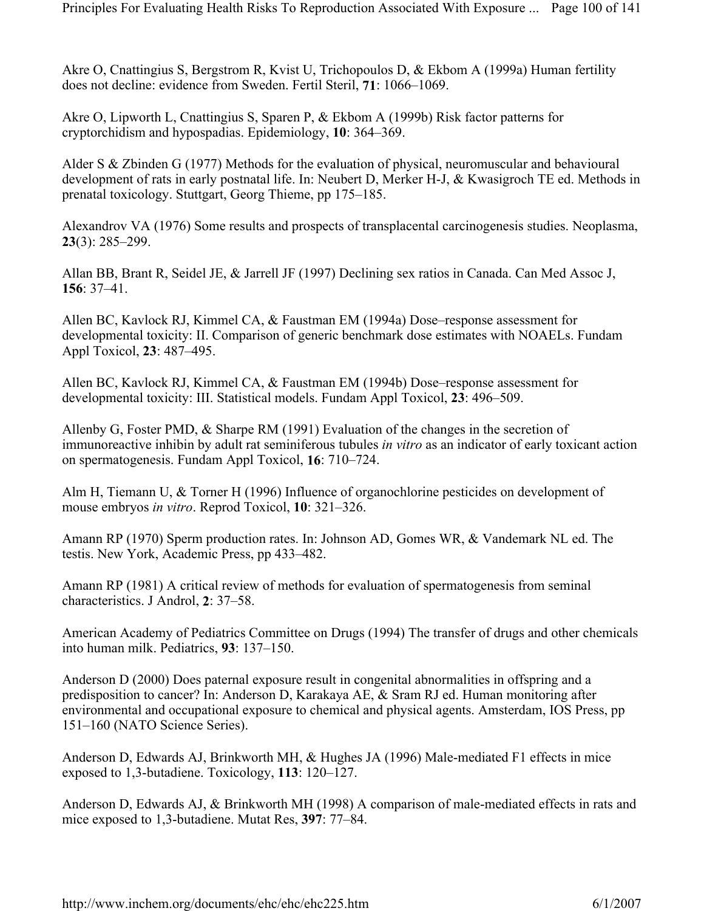Akre O, Cnattingius S, Bergstrom R, Kvist U, Trichopoulos D, & Ekbom A (1999a) Human fertility does not decline: evidence from Sweden. Fertil Steril, **71**: 1066–1069.

Akre O, Lipworth L, Cnattingius S, Sparen P, & Ekbom A (1999b) Risk factor patterns for cryptorchidism and hypospadias. Epidemiology, **10**: 364–369.

Alder S & Zbinden G (1977) Methods for the evaluation of physical, neuromuscular and behavioural development of rats in early postnatal life. In: Neubert D, Merker H-J, & Kwasigroch TE ed. Methods in prenatal toxicology. Stuttgart, Georg Thieme, pp 175–185.

Alexandrov VA (1976) Some results and prospects of transplacental carcinogenesis studies. Neoplasma, **23**(3): 285–299.

Allan BB, Brant R, Seidel JE, & Jarrell JF (1997) Declining sex ratios in Canada. Can Med Assoc J, **156**: 37–41.

Allen BC, Kavlock RJ, Kimmel CA, & Faustman EM (1994a) Dose–response assessment for developmental toxicity: II. Comparison of generic benchmark dose estimates with NOAELs. Fundam Appl Toxicol, **23**: 487–495.

Allen BC, Kavlock RJ, Kimmel CA, & Faustman EM (1994b) Dose–response assessment for developmental toxicity: III. Statistical models. Fundam Appl Toxicol, **23**: 496–509.

Allenby G, Foster PMD, & Sharpe RM (1991) Evaluation of the changes in the secretion of immunoreactive inhibin by adult rat seminiferous tubules *in vitro* as an indicator of early toxicant action on spermatogenesis. Fundam Appl Toxicol, **16**: 710–724.

Alm H, Tiemann U, & Torner H (1996) Influence of organochlorine pesticides on development of mouse embryos *in vitro*. Reprod Toxicol, **10**: 321–326.

Amann RP (1970) Sperm production rates. In: Johnson AD, Gomes WR, & Vandemark NL ed. The testis. New York, Academic Press, pp 433–482.

Amann RP (1981) A critical review of methods for evaluation of spermatogenesis from seminal characteristics. J Androl, **2**: 37–58.

American Academy of Pediatrics Committee on Drugs (1994) The transfer of drugs and other chemicals into human milk. Pediatrics, **93**: 137–150.

Anderson D (2000) Does paternal exposure result in congenital abnormalities in offspring and a predisposition to cancer? In: Anderson D, Karakaya AE, & Sram RJ ed. Human monitoring after environmental and occupational exposure to chemical and physical agents. Amsterdam, IOS Press, pp 151–160 (NATO Science Series).

Anderson D, Edwards AJ, Brinkworth MH, & Hughes JA (1996) Male-mediated F1 effects in mice exposed to 1,3-butadiene. Toxicology, **113**: 120–127.

Anderson D, Edwards AJ, & Brinkworth MH (1998) A comparison of male-mediated effects in rats and mice exposed to 1,3-butadiene. Mutat Res, **397**: 77–84.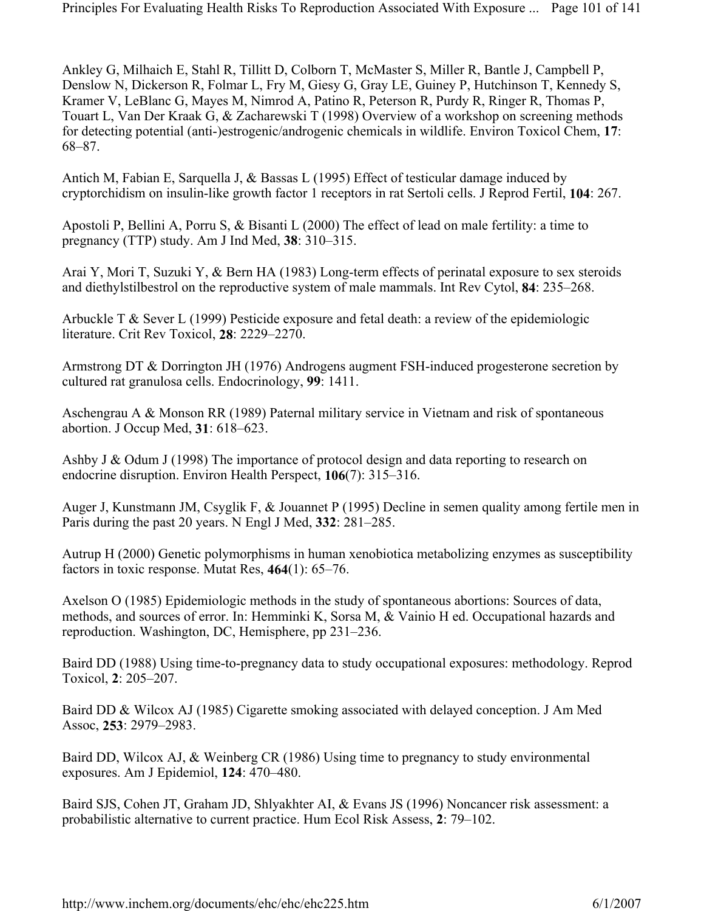Ankley G, Milhaich E, Stahl R, Tillitt D, Colborn T, McMaster S, Miller R, Bantle J, Campbell P, Denslow N, Dickerson R, Folmar L, Fry M, Giesy G, Gray LE, Guiney P, Hutchinson T, Kennedy S, Kramer V, LeBlanc G, Mayes M, Nimrod A, Patino R, Peterson R, Purdy R, Ringer R, Thomas P, Touart L, Van Der Kraak G, & Zacharewski T (1998) Overview of a workshop on screening methods for detecting potential (anti-)estrogenic/androgenic chemicals in wildlife. Environ Toxicol Chem, **17**: 68–87.

Antich M, Fabian E, Sarquella J, & Bassas L (1995) Effect of testicular damage induced by cryptorchidism on insulin-like growth factor 1 receptors in rat Sertoli cells. J Reprod Fertil, **104**: 267.

Apostoli P, Bellini A, Porru S, & Bisanti L (2000) The effect of lead on male fertility: a time to pregnancy (TTP) study. Am J Ind Med, **38**: 310–315.

Arai Y, Mori T, Suzuki Y, & Bern HA (1983) Long-term effects of perinatal exposure to sex steroids and diethylstilbestrol on the reproductive system of male mammals. Int Rev Cytol, **84**: 235–268.

Arbuckle T & Sever L (1999) Pesticide exposure and fetal death: a review of the epidemiologic literature. Crit Rev Toxicol, **28**: 2229–2270.

Armstrong DT & Dorrington JH (1976) Androgens augment FSH-induced progesterone secretion by cultured rat granulosa cells. Endocrinology, **99**: 1411.

Aschengrau A & Monson RR (1989) Paternal military service in Vietnam and risk of spontaneous abortion. J Occup Med, **31**: 618–623.

Ashby J & Odum J (1998) The importance of protocol design and data reporting to research on endocrine disruption. Environ Health Perspect, **106**(7): 315–316.

Auger J, Kunstmann JM, Csyglik F, & Jouannet P (1995) Decline in semen quality among fertile men in Paris during the past 20 years. N Engl J Med, **332**: 281–285.

Autrup H (2000) Genetic polymorphisms in human xenobiotica metabolizing enzymes as susceptibility factors in toxic response. Mutat Res, **464**(1): 65–76.

Axelson O (1985) Epidemiologic methods in the study of spontaneous abortions: Sources of data, methods, and sources of error. In: Hemminki K, Sorsa M, & Vainio H ed. Occupational hazards and reproduction. Washington, DC, Hemisphere, pp 231–236.

Baird DD (1988) Using time-to-pregnancy data to study occupational exposures: methodology. Reprod Toxicol, **2**: 205–207.

Baird DD & Wilcox AJ (1985) Cigarette smoking associated with delayed conception. J Am Med Assoc, **253**: 2979–2983.

Baird DD, Wilcox AJ, & Weinberg CR (1986) Using time to pregnancy to study environmental exposures. Am J Epidemiol, **124**: 470–480.

Baird SJS, Cohen JT, Graham JD, Shlyakhter AI, & Evans JS (1996) Noncancer risk assessment: a probabilistic alternative to current practice. Hum Ecol Risk Assess, **2**: 79–102.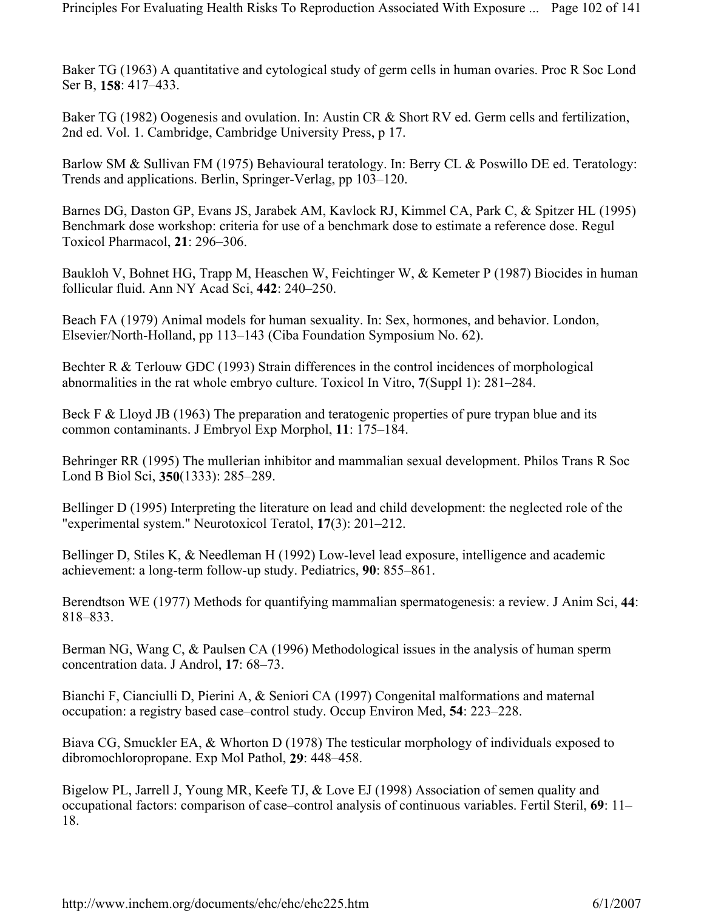Baker TG (1963) A quantitative and cytological study of germ cells in human ovaries. Proc R Soc Lond Ser B, **158**: 417–433.

Baker TG (1982) Oogenesis and ovulation. In: Austin CR & Short RV ed. Germ cells and fertilization, 2nd ed. Vol. 1. Cambridge, Cambridge University Press, p 17.

Barlow SM & Sullivan FM (1975) Behavioural teratology. In: Berry CL & Poswillo DE ed. Teratology: Trends and applications. Berlin, Springer-Verlag, pp 103–120.

Barnes DG, Daston GP, Evans JS, Jarabek AM, Kavlock RJ, Kimmel CA, Park C, & Spitzer HL (1995) Benchmark dose workshop: criteria for use of a benchmark dose to estimate a reference dose. Regul Toxicol Pharmacol, **21**: 296–306.

Baukloh V, Bohnet HG, Trapp M, Heaschen W, Feichtinger W, & Kemeter P (1987) Biocides in human follicular fluid. Ann NY Acad Sci, **442**: 240–250.

Beach FA (1979) Animal models for human sexuality. In: Sex, hormones, and behavior. London, Elsevier/North-Holland, pp 113–143 (Ciba Foundation Symposium No. 62).

Bechter R & Terlouw GDC (1993) Strain differences in the control incidences of morphological abnormalities in the rat whole embryo culture. Toxicol In Vitro, **7**(Suppl 1): 281–284.

Beck F & Lloyd JB (1963) The preparation and teratogenic properties of pure trypan blue and its common contaminants. J Embryol Exp Morphol, **11**: 175–184.

Behringer RR (1995) The mullerian inhibitor and mammalian sexual development. Philos Trans R Soc Lond B Biol Sci, **350**(1333): 285–289.

Bellinger D (1995) Interpreting the literature on lead and child development: the neglected role of the "experimental system." Neurotoxicol Teratol, **17**(3): 201–212.

Bellinger D, Stiles K, & Needleman H (1992) Low-level lead exposure, intelligence and academic achievement: a long-term follow-up study. Pediatrics, **90**: 855–861.

Berendtson WE (1977) Methods for quantifying mammalian spermatogenesis: a review. J Anim Sci, **44**: 818–833.

Berman NG, Wang C, & Paulsen CA (1996) Methodological issues in the analysis of human sperm concentration data. J Androl, **17**: 68–73.

Bianchi F, Cianciulli D, Pierini A, & Seniori CA (1997) Congenital malformations and maternal occupation: a registry based case–control study. Occup Environ Med, **54**: 223–228.

Biava CG, Smuckler EA, & Whorton D (1978) The testicular morphology of individuals exposed to dibromochloropropane. Exp Mol Pathol, **29**: 448–458.

Bigelow PL, Jarrell J, Young MR, Keefe TJ, & Love EJ (1998) Association of semen quality and occupational factors: comparison of case–control analysis of continuous variables. Fertil Steril, **69**: 11– 18.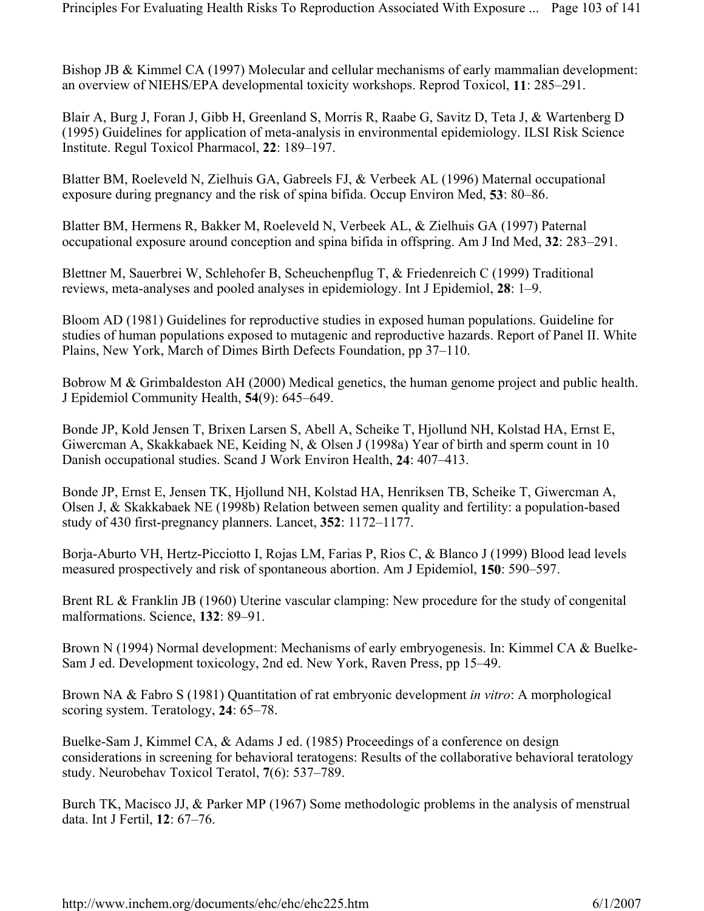Bishop JB & Kimmel CA (1997) Molecular and cellular mechanisms of early mammalian development: an overview of NIEHS/EPA developmental toxicity workshops. Reprod Toxicol, **11**: 285–291.

Blair A, Burg J, Foran J, Gibb H, Greenland S, Morris R, Raabe G, Savitz D, Teta J, & Wartenberg D (1995) Guidelines for application of meta-analysis in environmental epidemiology. ILSI Risk Science Institute. Regul Toxicol Pharmacol, **22**: 189–197.

Blatter BM, Roeleveld N, Zielhuis GA, Gabreels FJ, & Verbeek AL (1996) Maternal occupational exposure during pregnancy and the risk of spina bifida. Occup Environ Med, **53**: 80–86.

Blatter BM, Hermens R, Bakker M, Roeleveld N, Verbeek AL, & Zielhuis GA (1997) Paternal occupational exposure around conception and spina bifida in offspring. Am J Ind Med, **32**: 283–291.

Blettner M, Sauerbrei W, Schlehofer B, Scheuchenpflug T, & Friedenreich C (1999) Traditional reviews, meta-analyses and pooled analyses in epidemiology. Int J Epidemiol, **28**: 1–9.

Bloom AD (1981) Guidelines for reproductive studies in exposed human populations. Guideline for studies of human populations exposed to mutagenic and reproductive hazards. Report of Panel II. White Plains, New York, March of Dimes Birth Defects Foundation, pp 37–110.

Bobrow M & Grimbaldeston AH (2000) Medical genetics, the human genome project and public health. J Epidemiol Community Health, **54**(9): 645–649.

Bonde JP, Kold Jensen T, Brixen Larsen S, Abell A, Scheike T, Hjollund NH, Kolstad HA, Ernst E, Giwercman A, Skakkabaek NE, Keiding N, & Olsen J (1998a) Year of birth and sperm count in 10 Danish occupational studies. Scand J Work Environ Health, **24**: 407–413.

Bonde JP, Ernst E, Jensen TK, Hjollund NH, Kolstad HA, Henriksen TB, Scheike T, Giwercman A, Olsen J, & Skakkabaek NE (1998b) Relation between semen quality and fertility: a population-based study of 430 first-pregnancy planners. Lancet, **352**: 1172–1177.

Borja-Aburto VH, Hertz-Picciotto I, Rojas LM, Farias P, Rios C, & Blanco J (1999) Blood lead levels measured prospectively and risk of spontaneous abortion. Am J Epidemiol, **150**: 590–597.

Brent RL & Franklin JB (1960) Uterine vascular clamping: New procedure for the study of congenital malformations. Science, **132**: 89–91.

Brown N (1994) Normal development: Mechanisms of early embryogenesis. In: Kimmel CA & Buelke-Sam J ed. Development toxicology, 2nd ed. New York, Raven Press, pp 15–49.

Brown NA & Fabro S (1981) Quantitation of rat embryonic development *in vitro*: A morphological scoring system. Teratology, **24**: 65–78.

Buelke-Sam J, Kimmel CA, & Adams J ed. (1985) Proceedings of a conference on design considerations in screening for behavioral teratogens: Results of the collaborative behavioral teratology study. Neurobehav Toxicol Teratol, **7**(6): 537–789.

Burch TK, Macisco JJ, & Parker MP (1967) Some methodologic problems in the analysis of menstrual data. Int J Fertil, **12**: 67–76.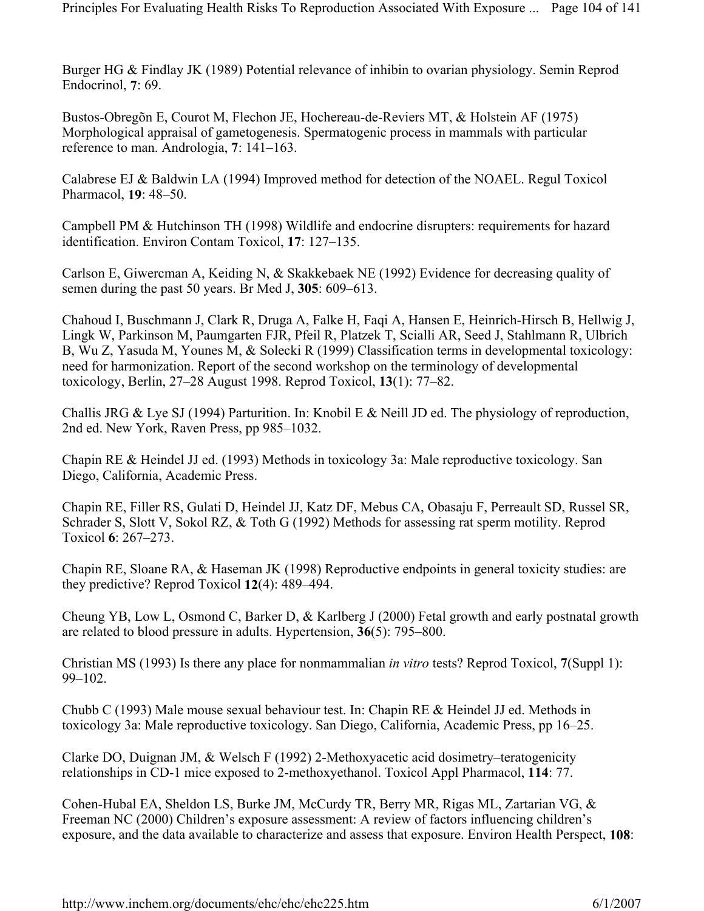Burger HG & Findlay JK (1989) Potential relevance of inhibin to ovarian physiology. Semin Reprod Endocrinol, **7**: 69.

Bustos-Obregõn E, Courot M, Flechon JE, Hochereau-de-Reviers MT, & Holstein AF (1975) Morphological appraisal of gametogenesis. Spermatogenic process in mammals with particular reference to man. Andrologia, **7**: 141–163.

Calabrese EJ & Baldwin LA (1994) Improved method for detection of the NOAEL. Regul Toxicol Pharmacol, **19**: 48–50.

Campbell PM & Hutchinson TH (1998) Wildlife and endocrine disrupters: requirements for hazard identification. Environ Contam Toxicol, **17**: 127–135.

Carlson E, Giwercman A, Keiding N, & Skakkebaek NE (1992) Evidence for decreasing quality of semen during the past 50 years. Br Med J, **305**: 609–613.

Chahoud I, Buschmann J, Clark R, Druga A, Falke H, Faqi A, Hansen E, Heinrich-Hirsch B, Hellwig J, Lingk W, Parkinson M, Paumgarten FJR, Pfeil R, Platzek T, Scialli AR, Seed J, Stahlmann R, Ulbrich B, Wu Z, Yasuda M, Younes M, & Solecki R (1999) Classification terms in developmental toxicology: need for harmonization. Report of the second workshop on the terminology of developmental toxicology, Berlin, 27–28 August 1998. Reprod Toxicol, **13**(1): 77–82.

Challis JRG & Lye SJ (1994) Parturition. In: Knobil E & Neill JD ed. The physiology of reproduction, 2nd ed. New York, Raven Press, pp 985–1032.

Chapin RE & Heindel JJ ed. (1993) Methods in toxicology 3a: Male reproductive toxicology. San Diego, California, Academic Press.

Chapin RE, Filler RS, Gulati D, Heindel JJ, Katz DF, Mebus CA, Obasaju F, Perreault SD, Russel SR, Schrader S, Slott V, Sokol RZ, & Toth G (1992) Methods for assessing rat sperm motility. Reprod Toxicol **6**: 267–273.

Chapin RE, Sloane RA, & Haseman JK (1998) Reproductive endpoints in general toxicity studies: are they predictive? Reprod Toxicol **12**(4): 489–494.

Cheung YB, Low L, Osmond C, Barker D, & Karlberg J (2000) Fetal growth and early postnatal growth are related to blood pressure in adults. Hypertension, **36**(5): 795–800.

Christian MS (1993) Is there any place for nonmammalian *in vitro* tests? Reprod Toxicol, **7**(Suppl 1): 99–102.

Chubb C (1993) Male mouse sexual behaviour test. In: Chapin RE & Heindel JJ ed. Methods in toxicology 3a: Male reproductive toxicology. San Diego, California, Academic Press, pp 16–25.

Clarke DO, Duignan JM, & Welsch F (1992) 2-Methoxyacetic acid dosimetry–teratogenicity relationships in CD-1 mice exposed to 2-methoxyethanol. Toxicol Appl Pharmacol, **114**: 77.

Cohen-Hubal EA, Sheldon LS, Burke JM, McCurdy TR, Berry MR, Rigas ML, Zartarian VG, & Freeman NC (2000) Children's exposure assessment: A review of factors influencing children's exposure, and the data available to characterize and assess that exposure. Environ Health Perspect, **108**: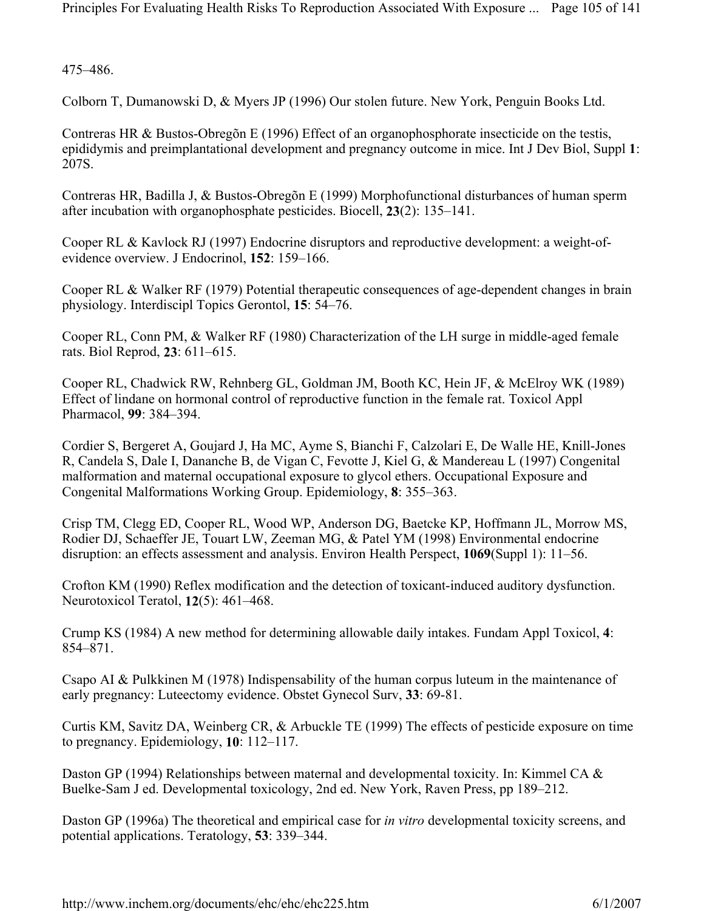475–486.

Colborn T, Dumanowski D, & Myers JP (1996) Our stolen future. New York, Penguin Books Ltd.

Contreras HR & Bustos-Obregõn E (1996) Effect of an organophosphorate insecticide on the testis, epididymis and preimplantational development and pregnancy outcome in mice. Int J Dev Biol, Suppl **1**: 207S.

Contreras HR, Badilla J, & Bustos-Obregõn E (1999) Morphofunctional disturbances of human sperm after incubation with organophosphate pesticides. Biocell, **23**(2): 135–141.

Cooper RL & Kavlock RJ (1997) Endocrine disruptors and reproductive development: a weight-ofevidence overview. J Endocrinol, **152**: 159–166.

Cooper RL & Walker RF (1979) Potential therapeutic consequences of age-dependent changes in brain physiology. Interdiscipl Topics Gerontol, **15**: 54–76.

Cooper RL, Conn PM, & Walker RF (1980) Characterization of the LH surge in middle-aged female rats. Biol Reprod, **23**: 611–615.

Cooper RL, Chadwick RW, Rehnberg GL, Goldman JM, Booth KC, Hein JF, & McElroy WK (1989) Effect of lindane on hormonal control of reproductive function in the female rat. Toxicol Appl Pharmacol, **99**: 384–394.

Cordier S, Bergeret A, Goujard J, Ha MC, Ayme S, Bianchi F, Calzolari E, De Walle HE, Knill-Jones R, Candela S, Dale I, Dananche B, de Vigan C, Fevotte J, Kiel G, & Mandereau L (1997) Congenital malformation and maternal occupational exposure to glycol ethers. Occupational Exposure and Congenital Malformations Working Group. Epidemiology, **8**: 355–363.

Crisp TM, Clegg ED, Cooper RL, Wood WP, Anderson DG, Baetcke KP, Hoffmann JL, Morrow MS, Rodier DJ, Schaeffer JE, Touart LW, Zeeman MG, & Patel YM (1998) Environmental endocrine disruption: an effects assessment and analysis. Environ Health Perspect, **1069**(Suppl 1): 11–56.

Crofton KM (1990) Reflex modification and the detection of toxicant-induced auditory dysfunction. Neurotoxicol Teratol, **12**(5): 461–468.

Crump KS (1984) A new method for determining allowable daily intakes. Fundam Appl Toxicol, **4**: 854–871.

Csapo AI & Pulkkinen M (1978) Indispensability of the human corpus luteum in the maintenance of early pregnancy: Luteectomy evidence. Obstet Gynecol Surv, **33**: 69-81.

Curtis KM, Savitz DA, Weinberg CR, & Arbuckle TE (1999) The effects of pesticide exposure on time to pregnancy. Epidemiology, **10**: 112–117.

Daston GP (1994) Relationships between maternal and developmental toxicity. In: Kimmel CA & Buelke-Sam J ed. Developmental toxicology, 2nd ed. New York, Raven Press, pp 189–212.

Daston GP (1996a) The theoretical and empirical case for *in vitro* developmental toxicity screens, and potential applications. Teratology, **53**: 339–344.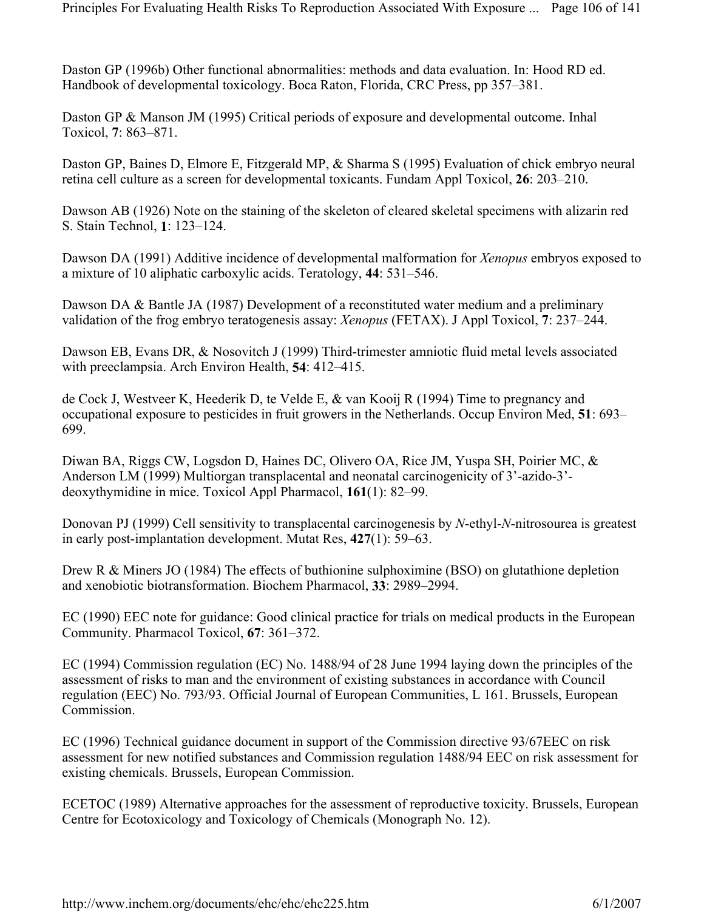Daston GP (1996b) Other functional abnormalities: methods and data evaluation. In: Hood RD ed. Handbook of developmental toxicology. Boca Raton, Florida, CRC Press, pp 357–381.

Daston GP & Manson JM (1995) Critical periods of exposure and developmental outcome. Inhal Toxicol, **7**: 863–871.

Daston GP, Baines D, Elmore E, Fitzgerald MP, & Sharma S (1995) Evaluation of chick embryo neural retina cell culture as a screen for developmental toxicants. Fundam Appl Toxicol, **26**: 203–210.

Dawson AB (1926) Note on the staining of the skeleton of cleared skeletal specimens with alizarin red S. Stain Technol, **1**: 123–124.

Dawson DA (1991) Additive incidence of developmental malformation for *Xenopus* embryos exposed to a mixture of 10 aliphatic carboxylic acids. Teratology, **44**: 531–546.

Dawson DA & Bantle JA (1987) Development of a reconstituted water medium and a preliminary validation of the frog embryo teratogenesis assay: *Xenopus* (FETAX). J Appl Toxicol, **7**: 237–244.

Dawson EB, Evans DR, & Nosovitch J (1999) Third-trimester amniotic fluid metal levels associated with preeclampsia. Arch Environ Health, **54**: 412–415.

de Cock J, Westveer K, Heederik D, te Velde E, & van Kooij R (1994) Time to pregnancy and occupational exposure to pesticides in fruit growers in the Netherlands. Occup Environ Med, **51**: 693– 699.

Diwan BA, Riggs CW, Logsdon D, Haines DC, Olivero OA, Rice JM, Yuspa SH, Poirier MC, & Anderson LM (1999) Multiorgan transplacental and neonatal carcinogenicity of 3'-azido-3' deoxythymidine in mice. Toxicol Appl Pharmacol, **161**(1): 82–99.

Donovan PJ (1999) Cell sensitivity to transplacental carcinogenesis by *N*-ethyl-*N*-nitrosourea is greatest in early post-implantation development. Mutat Res, **427**(1): 59–63.

Drew R & Miners JO (1984) The effects of buthionine sulphoximine (BSO) on glutathione depletion and xenobiotic biotransformation. Biochem Pharmacol, **33**: 2989–2994.

EC (1990) EEC note for guidance: Good clinical practice for trials on medical products in the European Community. Pharmacol Toxicol, **67**: 361–372.

EC (1994) Commission regulation (EC) No. 1488/94 of 28 June 1994 laying down the principles of the assessment of risks to man and the environment of existing substances in accordance with Council regulation (EEC) No. 793/93. Official Journal of European Communities, L 161. Brussels, European Commission.

EC (1996) Technical guidance document in support of the Commission directive 93/67EEC on risk assessment for new notified substances and Commission regulation 1488/94 EEC on risk assessment for existing chemicals. Brussels, European Commission.

ECETOC (1989) Alternative approaches for the assessment of reproductive toxicity. Brussels, European Centre for Ecotoxicology and Toxicology of Chemicals (Monograph No. 12).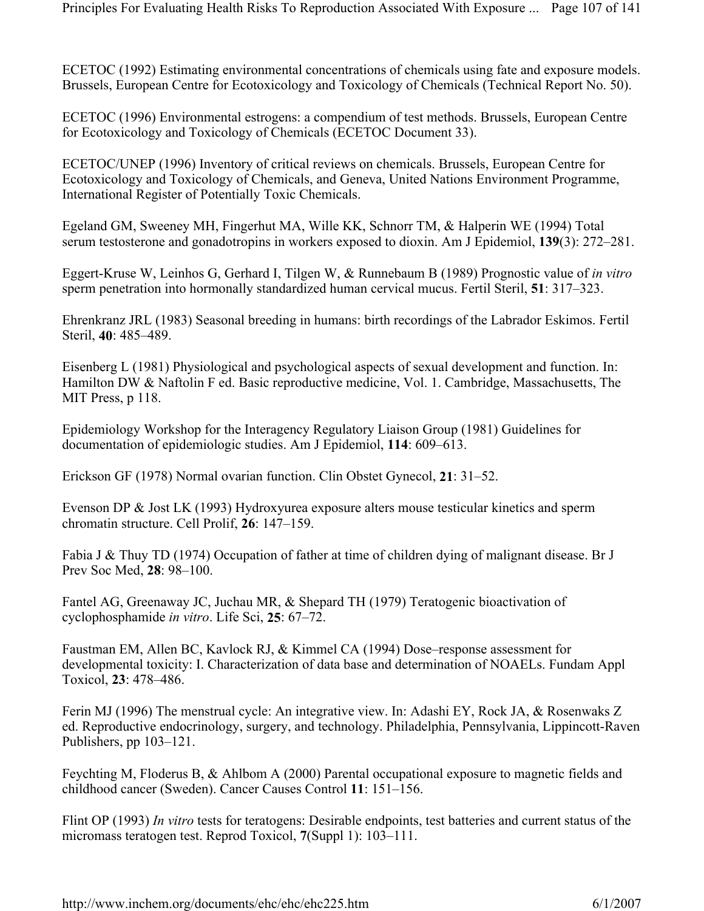ECETOC (1992) Estimating environmental concentrations of chemicals using fate and exposure models. Brussels, European Centre for Ecotoxicology and Toxicology of Chemicals (Technical Report No. 50).

ECETOC (1996) Environmental estrogens: a compendium of test methods. Brussels, European Centre for Ecotoxicology and Toxicology of Chemicals (ECETOC Document 33).

ECETOC/UNEP (1996) Inventory of critical reviews on chemicals. Brussels, European Centre for Ecotoxicology and Toxicology of Chemicals, and Geneva, United Nations Environment Programme, International Register of Potentially Toxic Chemicals.

Egeland GM, Sweeney MH, Fingerhut MA, Wille KK, Schnorr TM, & Halperin WE (1994) Total serum testosterone and gonadotropins in workers exposed to dioxin. Am J Epidemiol, **139**(3): 272–281.

Eggert-Kruse W, Leinhos G, Gerhard I, Tilgen W, & Runnebaum B (1989) Prognostic value of *in vitro* sperm penetration into hormonally standardized human cervical mucus. Fertil Steril, **51**: 317–323.

Ehrenkranz JRL (1983) Seasonal breeding in humans: birth recordings of the Labrador Eskimos. Fertil Steril, **40**: 485–489.

Eisenberg L (1981) Physiological and psychological aspects of sexual development and function. In: Hamilton DW & Naftolin F ed. Basic reproductive medicine, Vol. 1. Cambridge, Massachusetts, The MIT Press, p 118.

Epidemiology Workshop for the Interagency Regulatory Liaison Group (1981) Guidelines for documentation of epidemiologic studies. Am J Epidemiol, **114**: 609–613.

Erickson GF (1978) Normal ovarian function. Clin Obstet Gynecol, **21**: 31–52.

Evenson DP & Jost LK (1993) Hydroxyurea exposure alters mouse testicular kinetics and sperm chromatin structure. Cell Prolif, **26**: 147–159.

Fabia J & Thuy TD (1974) Occupation of father at time of children dying of malignant disease. Br J Prev Soc Med, **28**: 98–100.

Fantel AG, Greenaway JC, Juchau MR, & Shepard TH (1979) Teratogenic bioactivation of cyclophosphamide *in vitro*. Life Sci, **25**: 67–72.

Faustman EM, Allen BC, Kavlock RJ, & Kimmel CA (1994) Dose–response assessment for developmental toxicity: I. Characterization of data base and determination of NOAELs. Fundam Appl Toxicol, **23**: 478–486.

Ferin MJ (1996) The menstrual cycle: An integrative view. In: Adashi EY, Rock JA, & Rosenwaks Z ed. Reproductive endocrinology, surgery, and technology. Philadelphia, Pennsylvania, Lippincott-Raven Publishers, pp 103–121.

Feychting M, Floderus B, & Ahlbom A (2000) Parental occupational exposure to magnetic fields and childhood cancer (Sweden). Cancer Causes Control **11**: 151–156.

Flint OP (1993) *In vitro* tests for teratogens: Desirable endpoints, test batteries and current status of the micromass teratogen test. Reprod Toxicol, **7**(Suppl 1): 103–111.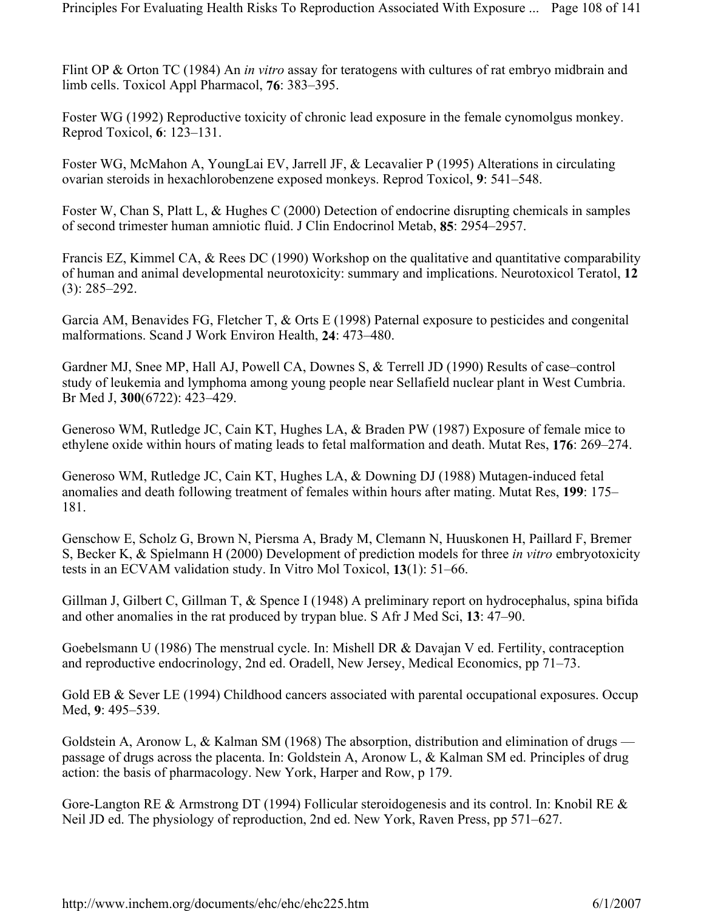Flint OP & Orton TC (1984) An *in vitro* assay for teratogens with cultures of rat embryo midbrain and limb cells. Toxicol Appl Pharmacol, **76**: 383–395.

Foster WG (1992) Reproductive toxicity of chronic lead exposure in the female cynomolgus monkey. Reprod Toxicol, **6**: 123–131.

Foster WG, McMahon A, YoungLai EV, Jarrell JF, & Lecavalier P (1995) Alterations in circulating ovarian steroids in hexachlorobenzene exposed monkeys. Reprod Toxicol, **9**: 541–548.

Foster W, Chan S, Platt L, & Hughes C (2000) Detection of endocrine disrupting chemicals in samples of second trimester human amniotic fluid. J Clin Endocrinol Metab, **85**: 2954–2957.

Francis EZ, Kimmel CA, & Rees DC (1990) Workshop on the qualitative and quantitative comparability of human and animal developmental neurotoxicity: summary and implications. Neurotoxicol Teratol, **12** (3): 285–292.

Garcia AM, Benavides FG, Fletcher T, & Orts E (1998) Paternal exposure to pesticides and congenital malformations. Scand J Work Environ Health, **24**: 473–480.

Gardner MJ, Snee MP, Hall AJ, Powell CA, Downes S, & Terrell JD (1990) Results of case–control study of leukemia and lymphoma among young people near Sellafield nuclear plant in West Cumbria. Br Med J, **300**(6722): 423–429.

Generoso WM, Rutledge JC, Cain KT, Hughes LA, & Braden PW (1987) Exposure of female mice to ethylene oxide within hours of mating leads to fetal malformation and death. Mutat Res, **176**: 269–274.

Generoso WM, Rutledge JC, Cain KT, Hughes LA, & Downing DJ (1988) Mutagen-induced fetal anomalies and death following treatment of females within hours after mating. Mutat Res, **199**: 175– 181.

Genschow E, Scholz G, Brown N, Piersma A, Brady M, Clemann N, Huuskonen H, Paillard F, Bremer S, Becker K, & Spielmann H (2000) Development of prediction models for three *in vitro* embryotoxicity tests in an ECVAM validation study. In Vitro Mol Toxicol, **13**(1): 51–66.

Gillman J, Gilbert C, Gillman T, & Spence I (1948) A preliminary report on hydrocephalus, spina bifida and other anomalies in the rat produced by trypan blue. S Afr J Med Sci, **13**: 47–90.

Goebelsmann U (1986) The menstrual cycle. In: Mishell DR & Davajan V ed. Fertility, contraception and reproductive endocrinology, 2nd ed. Oradell, New Jersey, Medical Economics, pp 71–73.

Gold EB & Sever LE (1994) Childhood cancers associated with parental occupational exposures. Occup Med, **9**: 495–539.

Goldstein A, Aronow L, & Kalman SM (1968) The absorption, distribution and elimination of drugs passage of drugs across the placenta. In: Goldstein A, Aronow L, & Kalman SM ed. Principles of drug action: the basis of pharmacology. New York, Harper and Row, p 179.

Gore-Langton RE & Armstrong DT (1994) Follicular steroidogenesis and its control. In: Knobil RE & Neil JD ed. The physiology of reproduction, 2nd ed. New York, Raven Press, pp 571–627.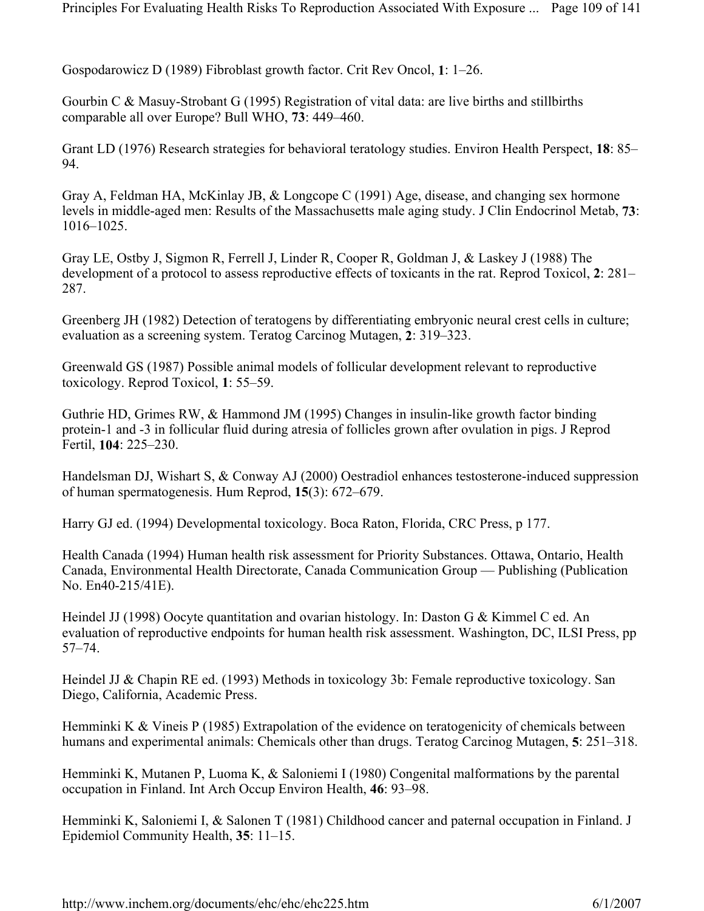Gospodarowicz D (1989) Fibroblast growth factor. Crit Rev Oncol, **1**: 1–26.

Gourbin C & Masuy-Strobant G (1995) Registration of vital data: are live births and stillbirths comparable all over Europe? Bull WHO, **73**: 449–460.

Grant LD (1976) Research strategies for behavioral teratology studies. Environ Health Perspect, **18**: 85– 94.

Gray A, Feldman HA, McKinlay JB, & Longcope C (1991) Age, disease, and changing sex hormone levels in middle-aged men: Results of the Massachusetts male aging study. J Clin Endocrinol Metab, **73**: 1016–1025.

Gray LE, Ostby J, Sigmon R, Ferrell J, Linder R, Cooper R, Goldman J, & Laskey J (1988) The development of a protocol to assess reproductive effects of toxicants in the rat. Reprod Toxicol, **2**: 281– 287.

Greenberg JH (1982) Detection of teratogens by differentiating embryonic neural crest cells in culture; evaluation as a screening system. Teratog Carcinog Mutagen, **2**: 319–323.

Greenwald GS (1987) Possible animal models of follicular development relevant to reproductive toxicology. Reprod Toxicol, **1**: 55–59.

Guthrie HD, Grimes RW, & Hammond JM (1995) Changes in insulin-like growth factor binding protein-1 and -3 in follicular fluid during atresia of follicles grown after ovulation in pigs. J Reprod Fertil, **104**: 225–230.

Handelsman DJ, Wishart S, & Conway AJ (2000) Oestradiol enhances testosterone-induced suppression of human spermatogenesis. Hum Reprod, **15**(3): 672–679.

Harry GJ ed. (1994) Developmental toxicology. Boca Raton, Florida, CRC Press, p 177.

Health Canada (1994) Human health risk assessment for Priority Substances. Ottawa, Ontario, Health Canada, Environmental Health Directorate, Canada Communication Group — Publishing (Publication No. En40-215/41E).

Heindel JJ (1998) Oocyte quantitation and ovarian histology. In: Daston G & Kimmel C ed. An evaluation of reproductive endpoints for human health risk assessment. Washington, DC, ILSI Press, pp 57–74.

Heindel JJ & Chapin RE ed. (1993) Methods in toxicology 3b: Female reproductive toxicology. San Diego, California, Academic Press.

Hemminki K & Vineis P (1985) Extrapolation of the evidence on teratogenicity of chemicals between humans and experimental animals: Chemicals other than drugs. Teratog Carcinog Mutagen, **5**: 251–318.

Hemminki K, Mutanen P, Luoma K, & Saloniemi I (1980) Congenital malformations by the parental occupation in Finland. Int Arch Occup Environ Health, **46**: 93–98.

Hemminki K, Saloniemi I, & Salonen T (1981) Childhood cancer and paternal occupation in Finland. J Epidemiol Community Health, **35**: 11–15.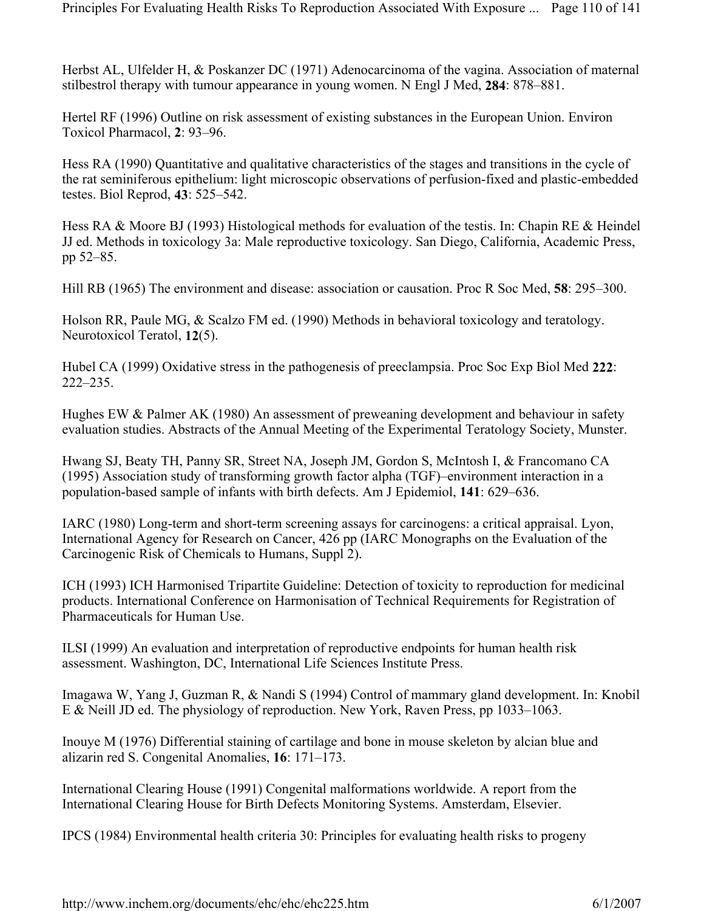Herbst AL, Ulfelder H, & Poskanzer DC (1971) Adenocarcinoma of the vagina. Association of maternal stilbestrol therapy with tumour appearance in young women. N Engl J Med, **284**: 878–881.

Hertel RF (1996) Outline on risk assessment of existing substances in the European Union. Environ Toxicol Pharmacol, **2**: 93–96.

Hess RA (1990) Quantitative and qualitative characteristics of the stages and transitions in the cycle of the rat seminiferous epithelium: light microscopic observations of perfusion-fixed and plastic-embedded testes. Biol Reprod, **43**: 525–542.

Hess RA & Moore BJ (1993) Histological methods for evaluation of the testis. In: Chapin RE & Heindel JJ ed. Methods in toxicology 3a: Male reproductive toxicology. San Diego, California, Academic Press, pp 52–85.

Hill RB (1965) The environment and disease: association or causation. Proc R Soc Med, **58**: 295–300.

Holson RR, Paule MG, & Scalzo FM ed. (1990) Methods in behavioral toxicology and teratology. Neurotoxicol Teratol, **12**(5).

Hubel CA (1999) Oxidative stress in the pathogenesis of preeclampsia. Proc Soc Exp Biol Med **222**: 222–235.

Hughes EW & Palmer AK (1980) An assessment of preweaning development and behaviour in safety evaluation studies. Abstracts of the Annual Meeting of the Experimental Teratology Society, Munster.

Hwang SJ, Beaty TH, Panny SR, Street NA, Joseph JM, Gordon S, McIntosh I, & Francomano CA (1995) Association study of transforming growth factor alpha (TGF)–environment interaction in a population-based sample of infants with birth defects. Am J Epidemiol, **141**: 629–636.

IARC (1980) Long-term and short-term screening assays for carcinogens: a critical appraisal. Lyon, International Agency for Research on Cancer, 426 pp (IARC Monographs on the Evaluation of the Carcinogenic Risk of Chemicals to Humans, Suppl 2).

ICH (1993) ICH Harmonised Tripartite Guideline: Detection of toxicity to reproduction for medicinal products. International Conference on Harmonisation of Technical Requirements for Registration of Pharmaceuticals for Human Use.

ILSI (1999) An evaluation and interpretation of reproductive endpoints for human health risk assessment. Washington, DC, International Life Sciences Institute Press.

Imagawa W, Yang J, Guzman R, & Nandi S (1994) Control of mammary gland development. In: Knobil E & Neill JD ed. The physiology of reproduction. New York, Raven Press, pp 1033–1063.

Inouye M (1976) Differential staining of cartilage and bone in mouse skeleton by alcian blue and alizarin red S. Congenital Anomalies, **16**: 171–173.

International Clearing House (1991) Congenital malformations worldwide. A report from the International Clearing House for Birth Defects Monitoring Systems. Amsterdam, Elsevier.

IPCS (1984) Environmental health criteria 30: Principles for evaluating health risks to progeny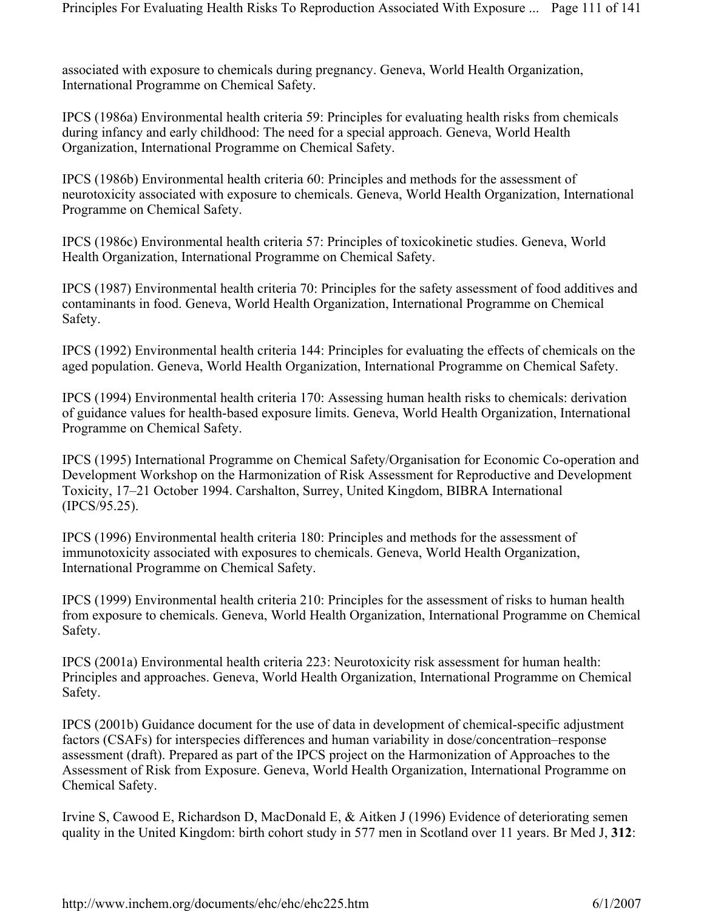associated with exposure to chemicals during pregnancy. Geneva, World Health Organization, International Programme on Chemical Safety.

IPCS (1986a) Environmental health criteria 59: Principles for evaluating health risks from chemicals during infancy and early childhood: The need for a special approach. Geneva, World Health Organization, International Programme on Chemical Safety.

IPCS (1986b) Environmental health criteria 60: Principles and methods for the assessment of neurotoxicity associated with exposure to chemicals. Geneva, World Health Organization, International Programme on Chemical Safety.

IPCS (1986c) Environmental health criteria 57: Principles of toxicokinetic studies. Geneva, World Health Organization, International Programme on Chemical Safety.

IPCS (1987) Environmental health criteria 70: Principles for the safety assessment of food additives and contaminants in food. Geneva, World Health Organization, International Programme on Chemical Safety.

IPCS (1992) Environmental health criteria 144: Principles for evaluating the effects of chemicals on the aged population. Geneva, World Health Organization, International Programme on Chemical Safety.

IPCS (1994) Environmental health criteria 170: Assessing human health risks to chemicals: derivation of guidance values for health-based exposure limits. Geneva, World Health Organization, International Programme on Chemical Safety.

IPCS (1995) International Programme on Chemical Safety/Organisation for Economic Co-operation and Development Workshop on the Harmonization of Risk Assessment for Reproductive and Development Toxicity, 17–21 October 1994. Carshalton, Surrey, United Kingdom, BIBRA International (IPCS/95.25).

IPCS (1996) Environmental health criteria 180: Principles and methods for the assessment of immunotoxicity associated with exposures to chemicals. Geneva, World Health Organization, International Programme on Chemical Safety.

IPCS (1999) Environmental health criteria 210: Principles for the assessment of risks to human health from exposure to chemicals. Geneva, World Health Organization, International Programme on Chemical Safety.

IPCS (2001a) Environmental health criteria 223: Neurotoxicity risk assessment for human health: Principles and approaches. Geneva, World Health Organization, International Programme on Chemical Safety.

IPCS (2001b) Guidance document for the use of data in development of chemical-specific adjustment factors (CSAFs) for interspecies differences and human variability in dose/concentration–response assessment (draft). Prepared as part of the IPCS project on the Harmonization of Approaches to the Assessment of Risk from Exposure. Geneva, World Health Organization, International Programme on Chemical Safety.

Irvine S, Cawood E, Richardson D, MacDonald E, & Aitken J (1996) Evidence of deteriorating semen quality in the United Kingdom: birth cohort study in 577 men in Scotland over 11 years. Br Med J, **312**: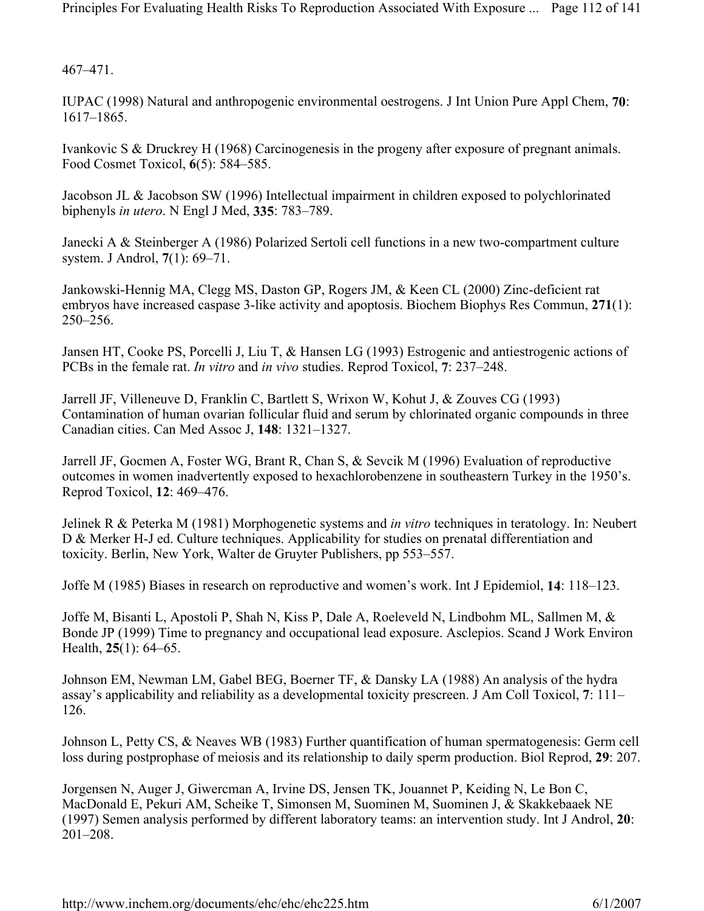467–471.

IUPAC (1998) Natural and anthropogenic environmental oestrogens. J Int Union Pure Appl Chem, **70**: 1617–1865.

Ivankovic S & Druckrey H (1968) Carcinogenesis in the progeny after exposure of pregnant animals. Food Cosmet Toxicol, **6**(5): 584–585.

Jacobson JL & Jacobson SW (1996) Intellectual impairment in children exposed to polychlorinated biphenyls *in utero*. N Engl J Med, **335**: 783–789.

Janecki A & Steinberger A (1986) Polarized Sertoli cell functions in a new two-compartment culture system. J Androl, **7**(1): 69–71.

Jankowski-Hennig MA, Clegg MS, Daston GP, Rogers JM, & Keen CL (2000) Zinc-deficient rat embryos have increased caspase 3-like activity and apoptosis. Biochem Biophys Res Commun, **271**(1): 250–256.

Jansen HT, Cooke PS, Porcelli J, Liu T, & Hansen LG (1993) Estrogenic and antiestrogenic actions of PCBs in the female rat. *In vitro* and *in vivo* studies. Reprod Toxicol, **7**: 237–248.

Jarrell JF, Villeneuve D, Franklin C, Bartlett S, Wrixon W, Kohut J, & Zouves CG (1993) Contamination of human ovarian follicular fluid and serum by chlorinated organic compounds in three Canadian cities. Can Med Assoc J, **148**: 1321–1327.

Jarrell JF, Gocmen A, Foster WG, Brant R, Chan S, & Sevcik M (1996) Evaluation of reproductive outcomes in women inadvertently exposed to hexachlorobenzene in southeastern Turkey in the 1950's. Reprod Toxicol, **12**: 469–476.

Jelinek R & Peterka M (1981) Morphogenetic systems and *in vitro* techniques in teratology. In: Neubert D & Merker H-J ed. Culture techniques. Applicability for studies on prenatal differentiation and toxicity. Berlin, New York, Walter de Gruyter Publishers, pp 553–557.

Joffe M (1985) Biases in research on reproductive and women's work. Int J Epidemiol, **14**: 118–123.

Joffe M, Bisanti L, Apostoli P, Shah N, Kiss P, Dale A, Roeleveld N, Lindbohm ML, Sallmen M, & Bonde JP (1999) Time to pregnancy and occupational lead exposure. Asclepios. Scand J Work Environ Health, **25**(1): 64–65.

Johnson EM, Newman LM, Gabel BEG, Boerner TF, & Dansky LA (1988) An analysis of the hydra assay's applicability and reliability as a developmental toxicity prescreen. J Am Coll Toxicol, **7**: 111– 126.

Johnson L, Petty CS, & Neaves WB (1983) Further quantification of human spermatogenesis: Germ cell loss during postprophase of meiosis and its relationship to daily sperm production. Biol Reprod, **29**: 207.

Jorgensen N, Auger J, Giwercman A, Irvine DS, Jensen TK, Jouannet P, Keiding N, Le Bon C, MacDonald E, Pekuri AM, Scheike T, Simonsen M, Suominen M, Suominen J, & Skakkebaaek NE (1997) Semen analysis performed by different laboratory teams: an intervention study. Int J Androl, **20**: 201–208.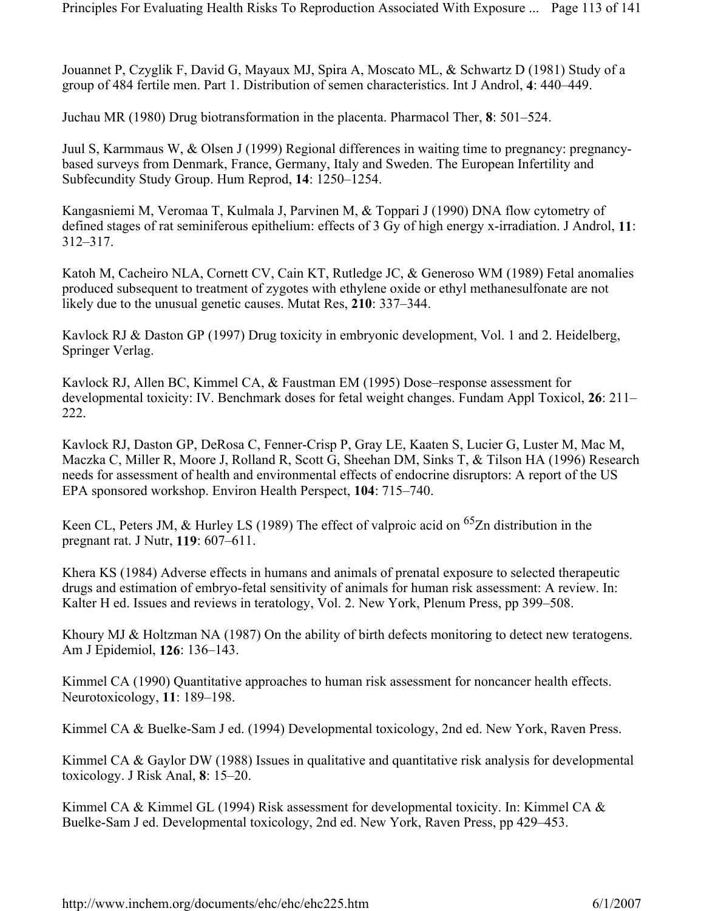Jouannet P, Czyglik F, David G, Mayaux MJ, Spira A, Moscato ML, & Schwartz D (1981) Study of a group of 484 fertile men. Part 1. Distribution of semen characteristics. Int J Androl, **4**: 440–449.

Juchau MR (1980) Drug biotransformation in the placenta. Pharmacol Ther, **8**: 501–524.

Juul S, Karmmaus W, & Olsen J (1999) Regional differences in waiting time to pregnancy: pregnancybased surveys from Denmark, France, Germany, Italy and Sweden. The European Infertility and Subfecundity Study Group. Hum Reprod, **14**: 1250–1254.

Kangasniemi M, Veromaa T, Kulmala J, Parvinen M, & Toppari J (1990) DNA flow cytometry of defined stages of rat seminiferous epithelium: effects of 3 Gy of high energy x-irradiation. J Androl, **11**: 312–317.

Katoh M, Cacheiro NLA, Cornett CV, Cain KT, Rutledge JC, & Generoso WM (1989) Fetal anomalies produced subsequent to treatment of zygotes with ethylene oxide or ethyl methanesulfonate are not likely due to the unusual genetic causes. Mutat Res, **210**: 337–344.

Kavlock RJ & Daston GP (1997) Drug toxicity in embryonic development, Vol. 1 and 2. Heidelberg, Springer Verlag.

Kavlock RJ, Allen BC, Kimmel CA, & Faustman EM (1995) Dose–response assessment for developmental toxicity: IV. Benchmark doses for fetal weight changes. Fundam Appl Toxicol, **26**: 211– 222.

Kavlock RJ, Daston GP, DeRosa C, Fenner-Crisp P, Gray LE, Kaaten S, Lucier G, Luster M, Mac M, Maczka C, Miller R, Moore J, Rolland R, Scott G, Sheehan DM, Sinks T, & Tilson HA (1996) Research needs for assessment of health and environmental effects of endocrine disruptors: A report of the US EPA sponsored workshop. Environ Health Perspect, **104**: 715–740.

Keen CL, Peters JM,  $\&$  Hurley LS (1989) The effect of valproic acid on  $^{65}Zn$  distribution in the pregnant rat. J Nutr, **119**: 607–611.

Khera KS (1984) Adverse effects in humans and animals of prenatal exposure to selected therapeutic drugs and estimation of embryo-fetal sensitivity of animals for human risk assessment: A review. In: Kalter H ed. Issues and reviews in teratology, Vol. 2. New York, Plenum Press, pp 399–508.

Khoury MJ & Holtzman NA (1987) On the ability of birth defects monitoring to detect new teratogens. Am J Epidemiol, **126**: 136–143.

Kimmel CA (1990) Quantitative approaches to human risk assessment for noncancer health effects. Neurotoxicology, **11**: 189–198.

Kimmel CA & Buelke-Sam J ed. (1994) Developmental toxicology, 2nd ed. New York, Raven Press.

Kimmel CA & Gaylor DW (1988) Issues in qualitative and quantitative risk analysis for developmental toxicology. J Risk Anal, **8**: 15–20.

Kimmel CA & Kimmel GL (1994) Risk assessment for developmental toxicity. In: Kimmel CA  $\&$ Buelke-Sam J ed. Developmental toxicology, 2nd ed. New York, Raven Press, pp 429–453.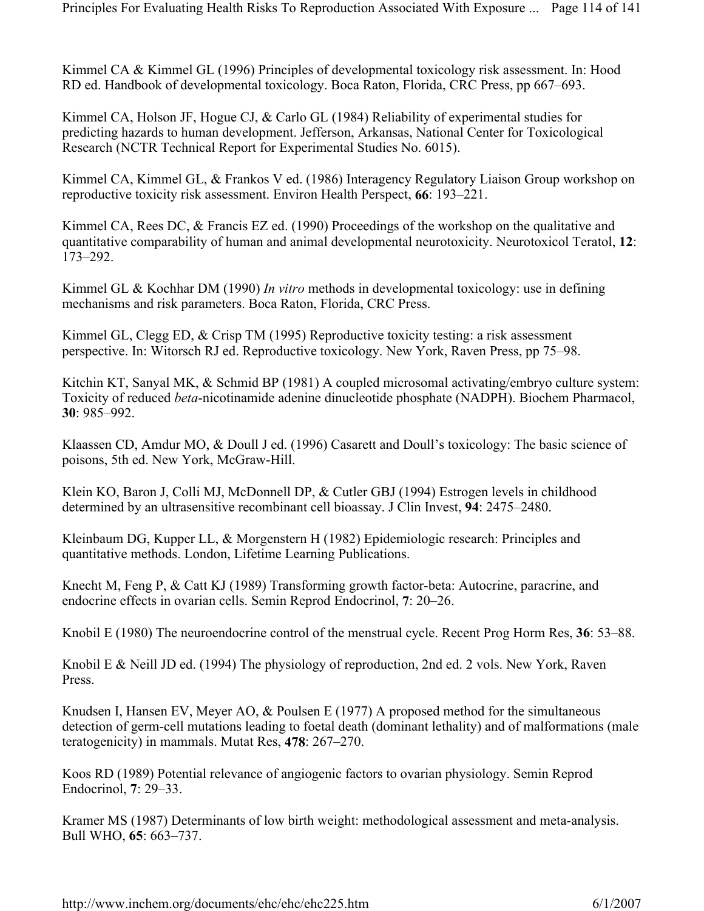Kimmel CA & Kimmel GL (1996) Principles of developmental toxicology risk assessment. In: Hood RD ed. Handbook of developmental toxicology. Boca Raton, Florida, CRC Press, pp 667–693.

Kimmel CA, Holson JF, Hogue CJ, & Carlo GL (1984) Reliability of experimental studies for predicting hazards to human development. Jefferson, Arkansas, National Center for Toxicological Research (NCTR Technical Report for Experimental Studies No. 6015).

Kimmel CA, Kimmel GL, & Frankos V ed. (1986) Interagency Regulatory Liaison Group workshop on reproductive toxicity risk assessment. Environ Health Perspect, **66**: 193–221.

Kimmel CA, Rees DC, & Francis EZ ed. (1990) Proceedings of the workshop on the qualitative and quantitative comparability of human and animal developmental neurotoxicity. Neurotoxicol Teratol, **12**: 173–292.

Kimmel GL & Kochhar DM (1990) *In vitro* methods in developmental toxicology: use in defining mechanisms and risk parameters. Boca Raton, Florida, CRC Press.

Kimmel GL, Clegg ED, & Crisp TM (1995) Reproductive toxicity testing: a risk assessment perspective. In: Witorsch RJ ed. Reproductive toxicology. New York, Raven Press, pp 75–98.

Kitchin KT, Sanyal MK, & Schmid BP (1981) A coupled microsomal activating/embryo culture system: Toxicity of reduced *beta*-nicotinamide adenine dinucleotide phosphate (NADPH). Biochem Pharmacol, **30**: 985–992.

Klaassen CD, Amdur MO, & Doull J ed. (1996) Casarett and Doull's toxicology: The basic science of poisons, 5th ed. New York, McGraw-Hill.

Klein KO, Baron J, Colli MJ, McDonnell DP, & Cutler GBJ (1994) Estrogen levels in childhood determined by an ultrasensitive recombinant cell bioassay. J Clin Invest, **94**: 2475–2480.

Kleinbaum DG, Kupper LL, & Morgenstern H (1982) Epidemiologic research: Principles and quantitative methods. London, Lifetime Learning Publications.

Knecht M, Feng P, & Catt KJ (1989) Transforming growth factor-beta: Autocrine, paracrine, and endocrine effects in ovarian cells. Semin Reprod Endocrinol, **7**: 20–26.

Knobil E (1980) The neuroendocrine control of the menstrual cycle. Recent Prog Horm Res, **36**: 53–88.

Knobil E & Neill JD ed. (1994) The physiology of reproduction, 2nd ed. 2 vols. New York, Raven Press.

Knudsen I, Hansen EV, Meyer AO, & Poulsen E (1977) A proposed method for the simultaneous detection of germ-cell mutations leading to foetal death (dominant lethality) and of malformations (male teratogenicity) in mammals. Mutat Res, **478**: 267–270.

Koos RD (1989) Potential relevance of angiogenic factors to ovarian physiology. Semin Reprod Endocrinol, **7**: 29–33.

Kramer MS (1987) Determinants of low birth weight: methodological assessment and meta-analysis. Bull WHO, **65**: 663–737.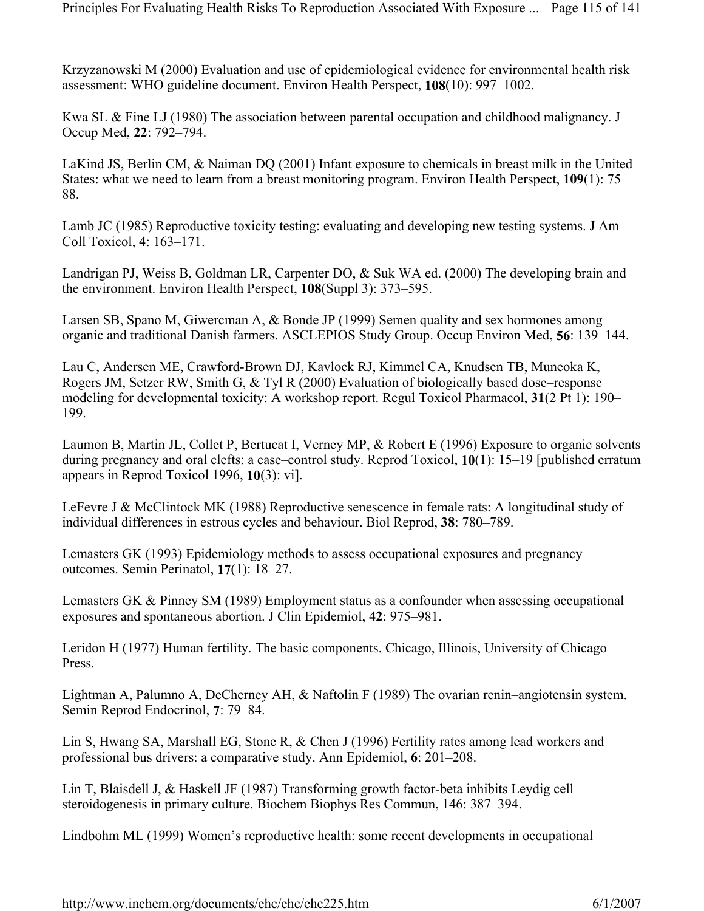Krzyzanowski M (2000) Evaluation and use of epidemiological evidence for environmental health risk assessment: WHO guideline document. Environ Health Perspect, **108**(10): 997–1002.

Kwa SL & Fine LJ (1980) The association between parental occupation and childhood malignancy. J Occup Med, **22**: 792–794.

LaKind JS, Berlin CM, & Naiman DQ (2001) Infant exposure to chemicals in breast milk in the United States: what we need to learn from a breast monitoring program. Environ Health Perspect, **109**(1): 75– 88.

Lamb JC (1985) Reproductive toxicity testing: evaluating and developing new testing systems. J Am Coll Toxicol, **4**: 163–171.

Landrigan PJ, Weiss B, Goldman LR, Carpenter DO, & Suk WA ed. (2000) The developing brain and the environment. Environ Health Perspect, **108**(Suppl 3): 373–595.

Larsen SB, Spano M, Giwercman A, & Bonde JP (1999) Semen quality and sex hormones among organic and traditional Danish farmers. ASCLEPIOS Study Group. Occup Environ Med, **56**: 139–144.

Lau C, Andersen ME, Crawford-Brown DJ, Kavlock RJ, Kimmel CA, Knudsen TB, Muneoka K, Rogers JM, Setzer RW, Smith G, & Tyl R (2000) Evaluation of biologically based dose–response modeling for developmental toxicity: A workshop report. Regul Toxicol Pharmacol, **31**(2 Pt 1): 190– 199.

Laumon B, Martin JL, Collet P, Bertucat I, Verney MP, & Robert E (1996) Exposure to organic solvents during pregnancy and oral clefts: a case–control study. Reprod Toxicol, **10**(1): 15–19 [published erratum appears in Reprod Toxicol 1996, **10**(3): vi].

LeFevre J & McClintock MK (1988) Reproductive senescence in female rats: A longitudinal study of individual differences in estrous cycles and behaviour. Biol Reprod, **38**: 780–789.

Lemasters GK (1993) Epidemiology methods to assess occupational exposures and pregnancy outcomes. Semin Perinatol, **17**(1): 18–27.

Lemasters GK & Pinney SM (1989) Employment status as a confounder when assessing occupational exposures and spontaneous abortion. J Clin Epidemiol, **42**: 975–981.

Leridon H (1977) Human fertility. The basic components. Chicago, Illinois, University of Chicago Press.

Lightman A, Palumno A, DeCherney AH, & Naftolin F (1989) The ovarian renin–angiotensin system. Semin Reprod Endocrinol, **7**: 79–84.

Lin S, Hwang SA, Marshall EG, Stone R, & Chen J (1996) Fertility rates among lead workers and professional bus drivers: a comparative study. Ann Epidemiol, **6**: 201–208.

Lin T, Blaisdell J, & Haskell JF (1987) Transforming growth factor-beta inhibits Leydig cell steroidogenesis in primary culture. Biochem Biophys Res Commun, 146: 387–394.

Lindbohm ML (1999) Women's reproductive health: some recent developments in occupational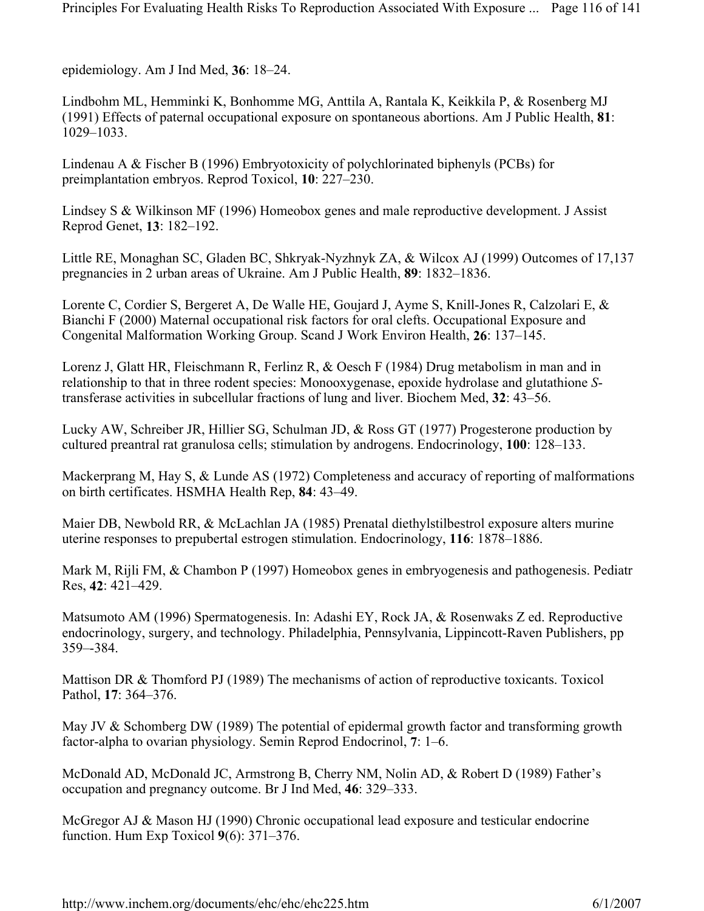epidemiology. Am J Ind Med, **36**: 18–24.

Lindbohm ML, Hemminki K, Bonhomme MG, Anttila A, Rantala K, Keikkila P, & Rosenberg MJ (1991) Effects of paternal occupational exposure on spontaneous abortions. Am J Public Health, **81**: 1029–1033.

Lindenau A & Fischer B (1996) Embryotoxicity of polychlorinated biphenyls (PCBs) for preimplantation embryos. Reprod Toxicol, **10**: 227–230.

Lindsey S & Wilkinson MF (1996) Homeobox genes and male reproductive development. J Assist Reprod Genet, **13**: 182–192.

Little RE, Monaghan SC, Gladen BC, Shkryak-Nyzhnyk ZA, & Wilcox AJ (1999) Outcomes of 17,137 pregnancies in 2 urban areas of Ukraine. Am J Public Health, **89**: 1832–1836.

Lorente C, Cordier S, Bergeret A, De Walle HE, Goujard J, Ayme S, Knill-Jones R, Calzolari E, & Bianchi F (2000) Maternal occupational risk factors for oral clefts. Occupational Exposure and Congenital Malformation Working Group. Scand J Work Environ Health, **26**: 137–145.

Lorenz J, Glatt HR, Fleischmann R, Ferlinz R, & Oesch F (1984) Drug metabolism in man and in relationship to that in three rodent species: Monooxygenase, epoxide hydrolase and glutathione *S*transferase activities in subcellular fractions of lung and liver. Biochem Med, **32**: 43–56.

Lucky AW, Schreiber JR, Hillier SG, Schulman JD, & Ross GT (1977) Progesterone production by cultured preantral rat granulosa cells; stimulation by androgens. Endocrinology, **100**: 128–133.

Mackerprang M, Hay S, & Lunde AS (1972) Completeness and accuracy of reporting of malformations on birth certificates. HSMHA Health Rep, **84**: 43–49.

Maier DB, Newbold RR, & McLachlan JA (1985) Prenatal diethylstilbestrol exposure alters murine uterine responses to prepubertal estrogen stimulation. Endocrinology, **116**: 1878–1886.

Mark M, Rijli FM, & Chambon P (1997) Homeobox genes in embryogenesis and pathogenesis. Pediatr Res, **42**: 421–429.

Matsumoto AM (1996) Spermatogenesis. In: Adashi EY, Rock JA, & Rosenwaks Z ed. Reproductive endocrinology, surgery, and technology. Philadelphia, Pennsylvania, Lippincott-Raven Publishers, pp 359–-384.

Mattison DR & Thomford PJ (1989) The mechanisms of action of reproductive toxicants. Toxicol Pathol, **17**: 364–376.

May JV & Schomberg DW (1989) The potential of epidermal growth factor and transforming growth factor-alpha to ovarian physiology. Semin Reprod Endocrinol, **7**: 1–6.

McDonald AD, McDonald JC, Armstrong B, Cherry NM, Nolin AD, & Robert D (1989) Father's occupation and pregnancy outcome. Br J Ind Med, **46**: 329–333.

McGregor AJ & Mason HJ (1990) Chronic occupational lead exposure and testicular endocrine function. Hum Exp Toxicol **9**(6): 371–376.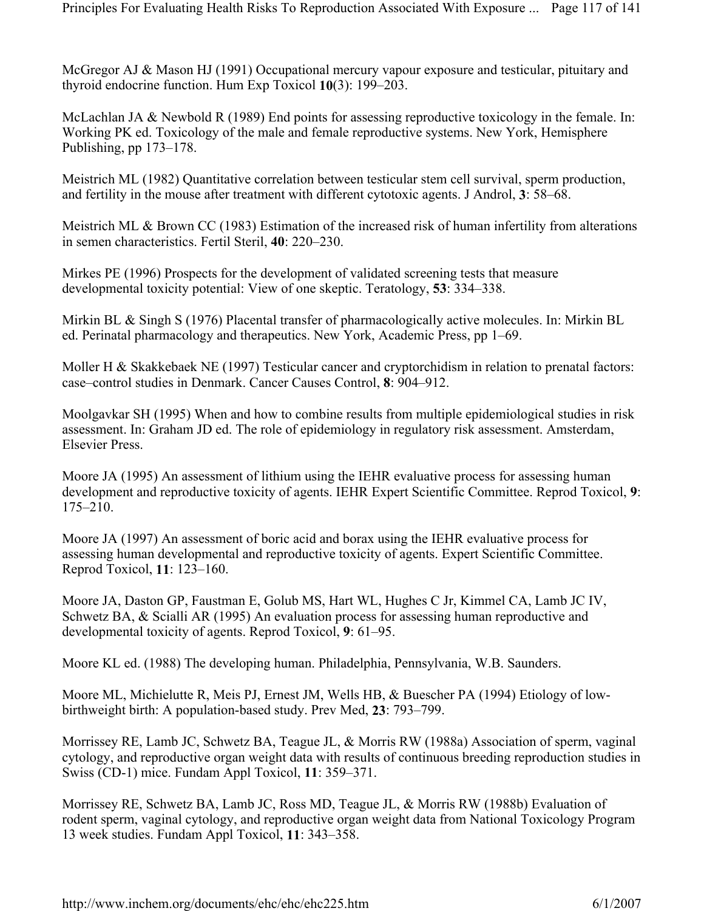McGregor AJ & Mason HJ (1991) Occupational mercury vapour exposure and testicular, pituitary and thyroid endocrine function. Hum Exp Toxicol **10**(3): 199–203.

McLachlan JA & Newbold R (1989) End points for assessing reproductive toxicology in the female. In: Working PK ed. Toxicology of the male and female reproductive systems. New York, Hemisphere Publishing, pp 173–178.

Meistrich ML (1982) Quantitative correlation between testicular stem cell survival, sperm production, and fertility in the mouse after treatment with different cytotoxic agents. J Androl, **3**: 58–68.

Meistrich ML & Brown CC (1983) Estimation of the increased risk of human infertility from alterations in semen characteristics. Fertil Steril, **40**: 220–230.

Mirkes PE (1996) Prospects for the development of validated screening tests that measure developmental toxicity potential: View of one skeptic. Teratology, **53**: 334–338.

Mirkin BL & Singh S (1976) Placental transfer of pharmacologically active molecules. In: Mirkin BL ed. Perinatal pharmacology and therapeutics. New York, Academic Press, pp 1–69.

Moller H & Skakkebaek NE (1997) Testicular cancer and cryptorchidism in relation to prenatal factors: case–control studies in Denmark. Cancer Causes Control, **8**: 904–912.

Moolgavkar SH (1995) When and how to combine results from multiple epidemiological studies in risk assessment. In: Graham JD ed. The role of epidemiology in regulatory risk assessment. Amsterdam, Elsevier Press.

Moore JA (1995) An assessment of lithium using the IEHR evaluative process for assessing human development and reproductive toxicity of agents. IEHR Expert Scientific Committee. Reprod Toxicol, **9**: 175–210.

Moore JA (1997) An assessment of boric acid and borax using the IEHR evaluative process for assessing human developmental and reproductive toxicity of agents. Expert Scientific Committee. Reprod Toxicol, **11**: 123–160.

Moore JA, Daston GP, Faustman E, Golub MS, Hart WL, Hughes C Jr, Kimmel CA, Lamb JC IV, Schwetz BA, & Scialli AR (1995) An evaluation process for assessing human reproductive and developmental toxicity of agents. Reprod Toxicol, **9**: 61–95.

Moore KL ed. (1988) The developing human. Philadelphia, Pennsylvania, W.B. Saunders.

Moore ML, Michielutte R, Meis PJ, Ernest JM, Wells HB, & Buescher PA (1994) Etiology of lowbirthweight birth: A population-based study. Prev Med, **23**: 793–799.

Morrissey RE, Lamb JC, Schwetz BA, Teague JL, & Morris RW (1988a) Association of sperm, vaginal cytology, and reproductive organ weight data with results of continuous breeding reproduction studies in Swiss (CD-1) mice. Fundam Appl Toxicol, **11**: 359–371.

Morrissey RE, Schwetz BA, Lamb JC, Ross MD, Teague JL, & Morris RW (1988b) Evaluation of rodent sperm, vaginal cytology, and reproductive organ weight data from National Toxicology Program 13 week studies. Fundam Appl Toxicol, **11**: 343–358.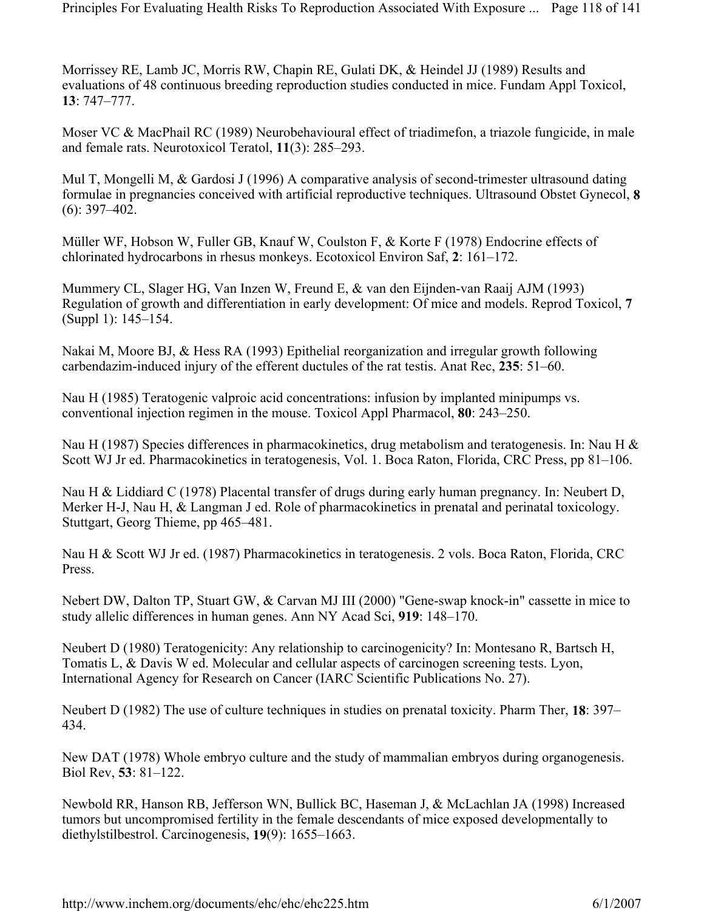Morrissey RE, Lamb JC, Morris RW, Chapin RE, Gulati DK, & Heindel JJ (1989) Results and evaluations of 48 continuous breeding reproduction studies conducted in mice. Fundam Appl Toxicol, **13**: 747–777.

Moser VC & MacPhail RC (1989) Neurobehavioural effect of triadimefon, a triazole fungicide, in male and female rats. Neurotoxicol Teratol, **11**(3): 285–293.

Mul T, Mongelli M, & Gardosi J (1996) A comparative analysis of second-trimester ultrasound dating formulae in pregnancies conceived with artificial reproductive techniques. Ultrasound Obstet Gynecol, **8** (6): 397–402.

Müller WF, Hobson W, Fuller GB, Knauf W, Coulston F, & Korte F (1978) Endocrine effects of chlorinated hydrocarbons in rhesus monkeys. Ecotoxicol Environ Saf, **2**: 161–172.

Mummery CL, Slager HG, Van Inzen W, Freund E, & van den Eijnden-van Raaij AJM (1993) Regulation of growth and differentiation in early development: Of mice and models. Reprod Toxicol, **7** (Suppl 1): 145–154.

Nakai M, Moore BJ, & Hess RA (1993) Epithelial reorganization and irregular growth following carbendazim-induced injury of the efferent ductules of the rat testis. Anat Rec, **235**: 51–60.

Nau H (1985) Teratogenic valproic acid concentrations: infusion by implanted minipumps vs. conventional injection regimen in the mouse. Toxicol Appl Pharmacol, **80**: 243–250.

Nau H (1987) Species differences in pharmacokinetics, drug metabolism and teratogenesis. In: Nau H & Scott WJ Jr ed. Pharmacokinetics in teratogenesis, Vol. 1. Boca Raton, Florida, CRC Press, pp 81–106.

Nau H & Liddiard C (1978) Placental transfer of drugs during early human pregnancy. In: Neubert D, Merker H-J, Nau H, & Langman J ed. Role of pharmacokinetics in prenatal and perinatal toxicology. Stuttgart, Georg Thieme, pp 465–481.

Nau H & Scott WJ Jr ed. (1987) Pharmacokinetics in teratogenesis. 2 vols. Boca Raton, Florida, CRC Press.

Nebert DW, Dalton TP, Stuart GW, & Carvan MJ III (2000) "Gene-swap knock-in" cassette in mice to study allelic differences in human genes. Ann NY Acad Sci, **919**: 148–170.

Neubert D (1980) Teratogenicity: Any relationship to carcinogenicity? In: Montesano R, Bartsch H, Tomatis L, & Davis W ed. Molecular and cellular aspects of carcinogen screening tests. Lyon, International Agency for Research on Cancer (IARC Scientific Publications No. 27).

Neubert D (1982) The use of culture techniques in studies on prenatal toxicity. Pharm Ther, **18**: 397– 434.

New DAT (1978) Whole embryo culture and the study of mammalian embryos during organogenesis. Biol Rev, **53**: 81–122.

Newbold RR, Hanson RB, Jefferson WN, Bullick BC, Haseman J, & McLachlan JA (1998) Increased tumors but uncompromised fertility in the female descendants of mice exposed developmentally to diethylstilbestrol. Carcinogenesis, **19**(9): 1655–1663.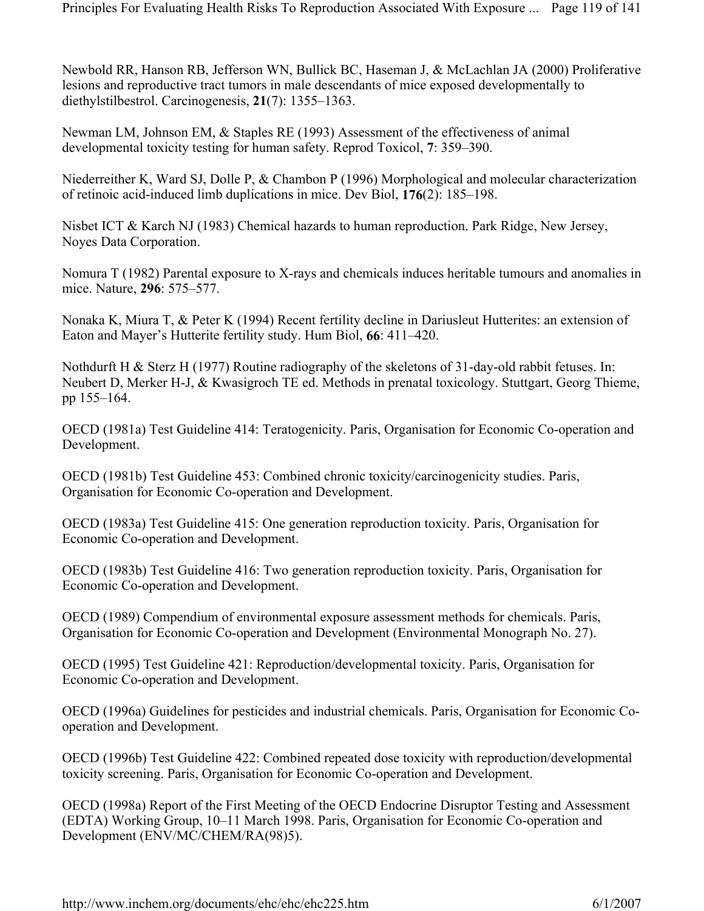Newbold RR, Hanson RB, Jefferson WN, Bullick BC, Haseman J, & McLachlan JA (2000) Proliferative lesions and reproductive tract tumors in male descendants of mice exposed developmentally to diethylstilbestrol. Carcinogenesis, **21**(7): 1355–1363.

Newman LM, Johnson EM, & Staples RE (1993) Assessment of the effectiveness of animal developmental toxicity testing for human safety. Reprod Toxicol, **7**: 359–390.

Niederreither K, Ward SJ, Dolle P, & Chambon P (1996) Morphological and molecular characterization of retinoic acid-induced limb duplications in mice. Dev Biol, **176**(2): 185–198.

Nisbet ICT & Karch NJ (1983) Chemical hazards to human reproduction. Park Ridge, New Jersey, Noyes Data Corporation.

Nomura T (1982) Parental exposure to X-rays and chemicals induces heritable tumours and anomalies in mice. Nature, **296**: 575–577.

Nonaka K, Miura T, & Peter K (1994) Recent fertility decline in Dariusleut Hutterites: an extension of Eaton and Mayer's Hutterite fertility study. Hum Biol, **66**: 411–420.

Nothdurft H & Sterz H (1977) Routine radiography of the skeletons of 31-day-old rabbit fetuses. In: Neubert D, Merker H-J, & Kwasigroch TE ed. Methods in prenatal toxicology. Stuttgart, Georg Thieme, pp 155–164.

OECD (1981a) Test Guideline 414: Teratogenicity. Paris, Organisation for Economic Co-operation and Development.

OECD (1981b) Test Guideline 453: Combined chronic toxicity/carcinogenicity studies. Paris, Organisation for Economic Co-operation and Development.

OECD (1983a) Test Guideline 415: One generation reproduction toxicity. Paris, Organisation for Economic Co-operation and Development.

OECD (1983b) Test Guideline 416: Two generation reproduction toxicity. Paris, Organisation for Economic Co-operation and Development.

OECD (1989) Compendium of environmental exposure assessment methods for chemicals. Paris, Organisation for Economic Co-operation and Development (Environmental Monograph No. 27).

OECD (1995) Test Guideline 421: Reproduction/developmental toxicity. Paris, Organisation for Economic Co-operation and Development.

OECD (1996a) Guidelines for pesticides and industrial chemicals. Paris, Organisation for Economic Cooperation and Development.

OECD (1996b) Test Guideline 422: Combined repeated dose toxicity with reproduction/developmental toxicity screening. Paris, Organisation for Economic Co-operation and Development.

OECD (1998a) Report of the First Meeting of the OECD Endocrine Disruptor Testing and Assessment (EDTA) Working Group, 10–11 March 1998. Paris, Organisation for Economic Co-operation and Development (ENV/MC/CHEM/RA(98)5).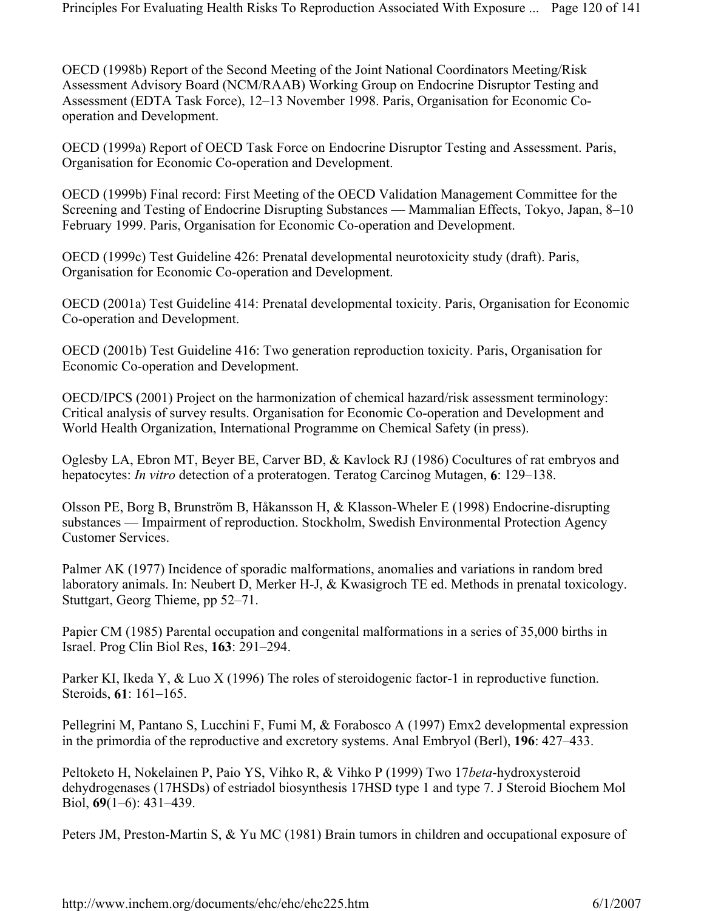OECD (1998b) Report of the Second Meeting of the Joint National Coordinators Meeting/Risk Assessment Advisory Board (NCM/RAAB) Working Group on Endocrine Disruptor Testing and Assessment (EDTA Task Force), 12–13 November 1998. Paris, Organisation for Economic Cooperation and Development.

OECD (1999a) Report of OECD Task Force on Endocrine Disruptor Testing and Assessment. Paris, Organisation for Economic Co-operation and Development.

OECD (1999b) Final record: First Meeting of the OECD Validation Management Committee for the Screening and Testing of Endocrine Disrupting Substances — Mammalian Effects, Tokyo, Japan, 8–10 February 1999. Paris, Organisation for Economic Co-operation and Development.

OECD (1999c) Test Guideline 426: Prenatal developmental neurotoxicity study (draft). Paris, Organisation for Economic Co-operation and Development.

OECD (2001a) Test Guideline 414: Prenatal developmental toxicity. Paris, Organisation for Economic Co-operation and Development.

OECD (2001b) Test Guideline 416: Two generation reproduction toxicity. Paris, Organisation for Economic Co-operation and Development.

OECD/IPCS (2001) Project on the harmonization of chemical hazard/risk assessment terminology: Critical analysis of survey results. Organisation for Economic Co-operation and Development and World Health Organization, International Programme on Chemical Safety (in press).

Oglesby LA, Ebron MT, Beyer BE, Carver BD, & Kavlock RJ (1986) Cocultures of rat embryos and hepatocytes: *In vitro* detection of a proteratogen. Teratog Carcinog Mutagen, **6**: 129–138.

Olsson PE, Borg B, Brunström B, Håkansson H, & Klasson-Wheler E (1998) Endocrine-disrupting substances — Impairment of reproduction. Stockholm, Swedish Environmental Protection Agency Customer Services.

Palmer AK (1977) Incidence of sporadic malformations, anomalies and variations in random bred laboratory animals. In: Neubert D, Merker H-J, & Kwasigroch TE ed. Methods in prenatal toxicology. Stuttgart, Georg Thieme, pp 52–71.

Papier CM (1985) Parental occupation and congenital malformations in a series of 35,000 births in Israel. Prog Clin Biol Res, **163**: 291–294.

Parker KI, Ikeda Y, & Luo X (1996) The roles of steroidogenic factor-1 in reproductive function. Steroids, **61**: 161–165.

Pellegrini M, Pantano S, Lucchini F, Fumi M, & Forabosco A (1997) Emx2 developmental expression in the primordia of the reproductive and excretory systems. Anal Embryol (Berl), **196**: 427–433.

Peltoketo H, Nokelainen P, Paio YS, Vihko R, & Vihko P (1999) Two 17*beta*-hydroxysteroid dehydrogenases (17HSDs) of estriadol biosynthesis 17HSD type 1 and type 7. J Steroid Biochem Mol Biol, **69**(1–6): 431–439.

Peters JM, Preston-Martin S, & Yu MC (1981) Brain tumors in children and occupational exposure of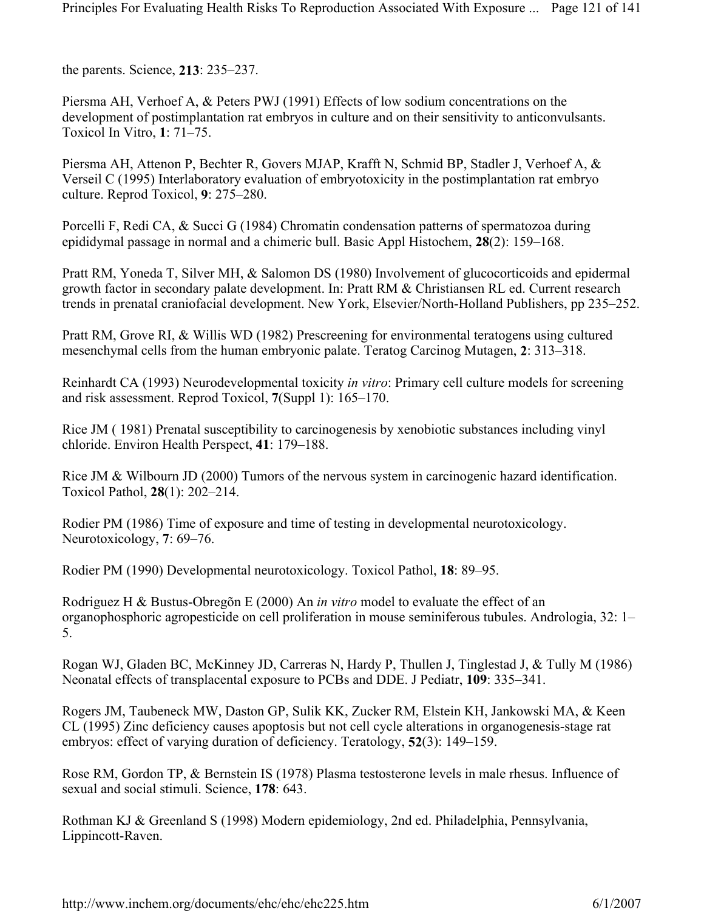the parents. Science, **213**: 235–237.

Piersma AH, Verhoef A, & Peters PWJ (1991) Effects of low sodium concentrations on the development of postimplantation rat embryos in culture and on their sensitivity to anticonvulsants. Toxicol In Vitro, **1**: 71–75.

Piersma AH, Attenon P, Bechter R, Govers MJAP, Krafft N, Schmid BP, Stadler J, Verhoef A, & Verseil C (1995) Interlaboratory evaluation of embryotoxicity in the postimplantation rat embryo culture. Reprod Toxicol, **9**: 275–280.

Porcelli F, Redi CA, & Succi G (1984) Chromatin condensation patterns of spermatozoa during epididymal passage in normal and a chimeric bull. Basic Appl Histochem, **28**(2): 159–168.

Pratt RM, Yoneda T, Silver MH, & Salomon DS (1980) Involvement of glucocorticoids and epidermal growth factor in secondary palate development. In: Pratt RM & Christiansen RL ed. Current research trends in prenatal craniofacial development. New York, Elsevier/North-Holland Publishers, pp 235–252.

Pratt RM, Grove RI, & Willis WD (1982) Prescreening for environmental teratogens using cultured mesenchymal cells from the human embryonic palate. Teratog Carcinog Mutagen, **2**: 313–318.

Reinhardt CA (1993) Neurodevelopmental toxicity *in vitro*: Primary cell culture models for screening and risk assessment. Reprod Toxicol, **7**(Suppl 1): 165–170.

Rice JM ( 1981) Prenatal susceptibility to carcinogenesis by xenobiotic substances including vinyl chloride. Environ Health Perspect, **41**: 179–188.

Rice JM & Wilbourn JD (2000) Tumors of the nervous system in carcinogenic hazard identification. Toxicol Pathol, **28**(1): 202–214.

Rodier PM (1986) Time of exposure and time of testing in developmental neurotoxicology. Neurotoxicology, **7**: 69–76.

Rodier PM (1990) Developmental neurotoxicology. Toxicol Pathol, **18**: 89–95.

Rodriguez H & Bustus-Obregõn E (2000) An *in vitro* model to evaluate the effect of an organophosphoric agropesticide on cell proliferation in mouse seminiferous tubules. Andrologia, 32: 1– 5.

Rogan WJ, Gladen BC, McKinney JD, Carreras N, Hardy P, Thullen J, Tinglestad J, & Tully M (1986) Neonatal effects of transplacental exposure to PCBs and DDE. J Pediatr, **109**: 335–341.

Rogers JM, Taubeneck MW, Daston GP, Sulik KK, Zucker RM, Elstein KH, Jankowski MA, & Keen CL (1995) Zinc deficiency causes apoptosis but not cell cycle alterations in organogenesis-stage rat embryos: effect of varying duration of deficiency. Teratology, **52**(3): 149–159.

Rose RM, Gordon TP, & Bernstein IS (1978) Plasma testosterone levels in male rhesus. Influence of sexual and social stimuli. Science, **178**: 643.

Rothman KJ & Greenland S (1998) Modern epidemiology, 2nd ed. Philadelphia, Pennsylvania, Lippincott-Raven.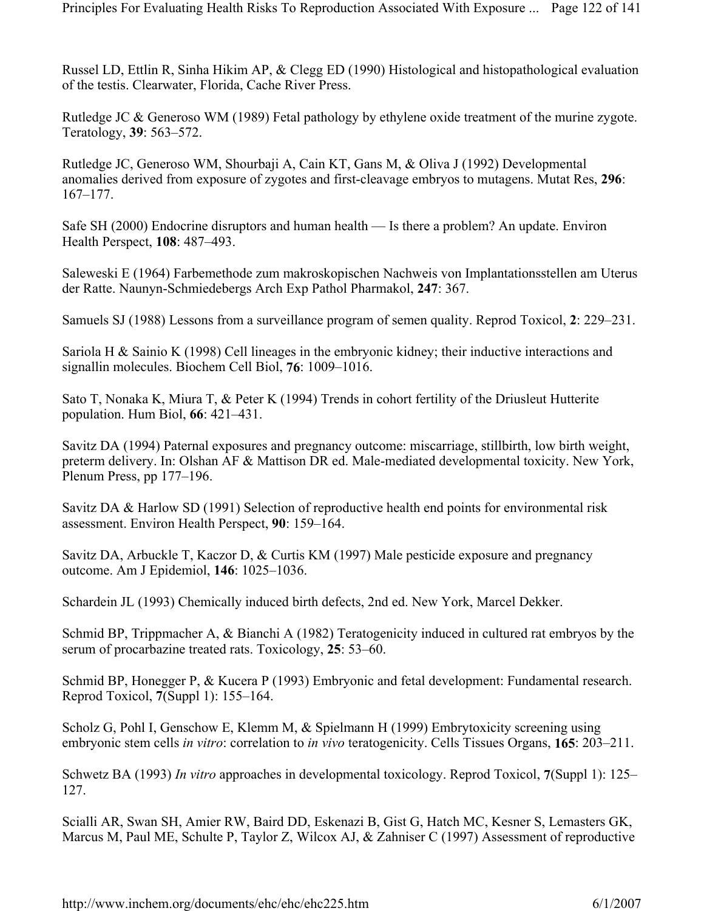Russel LD, Ettlin R, Sinha Hikim AP, & Clegg ED (1990) Histological and histopathological evaluation of the testis. Clearwater, Florida, Cache River Press.

Rutledge JC & Generoso WM (1989) Fetal pathology by ethylene oxide treatment of the murine zygote. Teratology, **39**: 563–572.

Rutledge JC, Generoso WM, Shourbaji A, Cain KT, Gans M, & Oliva J (1992) Developmental anomalies derived from exposure of zygotes and first-cleavage embryos to mutagens. Mutat Res, **296**: 167–177.

Safe SH (2000) Endocrine disruptors and human health — Is there a problem? An update. Environ Health Perspect, **108**: 487–493.

Saleweski E (1964) Farbemethode zum makroskopischen Nachweis von Implantationsstellen am Uterus der Ratte. Naunyn-Schmiedebergs Arch Exp Pathol Pharmakol, **247**: 367.

Samuels SJ (1988) Lessons from a surveillance program of semen quality. Reprod Toxicol, **2**: 229–231.

Sariola H & Sainio K (1998) Cell lineages in the embryonic kidney; their inductive interactions and signallin molecules. Biochem Cell Biol, **76**: 1009–1016.

Sato T, Nonaka K, Miura T, & Peter K (1994) Trends in cohort fertility of the Driusleut Hutterite population. Hum Biol, **66**: 421–431.

Savitz DA (1994) Paternal exposures and pregnancy outcome: miscarriage, stillbirth, low birth weight, preterm delivery. In: Olshan AF & Mattison DR ed. Male-mediated developmental toxicity. New York, Plenum Press, pp 177–196.

Savitz DA & Harlow SD (1991) Selection of reproductive health end points for environmental risk assessment. Environ Health Perspect, **90**: 159–164.

Savitz DA, Arbuckle T, Kaczor D, & Curtis KM (1997) Male pesticide exposure and pregnancy outcome. Am J Epidemiol, **146**: 1025–1036.

Schardein JL (1993) Chemically induced birth defects, 2nd ed. New York, Marcel Dekker.

Schmid BP, Trippmacher A, & Bianchi A (1982) Teratogenicity induced in cultured rat embryos by the serum of procarbazine treated rats. Toxicology, **25**: 53–60.

Schmid BP, Honegger P, & Kucera P (1993) Embryonic and fetal development: Fundamental research. Reprod Toxicol, **7**(Suppl 1): 155–164.

Scholz G, Pohl I, Genschow E, Klemm M, & Spielmann H (1999) Embrytoxicity screening using embryonic stem cells *in vitro*: correlation to *in vivo* teratogenicity. Cells Tissues Organs, **165**: 203–211.

Schwetz BA (1993) *In vitro* approaches in developmental toxicology. Reprod Toxicol, **7**(Suppl 1): 125– 127.

Scialli AR, Swan SH, Amier RW, Baird DD, Eskenazi B, Gist G, Hatch MC, Kesner S, Lemasters GK, Marcus M, Paul ME, Schulte P, Taylor Z, Wilcox AJ, & Zahniser C (1997) Assessment of reproductive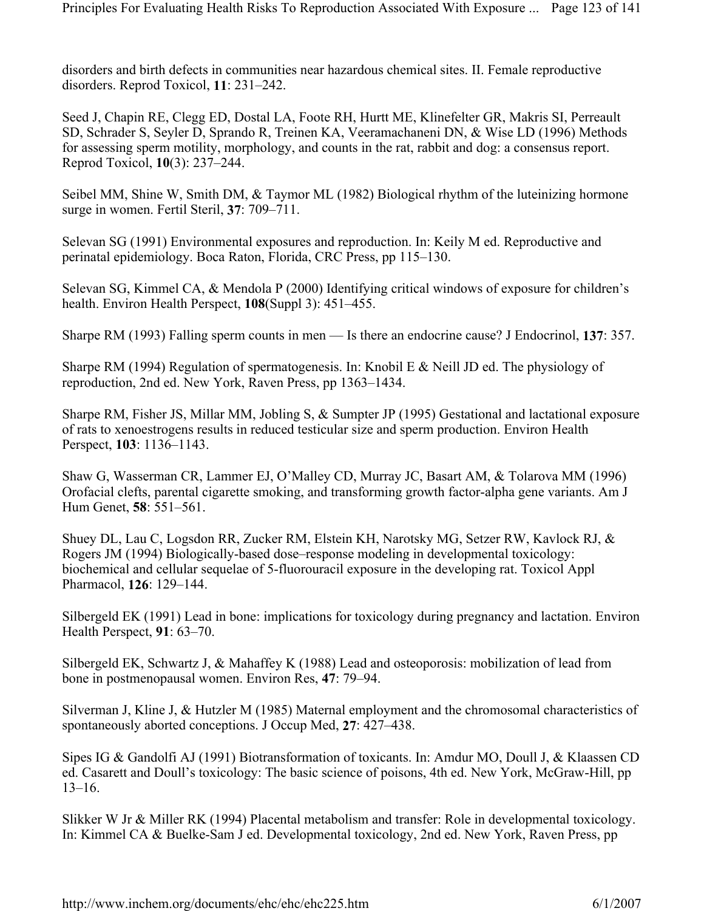disorders and birth defects in communities near hazardous chemical sites. II. Female reproductive disorders. Reprod Toxicol, **11**: 231–242.

Seed J, Chapin RE, Clegg ED, Dostal LA, Foote RH, Hurtt ME, Klinefelter GR, Makris SI, Perreault SD, Schrader S, Seyler D, Sprando R, Treinen KA, Veeramachaneni DN, & Wise LD (1996) Methods for assessing sperm motility, morphology, and counts in the rat, rabbit and dog: a consensus report. Reprod Toxicol, **10**(3): 237–244.

Seibel MM, Shine W, Smith DM, & Taymor ML (1982) Biological rhythm of the luteinizing hormone surge in women. Fertil Steril, **37**: 709–711.

Selevan SG (1991) Environmental exposures and reproduction. In: Keily M ed. Reproductive and perinatal epidemiology. Boca Raton, Florida, CRC Press, pp 115–130.

Selevan SG, Kimmel CA, & Mendola P (2000) Identifying critical windows of exposure for children's health. Environ Health Perspect, **108**(Suppl 3): 451–455.

Sharpe RM (1993) Falling sperm counts in men — Is there an endocrine cause? J Endocrinol, **137**: 357.

Sharpe RM (1994) Regulation of spermatogenesis. In: Knobil E & Neill JD ed. The physiology of reproduction, 2nd ed. New York, Raven Press, pp 1363–1434.

Sharpe RM, Fisher JS, Millar MM, Jobling S, & Sumpter JP (1995) Gestational and lactational exposure of rats to xenoestrogens results in reduced testicular size and sperm production. Environ Health Perspect, **103**: 1136–1143.

Shaw G, Wasserman CR, Lammer EJ, O'Malley CD, Murray JC, Basart AM, & Tolarova MM (1996) Orofacial clefts, parental cigarette smoking, and transforming growth factor-alpha gene variants. Am J Hum Genet, **58**: 551–561.

Shuey DL, Lau C, Logsdon RR, Zucker RM, Elstein KH, Narotsky MG, Setzer RW, Kavlock RJ, & Rogers JM (1994) Biologically-based dose–response modeling in developmental toxicology: biochemical and cellular sequelae of 5-fluorouracil exposure in the developing rat. Toxicol Appl Pharmacol, **126**: 129–144.

Silbergeld EK (1991) Lead in bone: implications for toxicology during pregnancy and lactation. Environ Health Perspect, **91**: 63–70.

Silbergeld EK, Schwartz J, & Mahaffey K (1988) Lead and osteoporosis: mobilization of lead from bone in postmenopausal women. Environ Res, **47**: 79–94.

Silverman J, Kline J, & Hutzler M (1985) Maternal employment and the chromosomal characteristics of spontaneously aborted conceptions. J Occup Med, **27**: 427–438.

Sipes IG & Gandolfi AJ (1991) Biotransformation of toxicants. In: Amdur MO, Doull J, & Klaassen CD ed. Casarett and Doull's toxicology: The basic science of poisons, 4th ed. New York, McGraw-Hill, pp  $13-16.$ 

Slikker W Jr & Miller RK (1994) Placental metabolism and transfer: Role in developmental toxicology. In: Kimmel CA & Buelke-Sam J ed. Developmental toxicology, 2nd ed. New York, Raven Press, pp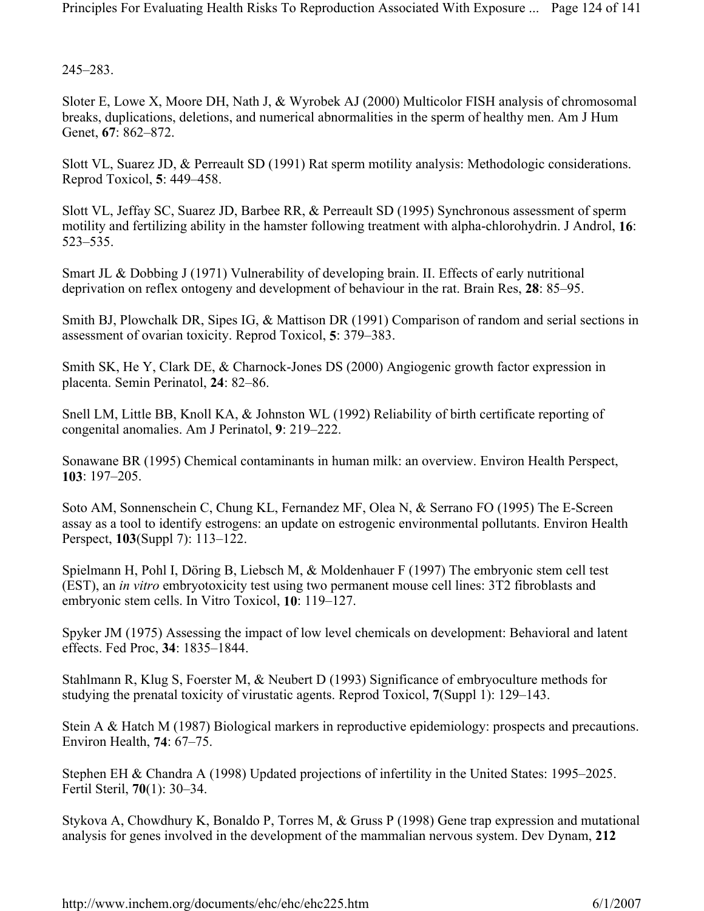245–283.

Sloter E, Lowe X, Moore DH, Nath J, & Wyrobek AJ (2000) Multicolor FISH analysis of chromosomal breaks, duplications, deletions, and numerical abnormalities in the sperm of healthy men. Am J Hum Genet, **67**: 862–872.

Slott VL, Suarez JD, & Perreault SD (1991) Rat sperm motility analysis: Methodologic considerations. Reprod Toxicol, **5**: 449–458.

Slott VL, Jeffay SC, Suarez JD, Barbee RR, & Perreault SD (1995) Synchronous assessment of sperm motility and fertilizing ability in the hamster following treatment with alpha-chlorohydrin. J Androl, **16**: 523–535.

Smart JL & Dobbing J (1971) Vulnerability of developing brain. II. Effects of early nutritional deprivation on reflex ontogeny and development of behaviour in the rat. Brain Res, **28**: 85–95.

Smith BJ, Plowchalk DR, Sipes IG, & Mattison DR (1991) Comparison of random and serial sections in assessment of ovarian toxicity. Reprod Toxicol, **5**: 379–383.

Smith SK, He Y, Clark DE, & Charnock-Jones DS (2000) Angiogenic growth factor expression in placenta. Semin Perinatol, **24**: 82–86.

Snell LM, Little BB, Knoll KA, & Johnston WL (1992) Reliability of birth certificate reporting of congenital anomalies. Am J Perinatol, **9**: 219–222.

Sonawane BR (1995) Chemical contaminants in human milk: an overview. Environ Health Perspect, **103**: 197–205.

Soto AM, Sonnenschein C, Chung KL, Fernandez MF, Olea N, & Serrano FO (1995) The E-Screen assay as a tool to identify estrogens: an update on estrogenic environmental pollutants. Environ Health Perspect, **103**(Suppl 7): 113–122.

Spielmann H, Pohl I, Döring B, Liebsch M, & Moldenhauer F (1997) The embryonic stem cell test (EST), an *in vitro* embryotoxicity test using two permanent mouse cell lines: 3T2 fibroblasts and embryonic stem cells. In Vitro Toxicol, **10**: 119–127.

Spyker JM (1975) Assessing the impact of low level chemicals on development: Behavioral and latent effects. Fed Proc, **34**: 1835–1844.

Stahlmann R, Klug S, Foerster M, & Neubert D (1993) Significance of embryoculture methods for studying the prenatal toxicity of virustatic agents. Reprod Toxicol, **7**(Suppl 1): 129–143.

Stein A & Hatch M (1987) Biological markers in reproductive epidemiology: prospects and precautions. Environ Health, **74**: 67–75.

Stephen EH & Chandra A (1998) Updated projections of infertility in the United States: 1995–2025. Fertil Steril, **70**(1): 30–34.

Stykova A, Chowdhury K, Bonaldo P, Torres M, & Gruss P (1998) Gene trap expression and mutational analysis for genes involved in the development of the mammalian nervous system. Dev Dynam, **212**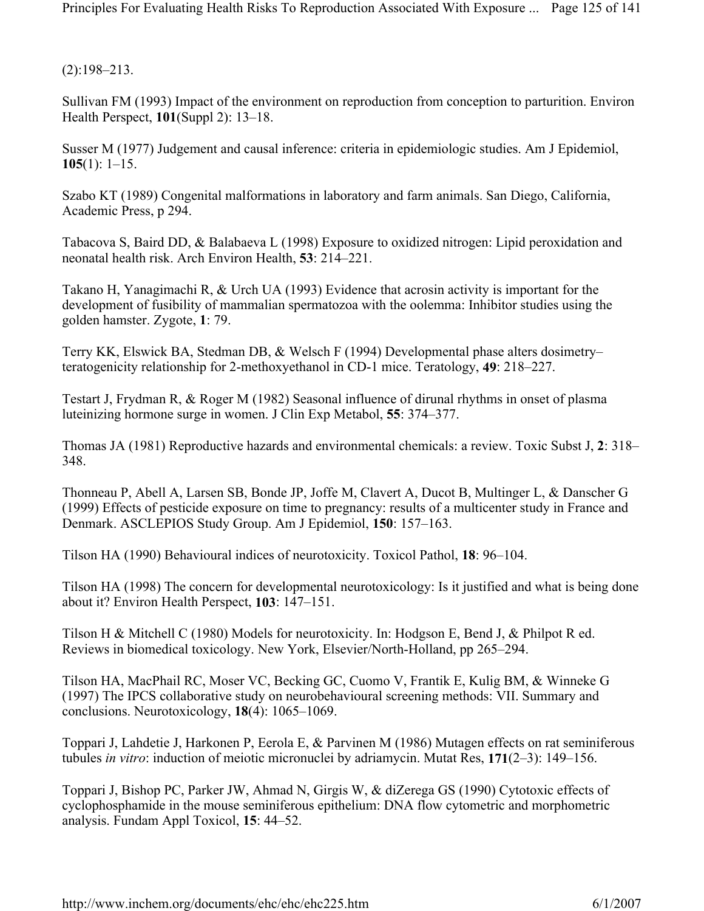(2):198–213.

Sullivan FM (1993) Impact of the environment on reproduction from conception to parturition. Environ Health Perspect, **101**(Suppl 2): 13–18.

Susser M (1977) Judgement and causal inference: criteria in epidemiologic studies. Am J Epidemiol, **105**(1): 1–15.

Szabo KT (1989) Congenital malformations in laboratory and farm animals. San Diego, California, Academic Press, p 294.

Tabacova S, Baird DD, & Balabaeva L (1998) Exposure to oxidized nitrogen: Lipid peroxidation and neonatal health risk. Arch Environ Health, **53**: 214–221.

Takano H, Yanagimachi R, & Urch UA (1993) Evidence that acrosin activity is important for the development of fusibility of mammalian spermatozoa with the oolemma: Inhibitor studies using the golden hamster. Zygote, **1**: 79.

Terry KK, Elswick BA, Stedman DB, & Welsch F (1994) Developmental phase alters dosimetry– teratogenicity relationship for 2-methoxyethanol in CD-1 mice. Teratology, **49**: 218–227.

Testart J, Frydman R, & Roger M (1982) Seasonal influence of dirunal rhythms in onset of plasma luteinizing hormone surge in women. J Clin Exp Metabol, **55**: 374–377.

Thomas JA (1981) Reproductive hazards and environmental chemicals: a review. Toxic Subst J, **2**: 318– 348.

Thonneau P, Abell A, Larsen SB, Bonde JP, Joffe M, Clavert A, Ducot B, Multinger L, & Danscher G (1999) Effects of pesticide exposure on time to pregnancy: results of a multicenter study in France and Denmark. ASCLEPIOS Study Group. Am J Epidemiol, **150**: 157–163.

Tilson HA (1990) Behavioural indices of neurotoxicity. Toxicol Pathol, **18**: 96–104.

Tilson HA (1998) The concern for developmental neurotoxicology: Is it justified and what is being done about it? Environ Health Perspect, **103**: 147–151.

Tilson H & Mitchell C (1980) Models for neurotoxicity. In: Hodgson E, Bend J, & Philpot R ed. Reviews in biomedical toxicology. New York, Elsevier/North-Holland, pp 265–294.

Tilson HA, MacPhail RC, Moser VC, Becking GC, Cuomo V, Frantik E, Kulig BM, & Winneke G (1997) The IPCS collaborative study on neurobehavioural screening methods: VII. Summary and conclusions. Neurotoxicology, **18**(4): 1065–1069.

Toppari J, Lahdetie J, Harkonen P, Eerola E, & Parvinen M (1986) Mutagen effects on rat seminiferous tubules *in vitro*: induction of meiotic micronuclei by adriamycin. Mutat Res, **171**(2–3): 149–156.

Toppari J, Bishop PC, Parker JW, Ahmad N, Girgis W, & diZerega GS (1990) Cytotoxic effects of cyclophosphamide in the mouse seminiferous epithelium: DNA flow cytometric and morphometric analysis. Fundam Appl Toxicol, **15**: 44–52.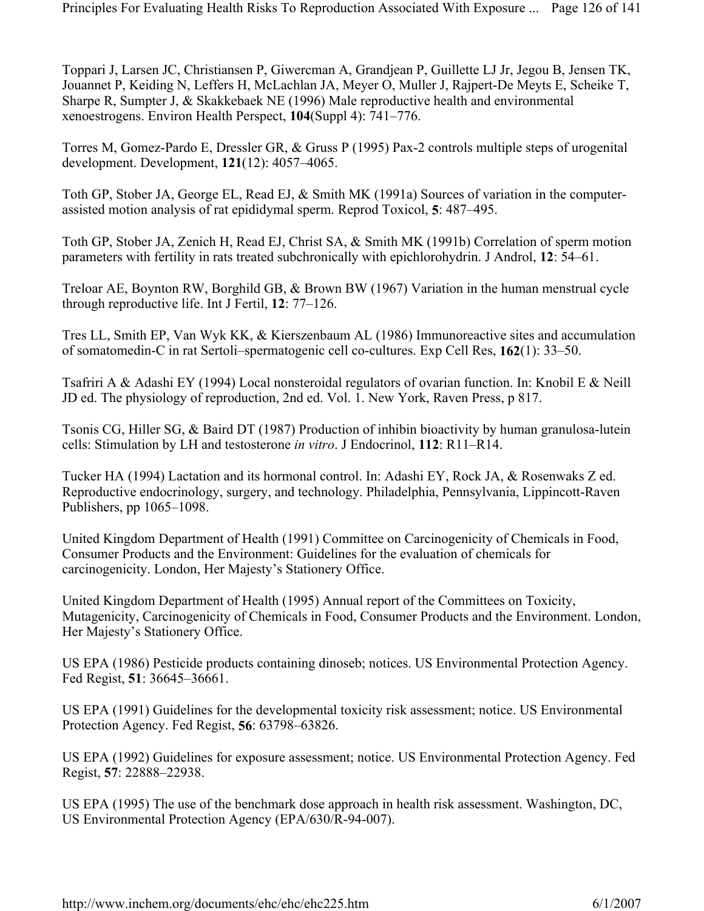Toppari J, Larsen JC, Christiansen P, Giwercman A, Grandjean P, Guillette LJ Jr, Jegou B, Jensen TK, Jouannet P, Keiding N, Leffers H, McLachlan JA, Meyer O, Muller J, Rajpert-De Meyts E, Scheike T, Sharpe R, Sumpter J, & Skakkebaek NE (1996) Male reproductive health and environmental xenoestrogens. Environ Health Perspect, **104**(Suppl 4): 741–776.

Torres M, Gomez-Pardo E, Dressler GR, & Gruss P (1995) Pax-2 controls multiple steps of urogenital development. Development, **121**(12): 4057–4065.

Toth GP, Stober JA, George EL, Read EJ, & Smith MK (1991a) Sources of variation in the computerassisted motion analysis of rat epididymal sperm. Reprod Toxicol, **5**: 487–495.

Toth GP, Stober JA, Zenich H, Read EJ, Christ SA, & Smith MK (1991b) Correlation of sperm motion parameters with fertility in rats treated subchronically with epichlorohydrin. J Androl, **12**: 54–61.

Treloar AE, Boynton RW, Borghild GB, & Brown BW (1967) Variation in the human menstrual cycle through reproductive life. Int J Fertil, **12**: 77–126.

Tres LL, Smith EP, Van Wyk KK, & Kierszenbaum AL (1986) Immunoreactive sites and accumulation of somatomedin-C in rat Sertoli–spermatogenic cell co-cultures. Exp Cell Res, **162**(1): 33–50.

Tsafriri A & Adashi EY (1994) Local nonsteroidal regulators of ovarian function. In: Knobil E & Neill JD ed. The physiology of reproduction, 2nd ed. Vol. 1. New York, Raven Press, p 817.

Tsonis CG, Hiller SG, & Baird DT (1987) Production of inhibin bioactivity by human granulosa-lutein cells: Stimulation by LH and testosterone *in vitro*. J Endocrinol, **112**: R11–R14.

Tucker HA (1994) Lactation and its hormonal control. In: Adashi EY, Rock JA, & Rosenwaks Z ed. Reproductive endocrinology, surgery, and technology. Philadelphia, Pennsylvania, Lippincott-Raven Publishers, pp 1065–1098.

United Kingdom Department of Health (1991) Committee on Carcinogenicity of Chemicals in Food, Consumer Products and the Environment: Guidelines for the evaluation of chemicals for carcinogenicity. London, Her Majesty's Stationery Office.

United Kingdom Department of Health (1995) Annual report of the Committees on Toxicity, Mutagenicity, Carcinogenicity of Chemicals in Food, Consumer Products and the Environment. London, Her Majesty's Stationery Office.

US EPA (1986) Pesticide products containing dinoseb; notices. US Environmental Protection Agency. Fed Regist, **51**: 36645–36661.

US EPA (1991) Guidelines for the developmental toxicity risk assessment; notice. US Environmental Protection Agency. Fed Regist, **56**: 63798–63826.

US EPA (1992) Guidelines for exposure assessment; notice. US Environmental Protection Agency. Fed Regist, **57**: 22888–22938.

US EPA (1995) The use of the benchmark dose approach in health risk assessment. Washington, DC, US Environmental Protection Agency (EPA/630/R-94-007).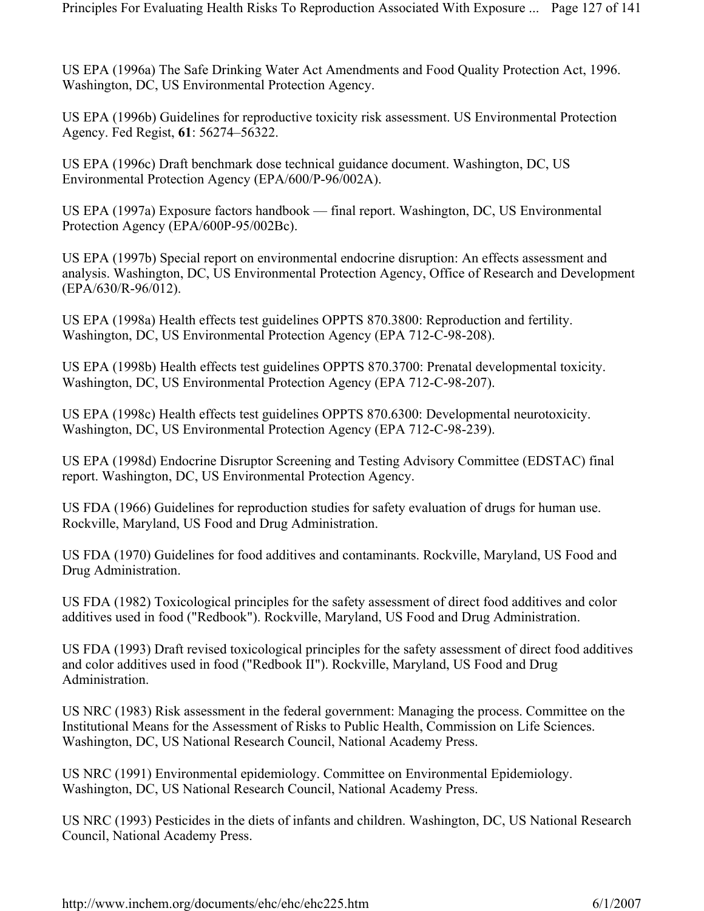US EPA (1996a) The Safe Drinking Water Act Amendments and Food Quality Protection Act, 1996. Washington, DC, US Environmental Protection Agency.

US EPA (1996b) Guidelines for reproductive toxicity risk assessment. US Environmental Protection Agency. Fed Regist, **61**: 56274–56322.

US EPA (1996c) Draft benchmark dose technical guidance document. Washington, DC, US Environmental Protection Agency (EPA/600/P-96/002A).

US EPA (1997a) Exposure factors handbook — final report. Washington, DC, US Environmental Protection Agency (EPA/600P-95/002Bc).

US EPA (1997b) Special report on environmental endocrine disruption: An effects assessment and analysis. Washington, DC, US Environmental Protection Agency, Office of Research and Development (EPA/630/R-96/012).

US EPA (1998a) Health effects test guidelines OPPTS 870.3800: Reproduction and fertility. Washington, DC, US Environmental Protection Agency (EPA 712-C-98-208).

US EPA (1998b) Health effects test guidelines OPPTS 870.3700: Prenatal developmental toxicity. Washington, DC, US Environmental Protection Agency (EPA 712-C-98-207).

US EPA (1998c) Health effects test guidelines OPPTS 870.6300: Developmental neurotoxicity. Washington, DC, US Environmental Protection Agency (EPA 712-C-98-239).

US EPA (1998d) Endocrine Disruptor Screening and Testing Advisory Committee (EDSTAC) final report. Washington, DC, US Environmental Protection Agency.

US FDA (1966) Guidelines for reproduction studies for safety evaluation of drugs for human use. Rockville, Maryland, US Food and Drug Administration.

US FDA (1970) Guidelines for food additives and contaminants. Rockville, Maryland, US Food and Drug Administration.

US FDA (1982) Toxicological principles for the safety assessment of direct food additives and color additives used in food ("Redbook"). Rockville, Maryland, US Food and Drug Administration.

US FDA (1993) Draft revised toxicological principles for the safety assessment of direct food additives and color additives used in food ("Redbook II"). Rockville, Maryland, US Food and Drug Administration.

US NRC (1983) Risk assessment in the federal government: Managing the process. Committee on the Institutional Means for the Assessment of Risks to Public Health, Commission on Life Sciences. Washington, DC, US National Research Council, National Academy Press.

US NRC (1991) Environmental epidemiology. Committee on Environmental Epidemiology. Washington, DC, US National Research Council, National Academy Press.

US NRC (1993) Pesticides in the diets of infants and children. Washington, DC, US National Research Council, National Academy Press.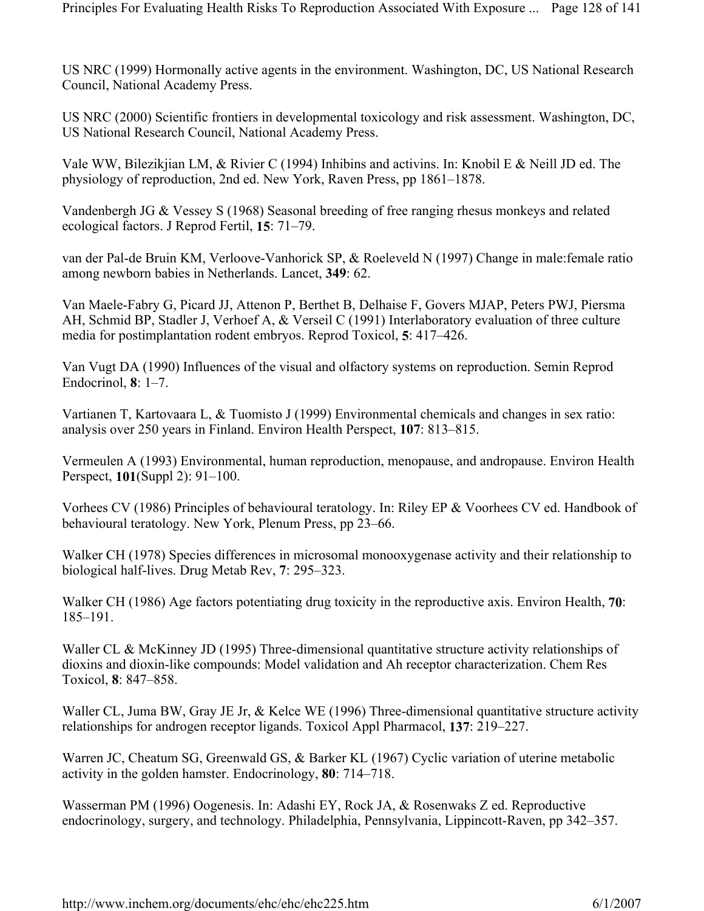US NRC (1999) Hormonally active agents in the environment. Washington, DC, US National Research Council, National Academy Press.

US NRC (2000) Scientific frontiers in developmental toxicology and risk assessment. Washington, DC, US National Research Council, National Academy Press.

Vale WW, Bilezikjian LM, & Rivier C (1994) Inhibins and activins. In: Knobil E & Neill JD ed. The physiology of reproduction, 2nd ed. New York, Raven Press, pp 1861–1878.

Vandenbergh JG & Vessey S (1968) Seasonal breeding of free ranging rhesus monkeys and related ecological factors. J Reprod Fertil, **15**: 71–79.

van der Pal-de Bruin KM, Verloove-Vanhorick SP, & Roeleveld N (1997) Change in male:female ratio among newborn babies in Netherlands. Lancet, **349**: 62.

Van Maele-Fabry G, Picard JJ, Attenon P, Berthet B, Delhaise F, Govers MJAP, Peters PWJ, Piersma AH, Schmid BP, Stadler J, Verhoef A, & Verseil C (1991) Interlaboratory evaluation of three culture media for postimplantation rodent embryos. Reprod Toxicol, **5**: 417–426.

Van Vugt DA (1990) Influences of the visual and olfactory systems on reproduction. Semin Reprod Endocrinol, **8**: 1–7.

Vartianen T, Kartovaara L, & Tuomisto J (1999) Environmental chemicals and changes in sex ratio: analysis over 250 years in Finland. Environ Health Perspect, **107**: 813–815.

Vermeulen A (1993) Environmental, human reproduction, menopause, and andropause. Environ Health Perspect, **101**(Suppl 2): 91–100.

Vorhees CV (1986) Principles of behavioural teratology. In: Riley EP & Voorhees CV ed. Handbook of behavioural teratology. New York, Plenum Press, pp 23–66.

Walker CH (1978) Species differences in microsomal monooxygenase activity and their relationship to biological half-lives. Drug Metab Rev, **7**: 295–323.

Walker CH (1986) Age factors potentiating drug toxicity in the reproductive axis. Environ Health, **70**: 185–191.

Waller CL & McKinney JD (1995) Three-dimensional quantitative structure activity relationships of dioxins and dioxin-like compounds: Model validation and Ah receptor characterization. Chem Res Toxicol, **8**: 847–858.

Waller CL, Juma BW, Gray JE Jr, & Kelce WE (1996) Three-dimensional quantitative structure activity relationships for androgen receptor ligands. Toxicol Appl Pharmacol, **137**: 219–227.

Warren JC, Cheatum SG, Greenwald GS, & Barker KL (1967) Cyclic variation of uterine metabolic activity in the golden hamster. Endocrinology, **80**: 714–718.

Wasserman PM (1996) Oogenesis. In: Adashi EY, Rock JA, & Rosenwaks Z ed. Reproductive endocrinology, surgery, and technology. Philadelphia, Pennsylvania, Lippincott-Raven, pp 342–357.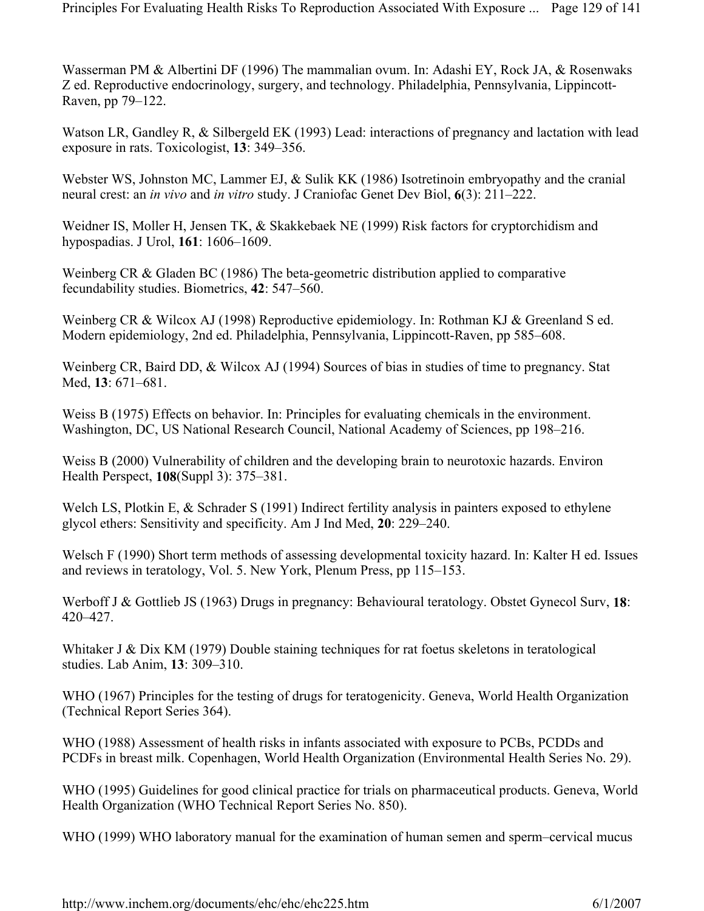Wasserman PM & Albertini DF (1996) The mammalian ovum. In: Adashi EY, Rock JA, & Rosenwaks Z ed. Reproductive endocrinology, surgery, and technology. Philadelphia, Pennsylvania, Lippincott-Raven, pp 79–122.

Watson LR, Gandley R, & Silbergeld EK (1993) Lead: interactions of pregnancy and lactation with lead exposure in rats. Toxicologist, **13**: 349–356.

Webster WS, Johnston MC, Lammer EJ, & Sulik KK (1986) Isotretinoin embryopathy and the cranial neural crest: an *in vivo* and *in vitro* study. J Craniofac Genet Dev Biol, **6**(3): 211–222.

Weidner IS, Moller H, Jensen TK, & Skakkebaek NE (1999) Risk factors for cryptorchidism and hypospadias. J Urol, **161**: 1606–1609.

Weinberg CR & Gladen BC (1986) The beta-geometric distribution applied to comparative fecundability studies. Biometrics, **42**: 547–560.

Weinberg CR & Wilcox AJ (1998) Reproductive epidemiology. In: Rothman KJ & Greenland S ed. Modern epidemiology, 2nd ed. Philadelphia, Pennsylvania, Lippincott-Raven, pp 585–608.

Weinberg CR, Baird DD, & Wilcox AJ (1994) Sources of bias in studies of time to pregnancy. Stat Med, **13**: 671–681.

Weiss B (1975) Effects on behavior. In: Principles for evaluating chemicals in the environment. Washington, DC, US National Research Council, National Academy of Sciences, pp 198–216.

Weiss B (2000) Vulnerability of children and the developing brain to neurotoxic hazards. Environ Health Perspect, **108**(Suppl 3): 375–381.

Welch LS, Plotkin E, & Schrader S (1991) Indirect fertility analysis in painters exposed to ethylene glycol ethers: Sensitivity and specificity. Am J Ind Med, **20**: 229–240.

Welsch F (1990) Short term methods of assessing developmental toxicity hazard. In: Kalter H ed. Issues and reviews in teratology, Vol. 5. New York, Plenum Press, pp 115–153.

Werboff J & Gottlieb JS (1963) Drugs in pregnancy: Behavioural teratology. Obstet Gynecol Surv, **18**: 420–427.

Whitaker J & Dix KM (1979) Double staining techniques for rat foetus skeletons in teratological studies. Lab Anim, **13**: 309–310.

WHO (1967) Principles for the testing of drugs for teratogenicity. Geneva, World Health Organization (Technical Report Series 364).

WHO (1988) Assessment of health risks in infants associated with exposure to PCBs, PCDDs and PCDFs in breast milk. Copenhagen, World Health Organization (Environmental Health Series No. 29).

WHO (1995) Guidelines for good clinical practice for trials on pharmaceutical products. Geneva, World Health Organization (WHO Technical Report Series No. 850).

WHO (1999) WHO laboratory manual for the examination of human semen and sperm–cervical mucus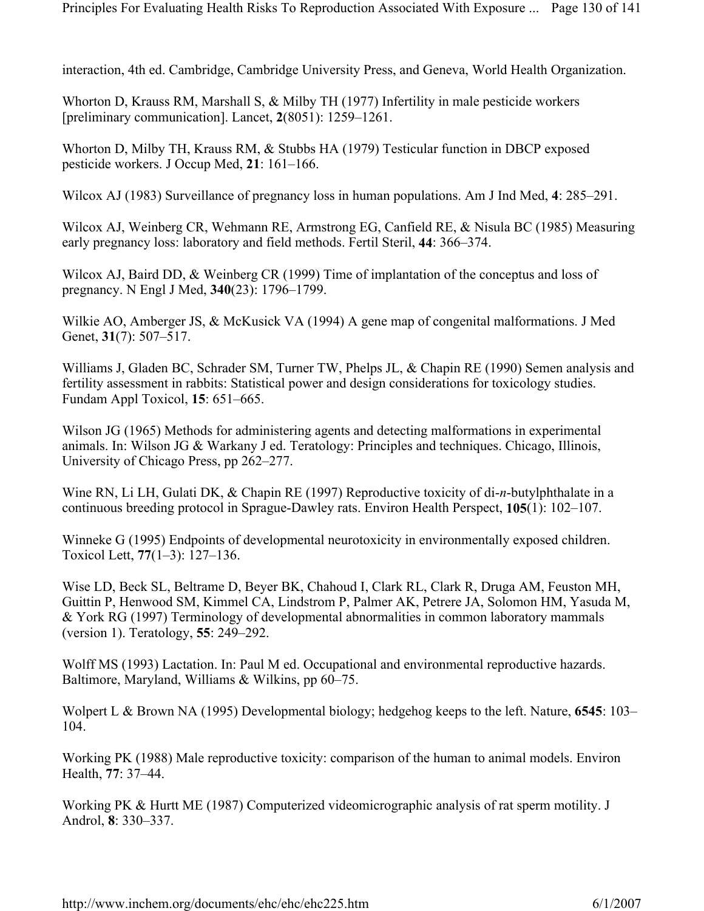interaction, 4th ed. Cambridge, Cambridge University Press, and Geneva, World Health Organization.

Whorton D, Krauss RM, Marshall S, & Milby TH (1977) Infertility in male pesticide workers [preliminary communication]. Lancet, **2**(8051): 1259–1261.

Whorton D, Milby TH, Krauss RM, & Stubbs HA (1979) Testicular function in DBCP exposed pesticide workers. J Occup Med, **21**: 161–166.

Wilcox AJ (1983) Surveillance of pregnancy loss in human populations. Am J Ind Med, **4**: 285–291.

Wilcox AJ, Weinberg CR, Wehmann RE, Armstrong EG, Canfield RE, & Nisula BC (1985) Measuring early pregnancy loss: laboratory and field methods. Fertil Steril, **44**: 366–374.

Wilcox AJ, Baird DD, & Weinberg CR (1999) Time of implantation of the conceptus and loss of pregnancy. N Engl J Med, **340**(23): 1796–1799.

Wilkie AO, Amberger JS, & McKusick VA (1994) A gene map of congenital malformations. J Med Genet, **31**(7): 507–517.

Williams J, Gladen BC, Schrader SM, Turner TW, Phelps JL, & Chapin RE (1990) Semen analysis and fertility assessment in rabbits: Statistical power and design considerations for toxicology studies. Fundam Appl Toxicol, **15**: 651–665.

Wilson JG (1965) Methods for administering agents and detecting malformations in experimental animals. In: Wilson JG & Warkany J ed. Teratology: Principles and techniques. Chicago, Illinois, University of Chicago Press, pp 262–277.

Wine RN, Li LH, Gulati DK, & Chapin RE (1997) Reproductive toxicity of di-*n*-butylphthalate in a continuous breeding protocol in Sprague-Dawley rats. Environ Health Perspect, **105**(1): 102–107.

Winneke G (1995) Endpoints of developmental neurotoxicity in environmentally exposed children. Toxicol Lett, **77**(1–3): 127–136.

Wise LD, Beck SL, Beltrame D, Beyer BK, Chahoud I, Clark RL, Clark R, Druga AM, Feuston MH, Guittin P, Henwood SM, Kimmel CA, Lindstrom P, Palmer AK, Petrere JA, Solomon HM, Yasuda M, & York RG (1997) Terminology of developmental abnormalities in common laboratory mammals (version 1). Teratology, **55**: 249–292.

Wolff MS (1993) Lactation. In: Paul M ed. Occupational and environmental reproductive hazards. Baltimore, Maryland, Williams & Wilkins, pp 60–75.

Wolpert L & Brown NA (1995) Developmental biology; hedgehog keeps to the left. Nature, **6545**: 103– 104.

Working PK (1988) Male reproductive toxicity: comparison of the human to animal models. Environ Health, **77**: 37–44.

Working PK & Hurtt ME (1987) Computerized videomicrographic analysis of rat sperm motility. J Androl, **8**: 330–337.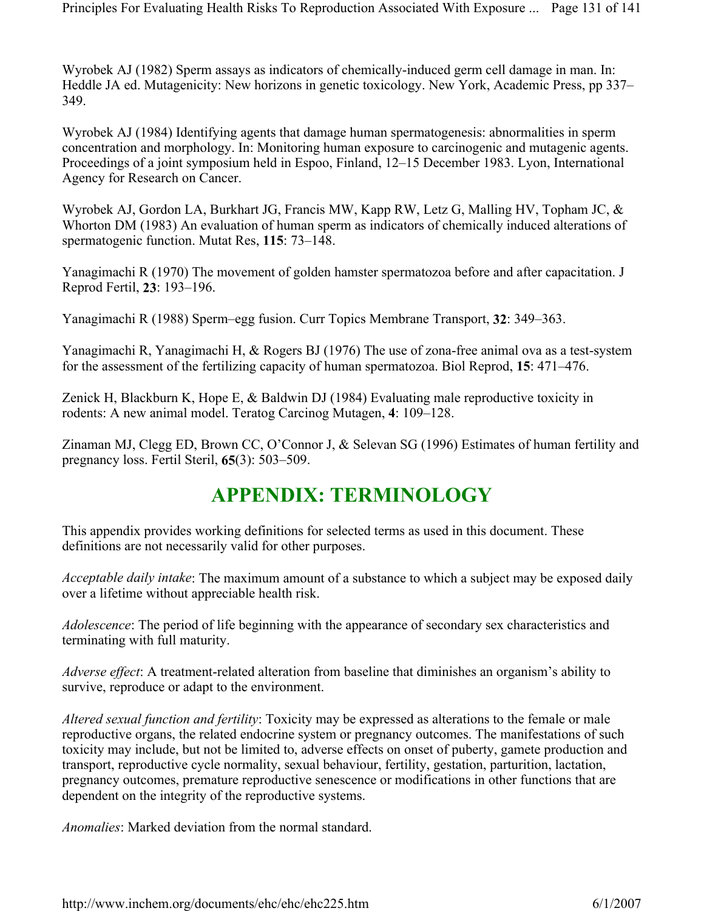Wyrobek AJ (1982) Sperm assays as indicators of chemically-induced germ cell damage in man. In: Heddle JA ed. Mutagenicity: New horizons in genetic toxicology. New York, Academic Press, pp 337– 349.

Wyrobek AJ (1984) Identifying agents that damage human spermatogenesis: abnormalities in sperm concentration and morphology. In: Monitoring human exposure to carcinogenic and mutagenic agents. Proceedings of a joint symposium held in Espoo, Finland, 12–15 December 1983. Lyon, International Agency for Research on Cancer.

Wyrobek AJ, Gordon LA, Burkhart JG, Francis MW, Kapp RW, Letz G, Malling HV, Topham JC, & Whorton DM (1983) An evaluation of human sperm as indicators of chemically induced alterations of spermatogenic function. Mutat Res, **115**: 73–148.

Yanagimachi R (1970) The movement of golden hamster spermatozoa before and after capacitation. J Reprod Fertil, **23**: 193–196.

Yanagimachi R (1988) Sperm–egg fusion. Curr Topics Membrane Transport, **32**: 349–363.

Yanagimachi R, Yanagimachi H, & Rogers BJ (1976) The use of zona-free animal ova as a test-system for the assessment of the fertilizing capacity of human spermatozoa. Biol Reprod, **15**: 471–476.

Zenick H, Blackburn K, Hope E, & Baldwin DJ (1984) Evaluating male reproductive toxicity in rodents: A new animal model. Teratog Carcinog Mutagen, **4**: 109–128.

Zinaman MJ, Clegg ED, Brown CC, O'Connor J, & Selevan SG (1996) Estimates of human fertility and pregnancy loss. Fertil Steril, **65**(3): 503–509.

#### **APPENDIX: TERMINOLOGY**

This appendix provides working definitions for selected terms as used in this document. These definitions are not necessarily valid for other purposes.

*Acceptable daily intake*: The maximum amount of a substance to which a subject may be exposed daily over a lifetime without appreciable health risk.

*Adolescence*: The period of life beginning with the appearance of secondary sex characteristics and terminating with full maturity.

*Adverse effect*: A treatment-related alteration from baseline that diminishes an organism's ability to survive, reproduce or adapt to the environment.

*Altered sexual function and fertility*: Toxicity may be expressed as alterations to the female or male reproductive organs, the related endocrine system or pregnancy outcomes. The manifestations of such toxicity may include, but not be limited to, adverse effects on onset of puberty, gamete production and transport, reproductive cycle normality, sexual behaviour, fertility, gestation, parturition, lactation, pregnancy outcomes, premature reproductive senescence or modifications in other functions that are dependent on the integrity of the reproductive systems.

*Anomalies*: Marked deviation from the normal standard.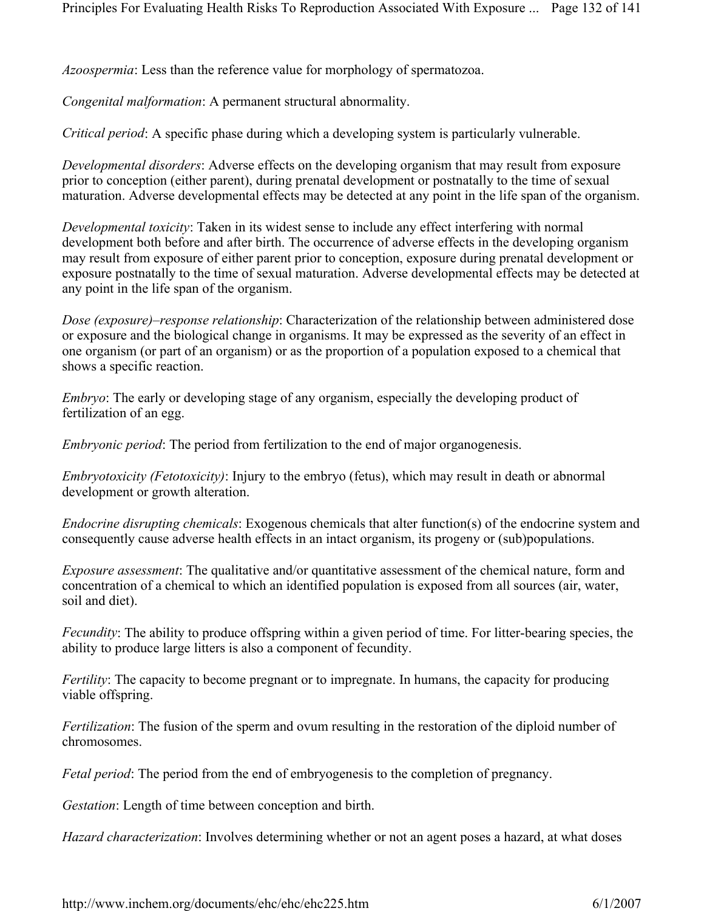*Azoospermia*: Less than the reference value for morphology of spermatozoa.

*Congenital malformation*: A permanent structural abnormality.

*Critical period*: A specific phase during which a developing system is particularly vulnerable.

*Developmental disorders*: Adverse effects on the developing organism that may result from exposure prior to conception (either parent), during prenatal development or postnatally to the time of sexual maturation. Adverse developmental effects may be detected at any point in the life span of the organism.

*Developmental toxicity*: Taken in its widest sense to include any effect interfering with normal development both before and after birth. The occurrence of adverse effects in the developing organism may result from exposure of either parent prior to conception, exposure during prenatal development or exposure postnatally to the time of sexual maturation. Adverse developmental effects may be detected at any point in the life span of the organism.

*Dose (exposure)–response relationship*: Characterization of the relationship between administered dose or exposure and the biological change in organisms. It may be expressed as the severity of an effect in one organism (or part of an organism) or as the proportion of a population exposed to a chemical that shows a specific reaction.

*Embryo*: The early or developing stage of any organism, especially the developing product of fertilization of an egg.

*Embryonic period*: The period from fertilization to the end of major organogenesis.

*Embryotoxicity (Fetotoxicity)*: Injury to the embryo (fetus), which may result in death or abnormal development or growth alteration.

*Endocrine disrupting chemicals*: Exogenous chemicals that alter function(s) of the endocrine system and consequently cause adverse health effects in an intact organism, its progeny or (sub)populations.

*Exposure assessment*: The qualitative and/or quantitative assessment of the chemical nature, form and concentration of a chemical to which an identified population is exposed from all sources (air, water, soil and diet).

*Fecundity*: The ability to produce offspring within a given period of time. For litter-bearing species, the ability to produce large litters is also a component of fecundity.

*Fertility*: The capacity to become pregnant or to impregnate. In humans, the capacity for producing viable offspring.

*Fertilization*: The fusion of the sperm and ovum resulting in the restoration of the diploid number of chromosomes.

*Fetal period*: The period from the end of embryogenesis to the completion of pregnancy.

*Gestation*: Length of time between conception and birth.

*Hazard characterization*: Involves determining whether or not an agent poses a hazard, at what doses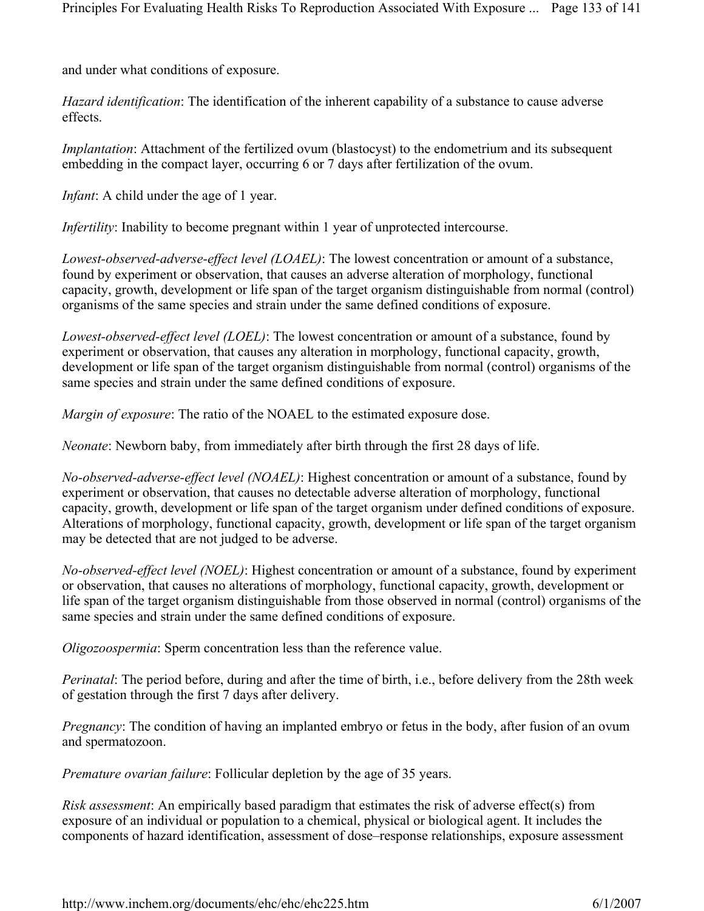and under what conditions of exposure.

*Hazard identification*: The identification of the inherent capability of a substance to cause adverse effects.

*Implantation*: Attachment of the fertilized ovum (blastocyst) to the endometrium and its subsequent embedding in the compact layer, occurring 6 or 7 days after fertilization of the ovum.

*Infant*: A child under the age of 1 year.

*Infertility*: Inability to become pregnant within 1 year of unprotected intercourse.

*Lowest-observed-adverse-effect level (LOAEL)*: The lowest concentration or amount of a substance, found by experiment or observation, that causes an adverse alteration of morphology, functional capacity, growth, development or life span of the target organism distinguishable from normal (control) organisms of the same species and strain under the same defined conditions of exposure.

*Lowest-observed-effect level (LOEL)*: The lowest concentration or amount of a substance, found by experiment or observation, that causes any alteration in morphology, functional capacity, growth, development or life span of the target organism distinguishable from normal (control) organisms of the same species and strain under the same defined conditions of exposure.

*Margin of exposure*: The ratio of the NOAEL to the estimated exposure dose.

*Neonate*: Newborn baby, from immediately after birth through the first 28 days of life.

*No-observed-adverse-effect level (NOAEL)*: Highest concentration or amount of a substance, found by experiment or observation, that causes no detectable adverse alteration of morphology, functional capacity, growth, development or life span of the target organism under defined conditions of exposure. Alterations of morphology, functional capacity, growth, development or life span of the target organism may be detected that are not judged to be adverse.

*No-observed-effect level (NOEL)*: Highest concentration or amount of a substance, found by experiment or observation, that causes no alterations of morphology, functional capacity, growth, development or life span of the target organism distinguishable from those observed in normal (control) organisms of the same species and strain under the same defined conditions of exposure.

*Oligozoospermia*: Sperm concentration less than the reference value.

*Perinatal*: The period before, during and after the time of birth, i.e., before delivery from the 28th week of gestation through the first 7 days after delivery.

*Pregnancy*: The condition of having an implanted embryo or fetus in the body, after fusion of an ovum and spermatozoon.

*Premature ovarian failure*: Follicular depletion by the age of 35 years.

*Risk assessment*: An empirically based paradigm that estimates the risk of adverse effect(s) from exposure of an individual or population to a chemical, physical or biological agent. It includes the components of hazard identification, assessment of dose–response relationships, exposure assessment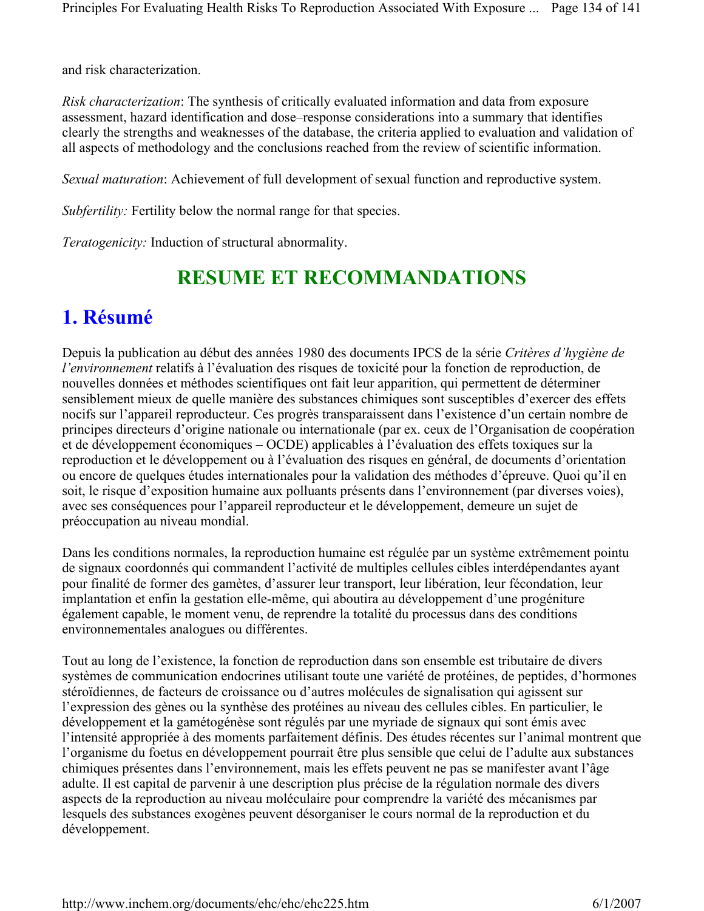and risk characterization.

*Risk characterization*: The synthesis of critically evaluated information and data from exposure assessment, hazard identification and dose–response considerations into a summary that identifies clearly the strengths and weaknesses of the database, the criteria applied to evaluation and validation of all aspects of methodology and the conclusions reached from the review of scientific information.

*Sexual maturation*: Achievement of full development of sexual function and reproductive system.

*Subfertility:* Fertility below the normal range for that species.

*Teratogenicity:* Induction of structural abnormality.

## **RESUME ET RECOMMANDATIONS**

#### **1. Résumé**

Depuis la publication au début des années 1980 des documents IPCS de la série *Critères d'hygiène de l'environnement* relatifs à l'évaluation des risques de toxicité pour la fonction de reproduction, de nouvelles données et méthodes scientifiques ont fait leur apparition, qui permettent de déterminer sensiblement mieux de quelle manière des substances chimiques sont susceptibles d'exercer des effets nocifs sur l'appareil reproducteur. Ces progrès transparaissent dans l'existence d'un certain nombre de principes directeurs d'origine nationale ou internationale (par ex. ceux de l'Organisation de coopération et de développement économiques – OCDE) applicables à l'évaluation des effets toxiques sur la reproduction et le développement ou à l'évaluation des risques en général, de documents d'orientation ou encore de quelques études internationales pour la validation des méthodes d'épreuve. Quoi qu'il en soit, le risque d'exposition humaine aux polluants présents dans l'environnement (par diverses voies), avec ses conséquences pour l'appareil reproducteur et le développement, demeure un sujet de préoccupation au niveau mondial.

Dans les conditions normales, la reproduction humaine est régulée par un système extrêmement pointu de signaux coordonnés qui commandent l'activité de multiples cellules cibles interdépendantes ayant pour finalité de former des gamètes, d'assurer leur transport, leur libération, leur fécondation, leur implantation et enfin la gestation elle-même, qui aboutira au développement d'une progéniture également capable, le moment venu, de reprendre la totalité du processus dans des conditions environnementales analogues ou différentes.

Tout au long de l'existence, la fonction de reproduction dans son ensemble est tributaire de divers systèmes de communication endocrines utilisant toute une variété de protéines, de peptides, d'hormones stéroïdiennes, de facteurs de croissance ou d'autres molécules de signalisation qui agissent sur l'expression des gènes ou la synthèse des protéines au niveau des cellules cibles. En particulier, le développement et la gamétogénèse sont régulés par une myriade de signaux qui sont émis avec l'intensité appropriée à des moments parfaitement définis. Des études récentes sur l'animal montrent que l'organisme du foetus en développement pourrait être plus sensible que celui de l'adulte aux substances chimiques présentes dans l'environnement, mais les effets peuvent ne pas se manifester avant l'âge adulte. Il est capital de parvenir à une description plus précise de la régulation normale des divers aspects de la reproduction au niveau moléculaire pour comprendre la variété des mécanismes par lesquels des substances exogènes peuvent désorganiser le cours normal de la reproduction et du développement.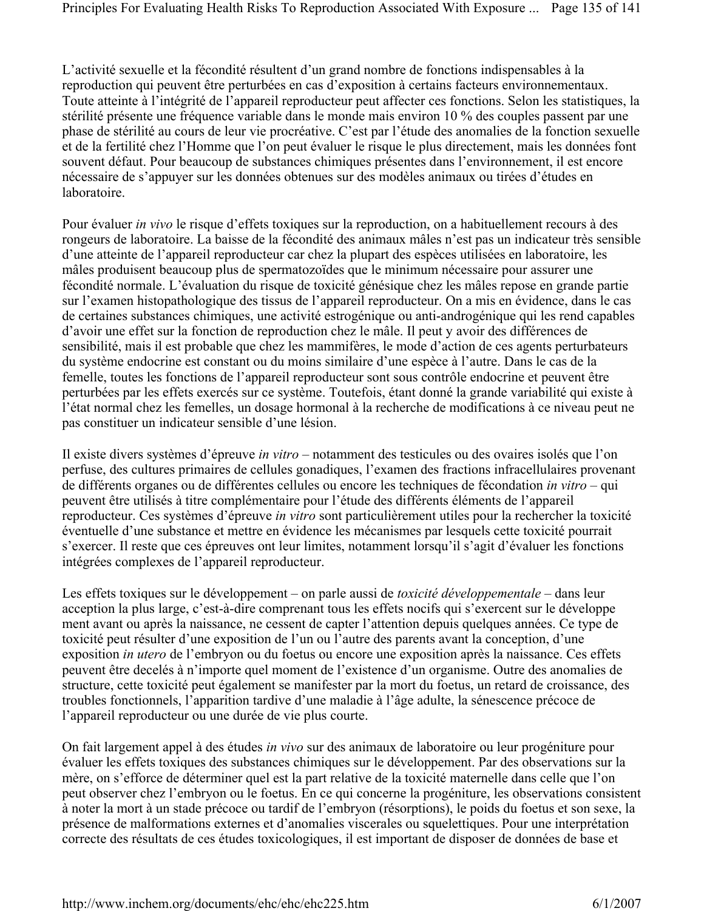L'activité sexuelle et la fécondité résultent d'un grand nombre de fonctions indispensables à la reproduction qui peuvent être perturbées en cas d'exposition à certains facteurs environnementaux. Toute atteinte à l'intégrité de l'appareil reproducteur peut affecter ces fonctions. Selon les statistiques, la stérilité présente une fréquence variable dans le monde mais environ 10 % des couples passent par une phase de stérilité au cours de leur vie procréative. C'est par l'étude des anomalies de la fonction sexuelle et de la fertilité chez l'Homme que l'on peut évaluer le risque le plus directement, mais les données font souvent défaut. Pour beaucoup de substances chimiques présentes dans l'environnement, il est encore nécessaire de s'appuyer sur les données obtenues sur des modèles animaux ou tirées d'études en laboratoire.

Pour évaluer *in vivo* le risque d'effets toxiques sur la reproduction, on a habituellement recours à des rongeurs de laboratoire. La baisse de la fécondité des animaux mâles n'est pas un indicateur très sensible d'une atteinte de l'appareil reproducteur car chez la plupart des espèces utilisées en laboratoire, les mâles produisent beaucoup plus de spermatozoïdes que le minimum nécessaire pour assurer une fécondité normale. L'évaluation du risque de toxicité génésique chez les mâles repose en grande partie sur l'examen histopathologique des tissus de l'appareil reproducteur. On a mis en évidence, dans le cas de certaines substances chimiques, une activité estrogénique ou anti-androgénique qui les rend capables d'avoir une effet sur la fonction de reproduction chez le mâle. Il peut y avoir des différences de sensibilité, mais il est probable que chez les mammifères, le mode d'action de ces agents perturbateurs du système endocrine est constant ou du moins similaire d'une espèce à l'autre. Dans le cas de la femelle, toutes les fonctions de l'appareil reproducteur sont sous contrôle endocrine et peuvent être perturbées par les effets exercés sur ce système. Toutefois, étant donné la grande variabilité qui existe à l'état normal chez les femelles, un dosage hormonal à la recherche de modifications à ce niveau peut ne pas constituer un indicateur sensible d'une lésion.

Il existe divers systèmes d'épreuve *in vitro* – notamment des testicules ou des ovaires isolés que l'on perfuse, des cultures primaires de cellules gonadiques, l'examen des fractions infracellulaires provenant de différents organes ou de différentes cellules ou encore les techniques de fécondation *in vitro* – qui peuvent être utilisés à titre complémentaire pour l'étude des différents éléments de l'appareil reproducteur. Ces systèmes d'épreuve *in vitro* sont particulièrement utiles pour la rechercher la toxicité éventuelle d'une substance et mettre en évidence les mécanismes par lesquels cette toxicité pourrait s'exercer. Il reste que ces épreuves ont leur limites, notamment lorsqu'il s'agit d'évaluer les fonctions intégrées complexes de l'appareil reproducteur.

Les effets toxiques sur le développement – on parle aussi de *toxicité développementale –* dans leur acception la plus large, c'est-à-dire comprenant tous les effets nocifs qui s'exercent sur le développe ment avant ou après la naissance, ne cessent de capter l'attention depuis quelques années. Ce type de toxicité peut résulter d'une exposition de l'un ou l'autre des parents avant la conception, d'une exposition *in utero* de l'embryon ou du foetus ou encore une exposition après la naissance. Ces effets peuvent être decelés à n'importe quel moment de l'existence d'un organisme. Outre des anomalies de structure, cette toxicité peut également se manifester par la mort du foetus, un retard de croissance, des troubles fonctionnels, l'apparition tardive d'une maladie à l'âge adulte, la sénescence précoce de l'appareil reproducteur ou une durée de vie plus courte.

On fait largement appel à des études *in vivo* sur des animaux de laboratoire ou leur progéniture pour évaluer les effets toxiques des substances chimiques sur le développement. Par des observations sur la mère, on s'efforce de déterminer quel est la part relative de la toxicité maternelle dans celle que l'on peut observer chez l'embryon ou le foetus. En ce qui concerne la progéniture, les observations consistent à noter la mort à un stade précoce ou tardif de l'embryon (résorptions), le poids du foetus et son sexe, la présence de malformations externes et d'anomalies viscerales ou squelettiques. Pour une interprétation correcte des résultats de ces études toxicologiques, il est important de disposer de données de base et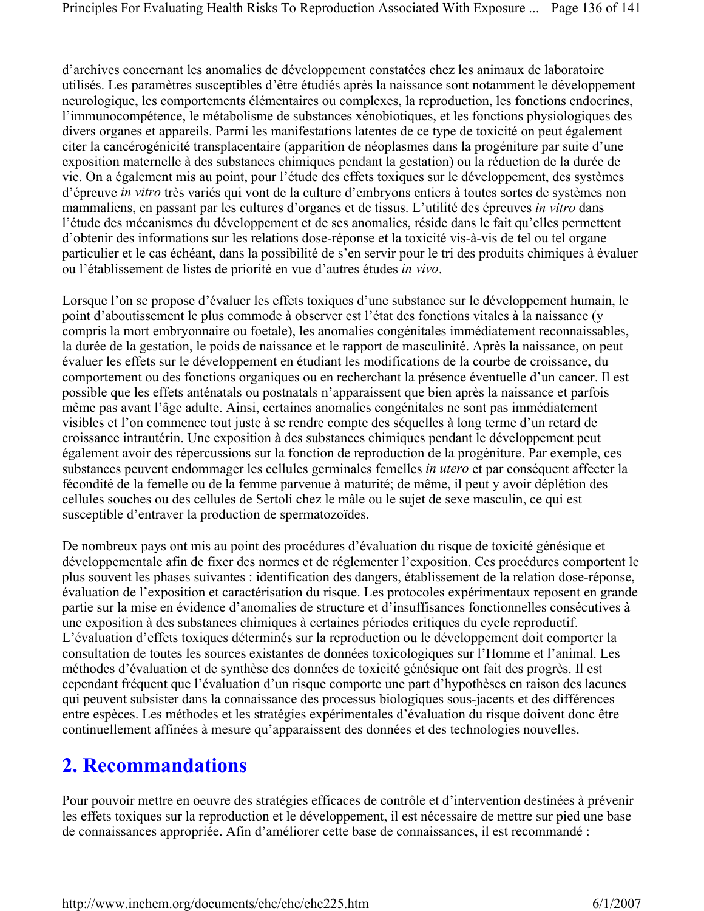d'archives concernant les anomalies de développement constatées chez les animaux de laboratoire utilisés. Les paramètres susceptibles d'être étudiés après la naissance sont notamment le développement neurologique, les comportements élémentaires ou complexes, la reproduction, les fonctions endocrines, l'immunocompétence, le métabolisme de substances xénobiotiques, et les fonctions physiologiques des divers organes et appareils. Parmi les manifestations latentes de ce type de toxicité on peut également citer la cancérogénicité transplacentaire (apparition de néoplasmes dans la progéniture par suite d'une exposition maternelle à des substances chimiques pendant la gestation) ou la réduction de la durée de vie. On a également mis au point, pour l'étude des effets toxiques sur le développement, des systèmes d'épreuve *in vitro* très variés qui vont de la culture d'embryons entiers à toutes sortes de systèmes non mammaliens, en passant par les cultures d'organes et de tissus. L'utilité des épreuves *in vitro* dans l'étude des mécanismes du développement et de ses anomalies, réside dans le fait qu'elles permettent d'obtenir des informations sur les relations dose-réponse et la toxicité vis-à-vis de tel ou tel organe particulier et le cas échéant, dans la possibilité de s'en servir pour le tri des produits chimiques à évaluer ou l'établissement de listes de priorité en vue d'autres études *in vivo*.

Lorsque l'on se propose d'évaluer les effets toxiques d'une substance sur le développement humain, le point d'aboutissement le plus commode à observer est l'état des fonctions vitales à la naissance (y compris la mort embryonnaire ou foetale), les anomalies congénitales immédiatement reconnaissables, la durée de la gestation, le poids de naissance et le rapport de masculinité. Après la naissance, on peut évaluer les effets sur le développement en étudiant les modifications de la courbe de croissance, du comportement ou des fonctions organiques ou en recherchant la présence éventuelle d'un cancer. Il est possible que les effets anténatals ou postnatals n'apparaissent que bien après la naissance et parfois même pas avant l'âge adulte. Ainsi, certaines anomalies congénitales ne sont pas immédiatement visibles et l'on commence tout juste à se rendre compte des séquelles à long terme d'un retard de croissance intrautérin. Une exposition à des substances chimiques pendant le développement peut également avoir des répercussions sur la fonction de reproduction de la progéniture. Par exemple, ces substances peuvent endommager les cellules germinales femelles *in utero* et par conséquent affecter la fécondité de la femelle ou de la femme parvenue à maturité; de même, il peut y avoir déplétion des cellules souches ou des cellules de Sertoli chez le mâle ou le sujet de sexe masculin, ce qui est susceptible d'entraver la production de spermatozoïdes.

De nombreux pays ont mis au point des procédures d'évaluation du risque de toxicité génésique et développementale afin de fixer des normes et de réglementer l'exposition. Ces procédures comportent le plus souvent les phases suivantes : identification des dangers, établissement de la relation dose-réponse, évaluation de l'exposition et caractérisation du risque. Les protocoles expérimentaux reposent en grande partie sur la mise en évidence d'anomalies de structure et d'insuffisances fonctionnelles consécutives à une exposition à des substances chimiques à certaines périodes critiques du cycle reproductif. L'évaluation d'effets toxiques déterminés sur la reproduction ou le développement doit comporter la consultation de toutes les sources existantes de données toxicologiques sur l'Homme et l'animal. Les méthodes d'évaluation et de synthèse des données de toxicité génésique ont fait des progrès. Il est cependant fréquent que l'évaluation d'un risque comporte une part d'hypothèses en raison des lacunes qui peuvent subsister dans la connaissance des processus biologiques sous-jacents et des différences entre espèces. Les méthodes et les stratégies expérimentales d'évaluation du risque doivent donc être continuellement affinées à mesure qu'apparaissent des données et des technologies nouvelles.

#### **2. Recommandations**

Pour pouvoir mettre en oeuvre des stratégies efficaces de contrôle et d'intervention destinées à prévenir les effets toxiques sur la reproduction et le développement, il est nécessaire de mettre sur pied une base de connaissances appropriée. Afin d'améliorer cette base de connaissances, il est recommandé :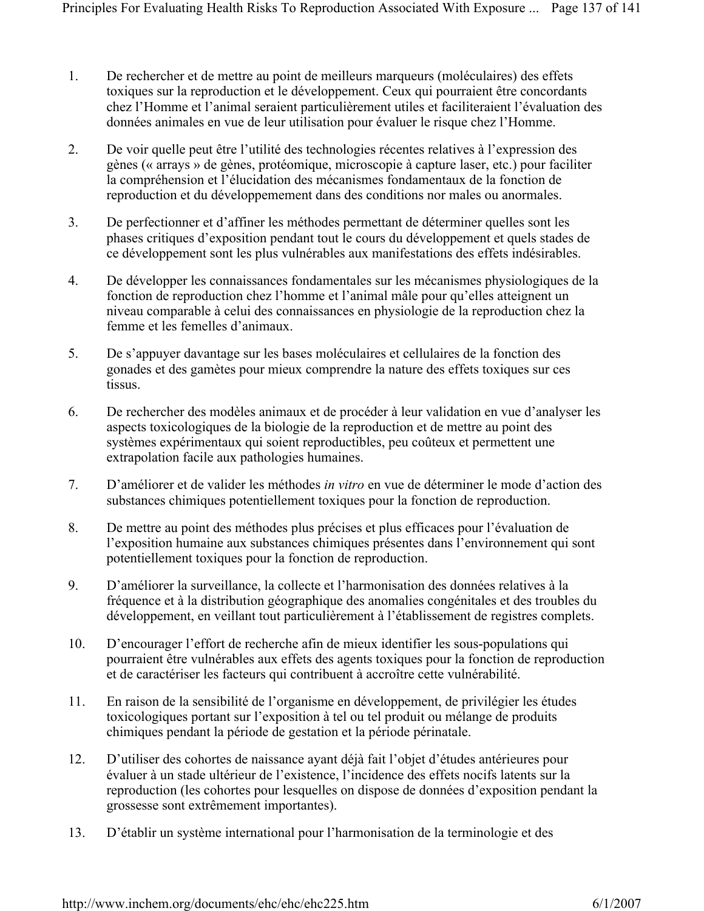- 1. De rechercher et de mettre au point de meilleurs marqueurs (moléculaires) des effets toxiques sur la reproduction et le développement. Ceux qui pourraient être concordants chez l'Homme et l'animal seraient particulièrement utiles et faciliteraient l'évaluation des données animales en vue de leur utilisation pour évaluer le risque chez l'Homme.
- 2. De voir quelle peut être l'utilité des technologies récentes relatives à l'expression des gènes (« arrays » de gènes, protéomique, microscopie à capture laser, etc.) pour faciliter la compréhension et l'élucidation des mécanismes fondamentaux de la fonction de reproduction et du développemement dans des conditions nor males ou anormales.
- 3. De perfectionner et d'affiner les méthodes permettant de déterminer quelles sont les phases critiques d'exposition pendant tout le cours du développement et quels stades de ce développement sont les plus vulnérables aux manifestations des effets indésirables.
- 4. De développer les connaissances fondamentales sur les mécanismes physiologiques de la fonction de reproduction chez l'homme et l'animal mâle pour qu'elles atteignent un niveau comparable à celui des connaissances en physiologie de la reproduction chez la femme et les femelles d'animaux.
- 5. De s'appuyer davantage sur les bases moléculaires et cellulaires de la fonction des gonades et des gamètes pour mieux comprendre la nature des effets toxiques sur ces tissus.
- 6. De rechercher des modèles animaux et de procéder à leur validation en vue d'analyser les aspects toxicologiques de la biologie de la reproduction et de mettre au point des systèmes expérimentaux qui soient reproductibles, peu coûteux et permettent une extrapolation facile aux pathologies humaines.
- 7. D'améliorer et de valider les méthodes *in vitro* en vue de déterminer le mode d'action des substances chimiques potentiellement toxiques pour la fonction de reproduction.
- 8. De mettre au point des méthodes plus précises et plus efficaces pour l'évaluation de l'exposition humaine aux substances chimiques présentes dans l'environnement qui sont potentiellement toxiques pour la fonction de reproduction.
- 9. D'améliorer la surveillance, la collecte et l'harmonisation des données relatives à la fréquence et à la distribution géographique des anomalies congénitales et des troubles du développement, en veillant tout particulièrement à l'établissement de registres complets.
- 10. D'encourager l'effort de recherche afin de mieux identifier les sous-populations qui pourraient être vulnérables aux effets des agents toxiques pour la fonction de reproduction et de caractériser les facteurs qui contribuent à accroître cette vulnérabilité.
- 11. En raison de la sensibilité de l'organisme en développement, de privilégier les études toxicologiques portant sur l'exposition à tel ou tel produit ou mélange de produits chimiques pendant la période de gestation et la période périnatale.
- 12. D'utiliser des cohortes de naissance ayant déjà fait l'objet d'études antérieures pour évaluer à un stade ultérieur de l'existence, l'incidence des effets nocifs latents sur la reproduction (les cohortes pour lesquelles on dispose de données d'exposition pendant la grossesse sont extrêmement importantes).
- 13. D'établir un système international pour l'harmonisation de la terminologie et des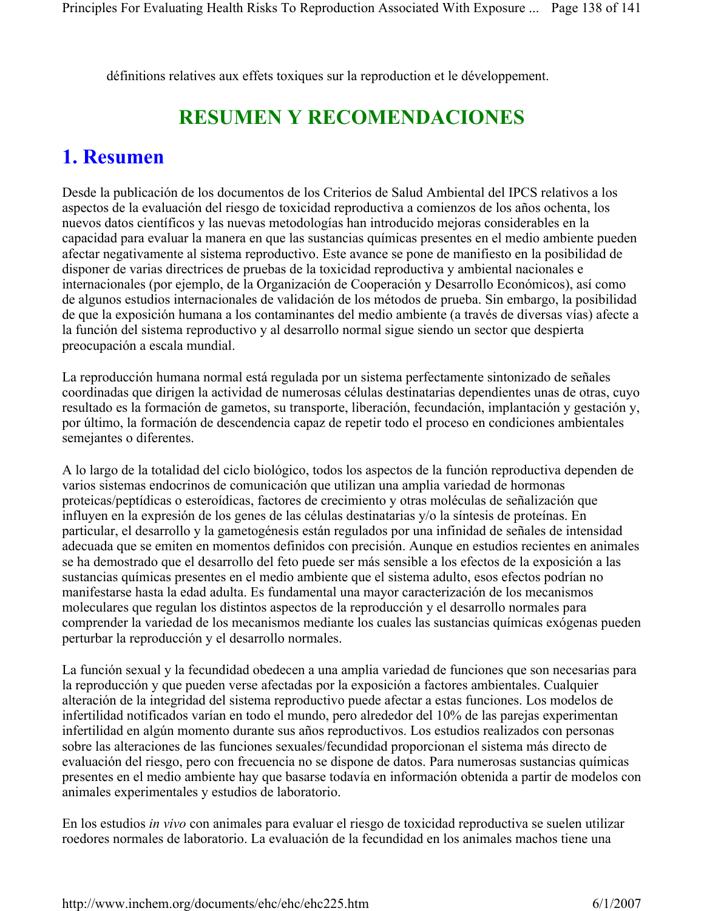définitions relatives aux effets toxiques sur la reproduction et le développement.

# **RESUMEN Y RECOMENDACIONES**

## **1. Resumen**

Desde la publicación de los documentos de los Criterios de Salud Ambiental del IPCS relativos a los aspectos de la evaluación del riesgo de toxicidad reproductiva a comienzos de los años ochenta, los nuevos datos científicos y las nuevas metodologías han introducido mejoras considerables en la capacidad para evaluar la manera en que las sustancias químicas presentes en el medio ambiente pueden afectar negativamente al sistema reproductivo. Este avance se pone de manifiesto en la posibilidad de disponer de varias directrices de pruebas de la toxicidad reproductiva y ambiental nacionales e internacionales (por ejemplo, de la Organización de Cooperación y Desarrollo Económicos), así como de algunos estudios internacionales de validación de los métodos de prueba. Sin embargo, la posibilidad de que la exposición humana a los contaminantes del medio ambiente (a través de diversas vías) afecte a la función del sistema reproductivo y al desarrollo normal sigue siendo un sector que despierta preocupación a escala mundial.

La reproducción humana normal está regulada por un sistema perfectamente sintonizado de señales coordinadas que dirigen la actividad de numerosas células destinatarias dependientes unas de otras, cuyo resultado es la formación de gametos, su transporte, liberación, fecundación, implantación y gestación y, por último, la formación de descendencia capaz de repetir todo el proceso en condiciones ambientales semejantes o diferentes.

A lo largo de la totalidad del ciclo biológico, todos los aspectos de la función reproductiva dependen de varios sistemas endocrinos de comunicación que utilizan una amplia variedad de hormonas proteicas/peptídicas o esteroídicas, factores de crecimiento y otras moléculas de señalización que influyen en la expresión de los genes de las células destinatarias y/o la síntesis de proteínas. En particular, el desarrollo y la gametogénesis están regulados por una infinidad de señales de intensidad adecuada que se emiten en momentos definidos con precisión. Aunque en estudios recientes en animales se ha demostrado que el desarrollo del feto puede ser más sensible a los efectos de la exposición a las sustancias químicas presentes en el medio ambiente que el sistema adulto, esos efectos podrían no manifestarse hasta la edad adulta. Es fundamental una mayor caracterización de los mecanismos moleculares que regulan los distintos aspectos de la reproducción y el desarrollo normales para comprender la variedad de los mecanismos mediante los cuales las sustancias químicas exógenas pueden perturbar la reproducción y el desarrollo normales.

La función sexual y la fecundidad obedecen a una amplia variedad de funciones que son necesarias para la reproducción y que pueden verse afectadas por la exposición a factores ambientales. Cualquier alteración de la integridad del sistema reproductivo puede afectar a estas funciones. Los modelos de infertilidad notificados varían en todo el mundo, pero alrededor del 10% de las parejas experimentan infertilidad en algún momento durante sus años reproductivos. Los estudios realizados con personas sobre las alteraciones de las funciones sexuales/fecundidad proporcionan el sistema más directo de evaluación del riesgo, pero con frecuencia no se dispone de datos. Para numerosas sustancias químicas presentes en el medio ambiente hay que basarse todavía en información obtenida a partir de modelos con animales experimentales y estudios de laboratorio.

En los estudios *in vivo* con animales para evaluar el riesgo de toxicidad reproductiva se suelen utilizar roedores normales de laboratorio. La evaluación de la fecundidad en los animales machos tiene una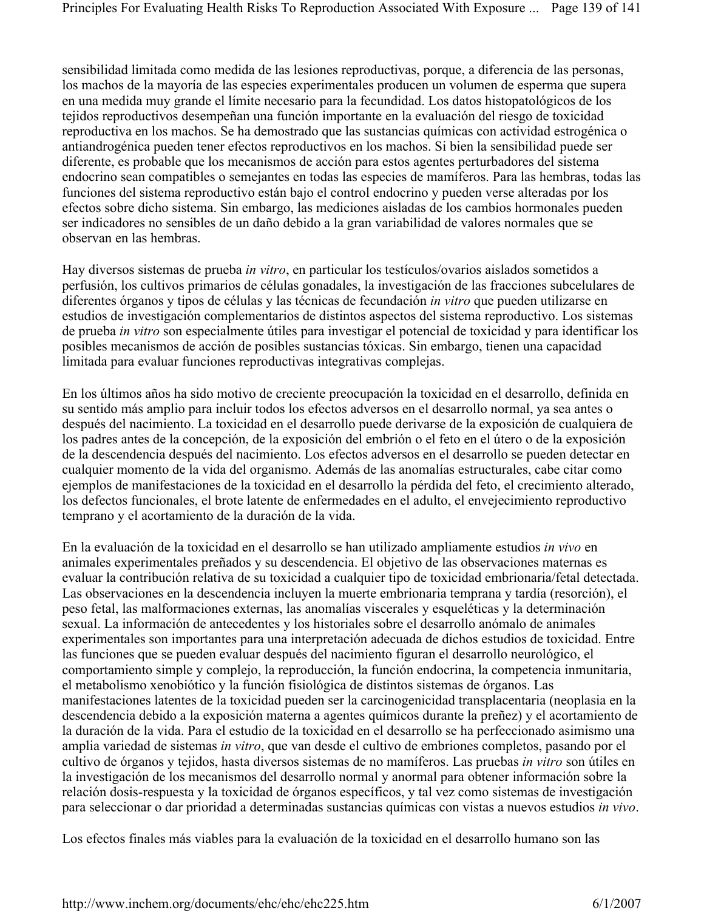sensibilidad limitada como medida de las lesiones reproductivas, porque, a diferencia de las personas, los machos de la mayoría de las especies experimentales producen un volumen de esperma que supera en una medida muy grande el límite necesario para la fecundidad. Los datos histopatológicos de los tejidos reproductivos desempeñan una función importante en la evaluación del riesgo de toxicidad reproductiva en los machos. Se ha demostrado que las sustancias químicas con actividad estrogénica o antiandrogénica pueden tener efectos reproductivos en los machos. Si bien la sensibilidad puede ser diferente, es probable que los mecanismos de acción para estos agentes perturbadores del sistema endocrino sean compatibles o semejantes en todas las especies de mamíferos. Para las hembras, todas las funciones del sistema reproductivo están bajo el control endocrino y pueden verse alteradas por los efectos sobre dicho sistema. Sin embargo, las mediciones aisladas de los cambios hormonales pueden ser indicadores no sensibles de un daño debido a la gran variabilidad de valores normales que se observan en las hembras.

Hay diversos sistemas de prueba *in vitro*, en particular los testículos/ovarios aislados sometidos a perfusión, los cultivos primarios de células gonadales, la investigación de las fracciones subcelulares de diferentes órganos y tipos de células y las técnicas de fecundación *in vitro* que pueden utilizarse en estudios de investigación complementarios de distintos aspectos del sistema reproductivo. Los sistemas de prueba *in vitro* son especialmente útiles para investigar el potencial de toxicidad y para identificar los posibles mecanismos de acción de posibles sustancias tóxicas. Sin embargo, tienen una capacidad limitada para evaluar funciones reproductivas integrativas complejas.

En los últimos años ha sido motivo de creciente preocupación la toxicidad en el desarrollo, definida en su sentido más amplio para incluir todos los efectos adversos en el desarrollo normal, ya sea antes o después del nacimiento. La toxicidad en el desarrollo puede derivarse de la exposición de cualquiera de los padres antes de la concepción, de la exposición del embrión o el feto en el útero o de la exposición de la descendencia después del nacimiento. Los efectos adversos en el desarrollo se pueden detectar en cualquier momento de la vida del organismo. Además de las anomalías estructurales, cabe citar como ejemplos de manifestaciones de la toxicidad en el desarrollo la pérdida del feto, el crecimiento alterado, los defectos funcionales, el brote latente de enfermedades en el adulto, el envejecimiento reproductivo temprano y el acortamiento de la duración de la vida.

En la evaluación de la toxicidad en el desarrollo se han utilizado ampliamente estudios *in vivo* en animales experimentales preñados y su descendencia. El objetivo de las observaciones maternas es evaluar la contribución relativa de su toxicidad a cualquier tipo de toxicidad embrionaria/fetal detectada. Las observaciones en la descendencia incluyen la muerte embrionaria temprana y tardía (resorción), el peso fetal, las malformaciones externas, las anomalías viscerales y esqueléticas y la determinación sexual. La información de antecedentes y los historiales sobre el desarrollo anómalo de animales experimentales son importantes para una interpretación adecuada de dichos estudios de toxicidad. Entre las funciones que se pueden evaluar después del nacimiento figuran el desarrollo neurológico, el comportamiento simple y complejo, la reproducción, la función endocrina, la competencia inmunitaria, el metabolismo xenobiótico y la función fisiológica de distintos sistemas de órganos. Las manifestaciones latentes de la toxicidad pueden ser la carcinogenicidad transplacentaria (neoplasia en la descendencia debido a la exposición materna a agentes químicos durante la preñez) y el acortamiento de la duración de la vida. Para el estudio de la toxicidad en el desarrollo se ha perfeccionado asimismo una amplia variedad de sistemas *in vitro*, que van desde el cultivo de embriones completos, pasando por el cultivo de órganos y tejidos, hasta diversos sistemas de no mamíferos. Las pruebas *in vitro* son útiles en la investigación de los mecanismos del desarrollo normal y anormal para obtener información sobre la relación dosis-respuesta y la toxicidad de órganos específicos, y tal vez como sistemas de investigación para seleccionar o dar prioridad a determinadas sustancias químicas con vistas a nuevos estudios *in vivo*.

Los efectos finales más viables para la evaluación de la toxicidad en el desarrollo humano son las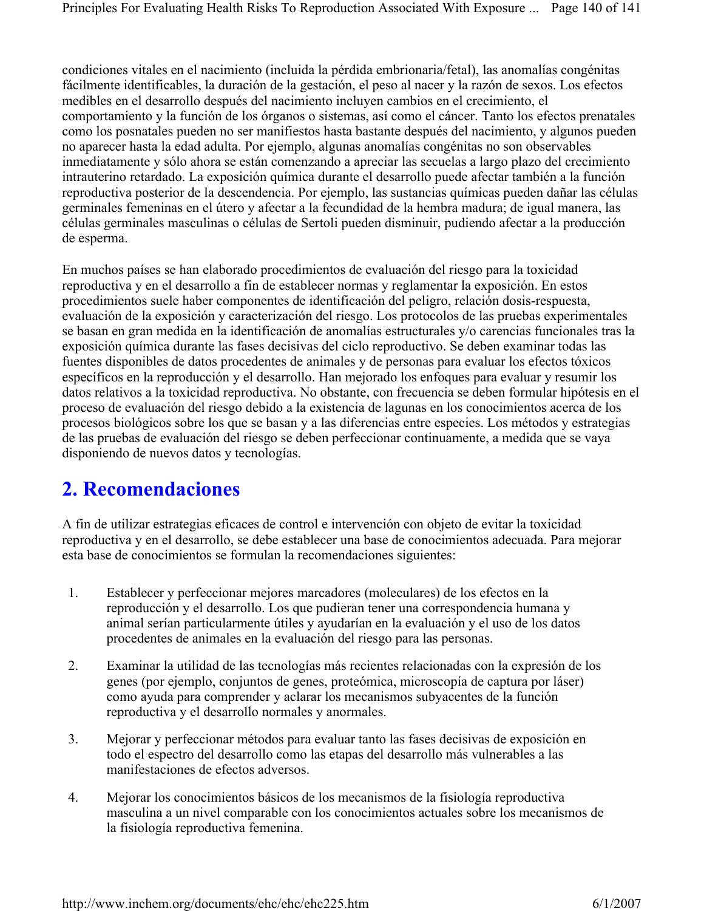condiciones vitales en el nacimiento (incluida la pérdida embrionaria/fetal), las anomalías congénitas fácilmente identificables, la duración de la gestación, el peso al nacer y la razón de sexos. Los efectos medibles en el desarrollo después del nacimiento incluyen cambios en el crecimiento, el comportamiento y la función de los órganos o sistemas, así como el cáncer. Tanto los efectos prenatales como los posnatales pueden no ser manifiestos hasta bastante después del nacimiento, y algunos pueden no aparecer hasta la edad adulta. Por ejemplo, algunas anomalías congénitas no son observables inmediatamente y sólo ahora se están comenzando a apreciar las secuelas a largo plazo del crecimiento intrauterino retardado. La exposición química durante el desarrollo puede afectar también a la función reproductiva posterior de la descendencia. Por ejemplo, las sustancias químicas pueden dañar las células germinales femeninas en el útero y afectar a la fecundidad de la hembra madura; de igual manera, las células germinales masculinas o células de Sertoli pueden disminuir, pudiendo afectar a la producción de esperma.

En muchos países se han elaborado procedimientos de evaluación del riesgo para la toxicidad reproductiva y en el desarrollo a fin de establecer normas y reglamentar la exposición. En estos procedimientos suele haber componentes de identificación del peligro, relación dosis-respuesta, evaluación de la exposición y caracterización del riesgo. Los protocolos de las pruebas experimentales se basan en gran medida en la identificación de anomalías estructurales y/o carencias funcionales tras la exposición química durante las fases decisivas del ciclo reproductivo. Se deben examinar todas las fuentes disponibles de datos procedentes de animales y de personas para evaluar los efectos tóxicos específicos en la reproducción y el desarrollo. Han mejorado los enfoques para evaluar y resumir los datos relativos a la toxicidad reproductiva. No obstante, con frecuencia se deben formular hipótesis en el proceso de evaluación del riesgo debido a la existencia de lagunas en los conocimientos acerca de los procesos biológicos sobre los que se basan y a las diferencias entre especies. Los métodos y estrategias de las pruebas de evaluación del riesgo se deben perfeccionar continuamente, a medida que se vaya disponiendo de nuevos datos y tecnologías.

## **2. Recomendaciones**

A fin de utilizar estrategias eficaces de control e intervención con objeto de evitar la toxicidad reproductiva y en el desarrollo, se debe establecer una base de conocimientos adecuada. Para mejorar esta base de conocimientos se formulan la recomendaciones siguientes:

- 1. Establecer y perfeccionar mejores marcadores (moleculares) de los efectos en la reproducción y el desarrollo. Los que pudieran tener una correspondencia humana y animal serían particularmente útiles y ayudarían en la evaluación y el uso de los datos procedentes de animales en la evaluación del riesgo para las personas.
- 2. Examinar la utilidad de las tecnologías más recientes relacionadas con la expresión de los genes (por ejemplo, conjuntos de genes, proteómica, microscopía de captura por láser) como ayuda para comprender y aclarar los mecanismos subyacentes de la función reproductiva y el desarrollo normales y anormales.
- 3. Mejorar y perfeccionar métodos para evaluar tanto las fases decisivas de exposición en todo el espectro del desarrollo como las etapas del desarrollo más vulnerables a las manifestaciones de efectos adversos.
- 4. Mejorar los conocimientos básicos de los mecanismos de la fisiología reproductiva masculina a un nivel comparable con los conocimientos actuales sobre los mecanismos de la fisiología reproductiva femenina.